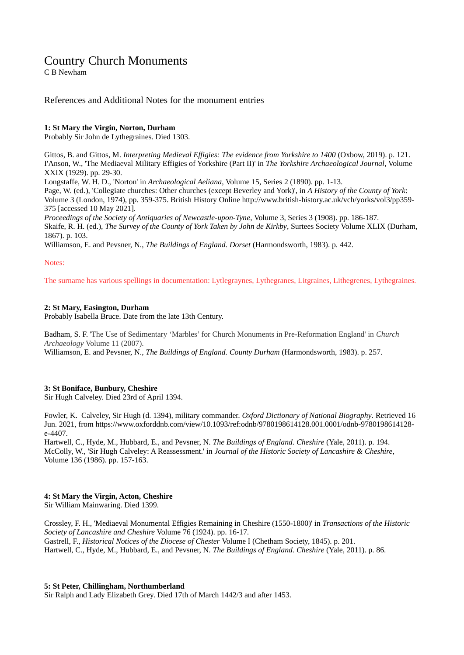## Country Church Monuments

C B Newham

## References and Additional Notes for the monument entries

## **1: St Mary the Virgin, Norton, Durham**

Probably Sir John de Lythegraines. Died 1303.

Gittos, B. and Gittos, M. *Interpreting Medieval Effigies: The evidence from Yorkshire to 1400* (Oxbow, 2019). p. 121. I'Anson, W., 'The Mediaeval Military Effigies of Yorkshire (Part II)' in *The Yorkshire Archaeological Journal*, Volume XXIX (1929). pp. 29-30.

Longstaffe, W. H. D., 'Norton' in *Archaeological Aeliana*, Volume 15, Series 2 (1890). pp. 1-13.

Page, W. (ed.), 'Collegiate churches: Other churches (except Beverley and York)', in *A History of the County of York*: Volume 3 (London, 1974), pp. 359-375. British History Online http://www.british-history.ac.uk/vch/yorks/vol3/pp359- 375 [accessed 10 May 2021].

*Proceedings of the Society of Antiquaries of Newcastle-upon-Tyne*, Volume 3, Series 3 (1908). pp. 186-187. Skaife, R. H. (ed.), *The Survey of the County of York Taken by John de Kirkby*, Surtees Society Volume XLIX (Durham, 1867). p. 103.

Williamson, E. and Pevsner, N., *The Buildings of England. Dorset* (Harmondsworth, 1983). p. 442.

## Notes:

The surname has various spellings in documentation: Lytlegraynes, Lythegranes, Litgraines, Lithegrenes, Lythegraines.

## **2: St Mary, Easington, Durham**

Probably Isabella Bruce. Date from the late 13th Century.

Badham, S. F. 'The Use of Sedimentary 'Marbles' for Church Monuments in Pre-Reformation England' in *Church Archaeology* Volume 11 (2007).

Williamson, E. and Pevsner, N., *The Buildings of England. County Durham* (Harmondsworth, 1983). p. 257.

## **3: St Boniface, Bunbury, Cheshire**

Sir Hugh Calveley. Died 23rd of April 1394.

Fowler, K. Calveley, Sir Hugh (d. 1394), military commander. *Oxford Dictionary of National Biography*. Retrieved 16 Jun. 2021, from https://www.oxforddnb.com/view/10.1093/ref:odnb/9780198614128.001.0001/odnb-9780198614128 e-4407.

Hartwell, C., Hyde, M., Hubbard, E., and Pevsner, N. *The Buildings of England. Cheshire* (Yale, 2011). p. 194. McColly, W., 'Sir Hugh Calveley: A Reassessment.' in *Journal of the Historic Society of Lancashire & Cheshire*, Volume 136 (1986). pp. 157-163.

## **4: St Mary the Virgin, Acton, Cheshire**

Sir William Mainwaring. Died 1399.

Crossley, F. H., 'Mediaeval Monumental Effigies Remaining in Cheshire (1550-1800)' in *Transactions of the Historic Society of Lancashire and Cheshire* Volume 76 (1924). pp. 16-17. Gastrell, F., *Historical Notices of the Diocese of Chester* Volume I (Chetham Society, 1845). p. 201. Hartwell, C., Hyde, M., Hubbard, E., and Pevsner, N. *The Buildings of England. Cheshire* (Yale, 2011). p. 86.

#### **5: St Peter, Chillingham, Northumberland**

Sir Ralph and Lady Elizabeth Grey. Died 17th of March 1442/3 and after 1453.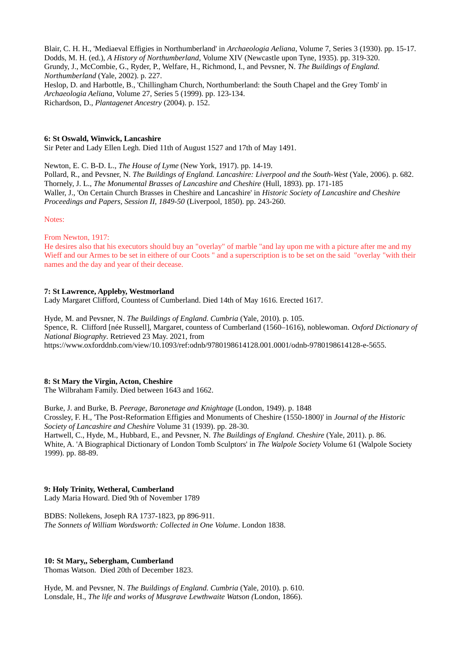Blair, C. H. H., 'Mediaeval Effigies in Northumberland' in *Archaeologia Aeliana*, Volume 7, Series 3 (1930). pp. 15-17. Dodds, M. H. (ed.), *A History of Northumberland*, Volume XIV (Newcastle upon Tyne, 1935). pp. 319-320. Grundy, J., McCombie, G., Ryder, P., Welfare, H., Richmond, I., and Pevsner, N. *The Buildings of England. Northumberland* (Yale, 2002). p. 227. Heslop, D. and Harbottle, B., 'Chillingham Church, Northumberland: the South Chapel and the Grey Tomb' in *Archaeologia Aeliana*, Volume 27, Series 5 (1999). pp. 123-134. Richardson, D., *Plantagenet Ancestry* (2004). p. 152.

#### **6: St Oswald, Winwick, Lancashire**

Sir Peter and Lady Ellen Legh. Died 11th of August 1527 and 17th of May 1491.

Newton, E. C. B-D. L., *The House of Lyme* (New York, 1917). pp. 14-19. Pollard, R., and Pevsner, N. *The Buildings of England. Lancashire: Liverpool and the South-West* (Yale, 2006). p. 682. Thornely, J. L., *The Monumental Brasses of Lancashire and Cheshire* (Hull, 1893). pp. 171-185 Waller, J., 'On Certain Church Brasses in Cheshire and Lancashire' in *Historic Society of Lancashire and Cheshire Proceedings and Papers, Session II, 1849-50* (Liverpool, 1850). pp. 243-260.

Notes:

From Newton, 1917:

He desires also that his executors should buy an "overlay" of marble "and lay upon me with a picture after me and my Wieff and our Armes to be set in eithere of our Coots " and a superscription is to be set on the said "overlay "with their names and the day and year of their decease.

## **7: St Lawrence, Appleby, Westmorland**

Lady Margaret Clifford, Countess of Cumberland. Died 14th of May 1616. Erected 1617.

Hyde, M. and Pevsner, N. *The Buildings of England. Cumbria* (Yale, 2010). p. 105. Spence, R. Clifford [née Russell], Margaret, countess of Cumberland (1560–1616), noblewoman. *Oxford Dictionary of National Biography*. Retrieved 23 May. 2021, from https://www.oxforddnb.com/view/10.1093/ref:odnb/9780198614128.001.0001/odnb-9780198614128-e-5655.

#### **8: St Mary the Virgin, Acton, Cheshire**

The Wilbraham Family. Died between 1643 and 1662.

Burke, J. and Burke, B. *Peerage, Baronetage and Knightage* (London, 1949). p. 1848 Crossley, F. H., 'The Post-Reformation Effigies and Monuments of Cheshire (1550-1800)' in *Journal of the Historic Society of Lancashire and Cheshire* Volume 31 (1939). pp. 28-30. Hartwell, C., Hyde, M., Hubbard, E., and Pevsner, N. *The Buildings of England. Cheshire* (Yale, 2011). p. 86.

White, A. 'A Biographical Dictionary of London Tomb Sculptors' in *The Walpole Society* Volume 61 (Walpole Society 1999). pp. 88-89.

## **9: Holy Trinity, Wetheral, Cumberland**

Lady Maria Howard. Died 9th of November 1789

BDBS: Nollekens, Joseph RA 1737-1823, pp 896-911. *The Sonnets of William Wordsworth: Collected in One Volume*. London 1838.

## **10: St Mary,, Sebergham, Cumberland**

Thomas Watson. Died 20th of December 1823.

Hyde, M. and Pevsner, N. *The Buildings of England. Cumbria* (Yale, 2010). p. 610. Lonsdale, H., *The life and works of Musgrave Lewthwaite Watson (*London, 1866).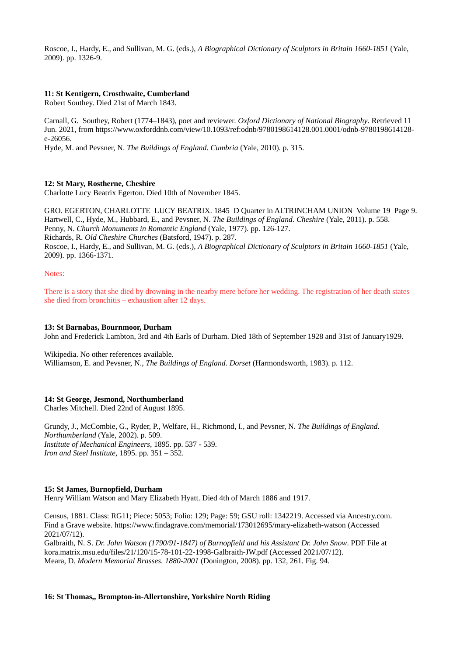Roscoe, I., Hardy, E., and Sullivan, M. G. (eds.), *A Biographical Dictionary of Sculptors in Britain 1660-1851* (Yale, 2009). pp. 1326-9.

## **11: St Kentigern, Crosthwaite, Cumberland**

Robert Southey. Died 21st of March 1843.

Carnall, G. Southey, Robert (1774–1843), poet and reviewer. *Oxford Dictionary of National Biography*. Retrieved 11 Jun. 2021, from https://www.oxforddnb.com/view/10.1093/ref:odnb/9780198614128.001.0001/odnb-9780198614128 e-26056.

Hyde, M. and Pevsner, N. *The Buildings of England. Cumbria* (Yale, 2010). p. 315.

#### **12: St Mary, Rostherne, Cheshire**

Charlotte Lucy Beatrix Egerton. Died 10th of November 1845.

GRO. EGERTON, CHARLOTTE LUCY BEATRIX. 1845 D Quarter in ALTRINCHAM UNION Volume 19 Page 9. Hartwell, C., Hyde, M., Hubbard, E., and Pevsner, N. *The Buildings of England. Cheshire* (Yale, 2011). p. 558. Penny, N. *Church Monuments in Romantic England* (Yale, 1977). pp. 126-127. Richards, R. *Old Cheshire Churches* (Batsford, 1947). p. 287. Roscoe, I., Hardy, E., and Sullivan, M. G. (eds.), *A Biographical Dictionary of Sculptors in Britain 1660-1851* (Yale, 2009). pp. 1366-1371.

Notes:

There is a story that she died by drowning in the nearby mere before her wedding. The registration of her death states she died from bronchitis – exhaustion after 12 days.

#### **13: St Barnabas, Bournmoor, Durham**

John and Frederick Lambton, 3rd and 4th Earls of Durham. Died 18th of September 1928 and 31st of January1929.

Wikipedia. No other references available. Williamson, E. and Pevsner, N., *The Buildings of England. Dorset* (Harmondsworth, 1983). p. 112.

#### **14: St George, Jesmond, Northumberland**

Charles Mitchell. Died 22nd of August 1895.

Grundy, J., McCombie, G., Ryder, P., Welfare, H., Richmond, I., and Pevsner, N. *The Buildings of England. Northumberland* (Yale, 2002). p. 509. *Institute of Mechanical Engineers*, 1895. pp. 537 - 539. *Iron and Steel Institute,* 1895. pp. 351 – 352.

#### **15: St James, Burnopfield, Durham**

Henry William Watson and Mary Elizabeth Hyatt. Died 4th of March 1886 and 1917.

Census, 1881. Class: RG11; Piece: 5053; Folio: 129; Page: 59; GSU roll: 1342219. Accessed via Ancestry.com. Find a Grave website. https://www.findagrave.com/memorial/173012695/mary-elizabeth-watson (Accessed 2021/07/12).

Galbraith, N. S. *Dr. John Watson (1790/91-1847) of Burnopfield and his Assistant Dr. John Snow*. PDF File at kora.matrix.msu.edu/files/21/120/15-78-101-22-1998-Galbraith-JW.pdf (Accessed 2021/07/12). Meara, D. *Modern Memorial Brasses. 1880-2001* (Donington, 2008). pp. 132, 261. Fig. 94.

#### **16: St Thomas,, Brompton-in-Allertonshire, Yorkshire North Riding**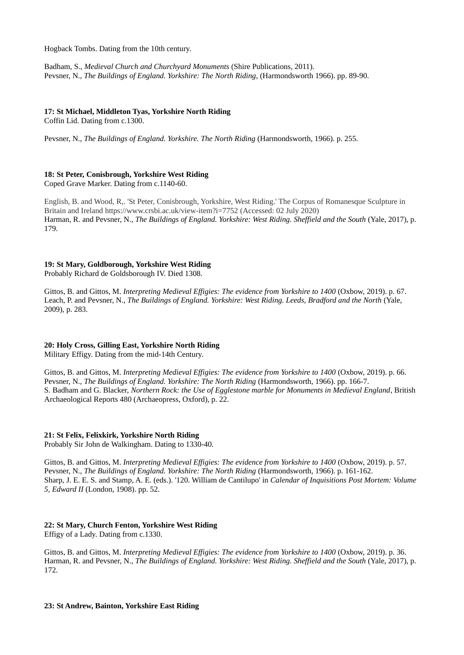Hogback Tombs. Dating from the 10th century.

Badham, S., *Medieval Church and Churchyard Monuments* (Shire Publications, 2011). Pevsner, N., *The Buildings of England. Yorkshire: The North Riding*, (Harmondsworth 1966). pp. 89-90.

## **17: St Michael, Middleton Tyas, Yorkshire North Riding**

Coffin Lid. Dating from c.1300.

Pevsner, N., *The Buildings of England. Yorkshire. The North Riding* (Harmondsworth, 1966). p. 255.

#### **18: St Peter, Conisbrough, Yorkshire West Riding** Coped Grave Marker. Dating from c.1140-60.

English, B. and Wood, R,. 'St Peter, Conisbrough, Yorkshire, West Riding.' The Corpus of Romanesque Sculpture in Britain and Ireland https://www.crsbi.ac.uk/view-item?i=7752 (Accessed: 02 July 2020) Harman, R. and Pevsner, N., *The Buildings of England. Yorkshire: West Riding. Sheffield and the South* (Yale, 2017), p. 179.

## **19: St Mary, Goldborough, Yorkshire West Riding**

Probably Richard de Goldsborough IV. Died 1308.

Gittos, B. and Gittos, M. *Interpreting Medieval Effigies: The evidence from Yorkshire to 1400* (Oxbow, 2019). p. 67. Leach, P. and Pevsner, N., *The Buildings of England. Yorkshire: West Riding. Leeds, Bradford and the North* (Yale, 2009), p. 283.

## **20: Holy Cross, Gilling East, Yorkshire North Riding**

Military Effigy. Dating from the mid-14th Century.

Gittos, B. and Gittos, M. *Interpreting Medieval Effigies: The evidence from Yorkshire to 1400* (Oxbow, 2019). p. 66. Pevsner, N., *The Buildings of England. Yorkshire: The North Riding* (Harmondsworth, 1966). pp. 166-7. S. Badham and G. Blacker, *Northern Rock: the Use of Egglestone marble for Monuments in Medieval England*, British Archaeological Reports 480 (Archaeopress, Oxford), p. 22.

## **21: St Felix, Felixkirk, Yorkshire North Riding**

Probably Sir John de Walkingham. Dating to 1330-40.

Gittos, B. and Gittos, M. *Interpreting Medieval Effigies: The evidence from Yorkshire to 1400* (Oxbow, 2019). p. 57. Pevsner, N., *The Buildings of England. Yorkshire: The North Riding* (Harmondsworth, 1966). p. 161-162. Sharp, J. E. E. S. and Stamp, A. E. (eds.). '120. William de Cantilupo' in *Calendar of Inquisitions Post Mortem: Volume 5, Edward II* (London, 1908). pp. 52.

## **22: St Mary, Church Fenton, Yorkshire West Riding**

Effigy of a Lady. Dating from c.1330.

Gittos, B. and Gittos, M. *Interpreting Medieval Effigies: The evidence from Yorkshire to 1400* (Oxbow, 2019). p. 36. Harman, R. and Pevsner, N., *The Buildings of England. Yorkshire: West Riding. Sheffield and the South* (Yale, 2017), p. 172.

## **23: St Andrew, Bainton, Yorkshire East Riding**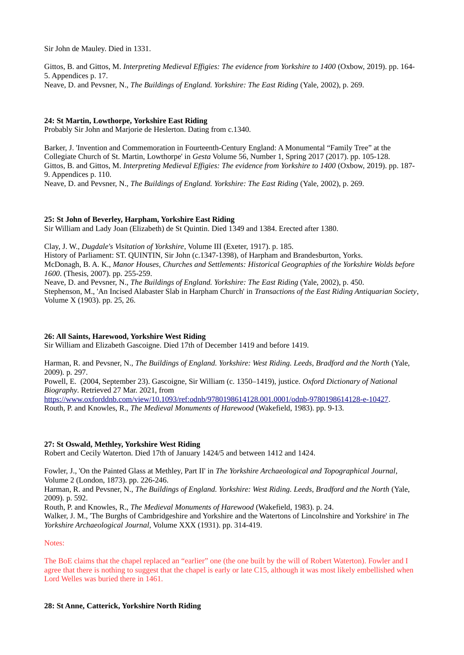Sir John de Mauley. Died in 1331.

Gittos, B. and Gittos, M. *Interpreting Medieval Effigies: The evidence from Yorkshire to 1400* (Oxbow, 2019). pp. 164- 5. Appendices p. 17. Neave, D. and Pevsner, N., *The Buildings of England. Yorkshire: The East Riding* (Yale, 2002), p. 269.

## **24: St Martin, Lowthorpe, Yorkshire East Riding**

Probably Sir John and Marjorie de Heslerton. Dating from c.1340.

Barker, J. 'Invention and Commemoration in Fourteenth-Century England: A Monumental "Family Tree" at the Collegiate Church of St. Martin, Lowthorpe' in *Gesta* Volume 56, Number 1, Spring 2017 (2017). pp. 105-128. Gittos, B. and Gittos, M. *Interpreting Medieval Effigies: The evidence from Yorkshire to 1400* (Oxbow, 2019). pp. 187- 9. Appendices p. 110.

Neave, D. and Pevsner, N., *The Buildings of England. Yorkshire: The East Riding* (Yale, 2002), p. 269.

## **25: St John of Beverley, Harpham, Yorkshire East Riding**

Sir William and Lady Joan (Elizabeth) de St Quintin. Died 1349 and 1384. Erected after 1380.

Clay, J. W., *Dugdale's Visitation of Yorkshire*, Volume III (Exeter, 1917). p. 185. History of Parliament: ST. QUINTIN, Sir John (c.1347-1398), of Harpham and Brandesburton, Yorks. McDonagh, B. A. K., *Manor Houses, Churches and Settlements: Historical Geographies of the Yorkshire Wolds before 1600*. (Thesis, 2007). pp. 255-259. Neave, D. and Pevsner, N., *The Buildings of England. Yorkshire: The East Riding* (Yale, 2002), p. 450.

Stephenson, M., 'An Incised Alabaster Slab in Harpham Church' in *Transactions of the East Riding Antiquarian Society*, Volume X (1903). pp. 25, 26.

## **26: All Saints, Harewood, Yorkshire West Riding**

Sir William and Elizabeth Gascoigne. Died 17th of December 1419 and before 1419.

Harman, R. and Pevsner, N., *The Buildings of England. Yorkshire: West Riding. Leeds, Bradford and the North* (Yale, 2009). p. 297.

Powell, E. (2004, September 23). Gascoigne, Sir William (c. 1350–1419), justice. *Oxford Dictionary of National Biography*. Retrieved 27 Mar. 2021, from

[https://www.oxforddnb.com/view/10.1093/ref:odnb/9780198614128.001.0001/odnb-9780198614128-e-10427.](https://www.oxforddnb.com/view/10.1093/ref:odnb/9780198614128.001.0001/odnb-9780198614128-e-10427) Routh, P. and Knowles, R., *The Medieval Monuments of Harewood* (Wakefield, 1983). pp. 9-13.

## **27: St Oswald, Methley, Yorkshire West Riding**

Robert and Cecily Waterton. Died 17th of January 1424/5 and between 1412 and 1424.

Fowler, J., 'On the Painted Glass at Methley, Part II' in *The Yorkshire Archaeological and Topographical Journal*, Volume 2 (London, 1873). pp. 226-246.

Harman, R. and Pevsner, N., *The Buildings of England. Yorkshire: West Riding. Leeds, Bradford and the North (Yale,* 2009). p. 592.

Routh, P. and Knowles, R., *The Medieval Monuments of Harewood* (Wakefield, 1983). p. 24.

Walker, J. M., 'The Burghs of Cambridgeshire and Yorkshire and the Watertons of Lincolnshire and Yorkshire' in *The Yorkshire Archaeological Journal*, Volume XXX (1931). pp. 314-419.

## Notes:

The BoE claims that the chapel replaced an "earlier" one (the one built by the will of Robert Waterton). Fowler and I agree that there is nothing to suggest that the chapel is early or late C15, although it was most likely embellished when Lord Welles was buried there in 1461.

## **28: St Anne, Catterick, Yorkshire North Riding**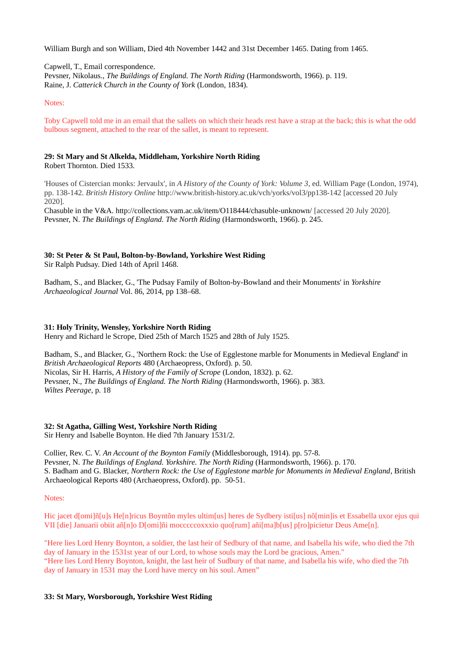William Burgh and son William, Died 4th November 1442 and 31st December 1465. Dating from 1465.

Capwell, T., Email correspondence.

Pevsner, Nikolaus., *The Buildings of England. The North Riding* (Harmondsworth, 1966). p. 119. Raine, J. *Catterick Church in the County of York* (London, 1834).

## Notes:

Toby Capwell told me in an email that the sallets on which their heads rest have a strap at the back; this is what the odd bulbous segment, attached to the rear of the sallet, is meant to represent.

## **29: St Mary and St Alkelda, Middleham, Yorkshire North Riding**

Robert Thornton. Died 1533.

'Houses of Cistercian monks: Jervaulx', in *A History of the County of York: Volume 3*, ed. William Page (London, 1974), pp. 138-142. *British History Online* http://www.british-history.ac.uk/vch/yorks/vol3/pp138-142 [accessed 20 July 2020].

Chasuble in the V&A. http://collections.vam.ac.uk/item/O118444/chasuble-unknown/ [accessed 20 July 2020]. Pevsner, N. *The Buildings of England. The North Riding* (Harmondsworth, 1966). p. 245.

## **30: St Peter & St Paul, Bolton-by-Bowland, Yorkshire West Riding**

Sir Ralph Pudsay. Died 14th of April 1468.

Badham, S., and Blacker, G., 'The Pudsay Family of Bolton-by-Bowland and their Monuments' in *Yorkshire Archaeological Journal* Vol. 86, 2014, pp 138–68.

## **31: Holy Trinity, Wensley, Yorkshire North Riding**

Henry and Richard le Scrope, Died 25th of March 1525 and 28th of July 1525.

Badham, S., and Blacker, G., 'Northern Rock: the Use of Egglestone marble for Monuments in Medieval England' in *British Archaeological Reports* 480 (Archaeopress, Oxford). p. 50. Nicolas, Sir H. Harris, *A History of the Family of Scrope* (London, 1832). p. 62. Pevsner, N., *The Buildings of England. The North Riding* (Harmondsworth, 1966). p. 383. *Wiltes Peerage*, p. 18

## **32: St Agatha, Gilling West, Yorkshire North Riding**

Sir Henry and Isabelle Boynton. He died 7th January 1531/2.

Collier, Rev. C. V. *An Account of the Boynton Family* (Middlesborough, 1914). pp. 57-8. Pevsner, N. *The Buildings of England. Yorkshire. The North Riding* (Harmondsworth, 1966). p. 170. S. Badham and G. Blacker, *Northern Rock: the Use of Egglestone marble for Monuments in Medieval England*, British Archaeological Reports 480 (Archaeopress, Oxford). pp. 50-51.

## Notes:

Hic jacet d[omi]ñ[u]s He[n]ricus Boyntõn myles ultim[us] heres de Sydbery isti[us] nõ[min]is et Essabella uxor ejus qui VII [die] Januarii obiit añ[n]o D[omi]ñi mocccccoxxxio quo[rum] añi[ma]b[us] p[ro]picietur Deus Ame[n].

"Here lies Lord Henry Boynton, a soldier, the last heir of Sedbury of that name, and Isabella his wife, who died the 7th day of January in the 1531st year of our Lord, to whose souls may the Lord be gracious, Amen." "Here lies Lord Henry Boynton, knight, the last heir of Sudbury of that name, and Isabella his wife, who died the 7th day of January in 1531 may the Lord have mercy on his soul. Amen"

## **33: St Mary, Worsborough, Yorkshire West Riding**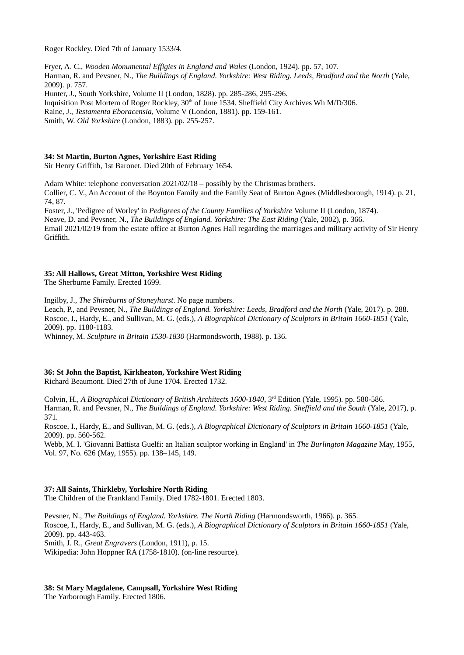Roger Rockley. Died 7th of January 1533/4.

Fryer, A. C., *Wooden Monumental Effigies in England and Wales* (London, 1924). pp. 57, 107. Harman, R. and Pevsner, N., *The Buildings of England. Yorkshire: West Riding. Leeds, Bradford and the North* (Yale, 2009). p. 757. Hunter, J., South Yorkshire, Volume II (London, 1828). pp. 285-286, 295-296.

Inquisition Post Mortem of Roger Rockley, 30<sup>th</sup> of June 1534. Sheffield City Archives Wh M/D/306.

Raine, J., *Testamenta Eboracensia*, Volume V (London, 1881). pp. 159-161.

Smith, W. *Old Yorkshire* (London, 1883). pp. 255-257.

## **34: St Martin, Burton Agnes, Yorkshire East Riding**

Sir Henry Griffith, 1st Baronet. Died 20th of February 1654.

Adam White: telephone conversation 2021/02/18 – possibly by the Christmas brothers.

Collier, C. V., An Account of the Boynton Family and the Family Seat of Burton Agnes (Middlesborough, 1914). p. 21, 74, 87.

Foster, J., 'Pedigree of Worley' in *Pedigrees of the County Families of Yorkshire* Volume II (London, 1874).

Neave, D. and Pevsner, N., *The Buildings of England. Yorkshire: The East Riding* (Yale, 2002), p. 366.

Email 2021/02/19 from the estate office at Burton Agnes Hall regarding the marriages and military activity of Sir Henry Griffith.

## **35: All Hallows, Great Mitton, Yorkshire West Riding**

The Sherburne Family. Erected 1699.

Ingilby, J., *The Shireburns of Stoneyhurst*. No page numbers. Leach, P., and Pevsner, N., *The Buildings of England. Yorkshire: Leeds, Bradford and the North* (Yale, 2017). p. 288. Roscoe, I., Hardy, E., and Sullivan, M. G. (eds.), *A Biographical Dictionary of Sculptors in Britain 1660-1851* (Yale, 2009). pp. 1180-1183.

Whinney, M. *Sculpture in Britain 1530-1830* (Harmondsworth, 1988). p. 136.

## **36: St John the Baptist, Kirkheaton, Yorkshire West Riding**

Richard Beaumont. Died 27th of June 1704. Erected 1732.

Colvin, H., *A Biographical Dictionary of British Architects 1600-1840*, 3rd Edition (Yale, 1995). pp. 580-586. Harman, R. and Pevsner, N., *The Buildings of England. Yorkshire: West Riding. Sheffield and the South* (Yale, 2017), p. 371.

Roscoe, I., Hardy, E., and Sullivan, M. G. (eds.), *A Biographical Dictionary of Sculptors in Britain 1660-1851* (Yale, 2009). pp. 560-562.

Webb, M. I. 'Giovanni Battista Guelfi: an Italian sculptor working in England' in *The Burlington Magazine* May, 1955, Vol. 97, No. 626 (May, 1955). pp. 138–145, 149.

## **37: All Saints, Thirkleby, Yorkshire North Riding**

The Children of the Frankland Family. Died 1782-1801. Erected 1803.

Pevsner, N., *The Buildings of England. Yorkshire. The North Riding* (Harmondsworth, 1966). p. 365. Roscoe, I., Hardy, E., and Sullivan, M. G. (eds.), *A Biographical Dictionary of Sculptors in Britain 1660-1851* (Yale, 2009). pp. 443-463. Smith, J. R., *Great Engravers* (London, 1911), p. 15. Wikipedia: John Hoppner RA (1758-1810). (on-line resource).

# **38: St Mary Magdalene, Campsall, Yorkshire West Riding**

The Yarborough Family. Erected 1806.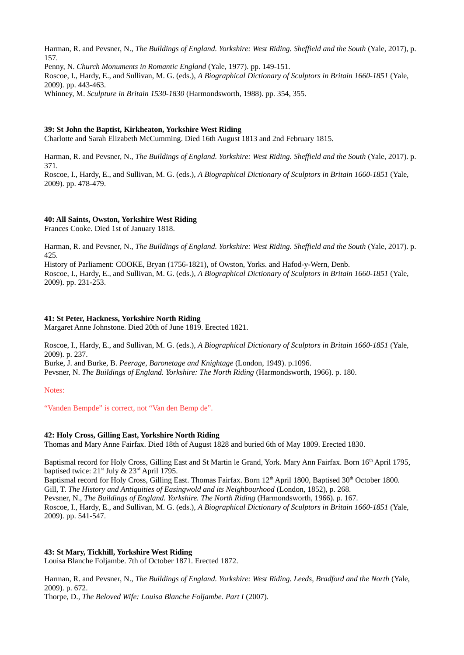Harman, R. and Pevsner, N., *The Buildings of England. Yorkshire: West Riding. Sheffield and the South* (Yale, 2017), p. 157.

Penny, N. *Church Monuments in Romantic England* (Yale, 1977). pp. 149-151. Roscoe, I., Hardy, E., and Sullivan, M. G. (eds.), *A Biographical Dictionary of Sculptors in Britain 1660-1851* (Yale, 2009). pp. 443-463.

Whinney, M. *Sculpture in Britain 1530-1830* (Harmondsworth, 1988). pp. 354, 355.

## **39: St John the Baptist, Kirkheaton, Yorkshire West Riding**

Charlotte and Sarah Elizabeth McCumming. Died 16th August 1813 and 2nd February 1815.

Harman, R. and Pevsner, N., *The Buildings of England. Yorkshire: West Riding. Sheffield and the South* (Yale, 2017). p. 371.

Roscoe, I., Hardy, E., and Sullivan, M. G. (eds.), *A Biographical Dictionary of Sculptors in Britain 1660-1851* (Yale, 2009). pp. 478-479.

## **40: All Saints, Owston, Yorkshire West Riding**

Frances Cooke. Died 1st of January 1818.

Harman, R. and Pevsner, N., *The Buildings of England. Yorkshire: West Riding. Sheffield and the South* (Yale, 2017). p. 425.

History of Parliament: COOKE, Bryan (1756-1821), of Owston, Yorks. and Hafod-y-Wern, Denb. Roscoe, I., Hardy, E., and Sullivan, M. G. (eds.), *A Biographical Dictionary of Sculptors in Britain 1660-1851* (Yale, 2009). pp. 231-253.

## **41: St Peter, Hackness, Yorkshire North Riding**

Margaret Anne Johnstone. Died 20th of June 1819. Erected 1821.

Roscoe, I., Hardy, E., and Sullivan, M. G. (eds.), *A Biographical Dictionary of Sculptors in Britain 1660-1851* (Yale, 2009). p. 237.

Burke, J. and Burke, B. *Peerage, Baronetage and Knightage* (London, 1949). p.1096. Pevsner, N. *The Buildings of England. Yorkshire: The North Riding* (Harmondsworth, 1966). p. 180.

Notes:

"Vanden Bempde" is correct, not "Van den Bemp de".

## **42: Holy Cross, Gilling East, Yorkshire North Riding**

Thomas and Mary Anne Fairfax. Died 18th of August 1828 and buried 6th of May 1809. Erected 1830.

Baptismal record for Holy Cross, Gilling East and St Martin le Grand, York. Mary Ann Fairfax. Born 16<sup>th</sup> April 1795, baptised twice:  $21^{st}$  July &  $23^{rd}$  April 1795.

Baptismal record for Holy Cross, Gilling East. Thomas Fairfax. Born 12<sup>th</sup> April 1800, Baptised 30<sup>th</sup> October 1800. Gill, T. *The History and Antiquities of Easingwold and its Neighbourhood* (London, 1852), p. 268. Pevsner, N., *The Buildings of England. Yorkshire. The North Riding* (Harmondsworth, 1966). p. 167. Roscoe, I., Hardy, E., and Sullivan, M. G. (eds.), *A Biographical Dictionary of Sculptors in Britain 1660-1851* (Yale, 2009). pp. 541-547.

## **43: St Mary, Tickhill, Yorkshire West Riding**

Louisa Blanche Foljambe. 7th of October 1871. Erected 1872.

Harman, R. and Pevsner, N., *The Buildings of England. Yorkshire: West Riding. Leeds, Bradford and the North* (Yale, 2009). p. 672.

Thorpe, D., *The Beloved Wife: Louisa Blanche Foljambe. Part I* (2007).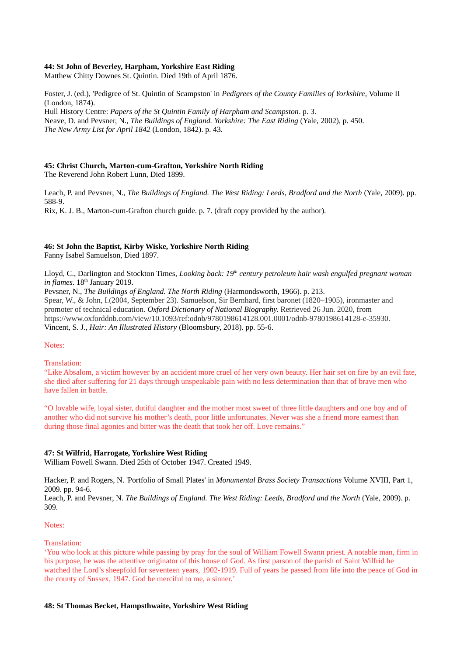## **44: St John of Beverley, Harpham, Yorkshire East Riding**

Matthew Chitty Downes St. Quintin. Died 19th of April 1876.

Foster, J. (ed.), 'Pedigree of St. Quintin of Scampston' in *Pedigrees of the County Families of Yorkshire*, Volume II (London, 1874). Hull History Centre: *Papers of the St Quintin Family of Harpham and Scampston*. p. 3. Neave, D. and Pevsner, N., *The Buildings of England. Yorkshire: The East Riding* (Yale, 2002), p. 450. *The New Army List for April 1842* (London, 1842). p. 43.

## **45: Christ Church, Marton-cum-Grafton, Yorkshire North Riding**

The Reverend John Robert Lunn, Died 1899.

Leach, P. and Pevsner, N., *The Buildings of England. The West Riding: Leeds, Bradford and the North* (Yale, 2009). pp. 588-9. Rix, K. J. B., Marton-cum-Grafton church guide. p. 7. (draft copy provided by the author).

## **46: St John the Baptist, Kirby Wiske, Yorkshire North Riding**

Fanny Isabel Samuelson, Died 1897.

Lloyd, C., Darlington and Stockton Times, *Looking back: 19th century petroleum hair wash engulfed pregnant woman in flames*.  $18<sup>th</sup>$  January 2019.

Pevsner, N., *The Buildings of England. The North Riding* (Harmondsworth, 1966). p. 213. Spear, W., & John, I.(2004, September 23). Samuelson, Sir Bernhard, first baronet (1820–1905), ironmaster and promoter of technical education. *Oxford Dictionary of National Biography.* Retrieved 26 Jun. 2020, from https://www.oxforddnb.com/view/10.1093/ref:odnb/9780198614128.001.0001/odnb-9780198614128-e-35930. Vincent, S. J., *Hair: An Illustrated History* (Bloomsbury, 2018). pp. 55-6.

Notes:

## Translation:

"Like Absalom, a victim however by an accident more cruel of her very own beauty. Her hair set on fire by an evil fate, she died after suffering for 21 days through unspeakable pain with no less determination than that of brave men who have fallen in battle.

"O lovable wife, loyal sister, dutiful daughter and the mother most sweet of three little daughters and one boy and of another who did not survive his mother's death, poor little unfortunates. Never was she a friend more earnest than during those final agonies and bitter was the death that took her off. Love remains."

## **47: St Wilfrid, Harrogate, Yorkshire West Riding**

William Fowell Swann. Died 25th of October 1947. Created 1949.

Hacker, P. and Rogers, N. 'Portfolio of Small Plates' in *Monumental Brass Society Transactions* Volume XVIII, Part 1, 2009. pp. 94-6.

Leach, P. and Pevsner, N. *The Buildings of England. The West Riding: Leeds, Bradford and the North* (Yale, 2009). p. 309.

#### Notes:

#### Translation:

'You who look at this picture while passing by pray for the soul of William Fowell Swann priest. A notable man, firm in his purpose, he was the attentive originator of this house of God. As first parson of the parish of Saint Wilfrid he watched the Lord's sheepfold for seventeen years, 1902-1919. Full of years he passed from life into the peace of God in the county of Sussex, 1947. God be merciful to me, a sinner.'

#### **48: St Thomas Becket, Hampsthwaite, Yorkshire West Riding**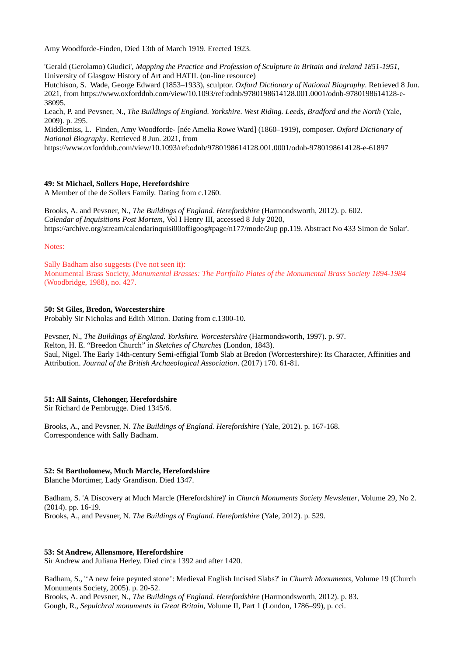Amy Woodforde-Finden, Died 13th of March 1919. Erected 1923.

'Gerald (Gerolamo) Giudici', *Mapping the Practice and Profession of Sculpture in Britain and Ireland 1851-1951*, University of Glasgow History of Art and HATII. (on-line resource)

Hutchison, S. Wade, George Edward (1853–1933), sculptor. *Oxford Dictionary of National Biography*. Retrieved 8 Jun. 2021, from https://www.oxforddnb.com/view/10.1093/ref:odnb/9780198614128.001.0001/odnb-9780198614128-e-38095.

Leach, P. and Pevsner, N., *The Buildings of England. Yorkshire. West Riding. Leeds, Bradford and the North* (Yale, 2009). p. 295.

Middlemiss, L. Finden, Amy Woodforde- [née Amelia Rowe Ward] (1860–1919), composer. *Oxford Dictionary of National Biography*. Retrieved 8 Jun. 2021, from

https://www.oxforddnb.com/view/10.1093/ref:odnb/9780198614128.001.0001/odnb-9780198614128-e-61897

## **49: St Michael, Sollers Hope, Herefordshire**

A Member of the de Sollers Family. Dating from c.1260.

Brooks, A. and Pevsner, N., *The Buildings of England. Herefordshire* (Harmondsworth, 2012). p. 602. *Calendar of Inquisitions Post Mortem*, Vol I Henry III, accessed 8 July 2020, https://archive.org/stream/calendarinquisi00offigoog#page/n177/mode/2up pp.119. Abstract No 433 Simon de Solar'.

#### Notes:

Sally Badham also suggests (I've not seen it): Monumental Brass Society, *Monumental Brasses: The Portfolio Plates of the Monumental Brass Society 1894-1984* (Woodbridge, 1988), no. 427.

## **50: St Giles, Bredon, Worcestershire**

Probably Sir Nicholas and Edith Mitton. Dating from c.1300-10.

Pevsner, N., *The Buildings of England. Yorkshire. Worcestershire* (Harmondsworth, 1997). p. 97. Relton, H. E. "Breedon Church" in *Sketches of Churches* (London, 1843). Saul, Nigel. The Early 14th-century Semi-effigial Tomb Slab at Bredon (Worcestershire): Its Character, Affinities and Attribution. *Journal of the British Archaeological Association*. (2017) 170. 61-81.

## **51: All Saints, Clehonger, Herefordshire**

Sir Richard de Pembrugge. Died 1345/6.

Brooks, A., and Pevsner, N. *The Buildings of England. Herefordshire* (Yale, 2012). p. 167-168. Correspondence with Sally Badham.

## **52: St Bartholomew, Much Marcle, Herefordshire**

Blanche Mortimer, Lady Grandison. Died 1347.

Badham, S. 'A Discovery at Much Marcle (Herefordshire)' in *Church Monuments Society Newsletter*, Volume 29, No 2. (2014). pp. 16-19. Brooks, A., and Pevsner, N. *The Buildings of England. Herefordshire* (Yale, 2012). p. 529.

## **53: St Andrew, Allensmore, Herefordshire**

Sir Andrew and Juliana Herley. Died circa 1392 and after 1420.

Badham, S., ''A new feire peynted stone': Medieval English Incised Slabs?' in *Church Monuments*, Volume 19 (Church Monuments Society, 2005). p. 20-52.

Brooks, A. and Pevsner, N., *The Buildings of England. Herefordshire* (Harmondsworth, 2012). p. 83. Gough, R., *Sepulchral monuments in Great Britain*, Volume II, Part 1 (London, 1786–99), p. cci.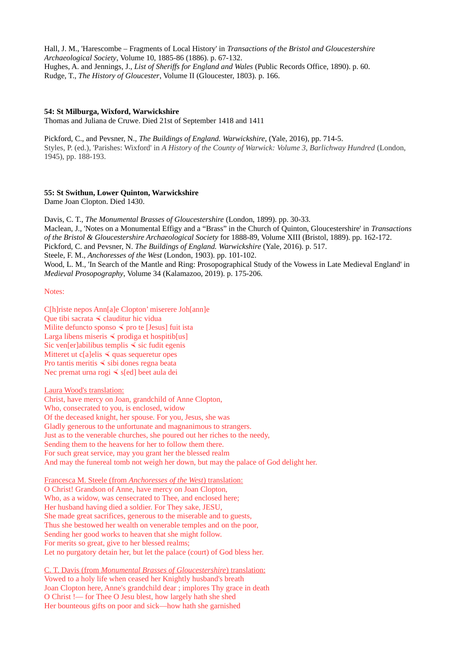Hall, J. M., 'Harescombe – Fragments of Local History' in *Transactions of the Bristol and Gloucestershire Archaeological Society*, Volume 10, 1885-86 (1886). p. 67-132. Hughes, A. and Jennings, J., *List of Sheriffs for England and Wales* (Public Records Office, 1890). p. 60. Rudge, T., *The History of Gloucester*, Volume II (Gloucester, 1803). p. 166.

## **54: St Milburga, Wixford, Warwickshire**

Thomas and Juliana de Cruwe. Died 21st of September 1418 and 1411

Pickford, C., and Pevsner, N., *The Buildings of England. Warwickshire*, (Yale, 2016), pp. 714-5. Styles, P. (ed.), 'Parishes: Wixford' in *A History of the County of Warwick: Volume 3, Barlichway Hundred* (London, 1945), pp. 188-193.

## **55: St Swithun, Lower Quinton, Warwickshire**

Dame Joan Clopton. Died 1430.

Davis, C. T., *The Monumental Brasses of Gloucestershire* (London, 1899). pp. 30-33. Maclean, J., 'Notes on a Monumental Effigy and a "Brass" in the Church of Quinton, Gloucestershire' in *Transactions of the Bristol & Gloucestershire Archaeological Society* for 1888-89, Volume XIII (Bristol, 1889). pp. 162-172. Pickford, C. and Pevsner, N. *The Buildings of England. Warwickshire* (Yale, 2016). p. 517. Steele, F. M., *Anchoresses of the West* (London, 1903). pp. 101-102. Wood, L. M., 'In Search of the Mantle and Ring: Prosopographical Study of the Vowess in Late Medieval England' in *Medieval Prosopography*, Volume 34 (Kalamazoo, 2019). p. 175-206.

Notes:

C[h]riste nepos Ann[a]e Clopton' miserere Joh[ann]e Que tibi sacrata  $\triangleleft$  clauditur hic vidua Milite defuncto sponso  $\leq$  pro te [Jesus] fuit ista Larga libens miseris  $\leq$  prodiga et hospitib[us] Sic ven[er]abilibus templis  $\leq$  sic fudit egenis Mitteret ut c[a]elis  $\triangleleft$  quas sequeretur opes Pro tantis meritis  $\triangle$  sibi dones regna beata Nec premat urna rogi  $\leq$  s[ed] beet aula dei

Laura Wood's translation:

Christ, have mercy on Joan, grandchild of Anne Clopton, Who, consecrated to you, is enclosed, widow Of the deceased knight, her spouse. For you, Jesus, she was Gladly generous to the unfortunate and magnanimous to strangers. Just as to the venerable churches, she poured out her riches to the needy, Sending them to the heavens for her to follow them there. For such great service, may you grant her the blessed realm And may the funereal tomb not weigh her down, but may the palace of God delight her.

Francesca M. Steele (from *Anchoresses of the West*) translation: O Christ! Grandson of Anne, have mercy on Joan Clopton, Who, as a widow, was censecrated to Thee, and enclosed here; Her husband having died a soldier. For They sake, JESU, She made great sacrifices, generous to the miserable and to guests, Thus she bestowed her wealth on venerable temples and on the poor, Sending her good works to heaven that she might follow. For merits so great, give to her blessed realms; Let no purgatory detain her, but let the palace (court) of God bless her.

 C. T. Davis (from *Monumental Brasses of Gloucestershire* ) translation: Vowed to a holy life when ceased her Knightly husband's breath Joan Clopton here, Anne's grandchild dear ; implores Thy grace in death O Christ !— for Thee O Jesu blest, how largely hath she shed Her bounteous gifts on poor and sick—how hath she garnished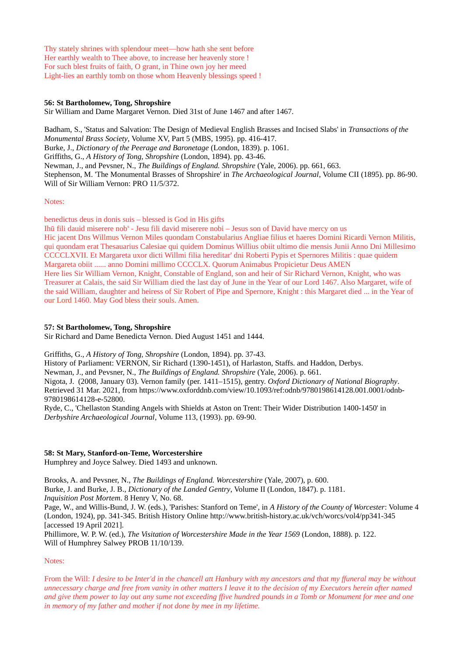Thy stately shrines with splendour meet—how hath she sent before Her earthly wealth to Thee above, to increase her heavenly store ! For such blest fruits of faith, O grant, in Thine own joy her meed Light-lies an earthly tomb on those whom Heavenly blessings speed !

## **56: St Bartholomew, Tong, Shropshire**

Sir William and Dame Margaret Vernon. Died 31st of June 1467 and after 1467.

Badham, S., 'Status and Salvation: The Design of Medieval English Brasses and Incised Slabs' in *Transactions of the Monumental Brass Society*, Volume XV, Part 5 (MBS, 1995). pp. 416-417. Burke, J., *Dictionary of the Peerage and Baronetage* (London, 1839). p. 1061. Griffiths, G., *A History of Tong, Shropshire* (London, 1894). pp. 43-46. Newman, J., and Pevsner, N., *The Buildings of England. Shropshire* (Yale, 2006). pp. 661, 663. Stephenson, M. 'The Monumental Brasses of Shropshire' in *The Archaeological Journal*, Volume CII (1895). pp. 86-90. Will of Sir William Vernon: PRO 11/5/372.

#### Notes:

benedictus deus in donis suis – blessed is God in His gifts

Ihū fili dauid miserere nob<sup>s</sup> - Jesu fili david miserere nobi – Jesus son of David have mercy on us Hic jacent Dns Willmus Vernon Miles quondam Constabularius Angliae filius et haeres Domini Ricardi Vernon Militis, qui quondam erat Thesauarius Calesiae qui quidem Dominus Willius obiit ultimo die mensis Junii Anno Dni Millesimo CCCCLXVII. Et Margareta uxor dicti Willmi filia hereditar' dni Roberti Pypis et Spernores Militis : quae quidem Margareta obiit ...... anno Domini millimo CCCCLX. Quorum Animabus Propicietur Deus AMEN Here lies Sir William Vernon, Knight, Constable of England, son and heir of Sir Richard Vernon, Knight, who was Treasurer at Calais, the said Sir William died the last day of June in the Year of our Lord 1467. Also Margaret, wife of the said William, daughter and heiress of Sir Robert of Pipe and Spernore, Knight : this Margaret died ... in the Year of our Lord 1460. May God bless their souls. Amen.

#### **57: St Bartholomew, Tong, Shropshire**

Sir Richard and Dame Benedicta Vernon. Died August 1451 and 1444.

Griffiths, G., *A History of Tong, Shropshire* (London, 1894). pp. 37-43.

History of Parliament: VERNON, Sir Richard (1390-1451), of Harlaston, Staffs. and Haddon, Derbys.

Newman, J., and Pevsner, N., *The Buildings of England. Shropshire* (Yale, 2006). p. 661.

Nigota, J. (2008, January 03). Vernon family (per. 1411–1515), gentry. *Oxford Dictionary of National Biography*. Retrieved 31 Mar. 2021, from https://www.oxforddnb.com/view/10.1093/ref:odnb/9780198614128.001.0001/odnb-9780198614128-e-52800.

Ryde, C., 'Chellaston Standing Angels with Shields at Aston on Trent: Their Wider Distribution 1400-1450' in *Derbyshire Archaeological Journal*, Volume 113, (1993). pp. 69-90.

#### **58: St Mary, Stanford-on-Teme, Worcestershire**

Humphrey and Joyce Salwey. Died 1493 and unknown.

Brooks, A. and Pevsner, N., *The Buildings of England. Worcestershire* (Yale, 2007), p. 600. Burke, J. and Burke, J. B., *Dictionary of the Landed Gentry*, Volume II (London, 1847). p. 1181. *Inquisition Post Mortem*. 8 Henry V, No. 68.

Page, W., and Willis-Bund, J. W. (eds.), 'Parishes: Stanford on Teme', in *A History of the County of Worcester*: Volume 4 (London, 1924), pp. 341-345. British History Online http://www.british-history.ac.uk/vch/worcs/vol4/pp341-345 [accessed 19 April 2021].

Phillimore, W. P. W. (ed.), *The Visitation of Worcestershire Made in the Year 1569* (London, 1888). p. 122. Will of Humphrey Salwey PROB 11/10/139.

## Notes:

From the Will: *I desire to be Inter'd in the chancell att Hanbury with my ancestors and that my ffuneral may be without unnecessary charge and free from vanity in other matters I leave it to the decision of my Executors herein after named and give them power to lay out any sume not exceeding ffive hundred pounds in a Tomb or Monument for mee and one in memory of my father and mother if not done by mee in my lifetime.*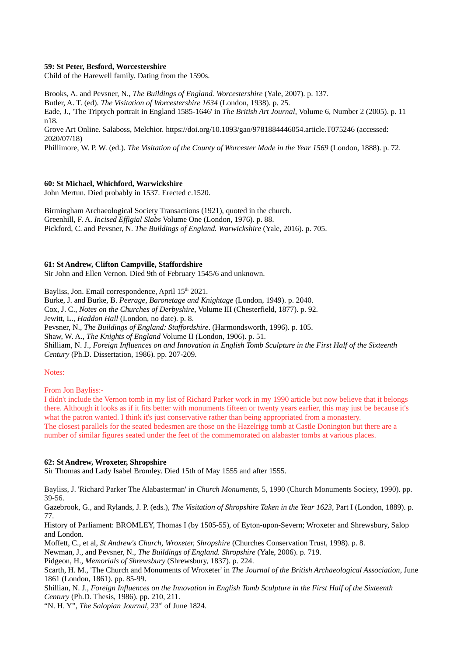## **59: St Peter, Besford, Worcestershire**

Child of the Harewell family. Dating from the 1590s.

Brooks, A. and Pevsner, N., *The Buildings of England. Worcestershire* (Yale, 2007). p. 137. Butler, A. T. (ed). *The Visitation of Worcestershire 1634* (London, 1938). p. 25.

Eade, J., 'The Triptych portrait in England 1585-1646' in *The British Art Journal*, Volume 6, Number 2 (2005). p. 11 n18.

Grove Art Online. Salaboss, Melchior. https://doi.org/10.1093/gao/9781884446054.article.T075246 (accessed: 2020/07/18)

Phillimore, W. P. W. (ed.). *The Visitation of the County of Worcester Made in the Year 1569* (London, 1888). p. 72.

## **60: St Michael, Whichford, Warwickshire**

John Mertun. Died probably in 1537. Erected c.1520.

Birmingham Archaeological Society Transactions (1921), quoted in the church. Greenhill, F. A. *Incised Effigial Slabs* Volume One (London, 1976). p. 88. Pickford, C. and Pevsner, N. *The Buildings of England. Warwickshire* (Yale, 2016). p. 705.

## **61: St Andrew, Clifton Campville, Staffordshire**

Sir John and Ellen Vernon. Died 9th of February 1545/6 and unknown.

Bayliss, Jon. Email correspondence, April 15<sup>th</sup> 2021.

Burke, J. and Burke, B. *Peerage, Baronetage and Knightage* (London, 1949). p. 2040.

Cox, J. C., *Notes on the Churches of Derbyshire*, Volume III (Chesterfield, 1877). p. 92.

Jewitt, L., *Haddon Hall* (London, no date). p. 8.

Pevsner, N., *The Buildings of England: Staffordshire*. (Harmondsworth, 1996). p. 105.

Shaw, W. A., *The Knights of England* Volume II (London, 1906). p. 51.

Shilliam, N. J., *Foreign Influences on and Innovation in English Tomb Sculpture in the First Half of the Sixteenth Century* (Ph.D. Dissertation, 1986). pp. 207-209.

#### Notes:

From Jon Bayliss:-

I didn't include the Vernon tomb in my list of Richard Parker work in my 1990 article but now believe that it belongs there. Although it looks as if it fits better with monuments fifteen or twenty years earlier, this may just be because it's what the patron wanted. I think it's just conservative rather than being appropriated from a monastery. The closest parallels for the seated bedesmen are those on the Hazelrigg tomb at Castle Donington but there are a number of similar figures seated under the feet of the commemorated on alabaster tombs at various places.

#### **62: St Andrew, Wroxeter, Shropshire**

Sir Thomas and Lady Isabel Bromley. Died 15th of May 1555 and after 1555.

Bayliss, J. 'Richard Parker The Alabasterman' in *Church Monuments,* 5, 1990 (Church Monuments Society, 1990). pp. 39-56.

Gazebrook, G., and Rylands, J. P. (eds.), *The Visitation of Shropshire Taken in the Year 1623*, Part I (London, 1889). p. 77.

History of Parliament: BROMLEY, Thomas I (by 1505-55), of Eyton-upon-Severn; Wroxeter and Shrewsbury, Salop and London.

Moffett, C., et al, *St Andrew's Church, Wroxeter, Shropshire* (Churches Conservation Trust, 1998). p. 8.

Newman, J., and Pevsner, N., *The Buildings of England. Shropshire* (Yale, 2006). p. 719.

Pidgeon, H., *Memorials of Shrewsbury* (Shrewsbury, 1837). p. 224.

Scarth, H. M., 'The Church and Monuments of Wroxeter' in *The Journal of the British Archaeological Association*, June 1861 (London, 1861). pp. 85-99.

Shillian, N. J., *Foreign Influences on the Innovation in English Tomb Sculpture in the First Half of the Sixteenth Century* (Ph.D. Thesis, 1986). pp. 210, 211.

"N. H. Y", *The Salopian Journal*, 23<sup>rd</sup> of June 1824.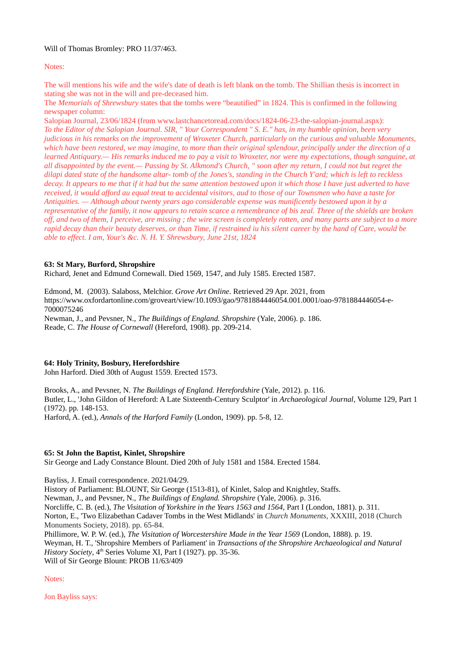## Will of Thomas Bromley: PRO 11/37/463.

## Notes:

The will mentions his wife and the wife's date of death is left blank on the tomb. The Shillian thesis is incorrect in stating she was not in the will and pre-deceased him.

The *Memorials of Shrewsbury* states that the tombs were "beautified" in 1824. This is confirmed in the following newspaper column:

Salopian Journal, 23/06/1824 (from www.lastchancetoread.com/docs/1824-06-23-the-salopian-journal.aspx): *To the Editor of the Salopian Journal. SIR, " Your Correspondent " S. E." has, in my humble opinion, been very judicious in his remarks on the improvement of Wroxeter Church, particularly on the curious and valuable Monuments, which have been restored, we may imagine, to more than their original splendour, principally under the direction of a learned Antiquary.— His remarks induced me to pay a visit to Wroxeter, nor were my expectations, though sanguine, at all disappointed by the event.— Passing by St. Alkmond's Church, " soon after my return, I could not but regret the dilapi dated state of the handsome altar- tomb of the Jones's, standing in the Church Y'ard; which is left to reckless decay. It appears to me that if it had but the same attention bestowed upon it which those I have just adverted to have received, it would afford au equal treat to accidental visitors, aud to those of our Townsmen who have a taste for Antiquities. — Although about twenty years ago considerable expense was munificently bestowed upon it by a representative of the family, it now appears to retain scarce a remembrance of bis zeal. Three of the shields are broken off, and two of them, I perceive, are missing ; the wire screen is completely rotten, and many parts are subject to a more rapid decay than their beauty deserves, or than Time, if restrained iu his silent career by the hand of Care, would be able to effect. I am, Your's &c. N. H. Y. Shrewsbury, June 21st, 1824*

## **63: St Mary, Burford, Shropshire**

Richard, Jenet and Edmund Cornewall. Died 1569, 1547, and July 1585. Erected 1587.

Edmond, M. (2003). Salaboss, Melchior. *Grove Art Online*. Retrieved 29 Apr. 2021, from https://www.oxfordartonline.com/groveart/view/10.1093/gao/9781884446054.001.0001/oao-9781884446054-e-7000075246

Newman, J., and Pevsner, N., *The Buildings of England. Shropshire* (Yale, 2006). p. 186. Reade, C. *The House of Cornewall* (Hereford, 1908). pp. 209-214.

## **64: Holy Trinity, Bosbury, Herefordshire**

John Harford. Died 30th of August 1559. Erected 1573.

Brooks, A., and Pevsner, N. *The Buildings of England. Herefordshire* (Yale, 2012). p. 116. Butler, L., 'John Gildon of Hereford: A Late Sixteenth-Century Sculptor' in *Archaeological Journal*, Volume 129, Part 1 (1972). pp. 148-153. Harford, A. (ed.), *Annals of the Harford Family* (London, 1909). pp. 5-8, 12.

#### **65: St John the Baptist, Kinlet, Shropshire**

Sir George and Lady Constance Blount. Died 20th of July 1581 and 1584. Erected 1584.

Bayliss, J. Email correspondence. 2021/04/29.

History of Parliament: BLOUNT, Sir George (1513-81), of Kinlet, Salop and Knightley, Staffs.

Newman, J., and Pevsner, N., *The Buildings of England. Shropshire* (Yale, 2006). p. 316.

Norcliffe, C. B. (ed.), *The Visitation of Yorkshire in the Years 1563 and 1564*, Part I (London, 1881). p. 311. Norton, E., 'Two Elizabethan Cadaver Tombs in the West Midlands' in *Church Monuments,* XXXIII, 2018 (Church Monuments Society, 2018). pp. 65-84.

Phillimore, W. P. W. (ed.), *The Visitation of Worcestershire Made in the Year 1569* (London, 1888). p. 19. Weyman, H. T., 'Shropshire Members of Parliament' in *Transactions of the Shropshire Archaeological and Natural History Society,* 4<sup>th</sup> Series Volume XI, Part I (1927). pp. 35-36.

Will of Sir George Blount: PROB 11/63/409

Notes:

Jon Bayliss says: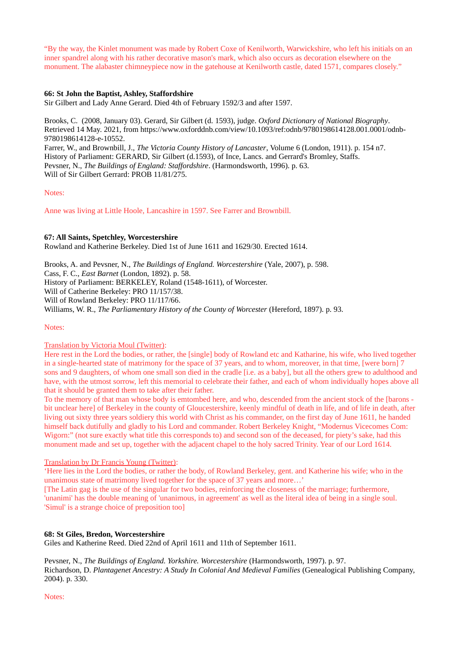"By the way, the Kinlet monument was made by Robert Coxe of Kenilworth, Warwickshire, who left his initials on an inner spandrel along with his rather decorative mason's mark, which also occurs as decoration elsewhere on the monument. The alabaster chimneypiece now in the gatehouse at Kenilworth castle, dated 1571, compares closely."

## **66: St John the Baptist, Ashley, Staffordshire**

Sir Gilbert and Lady Anne Gerard. Died 4th of February 1592/3 and after 1597.

Brooks, C. (2008, January 03). Gerard, Sir Gilbert (d. 1593), judge. *Oxford Dictionary of National Biography*. Retrieved 14 May. 2021, from [https://www.oxforddnb.com/view/10.1093/ref:odnb/9780198614128.001.0001/odnb-](https://www.oxforddnb.com/view/10.1093/ref:odnb/9780198614128.001.0001/odnb-9780198614128-e-10552)[9780198614128-e-10552.](https://www.oxforddnb.com/view/10.1093/ref:odnb/9780198614128.001.0001/odnb-9780198614128-e-10552)

Farrer, W., and Brownbill, J., *The Victoria County History of Lancaster*, Volume 6 (London, 1911). p. 154 n7. History of Parliament: GERARD, Sir Gilbert (d.1593), of Ince, Lancs. and Gerrard's Bromley, Staffs. Pevsner, N., *The Buildings of England: Staffordshire*. (Harmondsworth, 1996). p. 63. Will of Sir Gilbert Gerrard: PROB 11/81/275.

#### Notes:

Anne was living at Little Hoole, Lancashire in 1597. See Farrer and Brownbill.

#### **67: All Saints, Spetchley, Worcestershire**

Rowland and Katherine Berkeley. Died 1st of June 1611 and 1629/30. Erected 1614.

Brooks, A. and Pevsner, N., *The Buildings of England. Worcestershire* (Yale, 2007), p. 598. Cass, F. C., *East Barnet* (London, 1892). p. 58. History of Parliament: BERKELEY, Roland (1548-1611), of Worcester. Will of Catherine Berkeley: PRO 11/157/38. Will of Rowland Berkeley: PRO 11/117/66. Williams, W. R., *The Parliamentary History of the County of Worcester* (Hereford, 1897). p. 93.

#### Notes:

## Translation by Victoria Moul (Twitter):

Here rest in the Lord the bodies, or rather, the [single] body of Rowland etc and Katharine, his wife, who lived together in a single-hearted state of matrimony for the space of 37 years, and to whom, moreover, in that time, [were born] 7 sons and 9 daughters, of whom one small son died in the cradle [i.e. as a baby], but all the others grew to adulthood and have, with the utmost sorrow, left this memorial to celebrate their father, and each of whom individually hopes above all that it should be granted them to take after their father.

To the memory of that man whose body is emtombed here, and who, descended from the ancient stock of the [barons bit unclear here] of Berkeley in the county of Gloucestershire, keenly mindful of death in life, and of life in death, after living out sixty three years soldiery this world with Christ as his commander, on the first day of June 1611, he handed himself back dutifully and gladly to his Lord and commander. Robert Berkeley Knight, "Modernus Vicecomes Com: Wigorn:" (not sure exactly what title this corresponds to) and second son of the deceased, for piety's sake, had this monument made and set up, together with the adjacent chapel to the holy sacred Trinity. Year of our Lord 1614.

#### Translation by Dr Francis Young (Twitter):

'Here lies in the Lord the bodies, or rather the body, of Rowland Berkeley, gent. and Katherine his wife; who in the unanimous state of matrimony lived together for the space of 37 years and more…'

[The Latin gag is the use of the singular for two bodies, reinforcing the closeness of the marriage; furthermore, 'unanimi' has the double meaning of 'unanimous, in agreement' as well as the literal idea of being in a single soul. 'Simul' is a strange choice of preposition too]

#### **68: St Giles, Bredon, Worcestershire**

Giles and Katherine Reed. Died 22nd of April 1611 and 11th of September 1611.

Pevsner, N., *The Buildings of England. Yorkshire. Worcestershire* (Harmondsworth, 1997). p. 97. Richardson, D. *Plantagenet Ancestry: A Study In Colonial And Medieval Families* (Genealogical Publishing Company, 2004). p. 330.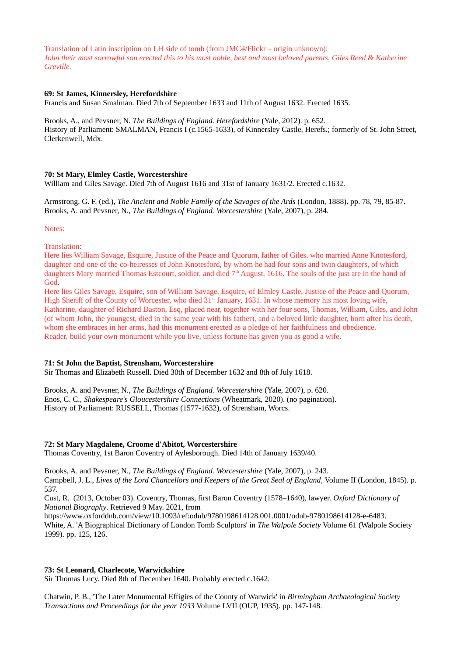Translation of Latin inscription on LH side of tomb (from JMC4/Flickr – origin unknown): *John their most sorrowful son erected this to his most noble, best and most beloved parents, Giles Reed & Katherine Greville.*

## **69: St James, Kinnersley, Herefordshire**

Francis and Susan Smalman. Died 7th of September 1633 and 11th of August 1632. Erected 1635.

Brooks, A., and Pevsner, N. *The Buildings of England. Herefordshire* (Yale, 2012). p. 652. History of Parliament: SMALMAN, Francis I (c.1565-1633), of Kinnersley Castle, Herefs.; formerly of St. John Street, Clerkenwell, Mdx.

## **70: St Mary, Elmley Castle, Worcestershire**

William and Giles Savage. Died 7th of August 1616 and 31st of January 1631/2. Erected c.1632.

Armstrong, G. F. (ed.), *The Ancient and Noble Family of the Savages of the Ards* (London, 1888). pp. 78, 79, 85-87. Brooks, A. and Pevsner, N., *The Buildings of England. Worcestershire* (Yale, 2007), p. 284.

Notes:

Translation:

Here lies William Savage, Esquire, Justice of the Peace and Quorum, father of Giles, who married Anne Knotesford, daughter and one of the co-heiresses of John Knotesford, by whom he had four sons and twin daughters, of which daughters Mary married Thomas Estcourt, soldier, and died  $7<sup>th</sup>$  August, 1616. The souls of the just are in the hand of God.

Here lies Giles Savage, Esquire, son of William Savage, Esquire, of Elmley Castle, Justice of the Peace and Quorum, High Sheriff of the County of Worcester, who died 31<sup>st</sup> January, 1631. In whose memory his most loving wife, Katharine, daughter of Richard Daston, Esq, placed near, together with her four sons, Thomas, William, Giles, and John (of whom John, the youngest, died in the same year with his father), and a beloved little daughter, born after his death, whom she embraces in her arms, had this monument erected as a pledge of her faithfulness and obedience. Reader, build your own monument while you live, unless fortune has given you as good a wife.

## **71: St John the Baptist, Strensham, Worcestershire**

Sir Thomas and Elizabeth Russell. Died 30th of December 1632 and 8th of July 1618.

Brooks, A. and Pevsner, N., *The Buildings of England. Worcestershire* (Yale, 2007), p. 620. Enos, C. C., *Shakespeare's Gloucestershire Connections* (Wheatmark, 2020). (no pagination). History of Parliament: RUSSELL, Thomas (1577-1632), of Strensham, Worcs.

#### **72: St Mary Magdalene, Croome d'Abitot, Worcestershire**

Thomas Coventry, 1st Baron Coventry of Aylesborough. Died 14th of January 1639/40.

Brooks, A. and Pevsner, N., *The Buildings of England. Worcestershire* (Yale, 2007), p. 243. Campbell, J. L., *Lives of the Lord Chancellors and Keepers of the Great Seal of England*, Volume II (London, 1845). p. 537.

Cust, R. (2013, October 03). Coventry, Thomas, first Baron Coventry (1578–1640), lawyer. *Oxford Dictionary of National Biography*. Retrieved 9 May. 2021, from

https://www.oxforddnb.com/view/10.1093/ref:odnb/9780198614128.001.0001/odnb-9780198614128-e-6483. White, A. 'A Biographical Dictionary of London Tomb Sculptors' in *The Walpole Society* Volume 61 (Walpole Society 1999). pp. 125, 126.

#### **73: St Leonard, Charlecote, Warwickshire**

Sir Thomas Lucy. Died 8th of December 1640. Probably erected c.1642.

Chatwin, P. B., 'The Later Monumental Effigies of the County of Warwick' in *Birmingham Archaeological Society Transactions and Proceedings for the year 1933* Volume LVII (OUP, 1935). pp. 147-148.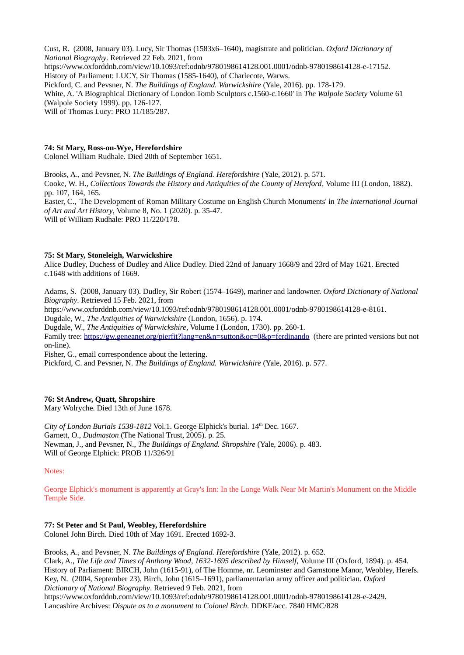Cust, R. (2008, January 03). Lucy, Sir Thomas (1583x6–1640), magistrate and politician. *Oxford Dictionary of National Biography*. Retrieved 22 Feb. 2021, from https://www.oxforddnb.com/view/10.1093/ref:odnb/9780198614128.001.0001/odnb-9780198614128-e-17152. History of Parliament: LUCY, Sir Thomas (1585-1640), of Charlecote, Warws. Pickford, C. and Pevsner, N. *The Buildings of England. Warwickshire* (Yale, 2016). pp. 178-179. White, A. 'A Biographical Dictionary of London Tomb Sculptors c.1560-c.1660' in *The Walpole Society* Volume 61 (Walpole Society 1999). pp. 126-127.

Will of Thomas Lucy: PRO 11/185/287.

## **74: St Mary, Ross-on-Wye, Herefordshire**

Colonel William Rudhale. Died 20th of September 1651.

Brooks, A., and Pevsner, N. *The Buildings of England. Herefordshire* (Yale, 2012). p. 571.

Cooke, W. H., *Collections Towards the History and Antiquities of the County of Hereford*, Volume III (London, 1882). pp. 107, 164, 165.

Easter, C., 'The Development of Roman Military Costume on English Church Monuments' in *The International Journal of Art and Art History*, Volume 8, No. 1 (2020). p. 35-47.

Will of William Rudhale: PRO 11/220/178.

## **75: St Mary, Stoneleigh, Warwickshire**

Alice Dudley, Duchess of Dudley and Alice Dudley. Died 22nd of January 1668/9 and 23rd of May 1621. Erected c.1648 with additions of 1669.

Adams, S. (2008, January 03). Dudley, Sir Robert (1574–1649), mariner and landowner. *Oxford Dictionary of National Biography*. Retrieved 15 Feb. 2021, from

https://www.oxforddnb.com/view/10.1093/ref:odnb/9780198614128.001.0001/odnb-9780198614128-e-8161.

Dugdale, W., *The Antiquities of Warwickshire* (London, 1656). p. 174.

Dugdale, W., *The Antiquities of Warwickshire*, Volume I (London, 1730). pp. 260-1.

Family tree: <https://gw.geneanet.org/pierfit?lang=en&n=sutton&oc=0&p=ferdinando> (there are printed versions but not on-line).

Fisher, G., email correspondence about the lettering.

Pickford, C. and Pevsner, N. *The Buildings of England. Warwickshire* (Yale, 2016). p. 577.

## **76: St Andrew, Quatt, Shropshire**

Mary Wolryche. Died 13th of June 1678.

*City of London Burials 1538-1812 Vol.1. George Elphick's burial.* 14<sup>th</sup> Dec. 1667. Garnett, O., *Dudmaston* (The National Trust, 2005). p. 25. Newman, J., and Pevsner, N., *The Buildings of England. Shropshire* (Yale, 2006). p. 483. Will of George Elphick: PROB 11/326/91

#### Notes:

George Elphick's monument is apparently at Gray's Inn: In the Longe Walk Near Mr Martin's Monument on the Middle Temple Side.

## **77: St Peter and St Paul, Weobley, Herefordshire**

Colonel John Birch. Died 10th of May 1691. Erected 1692-3.

Brooks, A., and Pevsner, N. *The Buildings of England. Herefordshire* (Yale, 2012). p. 652. Clark, A., *The Life and Times of Anthony Wood, 1632-1695 described by Himself*, Volume III (Oxford, 1894). p. 454. History of Parliament: BIRCH, John (1615-91), of The Homme, nr. Leominster and Garnstone Manor, Weobley, Herefs. Key, N. (2004, September 23). Birch, John (1615–1691), parliamentarian army officer and politician. *Oxford Dictionary of National Biography*. Retrieved 9 Feb. 2021, from https://www.oxforddnb.com/view/10.1093/ref:odnb/9780198614128.001.0001/odnb-9780198614128-e-2429. Lancashire Archives: *Dispute as to a monument to Colonel Birch*. DDKE/acc. 7840 HMC/828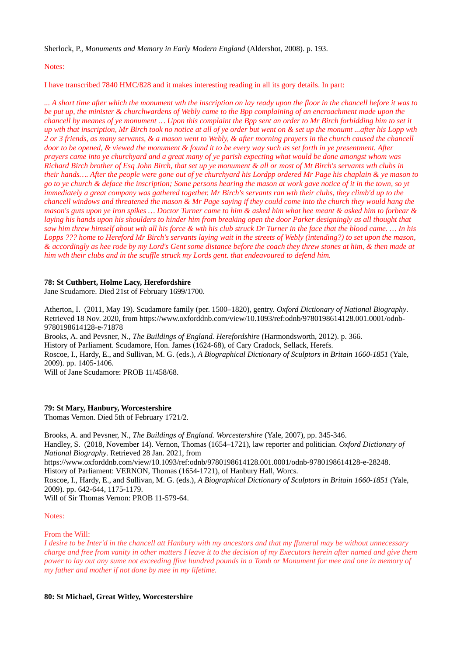Sherlock, P., *Monuments and Memory in Early Modern England* (Aldershot, 2008). p. 193.

Notes:

I have transcribed 7840 HMC/828 and it makes interesting reading in all its gory details. In part:

*... A short time after which the monument wth the inscription on lay ready upon the floor in the chancell before it was to be put up, the minister & churchwardens of Webly came to the Bpp complaining of an encroachment made upon the chancell by meanes of ye monument … Upon this complaint the Bpp sent an order to Mr Birch forbidding him to set it up wth that inscription, Mr Birch took no notice at all of ye order but went on & set up the monumt ...after his Lopp wth 2 or 3 friends, as many servants, & a mason went to Webly, & after morning prayers in the church caused the chancell door to be opened, & viewed the monument & found it to be every way such as set forth in ye presentment. After prayers came into ye churchyard and a great many of ye parish expecting what would be done amongst whom was Richard Birch brother of Esq John Birch, that set up ye monument & all or most of Mt Birch's servants wth clubs in their hands…. After the people were gone out of ye churchyard his Lordpp ordered Mr Page his chaplain & ye mason to go to ye church & deface the inscription; Some persons hearing the mason at work gave notice of it in the town, so yt immediately a great company was gathered together. Mr Birch's servants ran wth their clubs, they climb'd up to the chancell windows and threatened the mason & Mr Page saying if they could come into the church they would hang the mason's guts upon ye iron spikes … Doctor Turner came to him & asked him what hee meant & asked him to forbear & laying his hands upon his shoulders to hinder him from breaking open the door Parker designingly as all thought that saw him threw himself about wth all his force & wth his club struck Dr Turner in the face that the blood came. … In his Lopps ??? home to Hereford Mr Birch's servants laying wait in the streets of Webly (intending?) to set upon the mason, & accordingly as hee rode by my Lord's Gent some distance before the coach they threw stones at him, & then made at him wth their clubs and in the scuffle struck my Lords gent. that endeavoured to defend him.*

## **78: St Cuthbert, Holme Lacy, Herefordshire**

Jane Scudamore. Died 21st of February 1699/1700.

Atherton, I. (2011, May 19). Scudamore family (per. 1500–1820), gentry. *Oxford Dictionary of National Biography*. Retrieved 18 Nov. 2020, from https://www.oxforddnb.com/view/10.1093/ref:odnb/9780198614128.001.0001/odnb-9780198614128-e-71878 Brooks, A. and Pevsner, N., *The Buildings of England. Herefordshire* (Harmondsworth, 2012). p. 366. History of Parliament. Scudamore, Hon. James (1624-68), of Cary Cradock, Sellack, Herefs. Roscoe, I., Hardy, E., and Sullivan, M. G. (eds.), *A Biographical Dictionary of Sculptors in Britain 1660-1851* (Yale, 2009). pp. 1405-1406.

Will of Jane Scudamore: PROB 11/458/68.

## **79: St Mary, Hanbury, Worcestershire**

Thomas Vernon. Died 5th of February 1721/2.

Brooks, A. and Pevsner, N., *The Buildings of England. Worcestershire* (Yale, 2007), pp. 345-346. Handley, S. (2018, November 14). Vernon, Thomas (1654–1721), law reporter and politician. *Oxford Dictionary of National Biography*. Retrieved 28 Jan. 2021, from https://www.oxforddnb.com/view/10.1093/ref:odnb/9780198614128.001.0001/odnb-9780198614128-e-28248. History of Parliament: VERNON, Thomas (1654-1721), of Hanbury Hall, Worcs. Roscoe, I., Hardy, E., and Sullivan, M. G. (eds.), *A Biographical Dictionary of Sculptors in Britain 1660-1851* (Yale, 2009). pp. 642-644, 1175-1179. Will of Sir Thomas Vernon: PROB 11-579-64.

Notes:

From the Will:

*I desire to be Inter'd in the chancell att Hanbury with my ancestors and that my ffuneral may be without unnecessary charge and free from vanity in other matters I leave it to the decision of my Executors herein after named and give them power to lay out any sume not exceeding ffive hundred pounds in a Tomb or Monument for mee and one in memory of my father and mother if not done by mee in my lifetime.*

#### **80: St Michael, Great Witley, Worcestershire**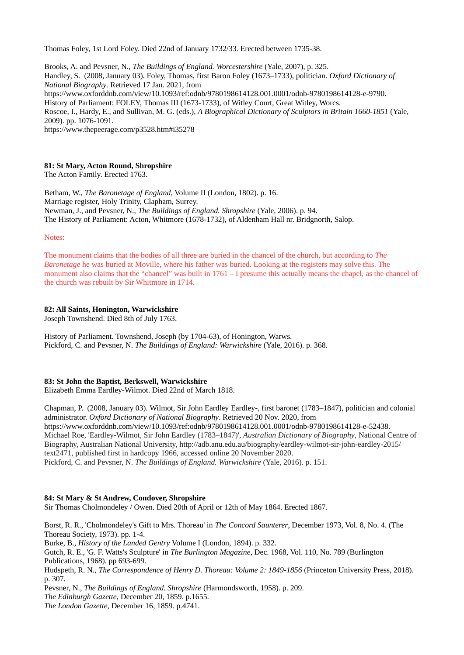Thomas Foley, 1st Lord Foley. Died 22nd of January 1732/33. Erected between 1735-38.

Brooks, A. and Pevsner, N., *The Buildings of England. Worcestershire* (Yale, 2007), p. 325. Handley, S. (2008, January 03). Foley, Thomas, first Baron Foley (1673–1733), politician. *Oxford Dictionary of National Biography*. Retrieved 17 Jan. 2021, from https://www.oxforddnb.com/view/10.1093/ref:odnb/9780198614128.001.0001/odnb-9780198614128-e-9790. History of Parliament: FOLEY, Thomas III (1673-1733), of Witley Court, Great Witley, Worcs. Roscoe, I., Hardy, E., and Sullivan, M. G. (eds.), *A Biographical Dictionary of Sculptors in Britain 1660-1851* (Yale, 2009). pp. 1076-1091. https://www.thepeerage.com/p3528.htm#i35278

## **81: St Mary, Acton Round, Shropshire**

The Acton Family. Erected 1763.

Betham, W., *The Baronetage of England*, Volume II (London, 1802). p. 16. Marriage register, Holy Trinity, Clapham, Surrey. Newman, J., and Pevsner, N., *The Buildings of England. Shropshire* (Yale, 2006). p. 94. The History of Parliament: Acton, Whitmore (1678-1732), of Aldenham Hall nr. Bridgnorth, Salop.

Notes:

The monument claims that the bodies of all three are buried in the chancel of the church, but according to *The Baronetage* he was buried at Moville, where his father was buried. Looking at the registers may solve this. The monument also claims that the "chancel" was built in 1761 – I presume this actually means the chapel, as the chancel of the church was rebuilt by Sir Whitmore in 1714.

#### **82: All Saints, Honington, Warwickshire**

Joseph Townshend. Died 8th of July 1763.

History of Parliament. Townshend, Joseph (by 1704-63), of Honington, Warws. Pickford, C. and Pevsner, N. *The Buildings of England: Warwickshire* (Yale, 2016). p. 368.

#### **83: St John the Baptist, Berkswell, Warwickshire**

Elizabeth Emma Eardley-Wilmot. Died 22nd of March 1818.

Chapman, P. (2008, January 03). Wilmot, Sir John Eardley Eardley-, first baronet (1783–1847), politician and colonial administrator. *Oxford Dictionary of National Biography*. Retrieved 20 Nov. 2020, from https://www.oxforddnb.com/view/10.1093/ref:odnb/9780198614128.001.0001/odnb-9780198614128-e-52438. Michael Roe, 'Eardley-Wilmot, Sir John Eardley (1783–1847)', *Australian Dictionary of Biography*, National Centre of Biography, Australian National University, http://adb.anu.edu.au/biography/eardley-wilmot-sir-john-eardley-2015/ text2471, published first in hardcopy 1966, accessed online 20 November 2020.

Pickford, C. and Pevsner, N. *The Buildings of England. Warwickshire* (Yale, 2016). p. 151.

## **84: St Mary & St Andrew, Condover, Shropshire**

Sir Thomas Cholmondeley / Owen. Died 20th of April or 12th of May 1864. Erected 1867.

Borst, R. R., 'Cholmondeley's Gift to Mrs. Thoreau' in *The Concord Saunterer*, December 1973, Vol. 8, No. 4. (The Thoreau Society, 1973). pp. 1-4. Burke, B., *History of the Landed Gentry* Volume I (London, 1894). p. 332. Gutch, R. E., 'G. F. Watts's Sculpture' in *The Burlington Magazine*, Dec. 1968, Vol. 110, No. 789 (Burlington Publications, 1968). pp 693-699. Hudspeth, R. N., *The Correspondence of Henry D. Thoreau: Volume 2: 1849-1856* (Princeton University Press, 2018). p. 307. Pevsner, N., *The Buildings of England. Shropshire* (Harmondsworth, 1958). p. 209.

*The Edinburgh Gazette*, December 20, 1859. p.1655.

*The London Gazette*, December 16, 1859. p.4741.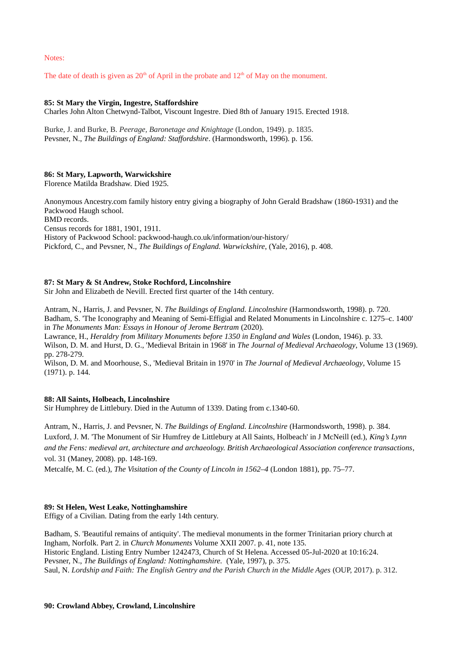Notes:

The date of death is given as  $20<sup>th</sup>$  of April in the probate and  $12<sup>th</sup>$  of May on the monument.

## **85: St Mary the Virgin, Ingestre, Staffordshire**

Charles John Alton Chetwynd-Talbot, Viscount Ingestre. Died 8th of January 1915. Erected 1918.

Burke, J. and Burke, B. *Peerage, Baronetage and Knightage* (London, 1949). p. 1835. Pevsner, N., *The Buildings of England: Staffordshire*. (Harmondsworth, 1996). p. 156.

## **86: St Mary, Lapworth, Warwickshire**

Florence Matilda Bradshaw. Died 1925.

Anonymous Ancestry.com family history entry giving a biography of John Gerald Bradshaw (1860-1931) and the Packwood Haugh school.

BMD records.

Census records for 1881, 1901, 1911.

History of Packwood School: packwood-haugh.co.uk/information/our-history/ Pickford, C., and Pevsner, N., *The Buildings of England. Warwickshire*, (Yale, 2016), p. 408.

## **87: St Mary & St Andrew, Stoke Rochford, Lincolnshire**

Sir John and Elizabeth de Nevill. Erected first quarter of the 14th century.

Antram, N., Harris, J. and Pevsner, N. *The Buildings of England. Lincolnshire* (Harmondsworth, 1998). p. 720. Badham, S. 'The Iconography and Meaning of Semi-Effigial and Related Monuments in Lincolnshire c. 1275–c. 1400' in *The Monuments Man: Essays in Honour of Jerome Bertram* (2020).

Lawrance, H., *Heraldry from Military Monuments before 1350 in England and Wales* (London, 1946). p. 33. Wilson, D. M. and Hurst, D. G., 'Medieval Britain in 1968' in *The Journal of Medieval Archaeology*, Volume 13 (1969). pp. 278-279.

Wilson, D. M. and Moorhouse, S., 'Medieval Britain in 1970' in *The Journal of Medieval Archaeology*, Volume 15 (1971). p. 144.

## **88: All Saints, Holbeach, Lincolnshire**

Sir Humphrey de Littlebury. Died in the Autumn of 1339. Dating from c.1340-60.

Antram, N., Harris, J. and Pevsner, N. *The Buildings of England. Lincolnshire* (Harmondsworth, 1998). p. 384. Luxford, J. M. 'The Monument of Sir Humfrey de Littlebury at All Saints, Holbeach' in J McNeill (ed.), *King's Lynn and the Fens: medieval art, architecture and archaeology. British Archaeological Association conference transactions*, vol. 31 (Maney, 2008). pp. 148-169.

Metcalfe, M. C. (ed.), *The Visitation of the County of Lincoln in 1562–4* (London 1881), pp. 75–77.

## **89: St Helen, West Leake, Nottinghamshire**

Effigy of a Civilian. Dating from the early 14th century.

Badham, S. 'Beautiful remains of antiquity'. The medieval monuments in the former Trinitarian priory church at Ingham, Norfolk. Part 2. in *Church Monuments* Volume XXII 2007. p. 41, note 135. Historic England. Listing Entry Number 1242473, Church of St Helena. Accessed 05-Jul-2020 at 10:16:24. Pevsner, N., *The Buildings of England: Nottinghamshire.* (Yale, 1997), p. 375. Saul, N. *Lordship and Faith: The English Gentry and the Parish Church in the Middle Ages* (OUP, 2017). p. 312.

## **90: Crowland Abbey, Crowland, Lincolnshire**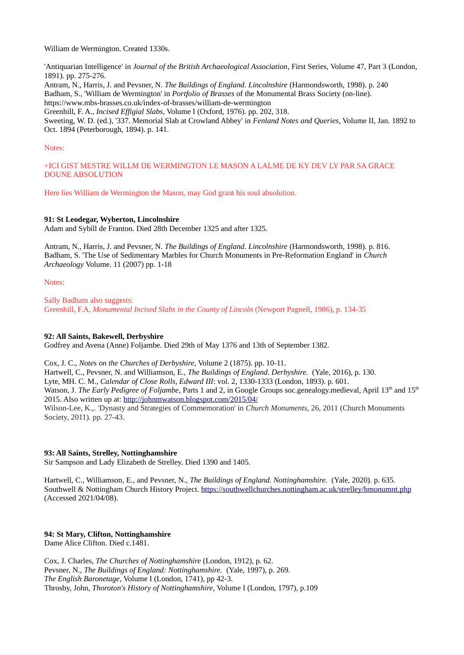William de Wermington. Created 1330s.

'Antiquarian Intelligence' in *Journal of the British Archaeological Association*, First Series, Volume 47, Part 3 (London, 1891). pp. 275-276.

Antram, N., Harris, J. and Pevsner, N. *The Buildings of England. Lincolnshire* (Harmondsworth, 1998). p. 240 Badham, S., 'William de Wermington' in *Portfolio of Brasses* of the Monumental Brass Society (on-line). https://www.mbs-brasses.co.uk/index-of-brasses/william-de-wermington

Greenhill, F. A., *Incised Effigial Slabs*, Volume I (Oxford, 1976). pp. 202, 318.

Sweeting, W. D. (ed.), '337. Memorial Slab at Crowland Abbey' in *Fenland Notes and Queries*, Volume II, Jan. 1892 to Oct. 1894 (Peterborough, 1894). p. 141.

## Notes:

+ICI GIST MESTRE WILLM DE WERMINGTON LE MASON A LALME DE KY DEV LY PAR SA GRACE DOUNE ABSOLUTION

Here lies William de Wermington the Mason, may God grant his soul absolution.

## **91: St Leodegar, Wyberton, Lincolnshire**

Adam and Sybill de Franton. Died 28th December 1325 and after 1325.

Antram, N., Harris, J. and Pevsner, N. *The Buildings of England. Lincolnshire* (Harmondsworth, 1998). p. 816. Badham, S. 'The Use of Sedimentary Marbles for Church Monuments in Pre-Reformation England' in *Church Archaeology* Volume. 11 (2007) pp. 1-18

Notes:

Sally Badham also suggests: Greenhill, F.A, *Monumental Incised Slabs in the County of Lincoln* (Newport Pagnell, 1986), p. 134-35

## **92: All Saints, Bakewell, Derbyshire**

Godfrey and Avena (Anne) Foljambe. Died 29th of May 1376 and 13th of September 1382.

Cox, J. C., *Notes on the Churches of Derbyshire*, Volume 2 (1875). pp. 10-11. Hartwell, C., Pevsner, N. and Williamson, E., *The Buildings of England. Derbyshire.* (Yale, 2016), p. 130. Lyte, MH. C. M., *Calendar of Close Rolls, Edward III*: vol. 2, 1330-1333 (London, 1893). p. 601. Watson, J. *The Early Pedigree of Foljambe*, Parts 1 and 2, in Google Groups soc.genealogy.medieval, April 13<sup>th</sup> and 15<sup>th</sup> 2015. Also written up at:<http://johnmwatson.blogspot.com/2015/04/> Wilson-Lee, K.,. 'Dynasty and Strategies of Commemoration' in *Church Monuments,* 26, 2011 (Church Monuments Society, 2011). pp. 27-43.

## **93: All Saints, Strelley, Nottinghamshire**

Sir Sampson and Lady Elizabeth de Strelley. Died 1390 and 1405.

Hartwell, C., Williamson, E., and Pevsner, N., *The Buildings of England. Nottinghamshire.* (Yale, 2020). p. 635. Southwell & Nottingham Church History Project.<https://southwellchurches.nottingham.ac.uk/strelley/hmonumnt.php> (Accessed 2021/04/08).

## **94: St Mary, Clifton, Nottinghamshire**

Dame Alice Clifton. Died c.1481.

Cox, J. Charles, *The Churches of Nottinghamshire* (London, 1912), p. 62. Pevsner, N., *The Buildings of England: Nottinghamshire.* (Yale, 1997), p. 269. *The English Baronetage*, Volume I (London, 1741), pp 42-3. Throsby, John, *Thoroton's History of Nottinghamshire*, Volume I (London, 1797), p.109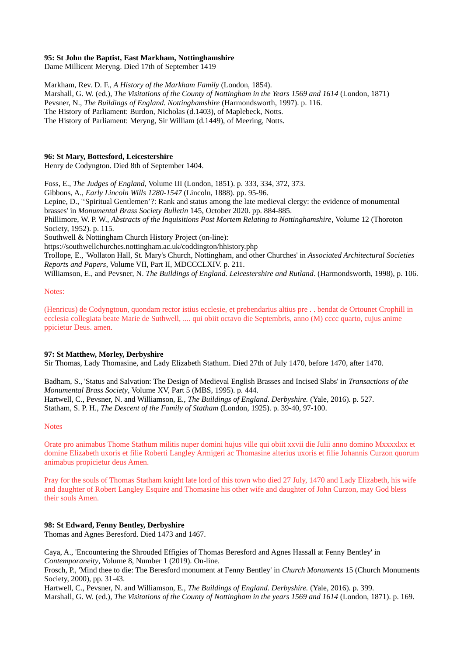## **95: St John the Baptist, East Markham, Nottinghamshire**

Dame Millicent Meryng. Died 17th of September 1419

Markham, Rev. D. F., *A History of the Markham Family* (London, 1854). Marshall, G. W. (ed.), *The Visitations of the County of Nottingham in the Years 1569 and 1614* (London, 1871) Pevsner, N., *The Buildings of England. Nottinghamshire* (Harmondsworth, 1997). p. 116. The History of Parliament: Burdon, Nicholas (d.1403), of Maplebeck, Notts. The History of Parliament: Meryng, Sir William (d.1449), of Meering, Notts.

## **96: St Mary, Bottesford, Leicestershire**

Henry de Codyngton. Died 8th of September 1404.

Foss, E., *The Judges of England*, Volume III (London, 1851). p. 333, 334, 372, 373. Gibbons, A., *Early Lincoln Wills 1280-1547* (Lincoln, 1888). pp. 95-96. Lepine, D., ''Spiritual Gentlemen'?: Rank and status among the late medieval clergy: the evidence of monumental brasses' in *Monumental Brass Society Bulletin* 145, October 2020. pp. 884-885. Phillimore, W. P. W., *Abstracts of the Inquisitions Post Mortem Relating to Nottinghamshire*, Volume 12 (Thoroton Society, 1952). p. 115. Southwell & Nottingham Church History Project (on-line): https://southwellchurches.nottingham.ac.uk/coddington/hhistory.php Trollope, E., 'Wollaton Hall, St. Mary's Church, Nottingham, and other Churches' in *Associated Architectural Societies Reports and Papers*, Volume VII, Part II, MDCCCLXIV. p. 211. Williamson, E., and Pevsner, N. *The Buildings of England. Leicestershire and Rutland*. (Harmondsworth, 1998), p. 106.

#### Notes:

(Henricus) de Codyngtoun, quondam rector istius ecclesie, et prebendarius altius pre . . bendat de Ortounet Crophill in ecclesia collegiata beate Marie de Suthwell, .... qui obiit octavo die Septembris, anno (M) cccc quarto, cujus anime ppicietur Deus. amen.

#### **97: St Matthew, Morley, Derbyshire**

Sir Thomas, Lady Thomasine, and Lady Elizabeth Stathum. Died 27th of July 1470, before 1470, after 1470.

Badham, S., 'Status and Salvation: The Design of Medieval English Brasses and Incised Slabs' in *Transactions of the Monumental Brass Society*, Volume XV, Part 5 (MBS, 1995). p. 444. Hartwell, C., Pevsner, N. and Williamson, E., *The Buildings of England. Derbyshire.* (Yale, 2016). p. 527. Statham, S. P. H., *The Descent of the Family of Statham* (London, 1925). p. 39-40, 97-100.

#### **Notes**

Orate pro animabus Thome Stathum militis nuper domini hujus ville qui obiit xxvii die Julii anno domino Mxxxxlxx et domine Elizabeth uxoris et filie Roberti Langley Armigeri ac Thomasine alterius uxoris et filie Johannis Curzon quorum animabus propicietur deus Amen.

Pray for the souls of Thomas Statham knight late lord of this town who died 27 July, 1470 and Lady Elizabeth, his wife and daughter of Robert Langley Esquire and Thomasine his other wife and daughter of John Curzon, may God bless their souls Amen.

## **98: St Edward, Fenny Bentley, Derbyshire**

Thomas and Agnes Beresford. Died 1473 and 1467.

Caya, A., 'Encountering the Shrouded Effigies of Thomas Beresford and Agnes Hassall at Fenny Bentley' in *Contemporaneity*, Volume 8, Number 1 (2019). On-line.

Frosch, P., 'Mind thee to die: The Beresford monument at Fenny Bentley' in *Church Monuments* 15 (Church Monuments Society, 2000), pp. 31-43.

Hartwell, C., Pevsner, N. and Williamson, E., *The Buildings of England. Derbyshire.* (Yale, 2016). p. 399. Marshall, G. W. (ed.), *The Visitations of the County of Nottingham in the years 1569 and 1614* (London, 1871). p. 169.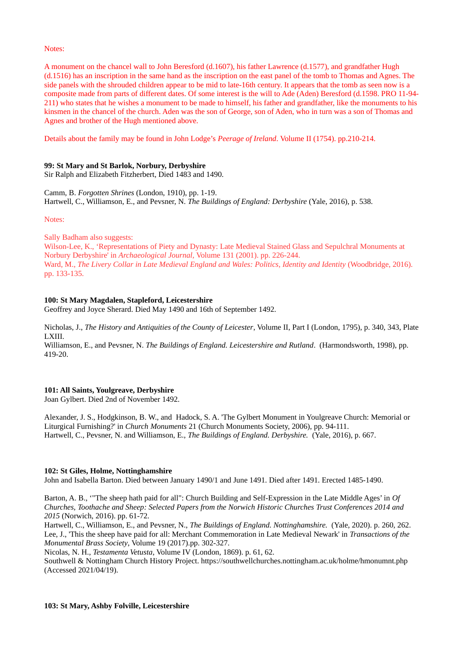#### Notes:

A monument on the chancel wall to John Beresford (d.1607), his father Lawrence (d.1577), and grandfather Hugh (d.1516) has an inscription in the same hand as the inscription on the east panel of the tomb to Thomas and Agnes. The side panels with the shrouded children appear to be mid to late-16th century. It appears that the tomb as seen now is a composite made from parts of different dates. Of some interest is the will to Ade (Aden) Beresford (d.1598. PRO 11-94- 211) who states that he wishes a monument to be made to himself, his father and grandfather, like the monuments to his kinsmen in the chancel of the church. Aden was the son of George, son of Aden, who in turn was a son of Thomas and Agnes and brother of the Hugh mentioned above.

Details about the family may be found in John Lodge's *Peerage of Ireland*. Volume II (1754). pp.210-214.

## **99: St Mary and St Barlok, Norbury, Derbyshire**

Sir Ralph and Elizabeth Fitzherbert, Died 1483 and 1490.

Camm, B. *Forgotten Shrines* (London, 1910), pp. 1-19. Hartwell, C., Williamson, E., and Pevsner, N. *The Buildings of England: Derbyshire* (Yale, 2016), p. 538.

Notes:

Sally Badham also suggests:

Wilson-Lee, K., 'Representations of Piety and Dynasty: Late Medieval Stained Glass and Sepulchral Monuments at Norbury Derbyshire' in *Archaeological Journal,* Volume 131 (2001). pp. 226-244. Ward, M., *The Livery Collar in Late Medieval England and Wales: Politics, Identity and Identity* (Woodbridge, 2016). pp. 133-135.

## **100: St Mary Magdalen, Stapleford, Leicestershire**

Geoffrey and Joyce Sherard. Died May 1490 and 16th of September 1492.

Nicholas, J., *The History and Antiquities of the County of Leicester*, Volume II, Part I (London, 1795), p. 340, 343, Plate LXIII.

Williamson, E., and Pevsner, N. *The Buildings of England. Leicestershire and Rutland*. (Harmondsworth, 1998), pp. 419-20.

#### **101: All Saints, Youlgreave, Derbyshire**

Joan Gylbert. Died 2nd of November 1492.

Alexander, J. S., Hodgkinson, B. W., and Hadock, S. A. 'The Gylbert Monument in Youlgreave Church: Memorial or Liturgical Furnishing?' in *Church Monuments* 21 (Church Monuments Society, 2006), pp. 94-111. Hartwell, C., Pevsner, N. and Williamson, E., *The Buildings of England. Derbyshire.* (Yale, 2016), p. 667.

#### **102: St Giles, Holme, Nottinghamshire**

John and Isabella Barton. Died between January 1490/1 and June 1491. Died after 1491. Erected 1485-1490.

Barton, A. B., '"The sheep hath paid for all": Church Building and Self-Expression in the Late Middle Ages' in *Of Churches, Toothache and Sheep: Selected Papers from the Norwich Historic Churches Trust Conferences 2014 and 2015* (Norwich, 2016). pp. 61-72.

Hartwell, C., Williamson, E., and Pevsner, N., *The Buildings of England. Nottinghamshire.* (Yale, 2020). p. 260, 262. Lee, J., 'This the sheep have paid for all: Merchant Commemoration in Late Medieval Newark' in *Transactions of the Monumental Brass Society*, Volume 19 (2017).pp. 302-327.

Nicolas, N. H., *Testamenta Vetusta*, Volume IV (London, 1869). p. 61, 62.

Southwell & Nottingham Church History Project. https://southwellchurches.nottingham.ac.uk/holme/hmonumnt.php (Accessed 2021/04/19).

#### **103: St Mary, Ashby Folville, Leicestershire**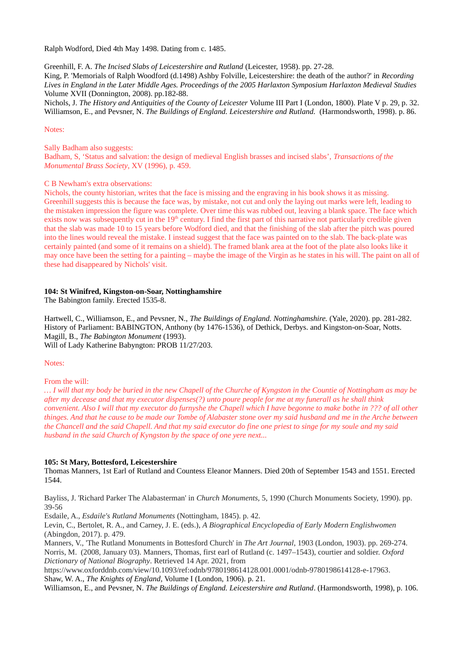Ralph Wodford, Died 4th May 1498. Dating from c. 1485.

Greenhill, F. A. *The Incised Slabs of Leicestershire and Rutland* (Leicester, 1958). pp. 27-28.

King, P. 'Memorials of Ralph Woodford (d.1498) Ashby Folville, Leicestershire: the death of the author?' in *Recording Lives in England in the Later Middle Ages. Proceedings of the 2005 Harlaxton Symposium Harlaxton Medieval Studies* Volume XVII (Donnington, 2008). pp.182-88.

Nichols, J. *The History and Antiquities of the County of Leicester* Volume III Part I (London, 1800). Plate V p. 29, p. 32. Williamson, E., and Pevsner, N. *The Buildings of England. Leicestershire and Rutland.* (Harmondsworth, 1998). p. 86.

## Notes:

Sally Badham also suggests: Badham, S, 'Status and salvation: the design of medieval English brasses and incised slabs', *Transactions of the Monumental Brass Society*, XV (1996), p. 459.

## C B Newham's extra observations:

Nichols, the county historian, writes that the face is missing and the engraving in his book shows it as missing. Greenhill suggests this is because the face was, by mistake, not cut and only the laying out marks were left, leading to the mistaken impression the figure was complete. Over time this was rubbed out, leaving a blank space. The face which exists now was subsequently cut in the  $19<sup>th</sup>$  century. I find the first part of this narrative not particularly credible given that the slab was made 10 to 15 years before Wodford died, and that the finishing of the slab after the pitch was poured into the lines would reveal the mistake. I instead suggest that the face was painted on to the slab. The back-plate was certainly painted (and some of it remains on a shield). The framed blank area at the foot of the plate also looks like it may once have been the setting for a painting – maybe the image of the Virgin as he states in his will. The paint on all of these had disappeared by Nichols' visit.

## **104: St Winifred, Kingston-on-Soar, Nottinghamshire**

The Babington family. Erected 1535-8.

Hartwell, C., Williamson, E., and Pevsner, N., *The Buildings of England. Nottinghamshire.* (Yale, 2020). pp. 281-282. History of Parliament: BABINGTON, Anthony (by 1476-1536), of Dethick, Derbys. and Kingston-on-Soar, Notts. Magill, B., *The Babington Monument* (1993). Will of Lady Katherine Babyngton: PROB 11/27/203.

## Notes:

From the will:

*… I will that my body be buried in the new Chapell of the Churche of Kyngston in the Countie of Nottingham as may be after my decease and that my executor dispenses(?) unto poure people for me at my funerall as he shall think convenient. Also I will that my executor do furnyshe the Chapell which I have begonne to make bothe in ??? of all other thinges. And that he cause to be made our Tombe of Alabaster stone over my said husband and me in the Arche between the Chancell and the said Chapell. And that my said executor do fine one priest to singe for my soule and my said husband in the said Church of Kyngston by the space of one yere next...*

## **105: St Mary, Bottesford, Leicestershire**

Thomas Manners, 1st Earl of Rutland and Countess Eleanor Manners. Died 20th of September 1543 and 1551. Erected 1544.

Bayliss, J. 'Richard Parker The Alabasterman' in *Church Monuments,* 5, 1990 (Church Monuments Society, 1990). pp. 39-56

Esdaile, A., *Esdaile's Rutland Monuments* (Nottingham, 1845). p. 42.

Levin, C., Bertolet, R. A., and Carney, J. E. (eds.), *A Biographical Encyclopedia of Early Modern Englishwomen* (Abingdon, 2017). p. 479.

Manners, V., 'The Rutland Monuments in Bottesford Church' in *The Art Journal*, 1903 (London, 1903). pp. 269-274. Norris, M. (2008, January 03). Manners, Thomas, first earl of Rutland (c. 1497–1543), courtier and soldier. *Oxford Dictionary of National Biography*. Retrieved 14 Apr. 2021, from

[https://www.oxforddnb.com/view/10.1093/ref:odnb/9780198614128.001.0001/odnb-9780198614128-e-17963.](https://www.oxforddnb.com/view/10.1093/ref:odnb/9780198614128.001.0001/odnb-9780198614128-e-17963) Shaw, W. A., *The Knights of England,* Volume I (London, 1906). p. 21.

Williamson, E., and Pevsner, N. *The Buildings of England. Leicestershire and Rutland*. (Harmondsworth, 1998), p. 106.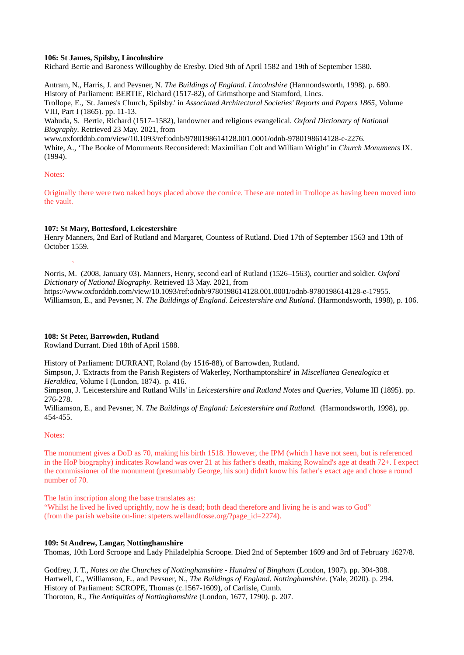## **106: St James, Spilsby, Lincolnshire**

Richard Bertie and Baroness Willoughby de Eresby. Died 9th of April 1582 and 19th of September 1580.

Antram, N., Harris, J. and Pevsner, N. *The Buildings of England. Lincolnshire* (Harmondsworth, 1998). p. 680. History of Parliament: BERTIE, Richard (1517-82), of Grimsthorpe and Stamford, Lincs. Trollope, E., 'St. James's Church, Spilsby.' in *Associated Architectural Societies' Reports and Papers 1865*, Volume VIII, Part I (1865). pp. 11-13.

Wabuda, S. Bertie, Richard (1517–1582), landowner and religious evangelical. *Oxford Dictionary of National Biography*. Retrieved 23 May. 2021, from

www.oxforddnb.com/view/10.1093/ref:odnb/9780198614128.001.0001/odnb-9780198614128-e-2276. White, A., 'The Booke of Monuments Reconsidered: Maximilian Colt and William Wright' in *Church Monuments* IX. (1994).

## Notes:

`

Originally there were two naked boys placed above the cornice. These are noted in Trollope as having been moved into the vault.

## **107: St Mary, Bottesford, Leicestershire**

Henry Manners, 2nd Earl of Rutland and Margaret, Countess of Rutland. Died 17th of September 1563 and 13th of October 1559.

Norris, M. (2008, January 03). Manners, Henry, second earl of Rutland (1526–1563), courtier and soldier. *Oxford Dictionary of National Biography*. Retrieved 13 May. 2021, from https://www.oxforddnb.com/view/10.1093/ref:odnb/9780198614128.001.0001/odnb-9780198614128-e-17955. Williamson, E., and Pevsner, N. *The Buildings of England. Leicestershire and Rutland*. (Harmondsworth, 1998), p. 106.

## **108: St Peter, Barrowden, Rutland**

Rowland Durrant. Died 18th of April 1588.

History of Parliament: DURRANT, Roland (by 1516-88), of Barrowden, Rutland.

Simpson, J. 'Extracts from the Parish Registers of Wakerley, Northamptonshire' in *Miscellanea Genealogica et Heraldica*, Volume I (London, 1874). p. 416.

Simpson, J. 'Leicestershire and Rutland Wills' in *Leicestershire and Rutland Notes and Queries*, Volume III (1895). pp. 276-278.

Williamson, E., and Pevsner, N. *The Buildings of England: Leicestershire and Rutland.* (Harmondsworth, 1998), pp. 454-455.

#### Notes:

The monument gives a DoD as 70, making his birth 1518. However, the IPM (which I have not seen, but is referenced in the HoP biography) indicates Rowland was over 21 at his father's death, making Rowalnd's age at death 72+. I expect the commissioner of the monument (presumably George, his son) didn't know his father's exact age and chose a round number of 70.

The latin inscription along the base translates as:

"Whilst he lived he lived uprightly, now he is dead; both dead therefore and living he is and was to God" (from the parish website on-line: stpeters.wellandfosse.org/?page\_id=2274).

## **109: St Andrew, Langar, Nottinghamshire**

Thomas, 10th Lord Scroope and Lady Philadelphia Scroope. Died 2nd of September 1609 and 3rd of February 1627/8.

Godfrey, J. T., *Notes on the Churches of Nottinghamshire - Hundred of Bingham* (London, 1907). pp. 304-308. Hartwell, C., Williamson, E., and Pevsner, N., *The Buildings of England. Nottinghamshire.* (Yale, 2020). p. 294. History of Parliament: SCROPE, Thomas (c.1567-1609), of Carlisle, Cumb. Thoroton, R., *The Antiquities of Nottinghamshire* (London, 1677, 1790). p. 207.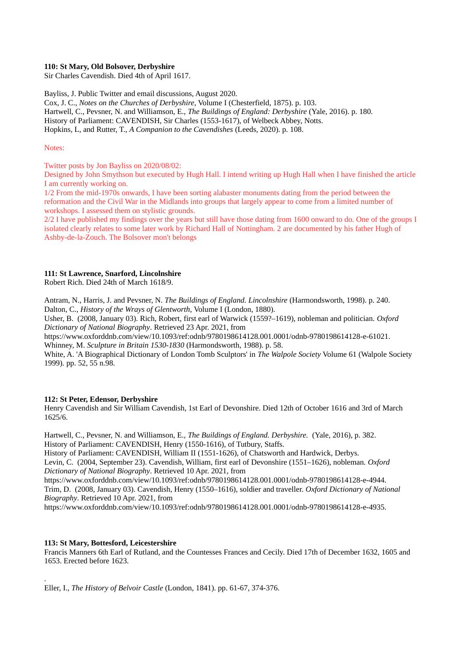## **110: St Mary, Old Bolsover, Derbyshire**

Sir Charles Cavendish. Died 4th of April 1617.

Bayliss, J. Public Twitter and email discussions, August 2020. Cox, J. C., *Notes on the Churches of Derbyshire*, Volume I (Chesterfield, 1875). p. 103. Hartwell, C., Pevsner, N. and Williamson, E., *The Buildings of England: Derbyshire* (Yale, 2016). p. 180. History of Parliament: CAVENDISH, Sir Charles (1553-1617), of Welbeck Abbey, Notts. Hopkins, L, and Rutter, T., *A Companion to the Cavendishes* (Leeds, 2020). p. 108.

#### Notes:

Twitter posts by Jon Bayliss on 2020/08/02:

Designed by John Smythson but executed by Hugh Hall. I intend writing up Hugh Hall when I have finished the article I am currently working on.

1/2 From the mid-1970s onwards, I have been sorting alabaster monuments dating from the period between the reformation and the Civil War in the Midlands into groups that largely appear to come from a limited number of workshops. I assessed them on stylistic grounds.

2/2 I have published my findings over the years but still have those dating from 1600 onward to do. One of the groups I isolated clearly relates to some later work by Richard Hall of Nottingham. 2 are documented by his father Hugh of Ashby-de-la-Zouch. The Bolsover mon't belongs

## **111: St Lawrence, Snarford, Lincolnshire**

Robert Rich. Died 24th of March 1618/9.

Antram, N., Harris, J. and Pevsner, N. *The Buildings of England. Lincolnshire* (Harmondsworth, 1998). p. 240. Dalton, C., *History of the Wrays of Glentworth*, Volume I (London, 1880).

Usher, B. (2008, January 03). Rich, Robert, first earl of Warwick (1559?–1619), nobleman and politician. *Oxford Dictionary of National Biography*. Retrieved 23 Apr. 2021, from

https://www.oxforddnb.com/view/10.1093/ref:odnb/9780198614128.001.0001/odnb-9780198614128-e-61021. Whinney, M. *Sculpture in Britain 1530-1830* (Harmondsworth, 1988). p. 58.

White, A. 'A Biographical Dictionary of London Tomb Sculptors' in *The Walpole Society* Volume 61 (Walpole Society 1999). pp. 52, 55 n.98.

## **112: St Peter, Edensor, Derbyshire**

Henry Cavendish and Sir William Cavendish, 1st Earl of Devonshire. Died 12th of October 1616 and 3rd of March 1625/6.

Hartwell, C., Pevsner, N. and Williamson, E., *The Buildings of England. Derbyshire.* (Yale, 2016), p. 382. History of Parliament: CAVENDISH, Henry (1550-1616), of Tutbury, Staffs.

History of Parliament: CAVENDISH, William II (1551-1626), of Chatsworth and Hardwick, Derbys. Levin, C. (2004, September 23). Cavendish, William, first earl of Devonshire (1551–1626), nobleman. *Oxford Dictionary of National Biography*. Retrieved 10 Apr. 2021, from

https://www.oxforddnb.com/view/10.1093/ref:odnb/9780198614128.001.0001/odnb-9780198614128-e-4944. Trim, D. (2008, January 03). Cavendish, Henry (1550–1616), soldier and traveller. *Oxford Dictionary of National Biography*. Retrieved 10 Apr. 2021, from

https://www.oxforddnb.com/view/10.1093/ref:odnb/9780198614128.001.0001/odnb-9780198614128-e-4935.

## **113: St Mary, Bottesford, Leicestershire**

.

Francis Manners 6th Earl of Rutland, and the Countesses Frances and Cecily. Died 17th of December 1632, 1605 and 1653. Erected before 1623.

Eller, I., *The History of Belvoir Castle* (London, 1841). pp. 61-67, 374-376.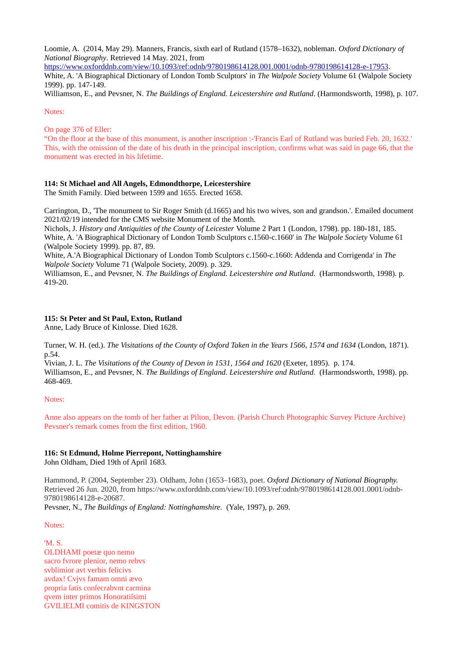Loomie, A. (2014, May 29). Manners, Francis, sixth earl of Rutland (1578–1632), nobleman. *Oxford Dictionary of National Biography*. Retrieved 14 May. 2021, from

[https://www.oxforddnb.com/view/10.1093/ref:odnb/9780198614128.001.0001/odnb-9780198614128-e-17953.](https://www.oxforddnb.com/view/10.1093/ref:odnb/9780198614128.001.0001/odnb-9780198614128-e-17953) White, A. 'A Biographical Dictionary of London Tomb Sculptors' in *The Walpole Society* Volume 61 (Walpole Society 1999). pp. 147-149.

Williamson, E., and Pevsner, N. *The Buildings of England. Leicestershire and Rutland*. (Harmondsworth, 1998), p. 107.

Notes:

On page 376 of Eller:

"On the floor at the base of this monument, is another inscription :-'Francis Earl of Rutland was buried Feb. 20, 1632.' This, with the omission of the date of his death in the principal inscription, confirms what was said in page 66, that the monument was erected in his lifetime.

## **114: St Michael and All Angels, Edmondthorpe, Leicestershire**

The Smith Family. Died between 1599 and 1655. Erected 1658.

Carrington, D., 'The monument to Sir Roger Smith (d.1665) and his two wives, son and grandson.'. Emailed document 2021/02/19 intended for the CMS website Monument of the Month.

Nichols, J. *History and Antiquities of the County of Leicester* Volume 2 Part 1 (London, 1798). pp. 180-181, 185. White, A. 'A Biographical Dictionary of London Tomb Sculptors c.1560-c.1660' in *The Walpole Society* Volume 61 (Walpole Society 1999). pp. 87, 89.

White, A.'A Biographical Dictionary of London Tomb Sculptors c.1560-c.1660: Addenda and Corrigenda' in *The Walpole Society* Volume 71 (Walpole Society, 2009). p. 329.

Williamson, E., and Pevsner, N. *The Buildings of England. Leicestershire and Rutland.* (Harmondsworth, 1998). p. 419-20.

## **115: St Peter and St Paul, Exton, Rutland**

Anne, Lady Bruce of Kinlosse. Died 1628.

Turner, W. H. (ed.). *The Visitations of the County of Oxford Taken in the Years 1566, 1574 and 1634* (London, 1871). p.54.

Vivian, J. L. *The Visitations of the County of Devon in 1531, 1564 and 1620* (Exeter, 1895). p. 174. Williamson, E., and Pevsner, N. *The Buildings of England. Leicestershire and Rutland.* (Harmondsworth, 1998). pp. 468-469.

## Notes:

Anne also appears on the tomb of her father at Pilton, Devon. (Parish Church Photographic Survey Picture Archive) Pevsner's remark comes from the first edition, 1960.

# **116: St Edmund, Holme Pierrepont, Nottinghamshire**

John Oldham, Died 19th of April 1683.

Hammond, P. (2004, September 23). Oldham, John (1653–1683), poet. *Oxford Dictionary of National Biography.* Retrieved 26 Jun. 2020, from https://www.oxforddnb.com/view/10.1093/ref:odnb/9780198614128.001.0001/odnb-9780198614128-e-20687.

Pevsner, N., *The Buildings of England: Nottinghamshire.* (Yale, 1997), p. 269.

## Notes:

'M. S. OLDHAMI poetæ quo nemo sacro fvrore plenior, nemo rebvs svblimior avt verbis felicivs avdax! Cvjvs famam omni ævo propria fatis confecrabvnt carmina qvem inter primos Honoratifsimi GVILIELMI comitis de KINGSTON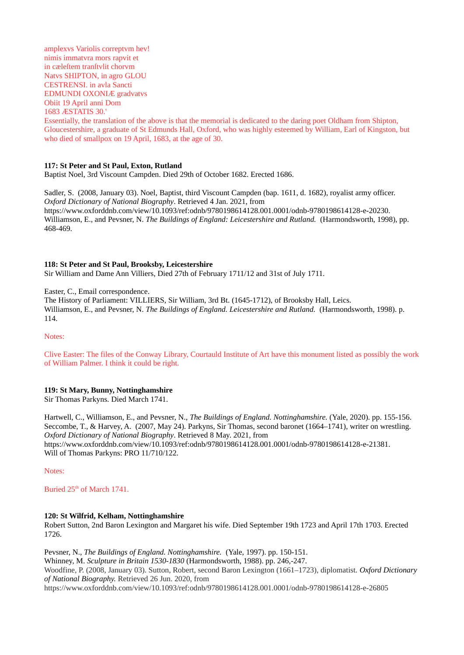amplexvs Variolis correptvm hev! nimis immatvra mors rapvit et in cæleftem tranftvlit chorvm Natvs SHIPTON, in agro GLOU CESTRENSI. in avla Sancti EDMUNDI OXONIÆ gradvatvs Obiit 19 April anni Dom 1683 ÆSTATIS 30.'

Essentially, the translation of the above is that the memorial is dedicated to the daring poet Oldham from Shipton, Gloucestershire, a graduate of St Edmunds Hall, Oxford, who was highly esteemed by William, Earl of Kingston, but who died of smallpox on 19 April, 1683, at the age of 30.

## **117: St Peter and St Paul, Exton, Rutland**

Baptist Noel, 3rd Viscount Campden. Died 29th of October 1682. Erected 1686.

Sadler, S. (2008, January 03). Noel, Baptist, third Viscount Campden (bap. 1611, d. 1682), royalist army officer. *Oxford Dictionary of National Biography*. Retrieved 4 Jan. 2021, from https://www.oxforddnb.com/view/10.1093/ref:odnb/9780198614128.001.0001/odnb-9780198614128-e-20230. Williamson, E., and Pevsner, N. *The Buildings of England: Leicestershire and Rutland.* (Harmondsworth, 1998), pp. 468-469.

## **118: St Peter and St Paul, Brooksby, Leicestershire**

Sir William and Dame Ann Villiers, Died 27th of February 1711/12 and 31st of July 1711.

Easter, C., Email correspondence.

The History of Parliament: VILLIERS, Sir William, 3rd Bt. (1645-1712), of Brooksby Hall, Leics. Williamson, E., and Pevsner, N. *The Buildings of England. Leicestershire and Rutland.* (Harmondsworth, 1998). p. 114.

Notes:

Clive Easter: The files of the Conway Library, Courtauld Institute of Art have this monument listed as possibly the work of William Palmer. I think it could be right.

#### **119: St Mary, Bunny, Nottinghamshire**

Sir Thomas Parkyns. Died March 1741.

Hartwell, C., Williamson, E., and Pevsner, N., *The Buildings of England. Nottinghamshire.* (Yale, 2020). pp. 155-156. Seccombe, T., & Harvey, A. (2007, May 24). Parkyns, Sir Thomas, second baronet (1664–1741), writer on wrestling. *Oxford Dictionary of National Biography*. Retrieved 8 May. 2021, from https://www.oxforddnb.com/view/10.1093/ref:odnb/9780198614128.001.0001/odnb-9780198614128-e-21381. Will of Thomas Parkyns: PRO 11/710/122.

Notes:

Buried 25<sup>th</sup> of March 1741.

## **120: St Wilfrid, Kelham, Nottinghamshire**

Robert Sutton, 2nd Baron Lexington and Margaret his wife. Died September 19th 1723 and April 17th 1703. Erected 1726.

Pevsner, N., *The Buildings of England. Nottinghamshire.* (Yale, 1997). pp. 150-151. Whinney, M. *Sculpture in Britain 1530-1830* (Harmondsworth, 1988). pp. 246,-247. Woodfine, P. (2008, January 03). Sutton, Robert, second Baron Lexington (1661–1723), diplomatist. *Oxford Dictionary of National Biography.* Retrieved 26 Jun. 2020, from https://www.oxforddnb.com/view/10.1093/ref:odnb/9780198614128.001.0001/odnb-9780198614128-e-26805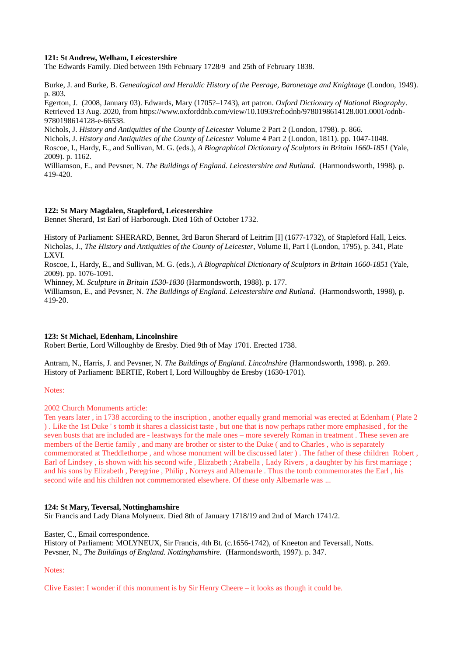## **121: St Andrew, Welham, Leicestershire**

The Edwards Family. Died between 19th February 1728/9 and 25th of February 1838.

Burke, J. and Burke, B. *Genealogical and Heraldic History of the Peerage, Baronetage and Knightage* (London, 1949). p. 803.

Egerton, J. (2008, January 03). Edwards, Mary (1705?–1743), art patron. *Oxford Dictionary of National Biography*. Retrieved 13 Aug. 2020, from https://www.oxforddnb.com/view/10.1093/ref:odnb/9780198614128.001.0001/odnb-9780198614128-e-66538.

Nichols, J. *History and Antiquities of the County of Leicester* Volume 2 Part 2 (London, 1798). p. 866.

Nichols, J. *History and Antiquities of the County of Leicester* Volume 4 Part 2 (London, 1811). pp. 1047-1048.

Roscoe, I., Hardy, E., and Sullivan, M. G. (eds.), *A Biographical Dictionary of Sculptors in Britain 1660-1851* (Yale, 2009). p. 1162.

Williamson, E., and Pevsner, N. *The Buildings of England. Leicestershire and Rutland.* (Harmondsworth, 1998). p. 419-420.

## **122: St Mary Magdalen, Stapleford, Leicestershire**

Bennet Sherard, 1st Earl of Harborough. Died 16th of October 1732.

History of Parliament: SHERARD, Bennet, 3rd Baron Sherard of Leitrim [I] (1677-1732), of Stapleford Hall, Leics. Nicholas, J., *The History and Antiquities of the County of Leicester*, Volume II, Part I (London, 1795), p. 341, Plate LXVI.

Roscoe, I., Hardy, E., and Sullivan, M. G. (eds.), *A Biographical Dictionary of Sculptors in Britain 1660-1851* (Yale, 2009). pp. 1076-1091.

Whinney, M. *Sculpture in Britain 1530-1830* (Harmondsworth, 1988). p. 177.

Williamson, E., and Pevsner, N. *The Buildings of England. Leicestershire and Rutland*. (Harmondsworth, 1998), p. 419-20.

#### **123: St Michael, Edenham, Lincolnshire**

Robert Bertie, Lord Willoughby de Eresby. Died 9th of May 1701. Erected 1738.

Antram, N., Harris, J. and Pevsner, N. *The Buildings of England. Lincolnshire* (Harmondsworth, 1998). p. 269. History of Parliament: BERTIE, Robert I, Lord Willoughby de Eresby (1630-1701).

Notes:

2002 Church Monuments article:

Ten years later , in 1738 according to the inscription , another equally grand memorial was erected at Edenham ( Plate 2 ) . Like the 1st Duke ' s tomb it shares a classicist taste , but one that is now perhaps rather more emphasised , for the seven busts that are included are - leastways for the male ones – more severely Roman in treatment . These seven are members of the Bertie family , and many are brother or sister to the Duke ( and to Charles , who is separately commemorated at Theddlethorpe , and whose monument will be discussed later ) . The father of these children Robert , Earl of Lindsey , is shown with his second wife , Elizabeth ; Arabella , Lady Rivers , a daughter by his first marriage ; and his sons by Elizabeth , Peregrine , Philip , Norreys and Albemarle . Thus the tomb commemorates the Earl , his second wife and his children not commemorated elsewhere. Of these only Albemarle was ...

#### **124: St Mary, Teversal, Nottinghamshire**

Sir Francis and Lady Diana Molyneux. Died 8th of January 1718/19 and 2nd of March 1741/2.

Easter, C., Email correspondence.

History of Parliament: MOLYNEUX, Sir Francis, 4th Bt. (c.1656-1742), of Kneeton and Teversall, Notts. Pevsner, N., *The Buildings of England. Nottinghamshire.* (Harmondsworth, 1997). p. 347.

Notes:

Clive Easter: I wonder if this monument is by Sir Henry Cheere – it looks as though it could be.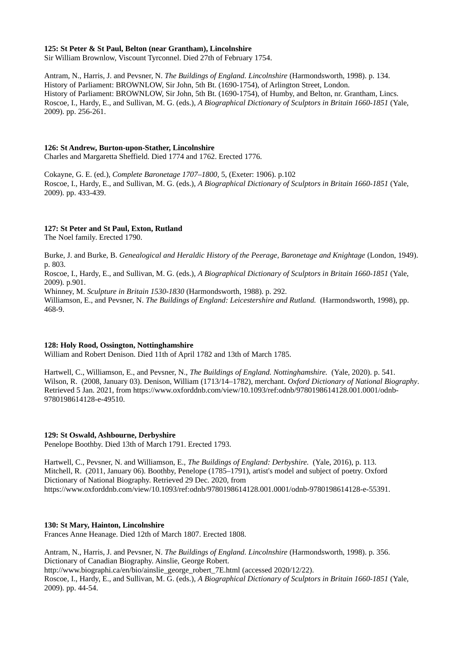#### **125: St Peter & St Paul, Belton (near Grantham), Lincolnshire**

Sir William Brownlow, Viscount Tyrconnel. Died 27th of February 1754.

Antram, N., Harris, J. and Pevsner, N. *The Buildings of England. Lincolnshire* (Harmondsworth, 1998). p. 134. History of Parliament: BROWNLOW, Sir John, 5th Bt. (1690-1754), of Arlington Street, London. History of Parliament: BROWNLOW, Sir John, 5th Bt. (1690-1754), of Humby, and Belton, nr. Grantham, Lincs. Roscoe, I., Hardy, E., and Sullivan, M. G. (eds.), *A Biographical Dictionary of Sculptors in Britain 1660-1851* (Yale, 2009). pp. 256-261.

## **126: St Andrew, Burton-upon-Stather, Lincolnshire**

Charles and Margaretta Sheffield. Died 1774 and 1762. Erected 1776.

Cokayne, G. E. (ed.), *Complete Baronetage 1707–1800,* 5, (Exeter: 1906). p[.102](https://archive.org/stream/cu31924092524416#page/n125/mode/1up) Roscoe, I., Hardy, E., and Sullivan, M. G. (eds.), *A Biographical Dictionary of Sculptors in Britain 1660-1851* (Yale, 2009). pp. 433-439.

## **127: St Peter and St Paul, Exton, Rutland**

The Noel family. Erected 1790.

Burke, J. and Burke, B. *Genealogical and Heraldic History of the Peerage, Baronetage and Knightage* (London, 1949). p. 803.

Roscoe, I., Hardy, E., and Sullivan, M. G. (eds.), *A Biographical Dictionary of Sculptors in Britain 1660-1851* (Yale, 2009). p.901.

Whinney, M. *Sculpture in Britain 1530-1830* (Harmondsworth, 1988). p. 292.

Williamson, E., and Pevsner, N. *The Buildings of England: Leicestershire and Rutland.* (Harmondsworth, 1998), pp. 468-9.

## **128: Holy Rood, Ossington, Nottinghamshire**

William and Robert Denison. Died 11th of April 1782 and 13th of March 1785.

Hartwell, C., Williamson, E., and Pevsner, N., *The Buildings of England. Nottinghamshire.* (Yale, 2020). p. 541. Wilson, R. (2008, January 03). Denison, William (1713/14–1782), merchant. *Oxford Dictionary of National Biography*. Retrieved 5 Jan. 2021, from https://www.oxforddnb.com/view/10.1093/ref:odnb/9780198614128.001.0001/odnb-9780198614128-e-49510.

## **129: St Oswald, Ashbourne, Derbyshire**

Penelope Boothby. Died 13th of March 1791. Erected 1793.

Hartwell, C., Pevsner, N. and Williamson, E., *The Buildings of England: Derbyshire.* (Yale, 2016), p. 113. Mitchell, R. (2011, January 06). Boothby, Penelope (1785–1791), artist's model and subject of poetry. Oxford Dictionary of National Biography. Retrieved 29 Dec. 2020, from https://www.oxforddnb.com/view/10.1093/ref:odnb/9780198614128.001.0001/odnb-9780198614128-e-55391.

## **130: St Mary, Hainton, Lincolnshire**

Frances Anne Heanage. Died 12th of March 1807. Erected 1808.

Antram, N., Harris, J. and Pevsner, N. *The Buildings of England. Lincolnshire* (Harmondsworth, 1998). p. 356. Dictionary of Canadian Biography. Ainslie, George Robert. [http://www.biographi.ca/en/bio/ainslie\\_george\\_robert\\_7E.html](http://www.biographi.ca/en/bio/ainslie_george_robert_7E.html) (accessed 2020/12/22). Roscoe, I., Hardy, E., and Sullivan, M. G. (eds.), *A Biographical Dictionary of Sculptors in Britain 1660-1851* (Yale, 2009). pp. 44-54.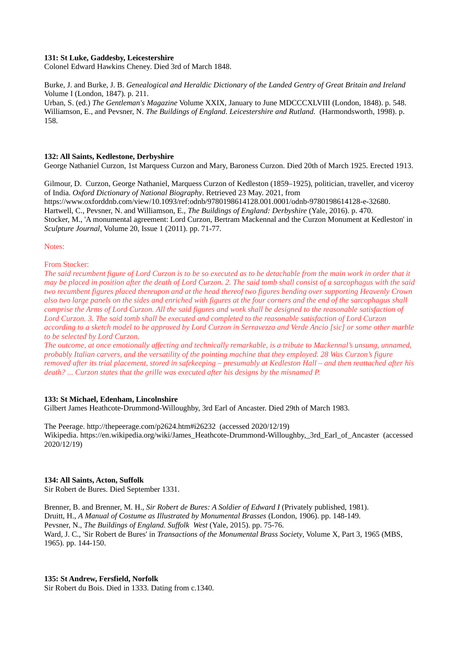## **131: St Luke, Gaddesby, Leicestershire**

Colonel Edward Hawkins Cheney. Died 3rd of March 1848.

Burke, J. and Burke, J. B. *Genealogical and Heraldic Dictionary of the Landed Gentry of Great Britain and Ireland* Volume I (London, 1847). p. 211.

Urban, S. (ed.) *The Gentleman's Magazine* Volume XXIX, January to June MDCCCXLVIII (London, 1848). p. 548. Williamson, E., and Pevsner, N. *The Buildings of England. Leicestershire and Rutland.* (Harmondsworth, 1998). p. 158.

#### **132: All Saints, Kedlestone, Derbyshire**

George Nathaniel Curzon, 1st Marquess Curzon and Mary, Baroness Curzon. Died 20th of March 1925. Erected 1913.

Gilmour, D. Curzon, George Nathaniel, Marquess Curzon of Kedleston (1859–1925), politician, traveller, and viceroy of India. *Oxford Dictionary of National Biography*. Retrieved 23 May. 2021, from https://www.oxforddnb.com/view/10.1093/ref:odnb/9780198614128.001.0001/odnb-9780198614128-e-32680. Hartwell, C., Pevsner, N. and Williamson, E., *The Buildings of England: Derbyshire* (Yale, 2016). p. 470. Stocker, M., 'A monumental agreement: Lord Curzon, Bertram Mackennal and the Curzon Monument at Kedleston' in *Sculpture Journal*, Volume 20, Issue 1 (2011). pp. 71-77.

Notes:

From Stocker:

*The said recumbent figure of Lord Curzon is to be so executed as to be detachable from the main work in order that it may be placed in position after the death of Lord Curzon. 2. The said tomb shall consist of a sarcophagus with the said two recumbent figures placed thereupon and at the head thereof two figures bending over supporting Heavenly Crown also two large panels on the sides and enriched with figures at the four corners and the end of the sarcophagus shall comprise the Arms of Lord Curzon. All the said figures and work shall be designed to the reasonable satisfaction of Lord Curzon. 3. The said tomb shall be executed and completed to the reasonable satisfaction of Lord Curzon according to a sketch model to be approved by Lord Curzon in Serravezza and Verde Ancio [sic] or some other marble to be selected by Lord Curzon.*

*The outcome, at once emotionally affecting and technically remarkable, is a tribute to Mackennal's unsung, unnamed, probably Italian carvers, and the versatility of the pointing machine that they employed. 28 Was Curzon's figure removed after its trial placement, stored in safekeeping – presumably at Kedleston Hall – and then reattached after his death? ... Curzon states that the grille was executed after his designs by the misnamed P.*

#### **133: St Michael, Edenham, Lincolnshire**

Gilbert James Heathcote-Drummond-Willoughby, 3rd Earl of Ancaster. Died 29th of March 1983.

The Peerage. http://thepeerage.com/p2624.htm#i26232 (accessed 2020/12/19) Wikipedia. https://en.wikipedia.org/wiki/James\_Heathcote-Drummond-Willoughby,\_3rd\_Earl\_of\_Ancaster (accessed 2020/12/19)

#### **134: All Saints, Acton, Suffolk**

Sir Robert de Bures. Died September 1331.

Brenner, B. and Brenner, M. H., *Sir Robert de Bures: A Soldier of Edward I* (Privately published, 1981). Druitt, H., *A Manual of Costume as Illustrated by Monumental Brasses* (London, 1906). pp. 148-149. Pevsner, N., *The Buildings of England. Suffolk West* (Yale, 2015). pp. 75-76. Ward, J. C., 'Sir Robert de Bures' in *Transactions of the Monumental Brass Society*, Volume X, Part 3, 1965 (MBS, 1965). pp. 144-150.

#### **135: St Andrew, Fersfield, Norfolk**

Sir Robert du Bois. Died in 1333. Dating from c.1340.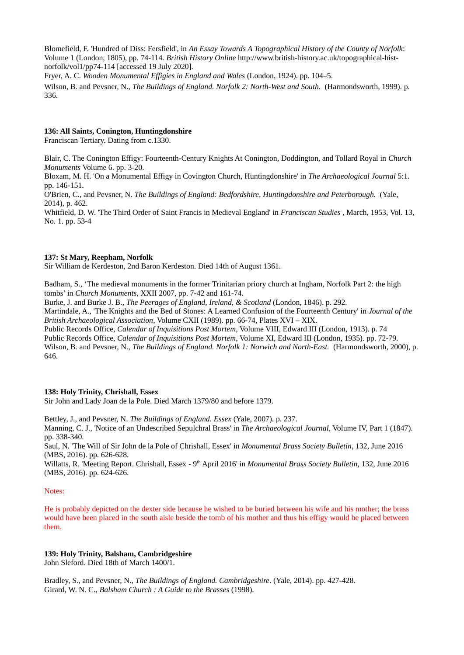Blomefield, F. 'Hundred of Diss: Fersfield', in *An Essay Towards A Topographical History of the County of Norfolk*: Volume 1 (London, 1805), pp. 74-114. *British History Online* http://www.british-history.ac.uk/topographical-histnorfolk/vol1/pp74-114 [accessed 19 July 2020].

Fryer, A. C. *Wooden Monumental Effigies in England and Wales* (London, 1924). pp. 104–5.

Wilson, B. and Pevsner, N., *The Buildings of England. Norfolk 2: North-West and South.* (Harmondsworth, 1999). p. 336.

## **136: All Saints, Conington, Huntingdonshire**

Franciscan Tertiary. Dating from c.1330.

Blair, C. The Conington Effigy: Fourteenth-Century Knights At Conington, Doddington, and Tollard Royal in *Church Monuments* Volume 6. pp. 3-20.

Bloxam, M. H. 'On a Monumental Effigy in Covington Church, Huntingdonshire' in *The Archaeological Journal* 5:1. pp. 146-151.

O'Brien, C., and Pevsner, N. *The Buildings of England: Bedfordshire, Huntingdonshire and Peterborough.* (Yale, 2014), p. 462.

Whitfield, D. W. 'The Third Order of Saint Francis in Medieval England' in *Franciscan Studies* , March, 1953, Vol. 13, No. 1. pp. 53-4

## **137: St Mary, Reepham, Norfolk**

Sir William de Kerdeston, 2nd Baron Kerdeston. Died 14th of August 1361.

Badham, S., 'The medieval monuments in the former Trinitarian priory church at Ingham, Norfolk Part 2: the high tombs' in *Church Monuments*, XXII 2007, pp. 7-42 and 161-74.

Burke, J. and Burke J. B., *The Peerages of England, Ireland, & Scotland* (London, 1846). p. 292.

Martindale, A., 'The Knights and the Bed of Stones: A Learned Confusion of the Fourteenth Century' in *Journal of the British Archaeological Association*, Volume CXII (1989). pp. 66-74, Plates XVI – XIX.

Public Records Office, *Calendar of Inquisitions Post Mortem*, Volume VIII, Edward III (London, 1913). p. 74 Public Records Office, *Calendar of Inquisitions Post Mortem*, Volume XI, Edward III (London, 1935). pp. 72-79. Wilson, B. and Pevsner, N., *The Buildings of England. Norfolk 1: Norwich and North-East.* (Harmondsworth, 2000), p. 646.

## **138: Holy Trinity, Chrishall, Essex**

Sir John and Lady Joan de la Pole. Died March 1379/80 and before 1379.

Bettley, J., and Pevsner, N. *The Buildings of England. Essex* (Yale, 2007). p. 237.

Manning, C. J., 'Notice of an Undescribed Sepulchral Brass' in *The Archaeological Journal*, Volume IV, Part 1 (1847). pp. 338-340.

Saul, N. 'The Will of Sir John de la Pole of Chrishall, Essex' in *Monumental Brass Society Bulletin*, 132, June 2016 (MBS, 2016). pp. 626-628.

Willatts, R. 'Meeting Report. Chrishall, Essex - 9<sup>th</sup> April 2016' in *Monumental Brass Society Bulletin*, 132, June 2016 (MBS, 2016). pp. 624-626.

## Notes:

He is probably depicted on the dexter side because he wished to be buried between his wife and his mother; the brass would have been placed in the south aisle beside the tomb of his mother and thus his effigy would be placed between them.

## **139: Holy Trinity, Balsham, Cambridgeshire**

John Sleford. Died 18th of March 1400/1.

Bradley, S., and Pevsner, N., *The Buildings of England. Cambridgeshire*. (Yale, 2014). pp. 427-428. Girard, W. N. C., *Balsham Church : A Guide to the Brasses* (1998).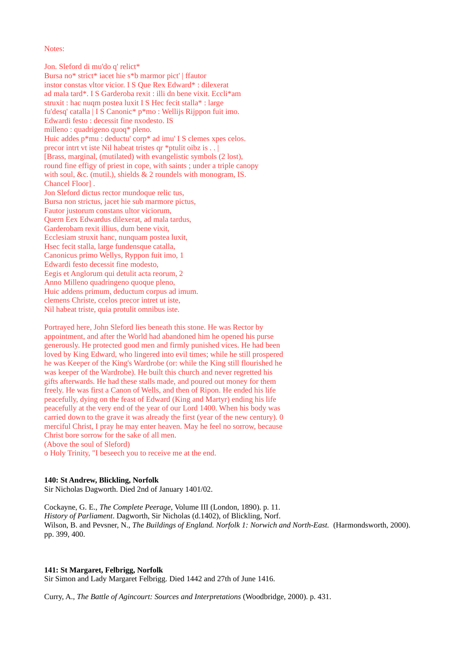Notes:

Jon. Sleford di mu'do q' relict\* Bursa no\* strict\* iacet hie s\*b marmor pict' | ffautor instor constas vltor vicior. I S Que Rex Edward\* : dilexerat ad mala tard\*. I S Garderoba rexit : illi dn bene vixit. Eccli\*am struxit : hac nuqm postea luxit I S Hec fecit stalla\* : large fu'desq' catalla | I S Canonic\* p\*mo : Wellijs Rijppon fuit imo. Edwardi festo : decessit fine nxodesto. IS milleno : quadrigeno quoq\* pleno. Huic addes p\*mu : deductu' corp\* ad imu' I S clemes xpes celos. precor intrt vt iste Nil habeat tristes qr \*ptulit oibz is . . [Brass, marginal, (mutilated) with evangelistic symbols (2 lost), round fine effigy of priest in cope, with saints ; under a triple canopy with soul, &c. (mutil.), shields & 2 roundels with monogram, IS. Chancel Floor] . Jon Sleford dictus rector mundoque relic tus, Bursa non strictus, jacet hie sub marmore pictus, Fautor justorum constans ultor viciorum, Quern Eex Edwardus dilexerat, ad mala tardus, Garderobam rexit illius, dum bene vixit, Ecclesiam struxit hanc, nunquam postea luxit, Hsec fecit stalla, large fundensque catalla, Canonicus primo Wellys, Ryppon fuit imo, 1 Edwardi festo decessit fine modesto, Eegis et Anglorum qui detulit acta reorum, 2 Anno Milleno quadringeno quoque pleno, Huic addens primum, deductum corpus ad imum. clemens Christe, ccelos precor intret ut iste, Nil habeat triste, quia protulit omnibus iste.

Portrayed here, John Sleford lies beneath this stone. He was Rector by appointment, and after the World had abandoned him he opened his purse generously. He protected good men and firmly punished vices. He had been loved by King Edward, who lingered into evil times; while he still prospered he was Keeper of the King's Wardrobe (or: while the King still flourished he was keeper of the Wardrobe). He built this church and never regretted his gifts afterwards. He had these stalls made, and poured out money for them freely. He was first a Canon of Wells, and then of Ripon. He ended his life peacefully, dying on the feast of Edward (King and Martyr) ending his life peacefully at the very end of the year of our Lord 1400. When his body was carried down to the grave it was already the first (year of the new century). 0 merciful Christ, I pray he may enter heaven. May he feel no sorrow, because Christ bore sorrow for the sake of all men. (Above the soul of Sleford)

o Holy Trinity, "I beseech you to receive me at the end.

## **140: St Andrew, Blickling, Norfolk**

Sir Nicholas Dagworth. Died 2nd of January 1401/02.

Cockayne, G. E., *The Complete Peerage*, Volume III (London, 1890). p. 11. *History of Parliament*. Dagworth, Sir Nicholas (d.1402), of Blickling, Norf. Wilson, B. and Pevsner, N., *The Buildings of England. Norfolk 1: Norwich and North-East.* (Harmondsworth, 2000). pp. 399, 400.

#### **141: St Margaret, Felbrigg, Norfolk**

Sir Simon and Lady Margaret Felbrigg. Died 1442 and 27th of June 1416.

Curry, A., *The Battle of Agincourt: Sources and Interpretations* (Woodbridge, 2000). p. 431.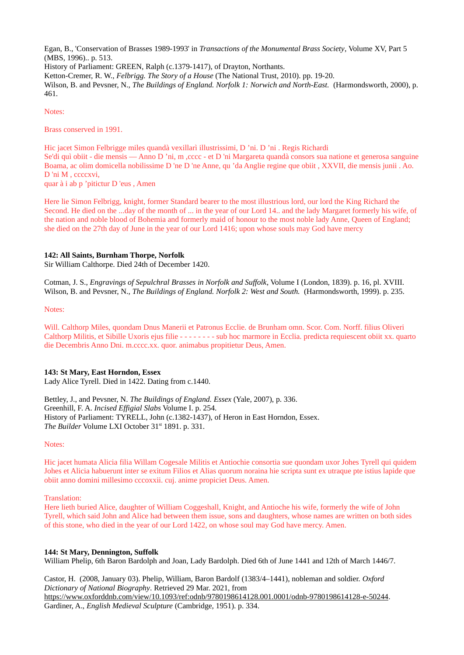Egan, B., 'Conservation of Brasses 1989-1993' in *Transactions of the Monumental Brass Society*, Volume XV, Part 5 (MBS, 1996).. p. 513. History of Parliament: GREEN, Ralph (c.1379-1417), of Drayton, Northants. Ketton-Cremer, R. W., *Felbrigg. The Story of a House* (The National Trust, 2010). pp. 19-20. Wilson, B. and Pevsner, N., *The Buildings of England. Norfolk 1: Norwich and North-East.* (Harmondsworth, 2000), p. 461.

Notes:

Brass conserved in 1991.

Hic jacet Simon Felbrigge miles quandà vexillarì illustrissimi, D 'ni. D 'ni . Regis Richardi Se'di quì obiit - die mensis — Anno D 'ni, m , cccc - et D 'ni Margareta quandà consors sua natione et generosa sanguine Boama, ac olim domicella nobilissime D 'ne D 'ne Anne, qu 'da Anglie regine que obiit , XXVII, die mensis junii . Ao. D 'ni M , ccccxvi, quar à i ab p 'pitictur D 'eus , Amen

Here lie Simon Felbrigg, knight, former Standard bearer to the most illustrious lord, our lord the King Richard the Second. He died on the ...day of the month of ... in the year of our Lord 14.. and the lady Margaret formerly his wife, of the nation and noble blood of Bohemia and formerly maid of honour to the most noble lady Anne, Queen of England; she died on the 27th day of June in the year of our Lord 1416; upon whose souls may God have mercy

## **142: All Saints, Burnham Thorpe, Norfolk**

Sir William Calthorpe. Died 24th of December 1420.

Cotman, J. S., *Engravings of Sepulchral Brasses in Norfolk and Suffolk*, Volume I (London, 1839). p. 16, pl. XVIII. Wilson, B. and Pevsner, N., *The Buildings of England. Norfolk 2: West and South.* (Harmondsworth, 1999). p. 235.

Notes:

Will. Calthorp Miles, quondam Dnus Manerii et Patronus Ecclie. de Brunham omn. Scor. Com. Norff. filius Oliveri Calthorp Militis, et Sibille Uxoris ejus filie - - - - - - - - sub hoc marmore in Ecclia. predicta requiescent obiit xx. quarto die Decembris Anno Dni. m.cccc.xx. quor. animabus propitietur Deus, Amen.

## **143: St Mary, East Horndon, Essex**

Lady Alice Tyrell. Died in 1422. Dating from c.1440.

Bettley, J., and Pevsner, N. *The Buildings of England. Essex* (Yale, 2007), p. 336. Greenhill, F. A. *Incised Effigial Slabs* Volume I. p. 254. History of Parliament: TYRELL, John (c.1382-1437), of Heron in East Horndon, Essex. The Builder Volume LXI October 31<sup>st</sup> 1891. p. 331.

Notes:

Hic jacet humata Alicia filia Willam Cogesale Militis et Antiochie consortia sue quondam uxor Johes Tyrell qui quidem Johes et Alicia habuerunt inter se exitum Filios et Alias quorum noraina hie scripta sunt ex utraque pte istius lapide que obiit anno domini millesimo cccoxxii. cuj. anime propiciet Deus. Amen.

Translation:

Here lieth buried Alice, daughter of William Coggeshall, Knight, and Antioche his wife, formerly the wife of John Tyrell, which said John and Alice had between them issue, sons and daughters, whose names are written on both sides of this stone, who died in the year of our Lord 1422, on whose soul may God have mercy. Amen.

## **144: St Mary, Dennington, Suffolk**

William Phelip, 6th Baron Bardolph and Joan, Lady Bardolph. Died 6th of June 1441 and 12th of March 1446/7.

Castor, H. (2008, January 03). Phelip, William, Baron Bardolf (1383/4–1441), nobleman and soldier. *Oxford Dictionary of National Biography*. Retrieved 29 Mar. 2021, from [https://www.oxforddnb.com/view/10.1093/ref:odnb/9780198614128.001.0001/odnb-9780198614128-e-50244.](https://www.oxforddnb.com/view/10.1093/ref:odnb/9780198614128.001.0001/odnb-9780198614128-e-50244) Gardiner, A., *English Medieval Sculpture* (Cambridge, 1951). p. 334.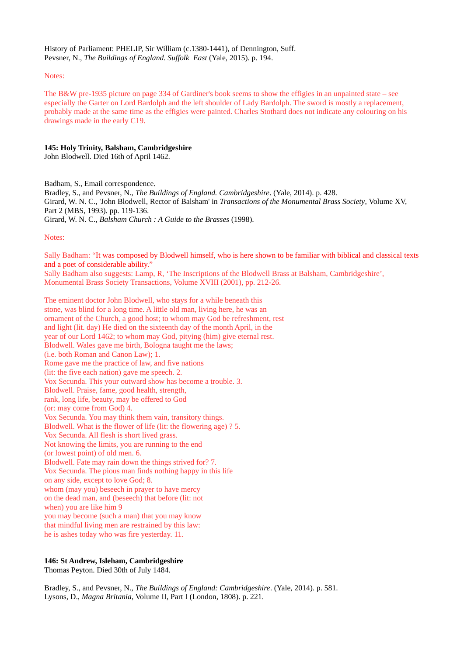History of Parliament: PHELIP, Sir William (c.1380-1441), of Dennington, Suff. Pevsner, N., *The Buildings of England. Suffolk East* (Yale, 2015). p. 194.

## Notes:

The B&W pre-1935 picture on page 334 of Gardiner's book seems to show the effigies in an unpainted state – see especially the Garter on Lord Bardolph and the left shoulder of Lady Bardolph. The sword is mostly a replacement, probably made at the same time as the effigies were painted. Charles Stothard does not indicate any colouring on his drawings made in the early C19.

## **145: Holy Trinity, Balsham, Cambridgeshire**

John Blodwell. Died 16th of April 1462.

Badham, S., Email correspondence. Bradley, S., and Pevsner, N., *The Buildings of England. Cambridgeshire*. (Yale, 2014). p. 428. Girard, W. N. C., 'John Blodwell, Rector of Balsham' in *Transactions of the Monumental Brass Society*, Volume XV, Part 2 (MBS, 1993). pp. 119-136. Girard, W. N. C., *Balsham Church : A Guide to the Brasses* (1998).

## Notes:

Sally Badham: "It was composed by Blodwell himself, who is here shown to be familiar with biblical and classical texts and a poet of considerable ability."

Sally Badham also suggests: Lamp, R, 'The Inscriptions of the Blodwell Brass at Balsham, Cambridgeshire', Monumental Brass Society Transactions, Volume XVIII (2001), pp. 212-26.

The eminent doctor John Blodwell, who stays for a while beneath this stone, was blind for a long time. A little old man, living here, he was an ornament of the Church, a good host; to whom may God be refreshment, rest and light (lit. day) He died on the sixteenth day of the month April, in the year of our Lord 1462; to whom may God, pitying (him) give eternal rest. Blodwell. Wales gave me birth, Bologna taught me the laws; (i.e. both Roman and Canon Law); 1. Rome gave me the practice of law, and five nations (lit: the five each nation) gave me speech. 2. Vox Secunda. This your outward show has become a trouble. 3. Blodwell. Praise, fame, good health, strength, rank, long life, beauty, may be offered to God (or: may come from God) 4. Vox Secunda. You may think them vain, transitory things. Blodwell. What is the flower of life (lit: the flowering age) ? 5. Vox Secunda. All flesh is short lived grass. Not knowing the limits, you are running to the end (or lowest point) of old men. 6. Blodwell. Fate may rain down the things strived for? 7. Vox Secunda. The pious man finds nothing happy in this life on any side, except to love God; 8. whom (may you) beseech in prayer to have mercy on the dead man, and (beseech) that before (lit: not when) you are like him 9 you may become (such a man) that you may know that mindful living men are restrained by this law: he is ashes today who was fire yesterday. 11.

## **146: St Andrew, Isleham, Cambridgeshire**

Thomas Peyton. Died 30th of July 1484.

Bradley, S., and Pevsner, N., *The Buildings of England: Cambridgeshire*. (Yale, 2014). p. 581. Lysons, D., *Magna Britania*, Volume II, Part I (London, 1808). p. 221.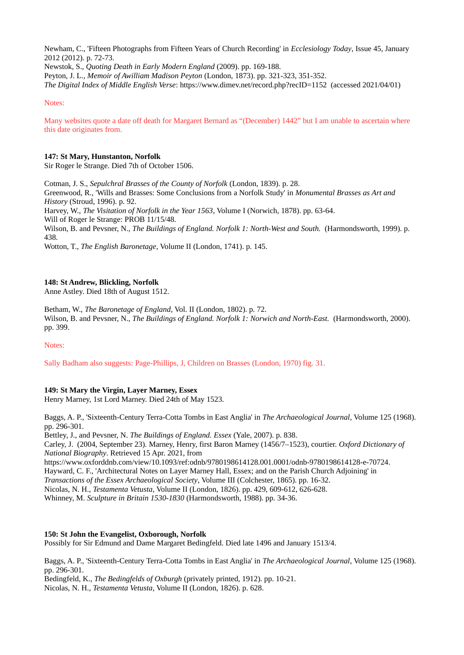Newham, C., 'Fifteen Photographs from Fifteen Years of Church Recording' in *Ecclesiology Today*, Issue 45, January 2012 (2012). p. 72-73.

Newstok, S., *Quoting Death in Early Modern England* (2009). pp. 169-188.

Peyton, J. L., *Memoir of Awilliam Madison Peyton* (London, 1873). pp. 321-323, 351-352.

*The Digital Index of Middle English Verse*: https://www.dimev.net/record.php?recID=1152 (accessed 2021/04/01)

## Notes:

Many websites quote a date off death for Margaret Bernard as "(December) 1442" but I am unable to ascertain where this date originates from.

## **147: St Mary, Hunstanton, Norfolk**

Sir Roger le Strange. Died 7th of October 1506.

Cotman, J. S., *Sepulchral Brasses of the County of Norfolk* (London, 1839). p. 28.

Greenwood, R., 'Wills and Brasses: Some Conclusions from a Norfolk Study' in *Monumental Brasses as Art and History* (Stroud, 1996). p. 92.

Harvey, W., *The Visitation of Norfolk in the Year 1563*, Volume I (Norwich, 1878). pp. 63-64.

Will of Roger le Strange: PROB 11/15/48.

Wilson, B. and Peysner, N., *The Buildings of England. Norfolk 1: North-West and South.* (Harmondsworth, 1999). p. 438.

Wotton, T., *The English Baronetage*, Volume II (London, 1741). p. 145.

## **148: St Andrew, Blickling, Norfolk**

Anne Astley. Died 18th of August 1512.

Betham, W., *The Baronetage of England*, Vol. II (London, 1802). p. 72. Wilson, B. and Pevsner, N., *The Buildings of England. Norfolk 1: Norwich and North-East.* (Harmondsworth, 2000). pp. 399.

## Notes:

Sally Badham also suggests: Page-Phillips, J, Children on Brasses (London, 1970) fig. 31.

## **149: St Mary the Virgin, Layer Marney, Essex**

Henry Marney, 1st Lord Marney. Died 24th of May 1523.

Baggs, A. P., 'Sixteenth-Century Terra-Cotta Tombs in East Anglia' in *The Archaeological Journal*, Volume 125 (1968). pp. 296-301.

Bettley, J., and Pevsner, N. *The Buildings of England. Essex* (Yale, 2007). p. 838.

Carley, J. (2004, September 23). Marney, Henry, first Baron Marney (1456/7–1523), courtier. *Oxford Dictionary of National Biography*. Retrieved 15 Apr. 2021, from

[https://www.oxforddnb.com/view/10.1093/ref:odnb/9780198614128.001.0001/odnb-9780198614128-e-70724.](https://www.oxforddnb.com/view/10.1093/ref:odnb/9780198614128.001.0001/odnb-9780198614128-e-70724) Hayward, C. F., 'Architectural Notes on Layer Marney Hall, Essex; and on the Parish Church Adjoining' in *Transactions of the Essex Archaeological Society*, Volume III (Colchester, 1865). pp. 16-32. Nicolas, N. H., *Testamenta Vetusta*, Volume II (London, 1826). pp. 429, 609-612, 626-628.

Whinney, M. *Sculpture in Britain 1530-1830* (Harmondsworth, 1988). pp. 34-36.

## **150: St John the Evangelist, Oxborough, Norfolk**

Possibly for Sir Edmund and Dame Margaret Bedingfeld. Died late 1496 and January 1513/4.

Baggs, A. P., 'Sixteenth-Century Terra-Cotta Tombs in East Anglia' in *The Archaeological Journal*, Volume 125 (1968). pp. 296-301.

Bedingfeld, K., *The Bedingfelds of Oxburgh* (privately printed, 1912). pp. 10-21.

Nicolas, N. H., *Testamenta Vetusta*, Volume II (London, 1826). p. 628.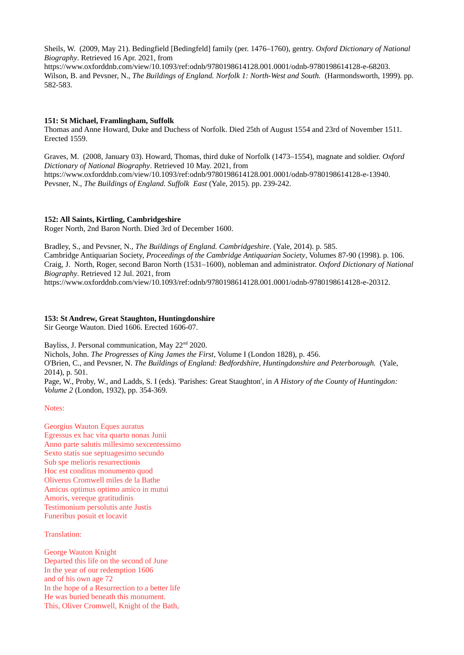Sheils, W. (2009, May 21). Bedingfield [Bedingfeld] family (per. 1476–1760), gentry. *Oxford Dictionary of National Biography*. Retrieved 16 Apr. 2021, from

https://www.oxforddnb.com/view/10.1093/ref:odnb/9780198614128.001.0001/odnb-9780198614128-e-68203. Wilson, B. and Pevsner, N., *The Buildings of England. Norfolk 1: North-West and South.* (Harmondsworth, 1999). pp. 582-583.

### **151: St Michael, Framlingham, Suffolk**

Thomas and Anne Howard, Duke and Duchess of Norfolk. Died 25th of August 1554 and 23rd of November 1511. Erected 1559.

Graves, M. (2008, January 03). Howard, Thomas, third duke of Norfolk (1473–1554), magnate and soldier. *Oxford Dictionary of National Biography*. Retrieved 10 May. 2021, from https://www.oxforddnb.com/view/10.1093/ref:odnb/9780198614128.001.0001/odnb-9780198614128-e-13940. Pevsner, N., *The Buildings of England. Suffolk East* (Yale, 2015). pp. 239-242.

### **152: All Saints, Kirtling, Cambridgeshire**

Roger North, 2nd Baron North. Died 3rd of December 1600.

Bradley, S., and Pevsner, N., *The Buildings of England. Cambridgeshire*. (Yale, 2014). p. 585. Cambridge Antiquarian Society, *Proceedings of the Cambridge Antiquarian Society*, Volumes 87-90 (1998). p. 106. Craig, J. North, Roger, second Baron North (1531–1600), nobleman and administrator. *Oxford Dictionary of National Biography*. Retrieved 12 Jul. 2021, from

https://www.oxforddnb.com/view/10.1093/ref:odnb/9780198614128.001.0001/odnb-9780198614128-e-20312.

### **153: St Andrew, Great Staughton, Huntingdonshire**

Sir George Wauton. Died 1606. Erected 1606-07.

Bayliss, J. Personal communication, May 22<sup>nd</sup> 2020.

Nichols, John. *The Progresses of King James the First*, Volume I (London 1828), p. 456.

O'Brien, C., and Pevsner, N. *The Buildings of England: Bedfordshire, Huntingdonshire and Peterborough.* (Yale, 2014), p. 501.

Page, W., Proby, W., and Ladds, S. I (eds). 'Parishes: Great Staughton', in *A History of the County of Huntingdon: Volume 2* (London, 1932), pp. 354-369.

#### Notes:

Georgius Wauton Eques auratus Egressus ex hac vita quarto nonas Junii Anno parte salutis millesimo sexcentessimo Sexto statis sue septuagesimo secundo Sub spe melioris resurrectionis Hoc est conditus monumento quod Oliverus Cromwell miles de la Bathe Amicus optimus optimo amico in mutui Amoris, vereque gratitudinis Testimonium persolutis ante Justis Funeribus posuit et locavit

Translation:

George Wauton Knight Departed this life on the second of June In the year of our redemption 1606 and of his own age 72 In the hope of a Resurrection to a better life He was buried beneath this monument. This, Oliver Cromwell, Knight of the Bath,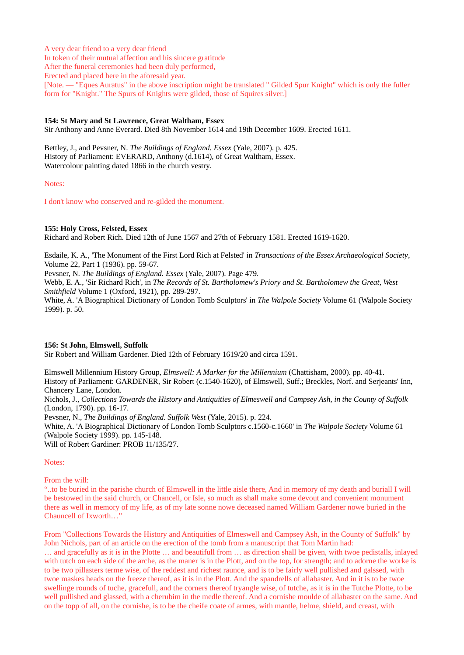A very dear friend to a very dear friend In token of their mutual affection and his sincere gratitude After the funeral ceremonies had been duly performed, Erected and placed here in the aforesaid year. [Note. — "Eques Auratus" in the above inscription might be translated " Gilded Spur Knight" which is only the fuller form for "Knight." The Spurs of Knights were gilded, those of Squires silver.]

# **154: St Mary and St Lawrence, Great Waltham, Essex**

Sir Anthony and Anne Everard. Died 8th November 1614 and 19th December 1609. Erected 1611.

Bettley, J., and Pevsner, N. *The Buildings of England. Essex* (Yale, 2007). p. 425. History of Parliament: EVERARD, Anthony (d.1614), of Great Waltham, Essex. Watercolour painting dated 1866 in the church vestry.

#### Notes:

I don't know who conserved and re-gilded the monument.

### **155: Holy Cross, Felsted, Essex**

Richard and Robert Rich. Died 12th of June 1567 and 27th of February 1581. Erected 1619-1620.

Esdaile, K. A., 'The Monument of the First Lord Rich at Felsted' in *Transactions of the Essex Archaeological Society*, Volume 22, Part 1 (1936). pp. 59-67.

Pevsner, N. *The Buildings of England. Essex* (Yale, 2007). Page 479.

Webb, E. A., 'Sir Richard Rich', in *The Records of St. Bartholomew's Priory and St. Bartholomew the Great, West Smithfield* Volume 1 (Oxford, 1921), pp. 289-297.

White, A. 'A Biographical Dictionary of London Tomb Sculptors' in *The Walpole Society* Volume 61 (Walpole Society 1999). p. 50.

### **156: St John, Elmswell, Suffolk**

Sir Robert and William Gardener. Died 12th of February 1619/20 and circa 1591.

Elmswell Millennium History Group, *Elmswell: A Marker for the Millennium* (Chattisham, 2000). pp. 40-41. History of Parliament: GARDENER, Sir Robert (c.1540-1620), of Elmswell, Suff.; Breckles, Norf. and Serjeants' Inn, Chancery Lane, London.

Nichols, J., *Collections Towards the History and Antiquities of Elmeswell and Campsey Ash, in the County of Suffolk* (London, 1790). pp. 16-17.

Pevsner, N., *The Buildings of England. Suffolk West* (Yale, 2015). p. 224.

White, A. 'A Biographical Dictionary of London Tomb Sculptors c.1560-c.1660' in *The Walpole Society* Volume 61 (Walpole Society 1999). pp. 145-148.

Will of Robert Gardiner: PROB 11/135/27.

#### Notes:

From the will:

"..to be buried in the parishe church of Elmswell in the little aisle there, And in memory of my death and buriall I will be bestowed in the said church, or Chancell, or Isle, so much as shall make some devout and convenient monument there as well in memory of my life, as of my late sonne nowe deceased named William Gardener nowe buried in the Chauncell of Ixworth…"

From "Collections Towards the History and Antiquities of Elmeswell and Campsey Ash, in the County of Suffolk" by John Nichols, part of an article on the erection of the tomb from a manuscript that Tom Martin had: … and gracefully as it is in the Plotte … and beautifull from … as direction shall be given, with twoe pedistalls, inlayed with tutch on each side of the arche, as the maner is in the Plott, and on the top, for strength; and to adorne the worke is to be two pillasters terme wise, of the reddest and richest raunce, and is to be fairly well pullished and galssed, with twoe maskes heads on the freeze thereof, as it is in the Plott. And the spandrells of allabaster. And in it is to be twoe

swellinge rounds of tuche, gracefull, and the corners thereof tryangle wise, of tutche, as it is in the Tutche Plotte, to be well pullished and glassed, with a cherubim in the medle thereof. And a cornishe moulde of allabaster on the same. And on the topp of all, on the cornishe, is to be the cheife coate of armes, with mantle, helme, shield, and creast, with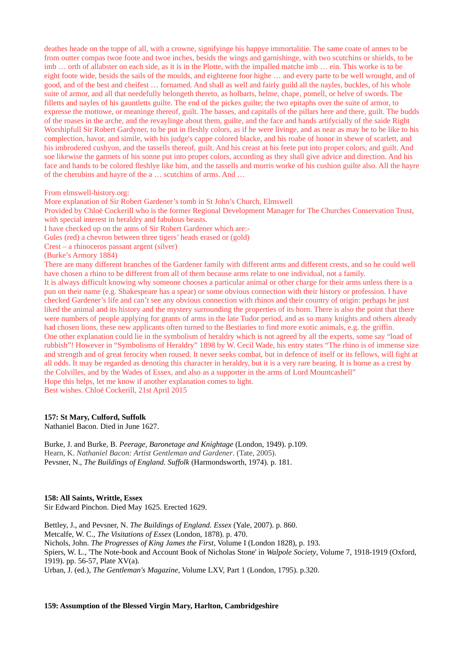deathes heade on the toppe of all, with a crowne, signifyinge his happye immortalitie. The same coate of armes to be from outter compas twoe foote and twoe inches, besids the wings and garnishinge, with two scutchins or shields, to be imb … orth of allabster on each side, as it is in the Plotte, with the impalled matche imb … ein. This worke is to be eight foote wide, besids the sails of the moulds, and eighteene foor highe … and every parte to be well wrought, and of good, and of the best and cheifest … fornamed. And shall as well and fairly guild all the nayles, buckles, of his whole suite of armor, and all that needefully belongeth thereto, as holbarts, helme, chape, pomell, or helve of swords. The filletts and nayles of his gauntletts guilte. The end of the pickes guilte; the two epitaphs over the suite of armor, to expresse the mottowe, or meaninge thereof, guilt. The basses, and capitalls of the pillars here and there, guilt. The budds of the roases in the arche, and the revaylinge about them, guilte, and the face and hands artifycially of the saide Right Worshipfull Sir Robert Gardyner, to be put in fleshly colors, as if he were livinge, and as near as may be to be like to his complection, havor, and simile, with his judge's cappe colored blacke, and his roabe of honor in shewe of scarlett, and his imbrodered cushyon, and the tassells thereof, guilt. And his creast at his feete put into proper colors, and guilt. And soe likewise the garmets of his sonne put into proper colors, according as they shall give advice and direction. And his face and hands to be colored fleshlye like him, and the tassells and morris worke of his cushion guilte also. All the hayre of the cherubins and hayre of the a … scutchins of arms. And …

### From elmswell-history.org:

More explanation of Sir Robert Gardener's tomb in St John's Church, Elmswell Provided by Chloë Cockerill who is the former Regional Development Manager for The Churches Conservation Trust, with special interest in heraldry and fabulous beasts. I have checked up on the arms of Sir Robert Gardener which are:- Gules (red) a chevron between three tigers' heads erased or (gold)

Crest – a rhinoceros passant argent (silver)

(Burke's Armory 1884)

There are many different branches of the Gardener family with different arms and different crests, and so he could well have chosen a rhino to be different from all of them because arms relate to one individual, not a family. It is always difficult knowing why someone chooses a particular animal or other charge for their arms unless there is a pun on their name (e.g. Shakespeare has a spear) or some obvious connection with their history or profession. I have checked Gardener's life and can't see any obvious connection with rhinos and their country of origin: perhaps he just liked the animal and its history and the mystery surrounding the properties of its horn. There is also the point that there were numbers of people applying for grants of arms in the late Tudor period, and as so many knights and others already had chosen lions, these new applicants often turned to the Bestiaries to find more exotic animals, e.g. the griffin. One other explanation could lie in the symbolism of heraldry which is not agreed by all the experts, some say "load of rubbish"! However in "Symbolisms of Heraldry" 1898 by W. Cecil Wade, his entry states "The rhino is of immense size and strength and of great ferocity when roused. It never seeks combat, but in defence of itself or its fellows, will fight at all odds. It may be regarded as denoting this character in heraldry, but it is a very rare bearing. It is borne as a crest by the Colvilles, and by the Wades of Essex, and also as a supporter in the arms of Lord Mountcashell"

Hope this helps, let me know if another explanation comes to light.

Best wishes. Chloë Cockerill, 21st April 2015

#### **157: St Mary, Culford, Suffolk**

Nathaniel Bacon. Died in June 1627.

Burke, J. and Burke, B. *Peerage, Baronetage and Knightage* (London, 1949). p.109. Hearn, K. *Nathaniel Bacon: Artist Gentleman and Gardener*. (Tate, 2005). Pevsner, N., *The Buildings of England. Suffolk* (Harmondsworth, 1974). p. 181.

### **158: All Saints, Writtle, Essex**

Sir Edward Pinchon. Died May 1625. Erected 1629.

Bettley, J., and Pevsner, N. *The Buildings of England. Essex* (Yale, 2007). p. 860. Metcalfe, W. C., *The Visitations of Essex* (London, 1878). p. 470. Nichols, John. *The Progresses of King James the First*, Volume I (London 1828), p. 193. Spiers, W. L., 'The Note-book and Account Book of Nicholas Stone' in *Walpole Society*, Volume 7, 1918-1919 (Oxford, 1919). pp. 56-57, Plate XV(a). Urban, J. (ed.), *The Gentleman's Magazine*, Volume LXV, Part 1 (London, 1795). p.320.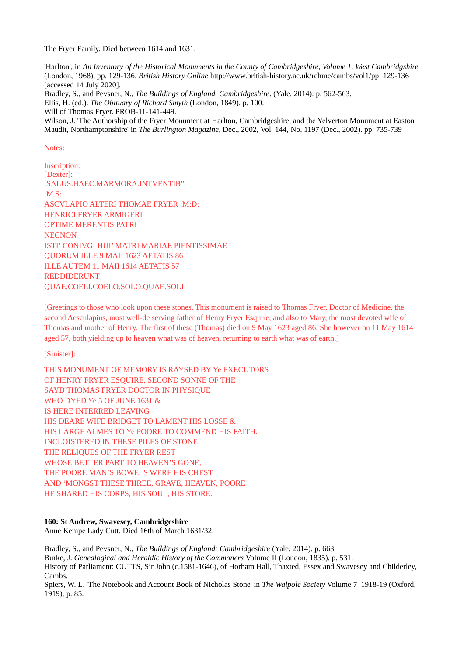The Fryer Family. Died between 1614 and 1631.

'Harlton', in *An Inventory of the Historical Monuments in the County of Cambridgeshire, Volume 1, West Cambridgshire* (London, 1968), pp. 129-136. *British History Online* [http://www.british-history.ac.uk/rchme/cambs/vol1/pp.](http://www.british-history.ac.uk/rchme/cambs/vol1/pp) 129-136 [accessed 14 July 2020]. Bradley, S., and Pevsner, N., *The Buildings of England. Cambridgeshire*. (Yale, 2014). p. 562-563.

Ellis, H. (ed.). *The Obituary of Richard Smyth* (London, 1849). p. 100.

Will of Thomas Fryer. PROB-11-141-449.

Wilson, J. 'The Authorship of the Fryer Monument at Harlton, Cambridgeshire, and the Yelverton Monument at Easton Maudit, Northamptonshire' in *The Burlington Magazine*, Dec., 2002, Vol. 144, No. 1197 (Dec., 2002). pp. 735-739

Notes:

Inscription: [Dexter]: :SALUS.HAEC.MARMORA.INTVENTIB": :M.S: ASCVLAPIO ALTERI THOMAE FRYER :M:D: HENRICI FRYER ARMIGERI OPTIME MERENTIS PATRI **NECNON** ISTI' CONIVGI HUI' MATRI MARIAE PIENTISSIMAE QUORUM ILLE 9 MAII 1623 AETATIS 86 ILLE AUTEM 11 MAII 1614 AETATIS 57 REDDIDERUNT QUAE.COELI.COELO.SOLO.QUAE.SOLI

[Greetings to those who look upon these stones. This monument is raised to Thomas Fryer, Doctor of Medicine, the second Aesculapius, most well-de serving father of Henry Fryer Esquire, and also to Mary, the most devoted wife of Thomas and mother of Henry. The first of these (Thomas) died on 9 May 1623 aged 86. She however on 11 May 1614 aged 57, both vielding up to heaven what was of heaven, returning to earth what was of earth.

[Sinister]:

THIS MONUMENT OF MEMORY IS RAYSED BY Ye EXECUTORS OF HENRY FRYER ESQUIRE, SECOND SONNE OF THE SAYD THOMAS FRYER DOCTOR IN PHYSIQUE WHO DYED Ye 5 OF JUNE 1631 & IS HERE INTERRED LEAVING HIS DEARE WIFE BRIDGET TO LAMENT HIS LOSSE & HIS LARGE ALMES TO Ye POORE TO COMMEND HIS FAITH. INCLOISTERED IN THESE PILES OF STONE THE RELIQUES OF THE FRYER REST WHOSE BETTER PART TO HEAVEN'S GONE, THE POORE MAN'S BOWELS WERE HIS CHEST AND 'MONGST THESE THREE, GRAVE, HEAVEN, POORE HE SHARED HIS CORPS, HIS SOUL, HIS STORE.

# **160: St Andrew, Swavesey, Cambridgeshire**

Anne Kempe Lady Cutt. Died 16th of March 1631/32.

Bradley, S., and Pevsner, N., *The Buildings of England: Cambridgeshire* (Yale, 2014). p. 663. Burke, J. *Genealogical and Heraldic History of the Commoners* Volume II (London, 1835). p. 531. History of Parliament: CUTTS, Sir John (c.1581-1646), of Horham Hall, Thaxted, Essex and Swavesey and Childerley, Cambs.

Spiers, W. L. 'The Notebook and Account Book of Nicholas Stone' in *The Walpole Society* Volume 7 1918-19 (Oxford, 1919), p. 85.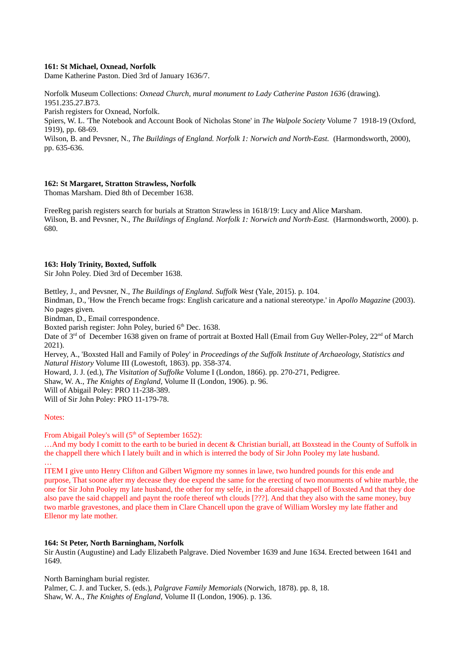### **161: St Michael, Oxnead, Norfolk**

Dame Katherine Paston. Died 3rd of January 1636/7.

Norfolk Museum Collections: *Oxnead Church, mural monument to Lady Catherine Paston 1636* (drawing). 1951.235.27.B73.

Parish registers for Oxnead, Norfolk.

Spiers, W. L. 'The Notebook and Account Book of Nicholas Stone' in *The Walpole Society* Volume 7 1918-19 (Oxford, 1919), pp. 68-69.

Wilson, B. and Pevsner, N., *The Buildings of England. Norfolk 1: Norwich and North-East.* (Harmondsworth, 2000), pp. 635-636.

## **162: St Margaret, Stratton Strawless, Norfolk**

Thomas Marsham. Died 8th of December 1638.

FreeReg parish registers search for burials at Stratton Strawless in 1618/19: Lucy and Alice Marsham. Wilson, B. and Pevsner, N., *The Buildings of England. Norfolk 1: Norwich and North-East.* (Harmondsworth, 2000). p. 680.

### **163: Holy Trinity, Boxted, Suffolk**

Sir John Poley. Died 3rd of December 1638.

Bettley, J., and Pevsner, N., *The Buildings of England. Suffolk West* (Yale, 2015). p. 104.

Bindman, D., 'How the French became frogs: English caricature and a national stereotype.' in *Apollo Magazine* (2003). No pages given.

Bindman, D., Email correspondence.

Boxted parish register: John Poley, buried 6<sup>th</sup> Dec. 1638.

Date of 3<sup>rd</sup> of December 1638 given on frame of portrait at Boxted Hall (Email from Guy Weller-Poley, 22<sup>nd</sup> of March 2021).

Hervey, A., 'Boxsted Hall and Family of Poley' in *Proceedings of the Suffolk Institute of Archaeology, Statistics and Natural History* Volume III (Lowestoft, 1863). pp. 358-374.

Howard, J. J. (ed.), *The Visitation of Suffolke* Volume I (London, 1866). pp. 270-271, Pedigree.

Shaw, W. A., *The Knights of England*, Volume II (London, 1906). p. 96.

Will of Abigail Poley: PRO 11-238-389.

Will of Sir John Poley: PRO 11-179-78.

Notes:

…

From Abigail Poley's will (5<sup>th</sup> of September 1652):

…And my body I comitt to the earth to be buried in decent & Christian buriall, att Boxstead in the County of Suffolk in the chappell there which I lately built and in which is interred the body of Sir John Pooley my late husband.

ITEM I give unto Henry Clifton and Gilbert Wigmore my sonnes in lawe, two hundred pounds for this ende and purpose, That soone after my decease they doe expend the same for the erecting of two monuments of white marble, the one for Sir John Pooley my late husband, the other for my selfe, in the aforesaid chappell of Boxsted And that they doe also pave the said chappell and paynt the roofe thereof wth clouds [???]. And that they also with the same money, buy two marble gravestones, and place them in Clare Chancell upon the grave of William Worsley my late ffather and Ellenor my late mother.

## **164: St Peter, North Barningham, Norfolk**

Sir Austin (Augustine) and Lady Elizabeth Palgrave. Died November 1639 and June 1634. Erected between 1641 and 1649.

North Barningham burial register. Palmer, C. J. and Tucker, S. (eds.), *Palgrave Family Memorials* (Norwich, 1878). pp. 8, 18. Shaw, W. A., *The Knights of England*, Volume II (London, 1906). p. 136.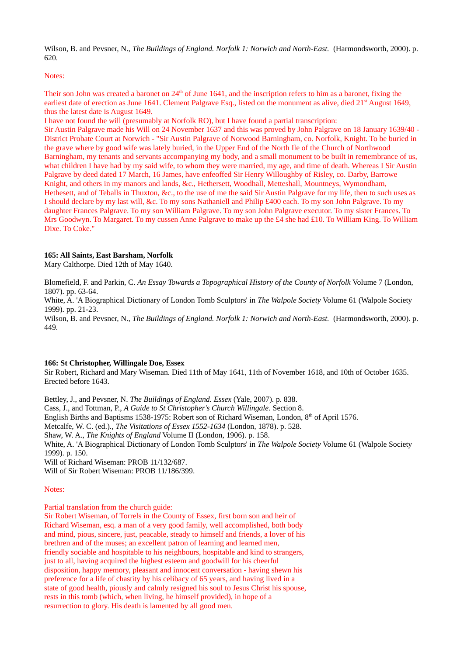Wilson, B. and Peysner, N., *The Buildings of England. Norfolk 1: Norwich and North-East.* (Harmondsworth, 2000). p. 620.

## Notes:

Their son John was created a baronet on  $24<sup>th</sup>$  of June 1641, and the inscription refers to him as a baronet, fixing the earliest date of erection as June 1641. Clement Palgrave Esq., listed on the monument as alive, died  $21<sup>st</sup>$  August 1649, thus the latest date is August 1649.

I have not found the will (presumably at Norfolk RO), but I have found a partial transcription: Sir Austin Palgrave made his Will on 24 November 1637 and this was proved by John Palgrave on 18 January 1639/40 - District Probate Court at Norwich - "Sir Austin Palgrave of Norwood Barningham, co. Norfolk, Knight. To be buried in the grave where by good wife was lately buried, in the Upper End of the North Ile of the Church of Northwood Barningham, my tenants and servants accompanying my body, and a small monument to be built in remembrance of us, what children I have had by my said wife, to whom they were married, my age, and time of death. Whereas I Sir Austin Palgrave by deed dated 17 March, 16 James, have enfeoffed Sir Henry Willoughby of Risley, co. Darby, Barrowe Knight, and others in my manors and lands, &c., Hethersett, Woodhall, Metteshall, Mountneys, Wymondham, Hethesett, and of Teballs in Thuxton, &c., to the use of me the said Sir Austin Palgrave for my life, then to such uses as I should declare by my last will, &c. To my sons Nathaniell and Philip £400 each. To my son John Palgrave. To my daughter Frances Palgrave. To my son William Palgrave. To my son John Palgrave executor. To my sister Frances. To Mrs Goodwyn. To Margaret. To my cussen Anne Palgrave to make up the £4 she had £10. To William King. To William Dixe. To Coke."

## **165: All Saints, East Barsham, Norfolk**

Mary Calthorpe. Died 12th of May 1640.

Blomefield, F. and Parkin, C. *An Essay Towards a Topographical History of the County of Norfolk* Volume 7 (London, 1807). pp. 63-64.

White, A. 'A Biographical Dictionary of London Tomb Sculptors' in *The Walpole Society* Volume 61 (Walpole Society 1999). pp. 21-23.

Wilson, B. and Pevsner, N., *The Buildings of England. Norfolk 1: Norwich and North-East.* (Harmondsworth, 2000). p. 449.

## **166: St Christopher, Willingale Doe, Essex**

Sir Robert, Richard and Mary Wiseman. Died 11th of May 1641, 11th of November 1618, and 10th of October 1635. Erected before 1643.

Bettley, J., and Pevsner, N. *The Buildings of England. Essex* (Yale, 2007). p. 838. Cass, J., and Tottman, P., *A Guide to St Christopher's Church Willingale*. Section 8. English Births and Baptisms 1538-1975: Robert son of Richard Wiseman, London, 8<sup>th</sup> of April 1576. Metcalfe, W. C. (ed.)., *The Visitations of Essex 1552-1634* (London, 1878). p. 528. Shaw, W. A., *The Knights of England* Volume II (London, 1906). p. 158. White, A. 'A Biographical Dictionary of London Tomb Sculptors' in *The Walpole Society* Volume 61 (Walpole Society 1999). p. 150. Will of Richard Wiseman: PROB 11/132/687. Will of Sir Robert Wiseman: PROB 11/186/399.

## Notes:

Partial translation from the church guide:

Sir Robert Wiseman, of Torrels in the County of Essex, first born son and heir of Richard Wiseman, esq. a man of a very good family, well accomplished, both body and mind, pious, sincere, just, peacable, steady to himself and friends, a lover of his brethren and of the muses; an excellent patron of learning and learned men, friendly sociable and hospitable to his neighbours, hospitable and kind to strangers, just to all, having acquired the highest esteem and goodwill for his cheerful disposition, happy memory, pleasant and innocent conversation - having shewn his preference for a life of chastity by his celibacy of 65 years, and having lived in a state of good health, piously and calmly resigned his soul to Jesus Christ his spouse, rests in this tomb (which, when living, he himself provided), in hope of a resurrection to glory. His death is lamented by all good men.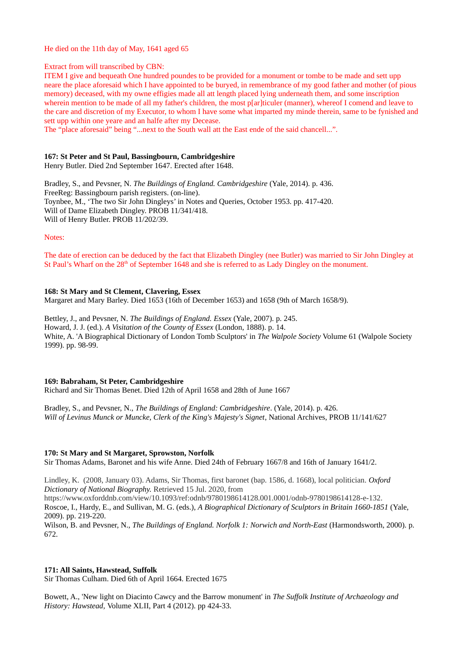He died on the 11th day of May, 1641 aged 65

Extract from will transcribed by CBN:

ITEM I give and bequeath One hundred poundes to be provided for a monument or tombe to be made and sett upp neare the place aforesaid which I have appointed to be buryed, in remembrance of my good father and mother (of pious memory) deceased, with my owne effigies made all att length placed lying underneath them, and some inscription wherein mention to be made of all my father's children, the most p[ar]ticuler (manner), whereof I comend and leave to the care and discretion of my Executor, to whom I have some what imparted my minde therein, same to be fynished and sett upp within one yeare and an halfe after my Decease.

The "place aforesaid" being "...next to the South wall att the East ende of the said chancell...".

#### **167: St Peter and St Paul, Bassingbourn, Cambridgeshire**

Henry Butler. Died 2nd September 1647. Erected after 1648.

Bradley, S., and Pevsner, N. *The Buildings of England. Cambridgeshire* (Yale, 2014). p. 436. FreeReg: Bassingbourn parish registers. (on-line). Toynbee, M., 'The two Sir John Dingleys' in Notes and Queries, October 1953. pp. 417-420. Will of Dame Elizabeth Dingley. PROB 11/341/418. Will of Henry Butler. PROB 11/202/39.

### Notes:

The date of erection can be deduced by the fact that Elizabeth Dingley (nee Butler) was married to Sir John Dingley at St Paul's Wharf on the 28<sup>th</sup> of September 1648 and she is referred to as Lady Dingley on the monument.

## **168: St Mary and St Clement, Clavering, Essex**

Margaret and Mary Barley. Died 1653 (16th of December 1653) and 1658 (9th of March 1658/9).

Bettley, J., and Pevsner, N. *The Buildings of England. Essex* (Yale, 2007). p. 245. Howard, J. J. (ed.). *A Visitation of the County of Essex* (London, 1888). p. 14. White, A. 'A Biographical Dictionary of London Tomb Sculptors' in *The Walpole Society* Volume 61 (Walpole Society 1999). pp. 98-99.

#### **169: Babraham, St Peter, Cambridgeshire**

Richard and Sir Thomas Benet. Died 12th of April 1658 and 28th of June 1667

Bradley, S., and Pevsner, N., *The Buildings of England: Cambridgeshire*. (Yale, 2014). p. 426. *Will of Levinus Munck or Muncke, Clerk of the King's Majesty's Signet*, National Archives, PROB 11/141/627

#### **170: St Mary and St Margaret, Sprowston, Norfolk**

Sir Thomas Adams, Baronet and his wife Anne. Died 24th of February 1667/8 and 16th of January 1641/2.

Lindley, K. (2008, January 03). Adams, Sir Thomas, first baronet (bap. 1586, d. 1668), local politician. *Oxford Dictionary of National Biography.* Retrieved 15 Jul. 2020, from

https://www.oxforddnb.com/view/10.1093/ref:odnb/9780198614128.001.0001/odnb-9780198614128-e-132. Roscoe, I., Hardy, E., and Sullivan, M. G. (eds.), *A Biographical Dictionary of Sculptors in Britain 1660-1851* (Yale, 2009). pp. 219-220.

Wilson, B. and Pevsner, N., *The Buildings of England. Norfolk 1: Norwich and North-East* (Harmondsworth, 2000). p. 672.

## **171: All Saints, Hawstead, Suffolk**

Sir Thomas Culham. Died 6th of April 1664. Erected 1675

Bowett, A., 'New light on Diacinto Cawcy and the Barrow monument' in *The Suffolk Institute of Archaeology and History: Hawstead,* Volume XLII, Part 4 (2012). pp 424-33.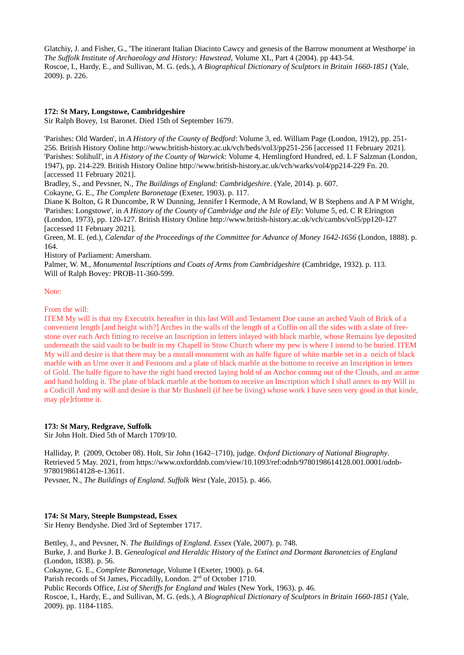Glatchiy, J. and Fisher, G., 'The itinerant Italian Diacinto Cawcy and genesis of the Barrow monument at Westhorpe' in *The Suffolk Institute of Archaeology and History: Hawstead,* Volume XL, Part 4 (2004). pp 443-54. Roscoe, I., Hardy, E., and Sullivan, M. G. (eds.), *A Biographical Dictionary of Sculptors in Britain 1660-1851* (Yale, 2009). p. 226.

# **172: St Mary, Longstowe, Cambridgeshire**

Sir Ralph Bovey, 1st Baronet. Died 15th of September 1679.

'Parishes: Old Warden', in *A History of the County of Bedford*: Volume 3, ed. William Page (London, 1912), pp. 251- 256. British History Online http://www.british-history.ac.uk/vch/beds/vol3/pp251-256 [accessed 11 February 2021]. 'Parishes: Solihull', in *A History of the County of Warwick*: Volume 4, Hemlingford Hundred, ed. L F Salzman (London, 1947), pp. 214-229. British History Online<http://www.british-history.ac.uk/vch/warks/vol4/pp214-229> Fn. 20. [accessed 11 February 2021].

Bradley, S., and Pevsner, N., *The Buildings of England: Cambridgeshire*. (Yale, 2014). p. 607.

Cokayne, G. E., *The Complete Baronetage* (Exeter, 1903). p. 117.

Diane K Bolton, G R Duncombe, R W Dunning, Jennifer I Kermode, A M Rowland, W B Stephens and A P M Wright, 'Parishes: Longstowe', in *A History of the County of Cambridge and the Isle of Ely*: Volume 5, ed. C R Elrington (London, 1973), pp. 120-127. British History Online http://www.british-history.ac.uk/vch/cambs/vol5/pp120-127 [accessed 11 February 2021].

Green, M. E. (ed.), *Calendar of the Proceedings of the Committee for Advance of Money 1642-1656* (London, 1888). p. 164.

History of Parliament: Amersham.

Palmer, W. M., *Monumental Inscriptions and Coats of Arms from Cambridgeshire (Cambridge, 1932). p. 113.* Will of Ralph Bovey: PROB-11-360-599.

### Note:

From the will:

ITEM My will is that my Executrix hereafter in this last Will and Testament Doe cause an arched Vault of Brick of a convenient length [and height with?] Arches in the walls of the length of a Coffin on all the sides with a slate of freestone over each Arch fitting to receive an Inscription in letters inlayed with black marble, whose Remains lye deposited underneath the said vault to be built in my Chapell in Stow Church where my pew is where I intend to be buried. ITEM My will and desire is that there may be a murall monument with an halfe figure of white marble set in a neich of black marble with an Urne over it and Festoons and a plate of black marble at the bottome to receive an Inscription in letters of Gold. The halfe figure to have the right hand erected laying hold of an Anchor commg out of the Clouds, and an arme and hand holding it. The plate of black marble at the bottom to receive an Inscription which I shall annex to my Will in a Codicill And my will and desire is that Mr Bushnell (if hee be living) whose work I have seen very good in that kinde, may p[e]rforme it.

## **173: St Mary, Redgrave, Suffolk**

Sir John Holt. Died 5th of March 1709/10.

Halliday, P. (2009, October 08). Holt, Sir John (1642–1710), judge. *Oxford Dictionary of National Biography*. Retrieved 5 May. 2021, from https://www.oxforddnb.com/view/10.1093/ref:odnb/9780198614128.001.0001/odnb-9780198614128-e-13611.

Pevsner, N., *The Buildings of England. Suffolk West* (Yale, 2015). p. 466.

# **174: St Mary, Steeple Bumpstead, Essex**

Sir Henry Bendyshe. Died 3rd of September 1717.

Bettley, J., and Pevsner, N. *The Buildings of England. Essex* (Yale, 2007). p. 748. Burke, J. and Burke J. B. *Genealogical and Heraldic History of the Extinct and Dormant Baronetcies of England* (London, 1838). p. 56. Cokayne, G. E., *Complete Baronetage*, Volume I (Exeter, 1900). p. 64. Parish records of St James, Piccadilly, London. 2<sup>nd</sup> of October 1710. Public Records Office, *List of Sheriffs for England and Wales* (New York, 1963). p. 46. Roscoe, I., Hardy, E., and Sullivan, M. G. (eds.), *A Biographical Dictionary of Sculptors in Britain 1660-1851* (Yale, 2009). pp. 1184-1185.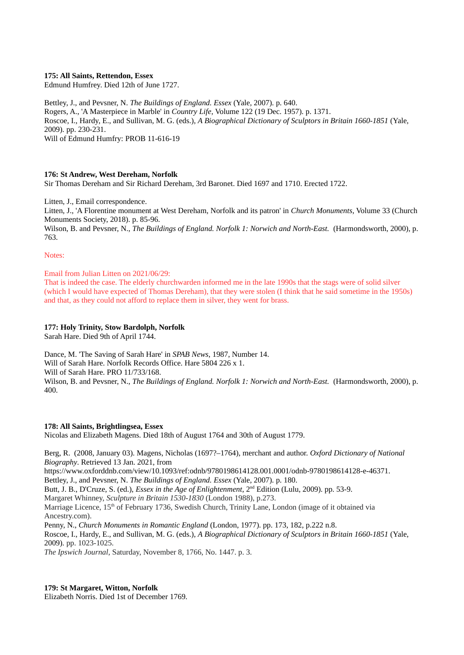## **175: All Saints, Rettendon, Essex**

Edmund Humfrey. Died 12th of June 1727.

Bettley, J., and Pevsner, N. *The Buildings of England. Essex* (Yale, 2007). p. 640. Rogers, A., 'A Masterpiece in Marble' in *Country Life*, Volume 122 (19 Dec. 1957). p. 1371. Roscoe, I., Hardy, E., and Sullivan, M. G. (eds.), *A Biographical Dictionary of Sculptors in Britain 1660-1851* (Yale, 2009). pp. 230-231. Will of Edmund Humfry: PROB 11-616-19

### **176: St Andrew, West Dereham, Norfolk**

Sir Thomas Dereham and Sir Richard Dereham, 3rd Baronet. Died 1697 and 1710. Erected 1722.

Litten, J., Email correspondence. Litten, J., 'A Florentine monument at West Dereham, Norfolk and its patron' in *Church Monuments*, Volume 33 (Church Monuments Society, 2018). p. 85-96. Wilson, B. and Pevsner, N., *The Buildings of England. Norfolk 1: Norwich and North-East.* (Harmondsworth, 2000), p. 763.

Notes:

### Email from Julian Litten on 2021/06/29:

That is indeed the case. The elderly churchwarden informed me in the late 1990s that the stags were of solid silver (which I would have expected of Thomas Dereham), that they were stolen (I think that he said sometime in the 1950s) and that, as they could not afford to replace them in silver, they went for brass.

# **177: Holy Trinity, Stow Bardolph, Norfolk**

Sarah Hare. Died 9th of April 1744.

Dance, M. 'The Saving of Sarah Hare' in *SPAB News*, 1987, Number 14. Will of Sarah Hare. Norfolk Records Office. Hare 5804 226 x 1. Will of Sarah Hare. PRO 11/733/168. Wilson, B. and Pevsner, N., *The Buildings of England. Norfolk 1: Norwich and North-East.* (Harmondsworth, 2000), p. 400.

#### **178: All Saints, Brightlingsea, Essex**

Nicolas and Elizabeth Magens. Died 18th of August 1764 and 30th of August 1779.

Berg, R. (2008, January 03). Magens, Nicholas (1697?–1764), merchant and author. *Oxford Dictionary of National Biography*. Retrieved 13 Jan. 2021, from

https://www.oxforddnb.com/view/10.1093/ref:odnb/9780198614128.001.0001/odnb-9780198614128-e-46371.

Bettley, J., and Pevsner, N. *The Buildings of England. Essex* (Yale, 2007). p. 180.

Butt, J. B., D'Cruze, S. (ed.), *Essex in the Age of Enlightenment*, 2nd Edition (Lulu, 2009). pp. 53-9.

Margaret Whinney, *Sculpture in Britain 1530-1830* (London 1988), p.273.

Marriage Licence, 15<sup>th</sup> of February 1736, Swedish Church, Trinity Lane, London (image of it obtained via Ancestry.com).

Penny, N., *Church Monuments in Romantic England* (London, 1977). pp. 173, 182, p.222 n.8.

Roscoe, I., Hardy, E., and Sullivan, M. G. (eds.), *A Biographical Dictionary of Sculptors in Britain 1660-1851* (Yale, 2009). pp. 1023-1025.

*The Ipswich Journal*, Saturday, November 8, 1766, No. 1447. p. 3.

## **179: St Margaret, Witton, Norfolk**

Elizabeth Norris. Died 1st of December 1769.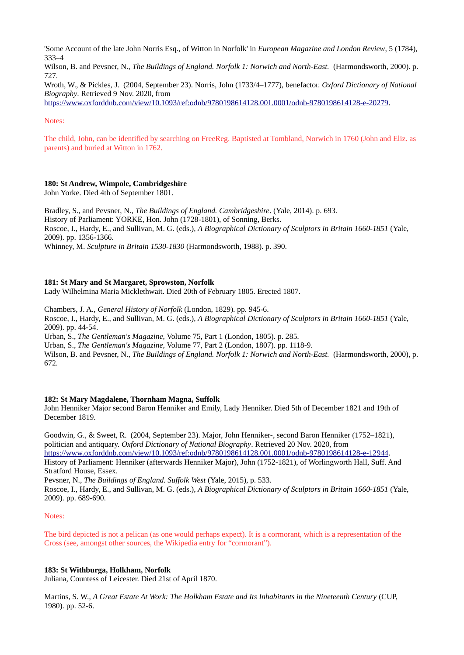'Some Account of the late John Norris Esq., of Witton in Norfolk' in *European Magazine and London Review*, 5 (1784), 333–4

Wilson, B. and Pevsner, N., *The Buildings of England. Norfolk 1: Norwich and North-East.* (Harmondsworth, 2000). p. 727.

Wroth, W., & Pickles, J. (2004, September 23). Norris, John (1733/4–1777), benefactor. *Oxford Dictionary of National Biography*. Retrieved 9 Nov. 2020, from

[https://www.oxforddnb.com/view/10.1093/ref:odnb/9780198614128.001.0001/odnb-9780198614128-e-20279.](https://www.oxforddnb.com/view/10.1093/ref:odnb/9780198614128.001.0001/odnb-9780198614128-e-20279)

### Notes:

The child, John, can be identified by searching on FreeReg. Baptisted at Tombland, Norwich in 1760 (John and Eliz. as parents) and buried at Witton in 1762.

### **180: St Andrew, Wimpole, Cambridgeshire**

John Yorke. Died 4th of September 1801.

Bradley, S., and Pevsner, N., *The Buildings of England. Cambridgeshire*. (Yale, 2014). p. 693. History of Parliament: YORKE, Hon. John (1728-1801), of Sonning, Berks. Roscoe, I., Hardy, E., and Sullivan, M. G. (eds.), *A Biographical Dictionary of Sculptors in Britain 1660-1851* (Yale, 2009). pp. 1356-1366.

Whinney, M. *Sculpture in Britain 1530-1830* (Harmondsworth, 1988). p. 390.

#### **181: St Mary and St Margaret, Sprowston, Norfolk**

Lady Wilhelmina Maria Micklethwait. Died 20th of February 1805. Erected 1807.

Chambers, J. A., *General History of Norfolk* (London, 1829). pp. 945-6.

Roscoe, I., Hardy, E., and Sullivan, M. G. (eds.), *A Biographical Dictionary of Sculptors in Britain 1660-1851* (Yale, 2009). pp. 44-54.

Urban, S., *The Gentleman's Magazine*, Volume 75, Part 1 (London, 1805). p. 285.

Urban, S., *The Gentleman's Magazine*, Volume 77, Part 2 (London, 1807). pp. 1118-9.

Wilson, B. and Peysner, N., *The Buildings of England. Norfolk 1: Norwich and North-East.* (Harmondsworth, 2000), p. 672.

#### **182: St Mary Magdalene, Thornham Magna, Suffolk**

John Henniker Major second Baron Henniker and Emily, Lady Henniker. Died 5th of December 1821 and 19th of December 1819.

Goodwin, G., & Sweet, R. (2004, September 23). Major, John Henniker-, second Baron Henniker (1752–1821), politician and antiquary. *Oxford Dictionary of National Biography*. Retrieved 20 Nov. 2020, from [https://www.oxforddnb.com/view/10.1093/ref:odnb/9780198614128.001.0001/odnb-9780198614128-e-12944.](https://www.oxforddnb.com/view/10.1093/ref:odnb/9780198614128.001.0001/odnb-9780198614128-e-12944) History of Parliament: Henniker (afterwards Henniker Major), John (1752-1821), of Worlingworth Hall, Suff. And Stratford House, Essex.

Pevsner, N., *The Buildings of England. Suffolk West* (Yale, 2015), p. 533.

Roscoe, I., Hardy, E., and Sullivan, M. G. (eds.), *A Biographical Dictionary of Sculptors in Britain 1660-1851* (Yale, 2009). pp. 689-690.

### Notes:

The bird depicted is not a pelican (as one would perhaps expect). It is a cormorant, which is a representation of the Cross (see, amongst other sources, the Wikipedia entry for "cormorant").

#### **183: St Withburga, Holkham, Norfolk**

Juliana, Countess of Leicester. Died 21st of April 1870.

Martins, S. W., *A Great Estate At Work: The Holkham Estate and Its Inhabitants in the Nineteenth Century* (CUP, 1980). pp. 52-6.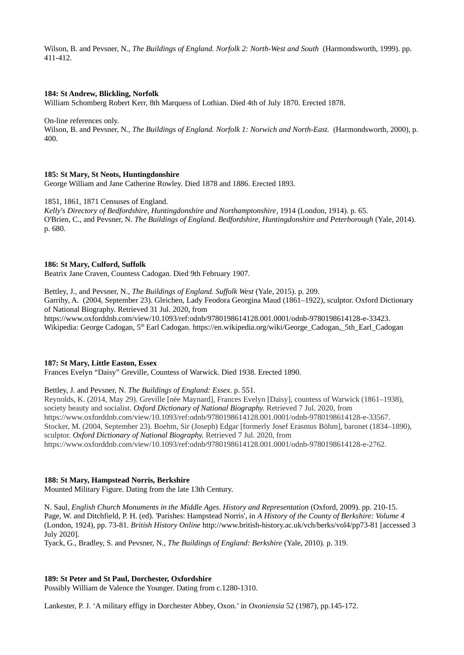Wilson, B. and Pevsner, N., *The Buildings of England. Norfolk 2: North-West and South* (Harmondsworth, 1999). pp. 411-412.

### **184: St Andrew, Blickling, Norfolk**

William Schomberg Robert Kerr, 8th Marquess of Lothian. Died 4th of July 1870. Erected 1878.

On-line references only.

Wilson, B. and Pevsner, N., *The Buildings of England. Norfolk 1: Norwich and North-East.* (Harmondsworth, 2000), p. 400.

### **185: St Mary, St Neots, Huntingdonshire**

George William and Jane Catherine Rowley. Died 1878 and 1886. Erected 1893.

1851, 1861, 1871 Censuses of England.

*Kelly's Directory of Bedfordshire, Huntingdonshire and Northamptonshire*, 1914 (London, 1914). p. 65. O'Brien, C., and Pevsner, N. *The Buildings of England. Bedfordshire, Huntingdonshire and Peterborough* (Yale, 2014). p. 680.

#### **186: St Mary, Culford, Suffolk**

Beatrix Jane Craven, Countess Cadogan. Died 9th February 1907.

Bettley, J., and Pevsner, N., *The Buildings of England. Suffolk West* (Yale, 2015). p. 209. Garrihy, A. (2004, September 23). Gleichen, Lady Feodora Georgina Maud (1861–1922), sculptor. Oxford Dictionary of National Biography. Retrieved 31 Jul. 2020, from https://www.oxforddnb.com/view/10.1093/ref:odnb/9780198614128.001.0001/odnb-9780198614128-e-33423. Wikipedia: George Cadogan, 5<sup>th</sup> Earl Cadogan. https://en.wikipedia.org/wiki/George\_Cadogan,\_5th\_Earl\_Cadogan

### **187: St Mary, Little Easton, Essex**

Frances Evelyn "Daisy" Greville, Countess of Warwick. Died 1938. Erected 1890.

Bettley, J. and Pevsner, N. *The Buildings of England: Essex*. p. 551.

Reynolds, K. (2014, May 29). Greville [née Maynard], Frances Evelyn [Daisy], countess of Warwick (1861–1938), society beauty and socialist. *Oxford Dictionary of National Biography.* Retrieved 7 Jul. 2020, from [https://www.oxforddnb.com/view/10.1093/ref:odnb/9780198614128.001.0001/odnb-9780198614128-e-33567.](https://www.oxforddnb.com/view/10.1093/ref:odnb/9780198614128.001.0001/odnb-9780198614128-e-33567) Stocker, M. (2004, September 23). Boehm, Sir (Joseph) Edgar [formerly Josef Erasmus Böhm], baronet (1834–1890), sculptor. *Oxford Dictionary of National Biography.* Retrieved 7 Jul. 2020, from [https://www.oxforddnb.com/view/10.1093/ref:odnb/9780198614128.001.0001/odnb-9780198614128-e-2762.](https://www.oxforddnb.com/view/10.1093/ref:odnb/9780198614128.001.0001/odnb-9780198614128-e-2762)

## **188: St Mary, Hampstead Norris, Berkshire**

Mounted Military Figure. Dating from the late 13th Century.

N. Saul, *English Church Monuments in the Middle Ages. History and Representation* (Oxford, 2009). pp. 210-15. Page, W. and Ditchfield, P. H. (ed). 'Parishes: Hampstead Norris', in *A History of the County of Berkshire: Volume 4*  (London, 1924), pp. 73-81. *British History Online* http://www.british-history.ac.uk/vch/berks/vol4/pp73-81 [accessed 3 July 2020].

Tyack, G., Bradley, S. and Pevsner, N., *The Buildings of England: Berkshire* (Yale, 2010). p. 319.

#### **189: St Peter and St Paul, Dorchester, Oxfordshire**

Possibly William de Valence the Younger. Dating from c.1280-1310.

Lankester, P. J. 'A military effigy in Dorchester Abbey, Oxon.' in *Oxoniensia* 52 (1987), pp.145-172.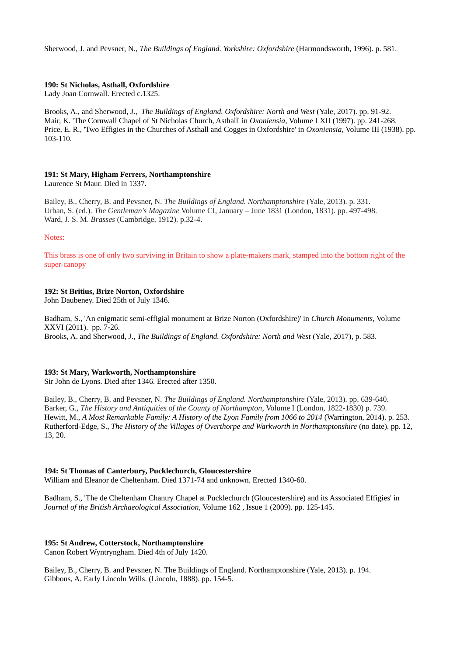Sherwood, J. and Pevsner, N., *The Buildings of England. Yorkshire: Oxfordshire* (Harmondsworth, 1996). p. 581.

## **190: St Nicholas, Asthall, Oxfordshire**

Lady Joan Cornwall. Erected c.1325.

Brooks, A., and Sherwood, J., *The Buildings of England. Oxfordshire: North and West* (Yale, 2017). pp. 91-92. Mair, K. 'The Cornwall Chapel of St Nicholas Church, Asthall' in *Oxoniensia*, Volume LXII (1997). pp. 241-268. Price, E. R., 'Two Effigies in the Churches of Asthall and Cogges in Oxfordshire' in *Oxoniensia*, Volume III (1938). pp. 103-110.

#### **191: St Mary, Higham Ferrers, Northamptonshire** Laurence St Maur. Died in 1337.

Bailey, B., Cherry, B. and Pevsner, N. *The Buildings of England. Northamptonshire* (Yale, 2013). p. 331. Urban, S. (ed.). *The Gentleman's Magazine* Volume CI, January – June 1831 (London, 1831). pp. 497-498. Ward, J. S. M. *Brasses* (Cambridge, 1912). p.32-4.

Notes:

This brass is one of only two surviving in Britain to show a plate-makers mark, stamped into the bottom right of the super-canopy

# **192: St Britius, Brize Norton, Oxfordshire**

John Daubeney. Died 25th of July 1346.

Badham, S., 'An enigmatic semi-effigial monument at Brize Norton (Oxfordshire)' in *Church Monuments*, Volume XXVI (2011). pp. 7-26. Brooks, A. and Sherwood, J., *The Buildings of England. Oxfordshire: North and West* (Yale, 2017), p. 583.

## **193: St Mary, Warkworth, Northamptonshire**

Sir John de Lyons. Died after 1346. Erected after 1350.

Bailey, B., Cherry, B. and Pevsner, N. *The Buildings of England. Northamptonshire* (Yale, 2013). pp. 639-640. Barker, G., *The History and Antiquities of the County of Northampton*, Volume I (London, 1822-1830) p. 739. Hewitt, M., *A Most Remarkable Family: A History of the Lyon Family from 1066 to 2014* (Warrington, 2014). p. 253. Rutherford-Edge, S., *The History of the Villages of Overthorpe and Warkworth in Northamptonshire* (no date). pp. 12, 13, 20.

## **194: St Thomas of Canterbury, Pucklechurch, Gloucestershire**

William and Eleanor de Cheltenham. Died 1371-74 and unknown. Erected 1340-60.

Badham, S., 'The de Cheltenham Chantry Chapel at Pucklechurch (Gloucestershire) and its Associated Effigies' in *Journal of the British Archaeological Association*, Volume 162 , Issue 1 (2009). pp. 125-145.

## **195: St Andrew, Cotterstock, Northamptonshire**

Canon Robert Wyntryngham. Died 4th of July 1420.

Bailey, B., Cherry, B. and Pevsner, N. The Buildings of England. Northamptonshire (Yale, 2013). p. 194. Gibbons, A. Early Lincoln Wills. (Lincoln, 1888). pp. 154-5.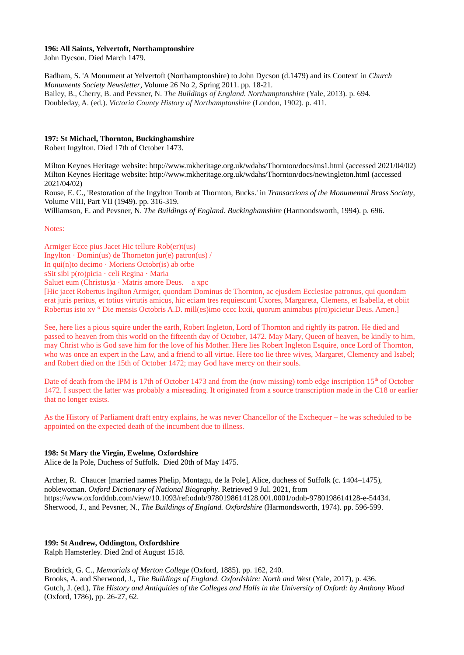### **196: All Saints, Yelvertoft, Northamptonshire**

John Dycson. Died March 1479.

Badham, S. 'A Monument at Yelvertoft (Northamptonshire) to John Dycson (d.1479) and its Context' in *Church Monuments Society Newsletter*, Volume 26 No 2, Spring 2011. pp. 18-21. Bailey, B., Cherry, B. and Pevsner, N. *The Buildings of England. Northamptonshire* (Yale, 2013). p. 694. Doubleday, A. (ed.). *Victoria County History of Northamptonshire* (London, 1902). p. 411.

## **197: St Michael, Thornton, Buckinghamshire**

Robert Ingylton. Died 17th of October 1473.

Milton Keynes Heritage website: http://www.mkheritage.org.uk/wdahs/Thornton/docs/ms1.html (accessed 2021/04/02) Milton Keynes Heritage website: http://www.mkheritage.org.uk/wdahs/Thornton/docs/newingleton.html (accessed 2021/04/02)

Rouse, E. C., 'Restoration of the Ingylton Tomb at Thornton, Bucks.' in *Transactions of the Monumental Brass Society*, Volume VIII, Part VII (1949). pp. 316-319.

Williamson, E. and Pevsner, N. *The Buildings of England. Buckinghamshire* (Harmondsworth, 1994). p. 696.

Notes:

Armiger Ecce pius Jacet Hic tellure Rob(er)t(us) Ingylton  $\cdot$  Domin(us) de Thorneton jur(e) patron(us) / In  $qui(n)$ to decimo · Moriens Octobr(is) ab orbe sSit sibi p(ro)picia · celi Regina · Maria Saluet eum (Christus)a · Matris amore Deus. a xpc [Hic jacet Robertus Ingilton Armiger, quondam Dominus de Thornton, ac ejusdem Ecclesiae patronus, qui quondam erat juris peritus, et totius virtutis amicus, hic eciam tres requiescunt Uxores, Margareta, Clemens, et Isabella, et obiit

Robertus isto xv ° Die mensis Octobris A.D. mill(es)imo cccc lxxii, quorum animabus p(ro)picietur Deus. Amen.] See, here lies a pious squire under the earth, Robert Ingleton, Lord of Thornton and rightly its patron. He died and

passed to heaven from this world on the fifteenth day of October, 1472. May Mary, Queen of heaven, be kindly to him, may Christ who is God save him for the love of his Mother. Here lies Robert Ingleton Esquire, once Lord of Thornton, who was once an expert in the Law, and a friend to all virtue. Here too lie three wives, Margaret, Clemency and Isabel; and Robert died on the 15th of October 1472; may God have mercy on their souls.

Date of death from the IPM is 17th of October 1473 and from the (now missing) tomb edge inscription  $15<sup>th</sup>$  of October 1472. I suspect the latter was probably a misreading. It originated from a source transcription made in the C18 or earlier that no longer exists.

As the History of Parliament draft entry explains, he was never Chancellor of the Exchequer – he was scheduled to be appointed on the expected death of the incumbent due to illness.

## **198: St Mary the Virgin, Ewelme, Oxfordshire**

Alice de la Pole, Duchess of Suffolk. Died 20th of May 1475.

Archer, R. Chaucer [married names Phelip, Montagu, de la Pole], Alice, duchess of Suffolk (c. 1404–1475), noblewoman. *Oxford Dictionary of National Biography*. Retrieved 9 Jul. 2021, from https://www.oxforddnb.com/view/10.1093/ref:odnb/9780198614128.001.0001/odnb-9780198614128-e-54434. Sherwood, J., and Pevsner, N., *The Buildings of England. Oxfordshire* (Harmondsworth, 1974). pp. 596-599.

## **199: St Andrew, Oddington, Oxfordshire**

Ralph Hamsterley. Died 2nd of August 1518.

Brodrick, G. C., *Memorials of Merton College* (Oxford, 1885). pp. 162, 240. Brooks, A. and Sherwood, J., *The Buildings of England. Oxfordshire: North and West* (Yale, 2017), p. 436. Gutch, J. (ed.), *The History and Antiquities of the Colleges and Halls in the University of Oxford: by Anthony Wood* (Oxford, 1786), pp. 26-27, 62.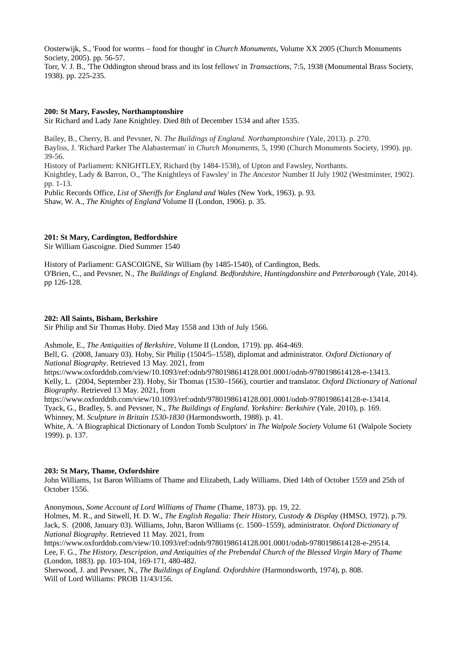Oosterwijk, S., 'Food for worms – food for thought' in *Church Monuments*, Volume XX 2005 (Church Monuments Society, 2005). pp. 56-57.

Torr, V. J. B., 'The Oddington shroud brass and its lost fellows' in *Transactions*, 7:5, 1938 (Monumental Brass Society, 1938). pp. 225-235.

## **200: St Mary, Fawsley, Northamptonshire**

Sir Richard and Lady Jane Knightley. Died 8th of December 1534 and after 1535.

Bailey, B., Cherry, B. and Pevsner, N. *The Buildings of England. Northamptonshire* (Yale, 2013). p. 270. Bayliss, J. 'Richard Parker The Alabasterman' in *Church Monuments,* 5, 1990 (Church Monuments Society, 1990). pp. 39-56. History of Parliament: KNIGHTLEY, Richard (by 1484-1538), of Upton and Fawsley, Northants. Knightley, Lady & Barron, O., 'The Knightleys of Fawsley' in *The Ancestor* Number II July 1902 (Westminster, 1902).

pp. 1-13.

Public Records Office, *List of Sheriffs for England and Wales* (New York, 1963). p. 93. Shaw, W. A., *The Knights of England* Volume II (London, 1906). p. 35.

## **201: St Mary, Cardington, Bedfordshire**

Sir William Gascoigne. Died Summer 1540

History of Parliament: GASCOIGNE, Sir William (by 1485-1540), of Cardington, Beds. O'Brien, C., and Pevsner, N., *The Buildings of England. Bedfordshire, Huntingdonshire and Peterborough* (Yale, 2014). pp 126-128.

## **202: All Saints, Bisham, Berkshire**

Sir Philip and Sir Thomas Hoby. Died May 1558 and 13th of July 1566.

Ashmole, E., *The Antiquities of Berkshire*, Volume II (London, 1719). pp. 464-469.

Bell, G. (2008, January 03). Hoby, Sir Philip (1504/5–1558), diplomat and administrator. *Oxford Dictionary of National Biography*. Retrieved 13 May. 2021, from

https://www.oxforddnb.com/view/10.1093/ref:odnb/9780198614128.001.0001/odnb-9780198614128-e-13413.

Kelly, L. (2004, September 23). Hoby, Sir Thomas (1530–1566), courtier and translator. *Oxford Dictionary of National Biography*. Retrieved 13 May. 2021, from

https://www.oxforddnb.com/view/10.1093/ref:odnb/9780198614128.001.0001/odnb-9780198614128-e-13414.

Tyack, G., Bradley, S. and Pevsner, N., *The Buildings of England. Yorkshire: Berkshire* (Yale, 2010), p. 169.

Whinney, M. *Sculpture in Britain 1530-1830* (Harmondsworth, 1988). p. 41.

White, A. 'A Biographical Dictionary of London Tomb Sculptors' in *The Walpole Society* Volume 61 (Walpole Society 1999). p. 137.

## **203: St Mary, Thame, Oxfordshire**

John Williams, 1st Baron Williams of Thame and Elizabeth, Lady Williams. Died 14th of October 1559 and 25th of October 1556.

Anonymous, *Some Account of Lord Williams of Thame* (Thame, 1873). pp. 19, 22.

Holmes, M. R., and Sitwell, H. D. W., *The English Regalia: Their History, Custody & Display* (HMSO, 1972). p.79. Jack, S. (2008, January 03). Williams, John, Baron Williams (c. 1500–1559), administrator. *Oxford Dictionary of National Biography*. Retrieved 11 May. 2021, from

https://www.oxforddnb.com/view/10.1093/ref:odnb/9780198614128.001.0001/odnb-9780198614128-e-29514. Lee, F. G., *The History, Description, and Antiquities of the Prebendal Church of the Blessed Virgin Mary of Thame* (London, 1883). pp. 103-104, 169-171, 480-482.

Sherwood, J. and Pevsner, N., *The Buildings of England. Oxfordshire* (Harmondsworth, 1974), p. 808. Will of Lord Williams: PROB 11/43/156.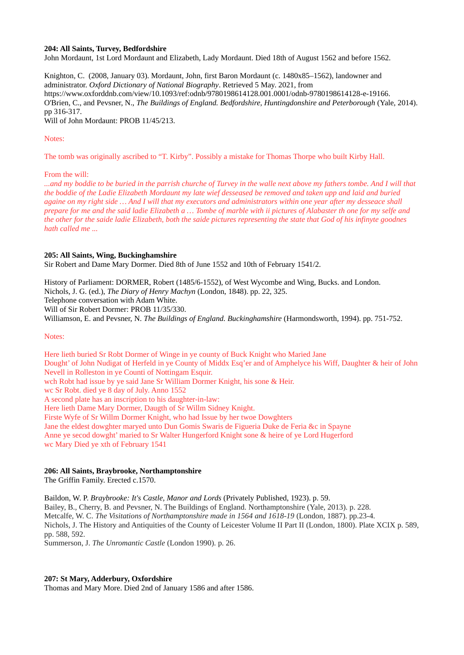### **204: All Saints, Turvey, Bedfordshire**

John Mordaunt, 1st Lord Mordaunt and Elizabeth, Lady Mordaunt. Died 18th of August 1562 and before 1562.

Knighton, C. (2008, January 03). Mordaunt, John, first Baron Mordaunt (c. 1480x85–1562), landowner and administrator. *Oxford Dictionary of National Biography*. Retrieved 5 May. 2021, from https://www.oxforddnb.com/view/10.1093/ref:odnb/9780198614128.001.0001/odnb-9780198614128-e-19166. O'Brien, C., and Pevsner, N., *The Buildings of England. Bedfordshire, Huntingdonshire and Peterborough* (Yale, 2014). pp 316-317.

Will of John Mordaunt: PROB 11/45/213.

## Notes:

The tomb was originally ascribed to "T. Kirby". Possibly a mistake for Thomas Thorpe who built Kirby Hall.

From the will:

*...and my boddie to be buried in the parrish churche of Turvey in the walle next above my fathers tombe. And I will that the boddie of the Ladie Elizabeth Mordaunt my late wief desseased be removed and taken upp and laid and buried againe on my right side … And I will that my executors and administrators within one year after my desseace shall prepare for me and the said ladie Elizabeth a … Tombe of marble with ii pictures of Alabaster th one for my selfe and the other for the saide ladie Elizabeth, both the saide pictures representing the state that God of his infinyte goodnes hath called me ...*

### **205: All Saints, Wing, Buckinghamshire**

Sir Robert and Dame Mary Dormer. Died 8th of June 1552 and 10th of February 1541/2.

History of Parliament: DORMER, Robert (1485/6-1552), of West Wycombe and Wing, Bucks. and London.

Nichols, J. G. (ed.), *The Diary of Henry Machyn* (London, 1848). pp. 22, 325.

Telephone conversation with Adam White.

Will of Sir Robert Dormer: PROB 11/35/330.

Williamson, E. and Pevsner, N. *The Buildings of England. Buckinghamshire* (Harmondsworth, 1994). pp. 751-752.

### Notes:

Here lieth buried Sr Robt Dormer of Winge in ye county of Buck Knight who Maried Jane Dought' of John Nudigat of Herfeld in ye County of Middx Esq'er and of Amphelyce his Wiff, Daughter & heir of John Nevell in Rolleston in ye Counti of Nottingam Esquir. wch Robt had issue by ye said Jane Sr William Dormer Knight, his sone & Heir. wc Sr Robt. died ye 8 day of July. Anno 1552 A second plate has an inscription to his daughter-in-law: Here lieth Dame Mary Dormer, Daugth of Sr Willm Sidney Knight. Firste Wyfe of Sr Willm Dormer Knight, who had Issue by her twoe Dowghters Jane the eldest dowghter maryed unto Dun Gomis Swaris de Figueria Duke de Feria &c in Spayne Anne ye secod dowght' maried to Sr Walter Hungerford Knight sone & heire of ye Lord Hugerford wc Mary Died ye xth of February 1541

## **206: All Saints, Braybrooke, Northamptonshire**

The Griffin Family. Erected c.1570.

Baildon, W. P. *Braybrooke: It's Castle, Manor and Lords* (Privately Published, 1923). p. 59. Bailey, B., Cherry, B. and Pevsner, N. The Buildings of England. Northamptonshire (Yale, 2013). p. 228. Metcalfe, W. C. *The Visitations of Northamptonshire made in 1564 and 1618-19* (London, 1887). pp.23-4. Nichols, J. The History and Antiquities of the County of Leicester Volume II Part II (London, 1800). Plate XCIX p. 589, pp. 588, 592.

Summerson, J. *The Unromantic Castle* (London 1990). p. 26.

## **207: St Mary, Adderbury, Oxfordshire**

Thomas and Mary More. Died 2nd of January 1586 and after 1586.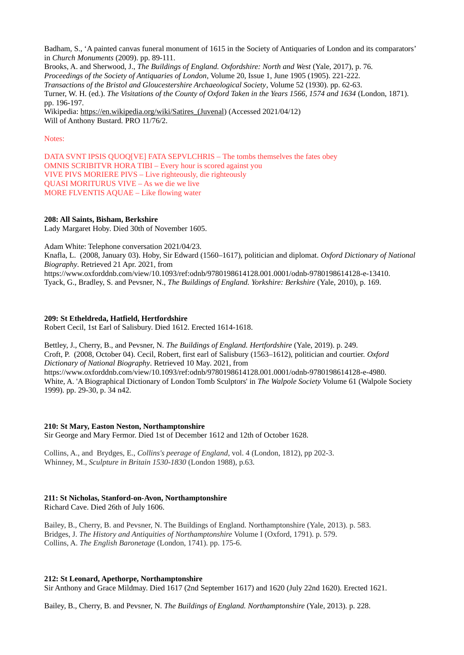Badham, S., 'A painted canvas funeral monument of 1615 in the Society of Antiquaries of London and its comparators' in *Church Monuments* (2009). pp. 89-111. Brooks, A. and Sherwood, J., *The Buildings of England. Oxfordshire: North and West* (Yale, 2017), p. 76. *Proceedings of the Society of Antiquaries of London*, Volume 20, Issue 1, June 1905 (1905). 221-222. *Transactions of the Bristol and Gloucestershire Archaeological Society*, Volume 52 (1930). pp. 62-63. Turner, W. H. (ed.). *The Visitations of the County of Oxford Taken in the Years 1566, 1574 and 1634* (London, 1871). pp. 196-197. Wikipedia: [https://en.wikipedia.org/wiki/Satires\\_\(Juvenal\)](https://en.wikipedia.org/wiki/Satires_(Juvenal) (Accessed 2021/04/12) Will of Anthony Bustard. PRO 11/76/2.

## Notes:

DATA SVNT IPSIS QUOQ[VE] FATA SEPVLCHRIS – The tombs themselves the fates obey OMNIS SCRIBITVR HORA TIBI – Every hour is scored against you VIVE PIVS MORIERE PIVS – Live righteously, die righteously QUASI MORITURUS VIVE – As we die we live MORE FLVENTIS AQUAE – Like flowing water

## **208: All Saints, Bisham, Berkshire**

Lady Margaret Hoby. Died 30th of November 1605.

Adam White: Telephone conversation 2021/04/23.

Knafla, L. (2008, January 03). Hoby, Sir Edward (1560–1617), politician and diplomat. *Oxford Dictionary of National Biography*. Retrieved 21 Apr. 2021, from

https://www.oxforddnb.com/view/10.1093/ref:odnb/9780198614128.001.0001/odnb-9780198614128-e-13410. Tyack, G., Bradley, S. and Pevsner, N., *The Buildings of England. Yorkshire: Berkshire* (Yale, 2010), p. 169.

### **209: St Etheldreda, Hatfield, Hertfordshire**

Robert Cecil, 1st Earl of Salisbury. Died 1612. Erected 1614-1618.

Bettley, J., Cherry, B., and Pevsner, N. *The Buildings of England. Hertfordshire* (Yale, 2019). p. 249. Croft, P. (2008, October 04). Cecil, Robert, first earl of Salisbury (1563–1612), politician and courtier. *Oxford Dictionary of National Biography*. Retrieved 10 May. 2021, from https://www.oxforddnb.com/view/10.1093/ref:odnb/9780198614128.001.0001/odnb-9780198614128-e-4980. White, A. 'A Biographical Dictionary of London Tomb Sculptors' in *The Walpole Society* Volume 61 (Walpole Society 1999). pp. 29-30, p. 34 n42.

## **210: St Mary, Easton Neston, Northamptonshire**

Sir George and Mary Fermor. Died 1st of December 1612 and 12th of October 1628.

Collins, A., and Brydges, E., *Collins's peerage of England*, vol. 4 (London, 1812), pp 202-3. Whinney, M., *Sculpture in Britain 1530-1830* (London 1988), p.63.

## **211: St Nicholas, Stanford-on-Avon, Northamptonshire**

Richard Cave. Died 26th of July 1606.

Bailey, B., Cherry, B. and Pevsner, N. The Buildings of England. Northamptonshire (Yale, 2013). p. 583. Bridges, J. *The History and Antiquities of Northamptonshire* Volume I (Oxford, 1791). p. 579. Collins, A. *The English Baronetage* (London, 1741). pp. 175-6.

## **212: St Leonard, Apethorpe, Northamptonshire**

Sir Anthony and Grace Mildmay. Died 1617 (2nd September 1617) and 1620 (July 22nd 1620). Erected 1621.

Bailey, B., Cherry, B. and Pevsner, N. *The Buildings of England. Northamptonshire* (Yale, 2013). p. 228.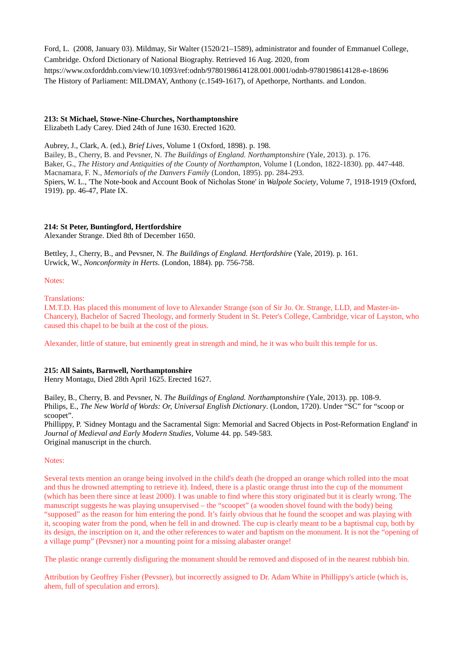Ford, L. (2008, January 03). Mildmay, Sir Walter (1520/21–1589), administrator and founder of Emmanuel College, Cambridge. Oxford Dictionary of National Biography. Retrieved 16 Aug. 2020, from https://www.oxforddnb.com/view/10.1093/ref:odnb/9780198614128.001.0001/odnb-9780198614128-e-18696 The History of Parliament: MILDMAY, Anthony (c.1549-1617), of Apethorpe, Northants. and London.

# **213: St Michael, Stowe-Nine-Churches, Northamptonshire**

Elizabeth Lady Carey. Died 24th of June 1630. Erected 1620.

Aubrey, J., Clark, A. (ed.), *Brief Lives*, Volume 1 (Oxford, 1898). p. 198. Bailey, B., Cherry, B. and Pevsner, N. *The Buildings of England. Northamptonshire* (Yale, 2013). p. 176. Baker, G., *The History and Antiquities of the County of Northampton*, Volume I (London, 1822-1830). pp. 447-448. Macnamara, F. N., *Memorials of the Danvers Family* (London, 1895). pp. 284-293. Spiers, W. L., 'The Note-book and Account Book of Nicholas Stone' in *Walpole Society*, Volume 7, 1918-1919 (Oxford, 1919). pp. 46-47, Plate IX.

# **214: St Peter, Buntingford, Hertfordshire**

Alexander Strange. Died 8th of December 1650.

Bettley, J., Cherry, B., and Pevsner, N. *The Buildings of England. Hertfordshire* (Yale, 2019). p. 161. Urwick, W., *Nonconformity in Herts*. (London, 1884). pp. 756-758.

Notes:

Translations:

I.M.T.D. Has placed this monument of love to Alexander Strange (son of Sir Jo. Or. Strange, LLD, and Master-in-Chancery), Bachelor of Sacred Theology, and formerly Student in St. Peter's College, Cambridge, vicar of Layston, who caused this chapel to be built at the cost of the pious.

Alexander, little of stature, but eminently great in strength and mind, he it was who built this temple for us.

## **215: All Saints, Barnwell, Northamptonshire**

Henry Montagu, Died 28th April 1625. Erected 1627.

Bailey, B., Cherry, B. and Pevsner, N. *The Buildings of England. Northamptonshire* (Yale, 2013). pp. 108-9. Philips, E., *The New World of Words: Or, Universal English Dictionary*. (London, 1720). Under "SC" for "scoop or scoopet".

Phillippy, P. 'Sidney Montagu and the Sacramental Sign: Memorial and Sacred Objects in Post-Reformation England' in *Journal of Medieval and Early Modern Studies*, Volume 44. pp. 549-583. Original manuscript in the church.

## Notes:

Several texts mention an orange being involved in the child's death (he dropped an orange which rolled into the moat and thus he drowned attempting to retrieve it). Indeed, there is a plastic orange thrust into the cup of the monument (which has been there since at least 2000). I was unable to find where this story originated but it is clearly wrong. The manuscript suggests he was playing unsupervised – the "scoopet" (a wooden shovel found with the body) being "supposed" as the reason for him entering the pond. It's fairly obvious that he found the scoopet and was playing with it, scooping water from the pond, when he fell in and drowned. The cup is clearly meant to be a baptismal cup, both by its design, the inscription on it, and the other references to water and baptism on the monument. It is not the "opening of a village pump" (Pevsner) nor a mounting point for a missing alabaster orange!

The plastic orange currently disfiguring the monument should be removed and disposed of in the nearest rubbish bin.

Attribution by Geoffrey Fisher (Pevsner), but incorrectly assigned to Dr. Adam White in Phillippy's article (which is, ahem, full of speculation and errors).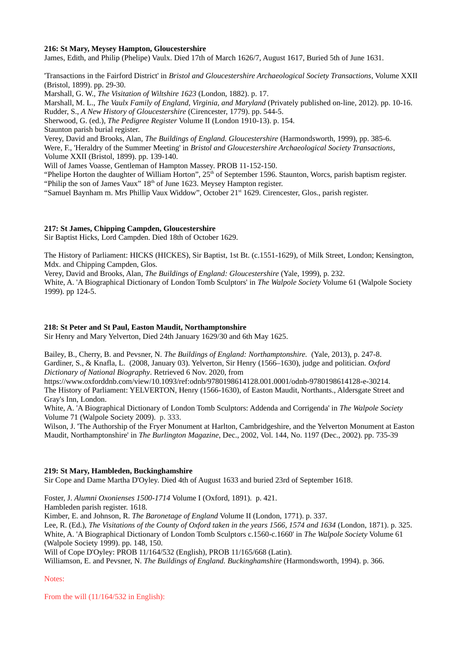### **216: St Mary, Meysey Hampton, Gloucestershire**

James, Edith, and Philip (Phelipe) Vaulx. Died 17th of March 1626/7, August 1617, Buried 5th of June 1631.

'Transactions in the Fairford District' in *Bristol and Gloucestershire Archaeological Society Transactions*, Volume XXII (Bristol, 1899). pp. 29-30.

Marshall, G. W., *The Visitation of Wiltshire 1623* (London, 1882). p. 17.

Marshall, M. L., *The Vaulx Family of England, Virginia, and Maryland* (Privately published on-line, 2012). pp. 10-16. Rudder, S., *A New History of Gloucestershire* (Cirencester, 1779). pp. 544-5.

Sherwood, G. (ed.), *The Pedigree Register* Volume II (London 1910-13). p. 154.

Staunton parish burial register.

Verey, David and Brooks, Alan, *The Buildings of England. Gloucestershire* (Harmondsworth, 1999), pp. 385-6. Were, F., 'Heraldry of the Summer Meeting' in *Bristol and Gloucestershire Archaeological Society Transactions*, Volume XXII (Bristol, 1899). pp. 139-140.

Will of James Voasse, Gentleman of Hampton Massey. PROB 11-152-150.

"Phelipe Horton the daughter of William Horton",  $25<sup>th</sup>$  of September 1596. Staunton, Worcs, parish baptism register. "Philip the son of James Vaux"  $18<sup>th</sup>$  of June 1623. Meysey Hampton register.

"Samuel Baynham m. Mrs Phillip Vaux Widdow", October 21<sup>st</sup> 1629. Cirencester, Glos., parish register.

## **217: St James, Chipping Campden, Gloucestershire**

Sir Baptist Hicks, Lord Campden. Died 18th of October 1629.

The History of Parliament: HICKS (HICKES), Sir Baptist, 1st Bt. (c.1551-1629), of Milk Street, London; Kensington, Mdx. and Chipping Campden, Glos.

Verey, David and Brooks, Alan, *The Buildings of England: Gloucestershire* (Yale, 1999), p. 232.

White, A. 'A Biographical Dictionary of London Tomb Sculptors' in *The Walpole Society* Volume 61 (Walpole Society 1999). pp 124-5.

#### **218: St Peter and St Paul, Easton Maudit, Northamptonshire**

Sir Henry and Mary Yelverton, Died 24th January 1629/30 and 6th May 1625.

Bailey, B., Cherry, B. and Pevsner, N. *The Buildings of England: Northamptonshire.* (Yale, 2013), p. 247-8. Gardiner, S., & Knafla, L. (2008, January 03). Yelverton, Sir Henry (1566–1630), judge and politician. *Oxford Dictionary of National Biography*. Retrieved 6 Nov. 2020, from

https://www.oxforddnb.com/view/10.1093/ref:odnb/9780198614128.001.0001/odnb-9780198614128-e-30214. The History of Parliament: YELVERTON, Henry (1566-1630), of Easton Maudit, Northants., Aldersgate Street and Gray's Inn, London.

White, A. 'A Biographical Dictionary of London Tomb Sculptors: Addenda and Corrigenda' in *The Walpole Society* Volume 71 (Walpole Society 2009). p. 333.

Wilson, J. 'The Authorship of the Fryer Monument at Harlton, Cambridgeshire, and the Yelverton Monument at Easton Maudit, Northamptonshire' in *The Burlington Magazine*, Dec., 2002, Vol. 144, No. 1197 (Dec., 2002). pp. 735-39

## **219: St Mary, Hambleden, Buckinghamshire**

Sir Cope and Dame Martha D'Oyley. Died 4th of August 1633 and buried 23rd of September 1618.

Foster, J. *Alumni Oxonienses 1500-1714* Volume I (Oxford, 1891). p. 421.

Hambleden parish register. 1618.

Kimber, E. and Johnson, R. *The Baronetage of England* Volume II (London, 1771). p. 337.

Lee, R. (Ed.), *The Visitations of the County of Oxford taken in the years 1566, 1574 and 1634* (London, 1871). p. 325. White, A. 'A Biographical Dictionary of London Tomb Sculptors c.1560-c.1660' in *The Walpole Society* Volume 61 (Walpole Society 1999). pp. 148, 150.

Will of Cope D'Oyley: PROB 11/164/532 (English), PROB 11/165/668 (Latin).

Williamson, E. and Pevsner, N. *The Buildings of England. Buckinghamshire* (Harmondsworth, 1994). p. 366.

Notes:

From the will (11/164/532 in English):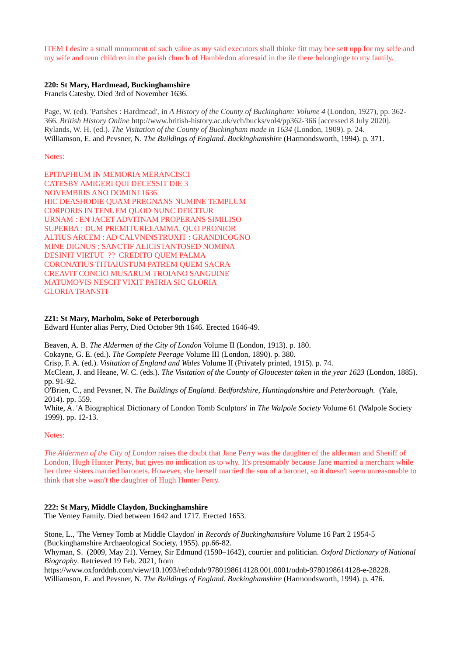ITEM I desire a small monument of such value as my said executors shall thinke fitt may bee sett upp for my selfe and my wife and tenn children in the parish church of Hambledon aforesaid in the ile there belonginge to my family.

# **220: St Mary, Hardmead, Buckinghamshire**

Francis Catesby. Died 3rd of November 1636.

Page, W. (ed). 'Parishes : Hardmead', in *A History of the County of Buckingham: Volume 4* (London, 1927), pp. 362- 366. *British History Online* http://www.british-history.ac.uk/vch/bucks/vol4/pp362-366 [accessed 8 July 2020]. Rylands, W. H. (ed.). *The Visitation of the County of Buckingham made in 1634* (London, 1909). p. 24. Williamson, E. and Pevsner, N. *The Buildings of England. Buckinghamshire* (Harmondsworth, 1994). p. 371.

Notes:

EPITAPHIUM IN MEMORIA MERANCISCI CATESBY AMIGERI QUI DECESSIT DIE 3 NOVEMBRIS ANO DOMINI 1636 HIC DEASHODIE QUAM PREGNANS NUMINE TEMPLUM CORPORIS IN TENUEM QUOD NUNC DEICITUR URNAM : EN JACET ADVITNAM PROPERANS SIMILISO SUPERBA : DUM PREMITURELAMMA, QUO PRONIOR ALTIUS ARCEM : AD CALVNINSTRUXIT : GRANDICOGNO MINE DIGNUS : SANCTIF ALICISTANTOSED NOMINA DESINIT VIRTUT ?? CREDITO QUEM PALMA CORONATIUS TITIAIUSTUM PATREM QUEM SACRA CREAVIT CONCIO MUSARUM TROIANO SANGUINE MATUMOVIS NESCIT VIXIT PATRIA SIC GLORIA GLORIA TRANSTI

## **221: St Mary, Marholm, Soke of Peterborough**

Edward Hunter alias Perry, Died October 9th 1646. Erected 1646-49.

Beaven, A. B. *The Aldermen of the City of London* Volume II (London, 1913). p. 180.

Cokayne, G. E. (ed.). *The Complete Peerage* Volume III (London, 1890). p. 380.

Crisp, F. A. (ed.). *Visitation of England and Wales* Volume II (Privately printed, 1915). p. 74.

McClean, J. and Heane, W. C. (eds.). *The Visitation of the County of Gloucester taken in the year 1623* (London, 1885). pp. 91-92.

O'Brien, C., and Pevsner, N. *The Buildings of England. Bedfordshire, Huntingdonshire and Peterborough.* (Yale, 2014). pp. 559.

White, A. 'A Biographical Dictionary of London Tomb Sculptors' in *The Walpole Society* Volume 61 (Walpole Society 1999). pp. 12-13.

## Notes:

*The Aldermen of the City of London* raises the doubt that Jane Perry was the daughter of the alderman and Sheriff of London, Hugh Hunter Perry, but gives no indication as to why. It's presumably because Jane married a merchant while her three sisters married baronets. However, she herself married the son of a baronet, so it doesn't seem unreasonable to think that she wasn't the daughter of Hugh Hunter Perry.

## **222: St Mary, Middle Claydon, Buckinghamshire**

The Verney Family. Died between 1642 and 1717. Erected 1653.

Stone, L., 'The Verney Tomb at Middle Claydon' in *Records of Buckinghamshire* Volume 16 Part 2 1954-5 (Buckinghamshire Archaeological Society, 1955). pp.66-82.

Whyman, S. (2009, May 21). Verney, Sir Edmund (1590–1642), courtier and politician. *Oxford Dictionary of National Biography*. Retrieved 19 Feb. 2021, from

https://www.oxforddnb.com/view/10.1093/ref:odnb/9780198614128.001.0001/odnb-9780198614128-e-28228.

Williamson, E. and Pevsner, N. *The Buildings of England. Buckinghamshire* (Harmondsworth, 1994). p. 476.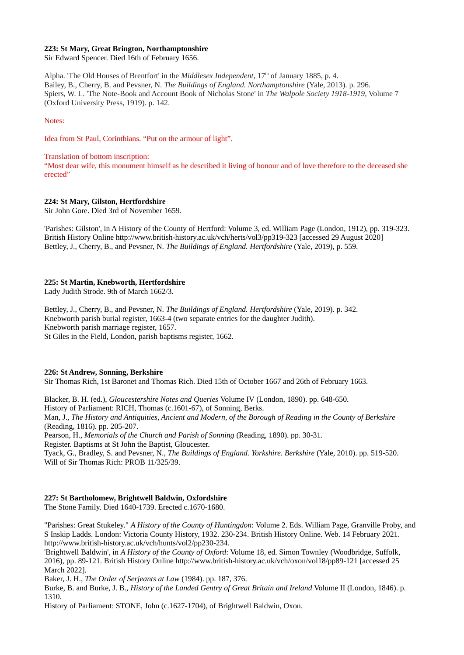## **223: St Mary, Great Brington, Northamptonshire**

Sir Edward Spencer. Died 16th of February 1656.

Alpha. 'The Old Houses of Brentfort' in the *Middlesex Independent*, 17th of January 1885, p. 4. Bailey, B., Cherry, B. and Pevsner, N. *The Buildings of England. Northamptonshire* (Yale, 2013). p. 296. Spiers, W. L. 'The Note-Book and Account Book of Nicholas Stone' in *The Walpole Society 1918-1919*, Volume 7 (Oxford University Press, 1919). p. 142.

Notes:

Idea from St Paul, Corinthians. "Put on the armour of light".

#### Translation of bottom inscription:

"Most dear wife, this monument himself as he described it living of honour and of love therefore to the deceased she erected"

## **224: St Mary, Gilston, Hertfordshire**

Sir John Gore. Died 3rd of November 1659.

'Parishes: Gilston', in A History of the County of Hertford: Volume 3, ed. William Page (London, 1912), pp. 319-323. British History Online http://www.british-history.ac.uk/vch/herts/vol3/pp319-323 [accessed 29 August 2020] Bettley, J., Cherry, B., and Pevsner, N. *The Buildings of England. Hertfordshire* (Yale, 2019), p. 559.

## **225: St Martin, Knebworth, Hertfordshire**

Lady Judith Strode. 9th of March 1662/3.

Bettley, J., Cherry, B., and Pevsner, N. *The Buildings of England. Hertfordshire* (Yale, 2019). p. 342. Knebworth parish burial register, 1663-4 (two separate entries for the daughter Judith). Knebworth parish marriage register, 1657. St Giles in the Field, London, parish baptisms register, 1662.

## **226: St Andrew, Sonning, Berkshire**

Sir Thomas Rich, 1st Baronet and Thomas Rich. Died 15th of October 1667 and 26th of February 1663.

Blacker, B. H. (ed.), *Gloucestershire Notes and Queries* Volume IV (London, 1890). pp. 648-650. History of Parliament: RICH, Thomas (c.1601-67), of Sonning, Berks. Man, J., *The History and Antiquities, Ancient and Modern, of the Borough of Reading in the County of Berkshire* (Reading, 1816). pp. 205-207.

Pearson, H., *Memorials of the Church and Parish of Sonning* (Reading, 1890). pp. 30-31.

Register. Baptisms at St John the Baptist, Gloucester.

Tyack, G., Bradley, S. and Pevsner, N., *The Buildings of England. Yorkshire. Berkshire* (Yale, 2010). pp. 519-520. Will of Sir Thomas Rich: PROB 11/325/39.

# **227: St Bartholomew, Brightwell Baldwin, Oxfordshire**

The Stone Family. Died 1640-1739. Erected c.1670-1680.

"Parishes: Great Stukeley." *A History of the County of Huntingdon*: Volume 2. Eds. William Page, Granville Proby, and S Inskip Ladds. London: Victoria County History, 1932. 230-234. British History Online. Web. 14 February 2021. <http://www.british-history.ac.uk/vch/hunts/vol2/pp230-234>.

'Brightwell Baldwin', in *A History of the County of Oxford*: Volume 18, ed. Simon Townley (Woodbridge, Suffolk, 2016), pp. 89-121. British History Online http://www.british-history.ac.uk/vch/oxon/vol18/pp89-121 [accessed 25 March 2022].

Baker, J. H., *The Order of Serjeants at Law* (1984). pp. 187, 376.

Burke, B. and Burke, J. B., *History of the Landed Gentry of Great Britain and Ireland* Volume II (London, 1846). p. 1310.

History of Parliament: STONE, John (c.1627-1704), of Brightwell Baldwin, Oxon.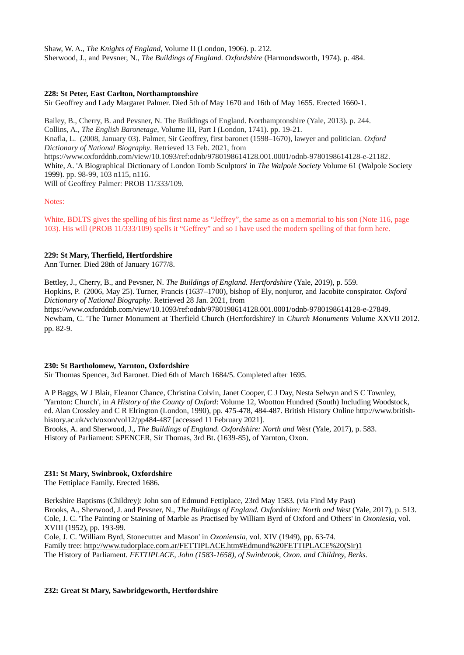Shaw, W. A., *The Knights of England*, Volume II (London, 1906). p. 212. Sherwood, J., and Pevsner, N., *The Buildings of England. Oxfordshire* (Harmondsworth, 1974). p. 484.

## **228: St Peter, East Carlton, Northamptonshire**

Sir Geoffrey and Lady Margaret Palmer. Died 5th of May 1670 and 16th of May 1655. Erected 1660-1.

Bailey, B., Cherry, B. and Pevsner, N. The Buildings of England. Northamptonshire (Yale, 2013). p. 244. Collins, A., *The English Baronetage*, Volume III, Part I (London, 1741). pp. 19-21. Knafla, L. (2008, January 03). Palmer, Sir Geoffrey, first baronet (1598–1670), lawyer and politician. *Oxford Dictionary of National Biography*. Retrieved 13 Feb. 2021, from <https://www.oxforddnb.com/view/10.1093/ref:odnb/9780198614128.001.0001/odnb-9780198614128-e-21182>. White, A. 'A Biographical Dictionary of London Tomb Sculptors' in *The Walpole Society* Volume 61 (Walpole Society 1999). pp. 98-99, 103 n115, n116. Will of Geoffrey Palmer: PROB 11/333/109.

#### Notes:

White, BDLTS gives the spelling of his first name as "Jeffrey", the same as on a memorial to his son (Note 116, page 103). His will (PROB 11/333/109) spells it "Geffrey" and so I have used the modern spelling of that form here.

### **229: St Mary, Therfield, Hertfordshire**

Ann Turner. Died 28th of January 1677/8.

Bettley, J., Cherry, B., and Pevsner, N. *The Buildings of England. Hertfordshire* (Yale, 2019), p. 559. Hopkins, P. (2006, May 25). Turner, Francis (1637–1700), bishop of Ely, nonjuror, and Jacobite conspirator. *Oxford Dictionary of National Biography*. Retrieved 28 Jan. 2021, from https://www.oxforddnb.com/view/10.1093/ref:odnb/9780198614128.001.0001/odnb-9780198614128-e-27849. Newham, C. 'The Turner Monument at Therfield Church (Hertfordshire)' in *Church Monuments* Volume XXVII 2012. pp. 82-9.

## **230: St Bartholomew, Yarnton, Oxfordshire**

Sir Thomas Spencer, 3rd Baronet. Died 6th of March 1684/5. Completed after 1695.

A P Baggs, W J Blair, Eleanor Chance, Christina Colvin, Janet Cooper, C J Day, Nesta Selwyn and S C Townley, 'Yarnton: Church', in *A History of the County of Oxford*: Volume 12, Wootton Hundred (South) Including Woodstock, ed. Alan Crossley and C R Elrington (London, 1990), pp. 475-478, 484-487. British History Online http://www.britishhistory.ac.uk/vch/oxon/vol12/pp484-487 [accessed 11 February 2021].

Brooks, A. and Sherwood, J., *The Buildings of England. Oxfordshire: North and West* (Yale, 2017), p. 583. History of Parliament: SPENCER, Sir Thomas, 3rd Bt. (1639-85), of Yarnton, Oxon.

## **231: St Mary, Swinbrook, Oxfordshire**

The Fettiplace Family. Erected 1686.

Berkshire Baptisms (Childrey): John son of Edmund Fettiplace, 23rd May 1583. (via Find My Past) Brooks, A., Sherwood, J. and Pevsner, N., *The Buildings of England. Oxfordshire: North and West* (Yale, 2017), p. 513. Cole, J. C. 'The Painting or Staining of Marble as Practised by William Byrd of Oxford and Others' in *Oxoniesia*, vol. XVIII (1952), pp. 193-99.

Cole, J. C. 'William Byrd, Stonecutter and Mason' in *Oxoniensia*, vol. XIV (1949), pp. 63-74. Family tree: [http://www.tudorplace.com.ar/FETTIPLACE.htm#Edmund%20FETTIPLACE%20\(Sir\)1](http://www.tudorplace.com.ar/FETTIPLACE.htm#Edmund%20FETTIPLACE%20(Sir)1) The History of Parliament. *FETTIPLACE, John (1583-1658), of Swinbrook, Oxon. and Childrey, Berks.*

## **232: Great St Mary, Sawbridgeworth, Hertfordshire**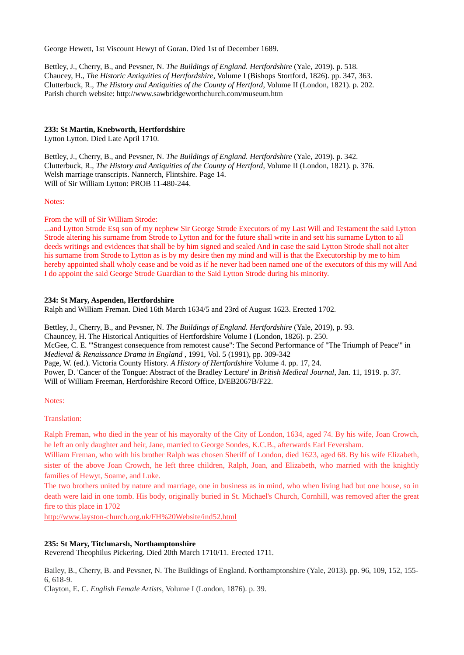George Hewett, 1st Viscount Hewyt of Goran. Died 1st of December 1689.

Bettley, J., Cherry, B., and Pevsner, N. *The Buildings of England. Hertfordshire* (Yale, 2019). p. 518. Chaucey, H., *The Historic Antiquities of Hertfordshire*, Volume I (Bishops Stortford, 1826). pp. 347, 363. Clutterbuck, R., *The History and Antiquities of the County of Hertford*, Volume II (London, 1821). p. 202. Parish church website: http://www.sawbridgeworthchurch.com/museum.htm

### **233: St Martin, Knebworth, Hertfordshire**

Lytton Lytton. Died Late April 1710.

Bettley, J., Cherry, B., and Pevsner, N. *The Buildings of England. Hertfordshire* (Yale, 2019). p. 342. Clutterbuck, R., *The History and Antiquities of the County of Hertford*, Volume II (London, 1821). p. 376. Welsh marriage transcripts. Nannerch, Flintshire. Page 14. Will of Sir William Lytton: PROB 11-480-244.

#### Notes:

From the will of Sir William Strode:

...and Lytton Strode Esq son of my nephew Sir George Strode Executors of my Last Will and Testament the said Lytton Strode altering his surname from Strode to Lytton and for the future shall write in and sett his surname Lytton to all deeds writings and evidences that shall be by him signed and sealed And in case the said Lytton Strode shall not alter his surname from Strode to Lytton as is by my desire then my mind and will is that the Executorship by me to him hereby appointed shall wholy cease and be void as if he never had been named one of the executors of this my will And I do appoint the said George Strode Guardian to the Said Lytton Strode during his minority.

### **234: St Mary, Aspenden, Hertfordshire**

Ralph and William Freman. Died 16th March 1634/5 and 23rd of August 1623. Erected 1702.

Bettley, J., Cherry, B., and Pevsner, N. *The Buildings of England. Hertfordshire* (Yale, 2019), p. 93. Chauncey, H. The Historical Antiquities of Hertfordshire Volume I (London, 1826). p. 250. McGee, C. E. '"Strangest consequence from remotest cause": The Second Performance of "The Triumph of Peace"' in *Medieval & Renaissance Drama in England* , 1991, Vol. 5 (1991), pp. 309-342 Page, W. (ed.). Victoria County History. *A History of Hertfordshire* Volume 4. pp. 17, 24. Power, D. 'Cancer of the Tongue: Abstract of the Bradley Lecture' in *British Medical Journal*, Jan. 11, 1919. p. 37. Will of William Freeman, Hertfordshire Record Office, D/EB2067B/F22.

#### Notes:

#### Translation:

Ralph Freman, who died in the year of his mayoralty of the City of London, 1634, aged 74. By his wife, Joan Crowch, he left an only daughter and heir, Jane, married to George Sondes, K.C.B., afterwards Earl Feversham.

William Freman, who with his brother Ralph was chosen Sheriff of London, died 1623, aged 68. By his wife Elizabeth, sister of the above Joan Crowch, he left three children, Ralph, Joan, and Elizabeth, who married with the knightly families of Hewyt, Soame, and Luke.

The two brothers united by nature and marriage, one in business as in mind, who when living had but one house, so in death were laid in one tomb. His body, originally buried in St. Michael's Church, Cornhill, was removed after the great fire to this place in 1702

<http://www.layston-church.org.uk/FH%20Website/ind52.html>

## **235: St Mary, Titchmarsh, Northamptonshire**

Reverend Theophilus Pickering. Died 20th March 1710/11. Erected 1711.

Bailey, B., Cherry, B. and Pevsner, N. The Buildings of England. Northamptonshire (Yale, 2013). pp. 96, 109, 152, 155- 6, 618-9.

Clayton, E. C. *English Female Artists*, Volume I (London, 1876). p. 39.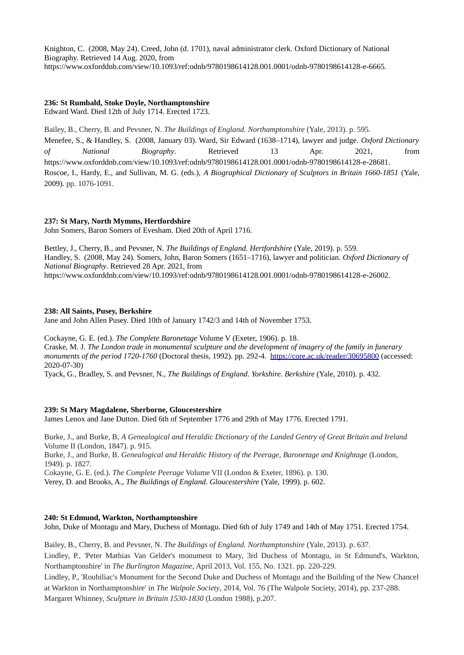Knighton, C. (2008, May 24). Creed, John (d. 1701), naval administrator clerk. Oxford Dictionary of National Biography. Retrieved 14 Aug. 2020, from https://www.oxforddnb.com/view/10.1093/ref:odnb/9780198614128.001.0001/odnb-9780198614128-e-6665.

# **236: St Rumbald, Stoke Doyle, Northamptonshire**

Edward Ward. Died 12th of July 1714. Erected 1723.

Bailey, B., Cherry, B. and Pevsner, N. *The Buildings of England. Northamptonshire* (Yale, 2013). p. 595. Menefee, S., & Handley, S. (2008, January 03). Ward, Sir Edward (1638–1714), lawyer and judge. *Oxford Dictionary of National Biography*. Retrieved 13 Apr. 2021, from https://www.oxforddnb.com/view/10.1093/ref:odnb/9780198614128.001.0001/odnb-9780198614128-e-28681. Roscoe, I., Hardy, E., and Sullivan, M. G. (eds.), *A Biographical Dictionary of Sculptors in Britain 1660-1851* (Yale, 2009). pp. 1076-1091.

# **237: St Mary, North Mymms, Hertfordshire**

John Somers, Baron Somers of Evesham. Died 20th of April 1716.

Bettley, J., Cherry, B., and Pevsner, N. *The Buildings of England. Hertfordshire* (Yale, 2019). p. 559. Handley, S. (2008, May 24). Somers, John, Baron Somers (1651–1716), lawyer and politician. *Oxford Dictionary of National Biography*. Retrieved 28 Apr. 2021, from https://www.oxforddnb.com/view/10.1093/ref:odnb/9780198614128.001.0001/odnb-9780198614128-e-26002.

# **238: All Saints, Pusey, Berkshire**

Jane and John Allen Pusey. Died 10th of January 1742/3 and 14th of November 1753.

Cockayne, G. E. (ed.). *The Complete Baronetage* Volume V (Exeter, 1906). p. 18. Craske, M. J. *The London trade in monumental sculpture and the development of imagery of the family in funerary monuments of the period 1720-1760* (Doctoral thesis, 1992). pp. 292-4. <https://core.ac.uk/reader/30695800> (accessed: 2020-07-30)

Tyack, G., Bradley, S. and Pevsner, N., *The Buildings of England. Yorkshire. Berkshire* (Yale, 2010). p. 432.

## **239: St Mary Magdalene, Sherborne, Gloucestershire**

James Lenox and Jane Dutton. Died 6th of September 1776 and 29th of May 1776. Erected 1791.

Burke, J., and Burke, B, *A Genealogical and Heraldic Dictionary of the Landed Gentry of Great Britain and Ireland* Volume II (London, 1847). p. 915.

Burke, J., and Burke, B. *Genealogical and Heraldic History of the Peerage, Baronetage and Knightage* (London, 1949). p. 1827.

Cokayne, G. E. (ed.). *The Complete Peerage* Volume VII (London & Exeter, 1896). p. 130.

Verey, D. and Brooks, A., *The Buildings of England. Gloucestershire* (Yale, 1999). p. 602.

## **240: St Edmund, Warkton, Northamptonshire**

John, Duke of Montagu and Mary, Duchess of Montagu. Died 6th of July 1749 and 14th of May 1751. Erected 1754.

Bailey, B., Cherry, B. and Pevsner, N. *The Buildings of England. Northamptonshire* (Yale, 2013). p. 637. Lindley, P., 'Peter Mathias Van Gelder's monument to Mary, 3rd Duchess of Montagu, in St Edmund's, Warkton, Northamptonshire' in *The Burlington Magazine*, April 2013, Vol. 155, No. 1321. pp. 220-229.

Lindley, P., 'Roubiliac's Monument for the Second Duke and Duchess of Montagu and the Building of the New Chancel at Warkton in Northamptonshire' in *The Walpole Society*, 2014, Vol. 76 (The Walpole Society, 2014), pp. 237-288. Margaret Whinney, *Sculpture in Britain 1530-1830* (London 1988), p.207.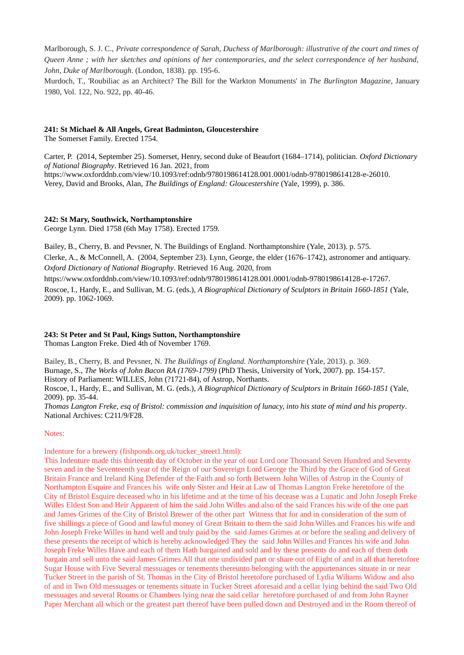Marlborough, S. J. C., *Private correspondence of Sarah, Duchess of Marlborough: illustrative of the court and times of Queen Anne ; with her sketches and opinions of her contemporaries, and the select correspondence of her husband, John, Duke of Marlborough*. (London, 1838). pp. 195-6.

Murdoch, T., 'Roubiliac as an Architect? The Bill for the Warkton Monuments' in *The Burlington Magazine*, January 1980, Vol. 122, No. 922, pp. 40-46.

### **241: St Michael & All Angels, Great Badminton, Gloucestershire**

The Somerset Family. Erected 1754.

Carter, P. (2014, September 25). Somerset, Henry, second duke of Beaufort (1684–1714), politician. *Oxford Dictionary of National Biography*. Retrieved 16 Jan. 2021, from https://www.oxforddnb.com/view/10.1093/ref:odnb/9780198614128.001.0001/odnb-9780198614128-e-26010. Verey, David and Brooks, Alan, *The Buildings of England: Gloucestershire* (Yale, 1999), p. 386.

## **242: St Mary, Southwick, Northamptonshire**

George Lynn. Died 1758 (6th May 1758). Erected 1759.

Bailey, B., Cherry, B. and Pevsner, N. The Buildings of England. Northamptonshire (Yale, 2013). p. 575.

Clerke, A., & McConnell, A. (2004, September 23). Lynn, George, the elder (1676–1742), astronomer and antiquary. *Oxford Dictionary of National Biography*. Retrieved 16 Aug. 2020, from

https://www.oxforddnb.com/view/10.1093/ref:odnb/9780198614128.001.0001/odnb-9780198614128-e-17267.

Roscoe, I., Hardy, E., and Sullivan, M. G. (eds.), *A Biographical Dictionary of Sculptors in Britain 1660-1851* (Yale, 2009). pp. 1062-1069.

## **243: St Peter and St Paul, Kings Sutton, Northamptonshire**

Thomas Langton Freke. Died 4th of November 1769.

Bailey, B., Cherry, B. and Pevsner, N. *The Buildings of England. Northamptonshire* (Yale, 2013). p. 369. Burnage, S., *The Works of John Bacon RA (1769-1799)* (PhD Thesis, University of York, 2007). pp. 154-157. History of Parliament: WILLES, John (?1721-84), of Astrop, Northants. Roscoe, I., Hardy, E., and Sullivan, M. G. (eds.), *A Biographical Dictionary of Sculptors in Britain 1660-1851* (Yale, 2009). pp. 35-44.

*Thomas Langton Freke, esq of Bristol: commission and inquisition of lunacy, into his state of mind and his property*. National Archives: C211/9/F28.

#### Notes:

Indenture for a brewery (fishponds.org.uk/tucker\_street1.html):

This Indenture made this thirteenth day of October in the year of our Lord one Thousand Seven Hundred and Seventy seven and in the Seventeenth year of the Reign of our Sovereign Lord George the Third by the Grace of God of Great Britain France and Ireland King Defender of the Faith and so forth Between John Willes of Astrop in the County of Northampton Esquire and Frances his wife only Sister and Heir at Law of Thomas Langton Freke heretofore of the City of Bristol Esquire deceased who in his lifetime and at the time of his decease was a Lunatic and John Joseph Freke Willes Eldest Son and Heir Apparent of him the said John Willes and also of the said Frances his wife of the one part and James Grimes of the City of Bristol Brewer of the other part Witness that for and in consideration of the sum of five shillings a piece of Good and lawful money of Great Britain to them the said John Willes and Frances his wife and John Joseph Freke Willes in hand well and truly paid by the said James Grimes at or before the sealing and delivery of these presents the receipt of which is hereby acknowledged They the said John Willes and Frances his wife and John Joseph Freke Willes Have and each of them Hath bargained and sold and by these presents do and each of them doth bargain and sell unto the said James Grimes All that one undivided part or share out of Eight of and in all that heretofore Sugar House with Five Several messuages or tenements thereunto belonging with the appurtenances situate in or near Tucker Street in the parish of St. Thomas in the City of Bristol heretofore purchased of Lydia Wiliams Widow and also of and in Two Old messuages or tenements situate in Tucker Street aforesaid and a cellar lying behind the said Two Old messuages and several Rooms or Chambers lying near the said cellar heretofore purchased of and from John Rayner Paper Merchant all which or the greatest part thereof have been pulled down and Destroyed and in the Room thereof of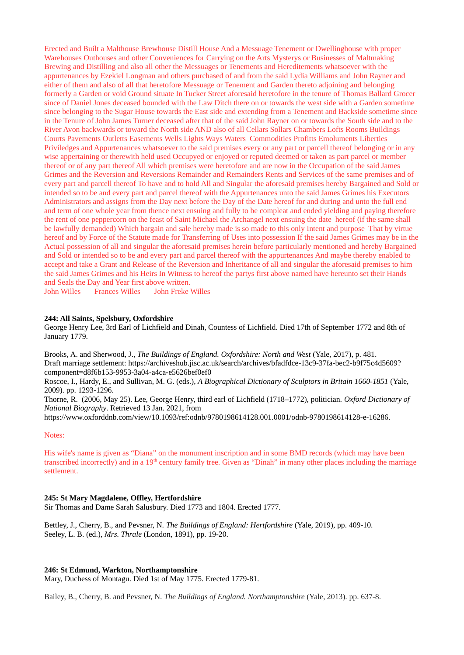Erected and Built a Malthouse Brewhouse Distill House And a Messuage Tenement or Dwellinghouse with proper Warehouses Outhouses and other Conveniences for Carrying on the Arts Mysterys or Businesses of Maltmaking Brewing and Distilling and also all other the Messuages or Tenements and Hereditements whatsoever with the appurtenances by Ezekiel Longman and others purchased of and from the said Lydia Williams and John Rayner and either of them and also of all that heretofore Messuage or Tenement and Garden thereto adjoining and belonging formerly a Garden or void Ground situate In Tucker Street aforesaid heretofore in the tenure of Thomas Ballard Grocer since of Daniel Jones deceased bounded with the Law Ditch there on or towards the west side with a Garden sometime since belonging to the Sugar House towards the East side and extending from a Tenement and Backside sometime since in the Tenure of John James Turner deceased after that of the said John Rayner on or towards the South side and to the River Avon backwards or toward the North side AND also of all Cellars Sollars Chambers Lofts Rooms Buildings Courts Pavements Outletts Easements Wells Lights Ways Waters Commodities Profitts Emoluments Liberties Priviledges and Appurtenances whatsoever to the said premises every or any part or parcell thereof belonging or in any wise appertaining or therewith held used Occupyed or enjoyed or reputed deemed or taken as part parcel or member thereof or of any part thereof All which premises were heretofore and are now in the Occupation of the said James Grimes and the Reversion and Reversions Remainder and Remainders Rents and Services of the same premises and of every part and parcell thereof To have and to hold All and Singular the aforesaid premises hereby Bargained and Sold or intended so to be and every part and parcel thereof with the Appurtenances unto the said James Grimes his Executors Administrators and assigns from the Day next before the Day of the Date hereof for and during and unto the full end and term of one whole year from thence next ensuing and fully to be compleat and ended yielding and paying therefore the rent of one peppercorn on the feast of Saint Michael the Archangel next ensuing the date hereof (if the same shall be lawfully demanded) Which bargain and sale hereby made is so made to this only Intent and purpose That by virtue hereof and by Force of the Statute made for Transferring of Uses into possession If the said James Grimes may be in the Actual possession of all and singular the aforesaid premises herein before particularly mentioned and hereby Bargained and Sold or intended so to be and every part and parcel thereof with the appurtenances And maybe thereby enabled to accept and take a Grant and Release of the Reversion and Inheritance of all and singular the aforesaid premises to him the said James Grimes and his Heirs In Witness to hereof the partys first above named have hereunto set their Hands and Seals the Day and Year first above written.

John Willes Frances Willes John Freke Willes

## **244: All Saints, Spelsbury, Oxfordshire**

George Henry Lee, 3rd Earl of Lichfield and Dinah, Countess of Lichfield. Died 17th of September 1772 and 8th of January 1779.

Brooks, A. and Sherwood, J., *The Buildings of England. Oxfordshire: North and West* (Yale, 2017), p. 481. Draft marriage settlement: https://archiveshub.jisc.ac.uk/search/archives/bfadfdce-13c9-37fa-bec2-b9f75c4d5609? component=d8f6b153-9953-3a04-a4ca-e5626bef0ef0

Roscoe, I., Hardy, E., and Sullivan, M. G. (eds.), *A Biographical Dictionary of Sculptors in Britain 1660-1851* (Yale, 2009). pp. 1293-1296.

Thorne, R. (2006, May 25). Lee, George Henry, third earl of Lichfield (1718–1772), politician. *Oxford Dictionary of National Biography*. Retrieved 13 Jan. 2021, from

https://www.oxforddnb.com/view/10.1093/ref:odnb/9780198614128.001.0001/odnb-9780198614128-e-16286.

#### Notes:

His wife's name is given as "Diana" on the monument inscription and in some BMD records (which may have been transcribed incorrectly) and in a  $19<sup>th</sup>$  century family tree. Given as "Dinah" in many other places including the marriage settlement.

#### **245: St Mary Magdalene, Offley, Hertfordshire**

Sir Thomas and Dame Sarah Salusbury. Died 1773 and 1804. Erected 1777.

Bettley, J., Cherry, B., and Pevsner, N. *The Buildings of England: Hertfordshire* (Yale, 2019), pp. 409-10. Seeley, L. B. (ed.), *Mrs. Thrale* (London, 1891), pp. 19-20.

#### **246: St Edmund, Warkton, Northamptonshire**

Mary, Duchess of Montagu. Died 1st of May 1775. Erected 1779-81.

Bailey, B., Cherry, B. and Pevsner, N. *The Buildings of England. Northamptonshire* (Yale, 2013). pp. 637-8.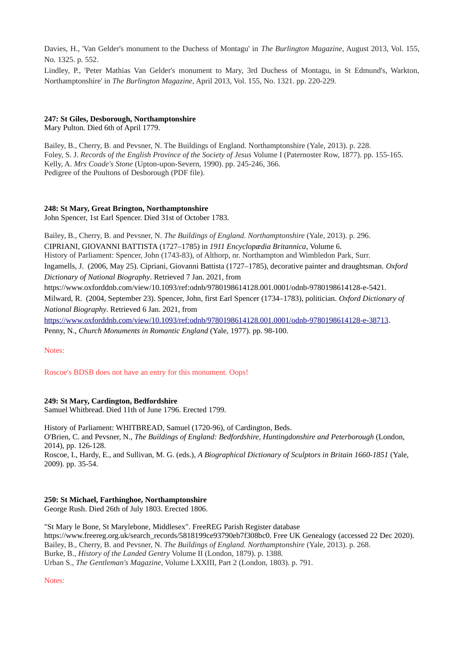Davies, H., 'Van Gelder's monument to the Duchess of Montagu' in *The Burlington Magazine*, August 2013, Vol. 155, No. 1325. p. 552.

Lindley, P., 'Peter Mathias Van Gelder's monument to Mary, 3rd Duchess of Montagu, in St Edmund's, Warkton, Northamptonshire' in *The Burlington Magazine*, April 2013, Vol. 155, No. 1321. pp. 220-229.

## **247: St Giles, Desborough, Northamptonshire**

Mary Pulton. Died 6th of April 1779.

Bailey, B., Cherry, B. and Pevsner, N. The Buildings of England. Northamptonshire (Yale, 2013). p. 228. Foley, S. J. *Records of the English Province of the Society of Jesus* Volume I (Paternoster Row, 1877). pp. 155-165. Kelly, A. *Mrs Coade's Stone* (Upton-upon-Severn, 1990). pp. 245-246, 366. Pedigree of the Poultons of Desborough (PDF file).

## **248: St Mary, Great Brington, Northamptonshire**

John Spencer, 1st Earl Spencer. Died 31st of October 1783.

Bailey, B., Cherry, B. and Pevsner, N. *The Buildings of England. Northamptonshire* (Yale, 2013). p. 296. CIPRIANI, GIOVANNI BATTISTA (1727–1785) in *1911 Encyclopædia Britannica*, Volume 6. History of Parliament: Spencer, John (1743-83), of Althorp, nr. Northampton and Wimbledon Park, Surr. Ingamells, J. (2006, May 25). Cipriani, Giovanni Battista (1727–1785), decorative painter and draughtsman. *Oxford Dictionary of National Biography*. Retrieved 7 Jan. 2021, from https://www.oxforddnb.com/view/10.1093/ref:odnb/9780198614128.001.0001/odnb-9780198614128-e-5421. Milward, R. (2004, September 23). Spencer, John, first Earl Spencer (1734–1783), politician. *Oxford Dictionary of National Biography*. Retrieved 6 Jan. 2021, from

[https://www.oxforddnb.com/view/10.1093/ref:odnb/9780198614128.001.0001/odnb-9780198614128-e-38713.](https://www.oxforddnb.com/view/10.1093/ref:odnb/9780198614128.001.0001/odnb-9780198614128-e-38713) Penny, N., *Church Monuments in Romantic England* (Yale, 1977). pp. 98-100.

Notes:

Roscoe's BDSB does not have an entry for this monument. Oops!

## **249: St Mary, Cardington, Bedfordshire**

Samuel Whitbread. Died 11th of June 1796. Erected 1799.

History of Parliament: WHITBREAD, Samuel (1720-96), of Cardington, Beds. O'Brien, C. and Pevsner, N., *The Buildings of England: Bedfordshire, Huntingdonshire and Peterborough* (London, 2014), pp. 126-128.

Roscoe, I., Hardy, E., and Sullivan, M. G. (eds.), *A Biographical Dictionary of Sculptors in Britain 1660-1851* (Yale, 2009). pp. 35-54.

## **250: St Michael, Farthinghoe, Northamptonshire**

George Rush. Died 26th of July 1803. Erected 1806.

"St Mary le Bone, St Marylebone, Middlesex". FreeREG Parish Register database https://www.freereg.org.uk/search\_records/5818199ce93790eb7f308bc0. Free UK Genealogy (accessed 22 Dec 2020). Bailey, B., Cherry, B. and Pevsner, N. *The Buildings of England. Northamptonshire* (Yale, 2013). p. 268. Burke, B., *History of the Landed Gentry* Volume II (London, 1879). p. 1388. Urban S., *The Gentleman's Magazine*, Volume LXXIII, Part 2 (London, 1803). p. 791.

Notes: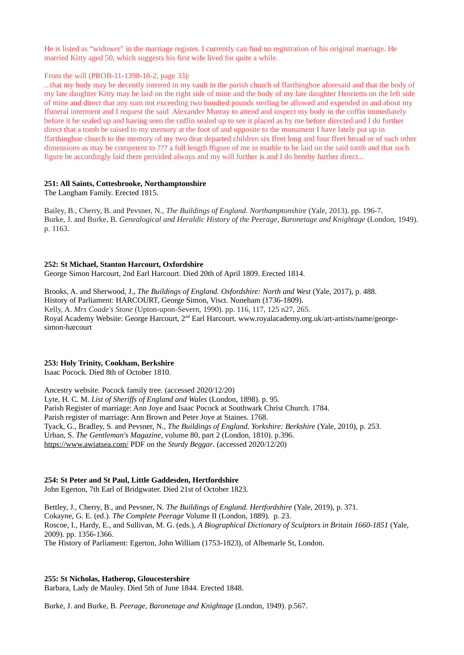He is listed as "widower" in the marriage register. I currently can find no registration of his original marriage. He married Kitty aged 50, which suggests his first wife lived for quite a while.

### From the will (PROB-11-1398-18-2, page 33):

...that my body may be decently interred in my vault in the parish church of ffarthinghoe aforesaid and that the body of my late daughter Kitty may be laid on the right side of mine and the body of my late daughter Henrietta on the left side of mine and direct that any sum not exceeding two hundred pounds sterling be allowed and expended in and about my ffuneral interment and I request the said Alexander Murray to attend and inspect my body in the coffin immediately before it be sealed up and having seen the coffin sealed up to see it placed as by me before directed and I do further direct that a tomb be raised to my memory at the foot of and opposite to the monument I have lately put up in ffarthinghoe church to the memory of my two dear departed children six ffeet long and four ffeet broad or of such other dimensions as may be competent to ??? a full length ffigure of me in marble to be laid on the said tomb and that such figure be accordingly laid there provided always and my will further is and I do hereby further direct...

### **251: All Saints, Cottesbrooke, Northamptonshire**

The Langham Family. Erected 1815.

Bailey, B., Cherry, B. and Pevsner, N., *The Buildings of England. Northamptonshire* (Yale, 2013). pp. 196-7. Burke, J. and Burke, B. *Genealogical and Heraldic History of the Peerage, Baronetage and Knightage* (London, 1949). p. 1163.

### **252: St Michael, Stanton Harcourt, Oxfordshire**

George Simon Harcourt, 2nd Earl Harcourt. Died 20th of April 1809. Erected 1814.

Brooks, A. and Sherwood, J., *The Buildings of England. Oxfordshire: North and West* (Yale, 2017), p. 488. History of Parliament: HARCOURT, George Simon, Visct. Nuneham (1736-1809). Kelly, A. *Mrs Coade's Stone* (Upton-upon-Severn, 1990). pp. 116, 117, 125 n27, 265. Royal Academy Website: George Harcourt, 2nd Earl Harcourt. www.royalacademy.org.uk/art-artists/name/georgesimon-harcourt

## **253: Holy Trinity, Cookham, Berkshire**

Isaac Pocock. Died 8th of October 1810.

Ancestry website. Pocock family tree. (accessed 2020/12/20) Lyte, H. C. M. *List of Sheriffs of England and Wales* (London, 1898). p. 95. Parish Register of marriage: Ann Joye and Isaac Pocock at Southwark Christ Church. 1784. Parish register of marriage: Ann Brown and Peter Joye at Staines. 1768. Tyack, G., Bradley, S. and Pevsner, N., *The Buildings of England. Yorkshire: Berkshire* (Yale, 2010), p. 253. Urban, S. *The Gentleman's Magazine*, volume 80, part 2 (London, 1810). p.396. <https://www.awiatsea.com/> PDF on the *Sturdy Beggar*. (accessed 2020/12/20)

# **254: St Peter and St Paul, Little Gaddesden, Hertfordshire**

John Egerton, 7th Earl of Bridgwater. Died 21st of October 1823.

Bettley, J., Cherry, B., and Pevsner, N. *The Buildings of England. Hertfordshire* (Yale, 2019), p. 371. Cokayne, G. E. (ed.). *The Complete Peerage* Volume II (London, 1889). p. 23. Roscoe, I., Hardy, E., and Sullivan, M. G. (eds.), *A Biographical Dictionary of Sculptors in Britain 1660-1851* (Yale, 2009). pp. 1356-1366. The History of Parliament: Egerton, John William (1753-1823), of Albemarle St, London.

### **255: St Nicholas, Hatherop, Gloucestershire**

Barbara, Lady de Mauley. Died 5th of June 1844. Erected 1848.

Burke, J. and Burke, B. *Peerage, Baronetage and Knightage* (London, 1949). p.567.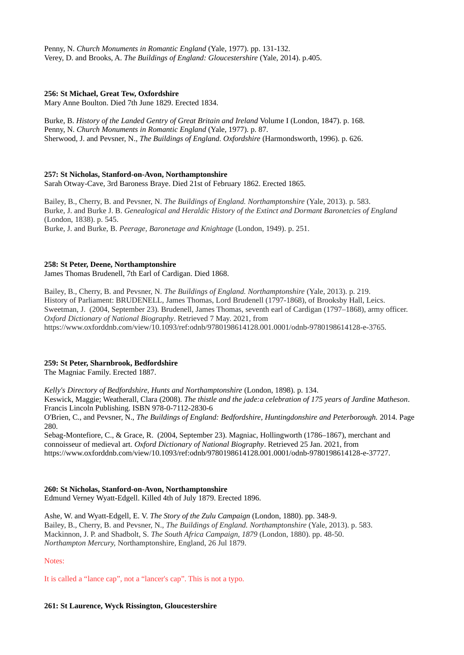Penny, N. *Church Monuments in Romantic England* (Yale, 1977). pp. 131-132. Verey, D. and Brooks, A. *The Buildings of England: Gloucestershire* (Yale, 2014). p.405.

### **256: St Michael, Great Tew, Oxfordshire**

Mary Anne Boulton. Died 7th June 1829. Erected 1834.

Burke, B. *History of the Landed Gentry of Great Britain and Ireland* Volume I (London, 1847). p. 168. Penny, N. *Church Monuments in Romantic England* (Yale, 1977). p. 87. Sherwood, J. and Pevsner, N., *The Buildings of England. Oxfordshire* (Harmondsworth, 1996). p. 626.

### **257: St Nicholas, Stanford-on-Avon, Northamptonshire**

Sarah Otway-Cave, 3rd Baroness Braye. Died 21st of February 1862. Erected 1865.

Bailey, B., Cherry, B. and Pevsner, N. *The Buildings of England. Northamptonshire* (Yale, 2013). p. 583. Burke, J. and Burke J. B. *Genealogical and Heraldic History of the Extinct and Dormant Baronetcies of England* (London, 1838). p. 545. Burke, J. and Burke, B. *Peerage, Baronetage and Knightage* (London, 1949). p. 251.

#### **258: St Peter, Deene, Northamptonshire**

James Thomas Brudenell, 7th Earl of Cardigan. Died 1868.

Bailey, B., Cherry, B. and Pevsner, N. *The Buildings of England. Northamptonshire* (Yale, 2013). p. 219. History of Parliament: BRUDENELL, James Thomas, Lord Brudenell (1797-1868), of Brooksby Hall, Leics. Sweetman, J. (2004, September 23). Brudenell, James Thomas, seventh earl of Cardigan (1797–1868), army officer. *Oxford Dictionary of National Biography*. Retrieved 7 May. 2021, from https://www.oxforddnb.com/view/10.1093/ref:odnb/9780198614128.001.0001/odnb-9780198614128-e-3765.

## **259: St Peter, Sharnbrook, Bedfordshire**

The Magniac Family. Erected 1887.

*Kelly's Directory of Bedfordshire, Hunts and Northamptonshire* (London, 1898). p. 134. Keswick, Maggie; Weatherall, Clara (2008). *The thistle and the jade:a celebration of 175 years of Jardine Matheson*. Francis Lincoln Publishing. ISBN 978-0-7112-2830-6

O'Brien, C., and Pevsner, N., *The Buildings of England: Bedfordshire, Huntingdonshire and Peterborough.* 2014. Page 280.

Sebag-Montefiore, C., & Grace, R. (2004, September 23). Magniac, Hollingworth (1786–1867), merchant and connoisseur of medieval art. *Oxford Dictionary of National Biography*. Retrieved 25 Jan. 2021, from https://www.oxforddnb.com/view/10.1093/ref:odnb/9780198614128.001.0001/odnb-9780198614128-e-37727.

#### **260: St Nicholas, Stanford-on-Avon, Northamptonshire**

Edmund Verney Wyatt-Edgell. Killed 4th of July 1879. Erected 1896.

Ashe, W. and Wyatt-Edgell, E. V. *The Story of the Zulu Campaign* (London, 1880). pp. 348-9. Bailey, B., Cherry, B. and Pevsner, N., *The Buildings of England. Northamptonshire* (Yale, 2013). p. 583. Mackinnon, J. P. and Shadbolt, S. *The South Africa Campaign, 1879* (London, 1880). pp. 48-50. *Northampton Mercury,* Northamptonshire, England, 26 Jul 1879.

Notes:

It is called a "lance cap", not a "lancer's cap". This is not a typo.

#### **261: St Laurence, Wyck Rissington, Gloucestershire**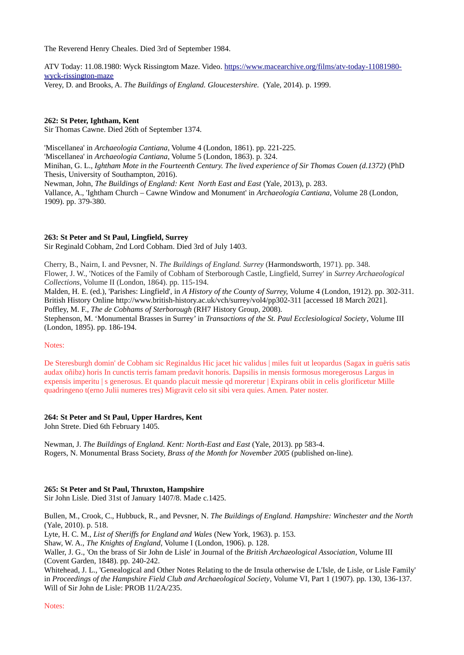The Reverend Henry Cheales. Died 3rd of September 1984.

ATV Today: 11.08.1980: Wyck Rissingtom Maze. Video. [https://www.macearchive.org/films/atv-today-11081980](https://www.macearchive.org/films/atv-today-11081980-wyck-rissington-maze) [wyck-rissington-maze](https://www.macearchive.org/films/atv-today-11081980-wyck-rissington-maze) Verey, D. and Brooks, A. *The Buildings of England. Gloucestershire.* (Yale, 2014). p. 1999.

## **262: St Peter, Ightham, Kent**

Sir Thomas Cawne. Died 26th of September 1374.

'Miscellanea' in *Archaeologia Cantiana*, Volume 4 (London, 1861). pp. 221-225. 'Miscellanea' in *Archaeologia Cantiana*, Volume 5 (London, 1863). p. 324. Minihan, G. L., *Ightham Mote in the Fourteenth Century. The lived experience of Sir Thomas Couen (d.1372)* (PhD Thesis, University of Southampton, 2016). Newman, John, *The Buildings of England: Kent North East and East* (Yale, 2013), p. 283. Vallance, A., 'Ightham Church – Cawne Window and Monument' in *Archaeologia Cantiana*, Volume 28 (London, 1909). pp. 379-380.

### **263: St Peter and St Paul, Lingfield, Surrey**

Sir Reginald Cobham, 2nd Lord Cobham. Died 3rd of July 1403.

Cherry, B., Nairn, I. and Pevsner, N. *The Buildings of England. Surrey* (Harmondsworth, 1971). pp. 348. Flower, J. W., 'Notices of the Family of Cobham of Sterborough Castle, Lingfield, Surrey' in *Surrey Archaeological Collections*, Volume II (London, 1864). pp. 115-194.

Malden, H. E. (ed.), 'Parishes: Lingfield', in *A History of the County of Surrey,* Volume 4 (London, 1912). pp. 302-311. British History Online http://www.british-history.ac.uk/vch/surrey/vol4/pp302-311 [accessed 18 March 2021]. Poffley, M. F., *The de Cobhams of Sterborough* (RH7 History Group, 2008).

Stephenson, M. 'Monumental Brasses in Surrey' in *Transactions of the St. Paul Ecclesiological Society*, Volume III (London, 1895). pp. 186-194.

### Notes:

De Steresburgh domin' de Cobham sic Reginaldus Hic jacet hic validus | miles fuit ut leopardus (Sagax in guēris satis audax oñibz) horis In cunctis terris famam predavit honoris. Dapsilis in mensis formosus moregerosus Largus in expensis imperitu | s generosus. Et quando placuit messie qd moreretur | Expirans obiit in celis glorificetur Mille quadringeno t(erno Julii numeres tres) Migravit celo sit sibi vera quies. Amen. Pater noster.

## **264: St Peter and St Paul, Upper Hardres, Kent**

John Strete. Died 6th February 1405.

Newman, J. *The Buildings of England. Kent: North-East and East* (Yale, 2013). pp 583-4. Rogers, N. Monumental Brass Society, *Brass of the Month for November 2005* (published on-line).

## **265: St Peter and St Paul, Thruxton, Hampshire**

Sir John Lisle. Died 31st of January 1407/8. Made c.1425.

Bullen, M., Crook, C., Hubbuck, R., and Pevsner, N. *The Buildings of England. Hampshire: Winchester and the North*  (Yale, 2010). p. 518.

Lyte, H. C. M., *List of Sheriffs for England and Wales* (New York, 1963). p. 153.

Shaw, W. A., *The Knights of England*, Volume I (London, 1906). p. 128.

Waller, J. G., 'On the brass of Sir John de Lisle' in Journal of the *British Archaeological Association*, Volume III (Covent Garden, 1848). pp. 240-242.

Whitehead, J. L., 'Genealogical and Other Notes Relating to the de Insula otherwise de L'Isle, de Lisle, or Lisle Family' in *Proceedings of the Hampshire Field Club and Archaeological Society*, Volume VI, Part 1 (1907). pp. 130, 136-137. Will of Sir John de Lisle: PROB 11/2A/235.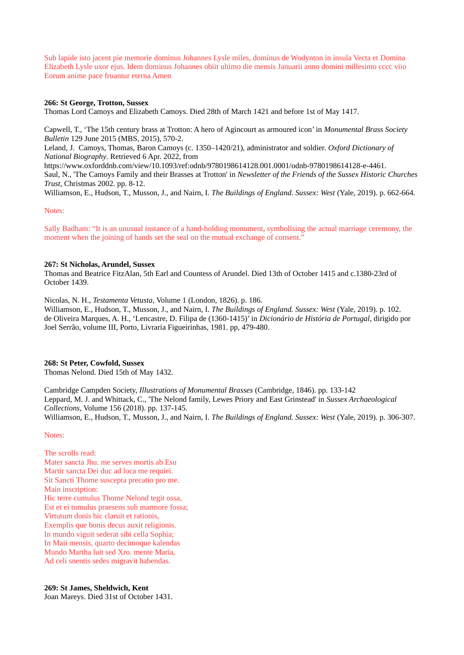Sub lapide isto jacent pie memorie dominus Johannes Lysle miles, dominus de Wodynton in insula Vecta et Domina Elizabeth Lysle uxor ejus. Idem dominus Johannes obiit ultimo die mensis Januarii anno domini millesimo cccc viio Eorum anime pace fruantur eterna Amen

### **266: St George, Trotton, Sussex**

Thomas Lord Camoys and Elizabeth Camoys. Died 28th of March 1421 and before 1st of May 1417.

Capwell, T., 'The 15th century brass at Trotton: A hero of Agincourt as armoured icon' in *Monumental Brass Society Bulletin* 129 June 2015 (MBS, 2015), 570-2.

Leland, J. Camoys, Thomas, Baron Camoys (c. 1350–1420/21), administrator and soldier. *Oxford Dictionary of National Biography*. Retrieved 6 Apr. 2022, from

https://www.oxforddnb.com/view/10.1093/ref:odnb/9780198614128.001.0001/odnb-9780198614128-e-4461. Saul, N., 'The Camoys Family and their Brasses at Trotton' in *Newsletter of the Friends of the Sussex Historic Churches Trust*, Christmas 2002. pp. 8-12.

Williamson, E., Hudson, T., Musson, J., and Nairn, I. *The Buildings of England. Sussex: West* (Yale, 2019). p. 662-664.

#### Notes:

Sally Badham: "It is an unusual instance of a hand-holding monument, symbolising the actual marriage ceremony, the moment when the joining of hands set the seal on the mutual exchange of consent."

### **267: St Nicholas, Arundel, Sussex**

Thomas and Beatrice FitzAlan, 5th Earl and Countess of Arundel. Died 13th of October 1415 and c.1380-23rd of October 1439.

Nicolas, N. H., *Testamenta Vetusta*, Volume 1 (London, 1826). p. 186. Williamson, E., Hudson, T., Musson, J., and Nairn, I. *The Buildings of England. Sussex: West* (Yale, 2019). p. 102. de Oliveira Marques, A. H., 'Lencastre, D. Filipa de (1360-1415)' in *Dicionário de História de Portugal*, dirigido por Joel Serrão, volume III, Porto, Livraria Figueirinhas, 1981. pp, 479-480.

#### **268: St Peter, Cowfold, Sussex**

Thomas Nelond. Died 15th of May 1432.

Cambridge Campden Society, *Illustrations of Monumental Brasses* (Cambridge, 1846). pp. 133-142 Leppard, M. J. and Whittack, C., 'The Nelond family, Lewes Priory and East Grinstead' in *Sussex Archaeological Collections*, Volume 156 (2018). pp. 137-145. Williamson, E., Hudson, T., Musson, J., and Nairn, I. *The Buildings of England. Sussex: West* (Yale, 2019). p. 306-307.

#### Notes:

The scrolls read: Mater sancta Jhu. me serves mortis ab Esu Martir sancta Dei duc ad loca me requiei. Sit Sancti Thome suscepta precatio pro me. Main inscription: Hic terre cumulus Thome Nelond tegit ossa, Est et ei tumulus praesens sub marmore fossa; Virtutum donis hic claruit et rationis, Exemplis que bonis decus auxit religionis. In mundo viguit sederat sibi cella Sophia; In Maii mensis, quarto decimoque kalendas Mundo Martha fuit sed Xro. mente Maria, Ad celi snentis sedes migravit habendas.

**269: St James, Sheldwich, Kent** Joan Mareys. Died 31st of October 1431.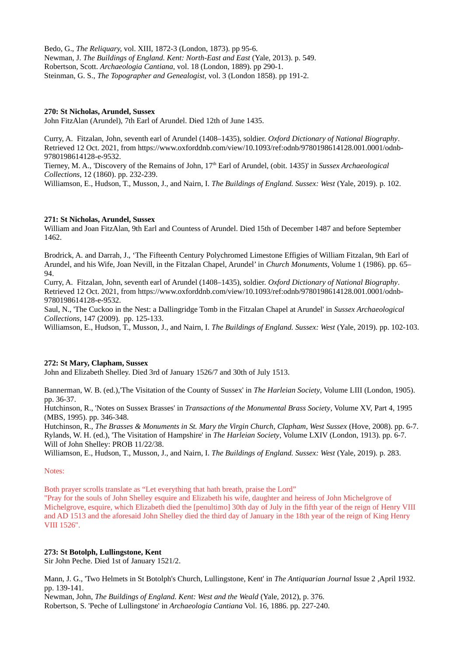Bedo, G., *The Reliquary,* vol. XIII, 1872-3 (London, 1873). pp 95-6. Newman, J. *The Buildings of England. Kent: North-East and East* (Yale, 2013). p. 549. Robertson, Scott. *Archaeologia Cantiana,* vol. 18 (London, 1889). pp 290-1. Steinman, G. S., *The Topographer and Genealogist,* vol. 3 (London 1858). pp 191-2.

### **270: St Nicholas, Arundel, Sussex**

John FitzAlan (Arundel), 7th Earl of Arundel. Died 12th of June 1435.

Curry, A. Fitzalan, John, seventh earl of Arundel (1408–1435), soldier. *Oxford Dictionary of National Biography*. Retrieved 12 Oct. 2021, from https://www.oxforddnb.com/view/10.1093/ref:odnb/9780198614128.001.0001/odnb-9780198614128-e-9532.

Tierney, M. A., 'Discovery of the Remains of John, 17th Earl of Arundel, (obit. 1435)' in *Sussex Archaeological Collections*, 12 (1860). pp. 232-239.

Williamson, E., Hudson, T., Musson, J., and Nairn, I. *The Buildings of England. Sussex: West* (Yale, 2019). p. 102.

### **271: St Nicholas, Arundel, Sussex**

William and Joan FitzAlan, 9th Earl and Countess of Arundel. Died 15th of December 1487 and before September 1462.

Brodrick, A. and Darrah, J., 'The Fifteenth Century Polychromed Limestone Effigies of William Fitzalan, 9th Earl of Arundel, and his Wife, Joan Nevill, in the Fitzalan Chapel, Arundel' in *Church Monuments*, Volume 1 (1986). pp. 65– 94.

Curry, A. Fitzalan, John, seventh earl of Arundel (1408–1435), soldier. *Oxford Dictionary of National Biography*. Retrieved 12 Oct. 2021, from https://www.oxforddnb.com/view/10.1093/ref:odnb/9780198614128.001.0001/odnb-9780198614128-e-9532.

Saul, N., 'The Cuckoo in the Nest: a Dallingridge Tomb in the Fitzalan Chapel at Arundel' in *Sussex Archaeological Collections*, 147 (2009). pp. 125-133.

Williamson, E., Hudson, T., Musson, J., and Nairn, I. *The Buildings of England. Sussex: West* (Yale, 2019). pp. 102-103.

#### **272: St Mary, Clapham, Sussex**

John and Elizabeth Shelley. Died 3rd of January 1526/7 and 30th of July 1513.

Bannerman, W. B. (ed.),'The Visitation of the County of Sussex' in *The Harleian Society*, Volume LIII (London, 1905). pp. 36-37.

Hutchinson, R., 'Notes on Sussex Brasses' in *Transactions of the Monumental Brass Society*, Volume XV, Part 4, 1995 (MBS, 1995). pp. 346-348.

Hutchinson, R., *The Brasses & Monuments in St. Mary the Virgin Church, Clapham, West Sussex* (Hove, 2008). pp. 6-7. Rylands, W. H. (ed.), 'The Visitation of Hampshire' in *The Harleian Society*, Volume LXIV (London, 1913). pp. 6-7. Will of John Shelley: PROB 11/22/38.

Williamson, E., Hudson, T., Musson, J., and Nairn, I. *The Buildings of England. Sussex: West* (Yale, 2019). p. 283.

#### Notes:

Both prayer scrolls translate as "Let everything that hath breath, praise the Lord"

"Pray for the souls of John Shelley esquire and Elizabeth his wife, daughter and heiress of John Michelgrove of Michelgrove, esquire, which Elizabeth died the [penultimo] 30th day of July in the fifth year of the reign of Henry VIII and AD 1513 and the aforesaid John Shelley died the third day of January in the 18th year of the reign of King Henry VIII 1526".

#### **273: St Botolph, Lullingstone, Kent**

Sir John Peche. Died 1st of January 1521/2.

Mann, J. G., 'Two Helmets in St Botolph's Church, Lullingstone, Kent' in *The Antiquarian Journal* Issue 2 ,April 1932. pp. 139-141.

Newman, John, *The Buildings of England. Kent: West and the Weald* (Yale, 2012), p. 376. Robertson, S. 'Peche of Lullingstone' in *Archaeologia Cantiana* Vol. 16, 1886. pp. 227-240.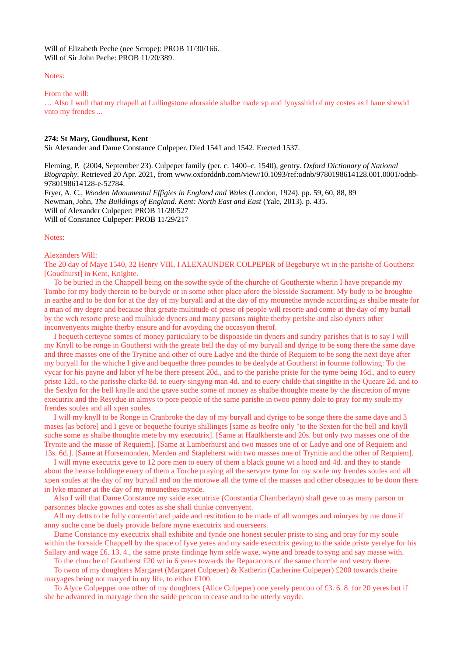Will of Elizabeth Peche (nee Scrope): PROB 11/30/166. Will of Sir John Peche: PROB 11/20/389.

#### Notes:

#### From the will:

… Also I wull that my chapell at Lullingstone aforsaide shalbe made vp and fynysshid of my costes as I haue shewid vnto my frendes ...

#### **274: St Mary, Goudhurst, Kent**

Sir Alexander and Dame Constance Culpeper. Died 1541 and 1542. Erected 1537.

Fleming, P. (2004, September 23). Culpeper family (per. c. 1400–c. 1540), gentry. *Oxford Dictionary of National Biography*. Retrieved 20 Apr. 2021, from www.oxforddnb.com/view/10.1093/ref:odnb/9780198614128.001.0001/odnb-9780198614128-e-52784.

Fryer, A. C., *Wooden Monumental Effigies in England and Wales* (London, 1924). pp. 59, 60, 88, 89 Newman, John, *The Buildings of England. Kent: North East and East* (Yale, 2013). p. 435. Will of Alexander Culpeper: PROB 11/28/527 Will of Constance Culpeper: PROB 11/29/217

#### Notes:

#### Alexanders Will:

The 20 day of Maye 1540, 32 Henry VIII, I ALEXAUNDER COLPEPER of Begeburye wt in the parishe of Goutherst [Goudhurst] in Kent, Knighte.

 To be buried in the Chappell being on the sowthe syde of the churche of Goutherste wherin I have preparide my Tombe for my body therein to be buryde or in some other place afore the blesside Sacrament. My body to be broughte in earthe and to be don for at the day of my buryall and at the day of my mounethe mynde according as shalbe meate for a man of my degre and because that greate multitude of prese of people will resorte and come at the day of my buriall by the wch resorte prese and mulhlude dyners and many parsons mighte therby perishe and also dyners other inconvenyents mighte therby ensure and for avoyding the occasyon therof.

 I bequeth certeyne somes of money particulary to be dispoaside tin dyners and sundry parishes that is to say I will my Knyll to be ronge in Goutherst with the greate bell the day of my buryall and dyrige to be song there the same daye and three masses one of the Trynitie and other of oure Ladye and the thirde of Requiem to be song the next daye after my buryall for the whiche I give and bequethe three poundes to be dealyde at Goutherst in fourme following: To the vycar for his payne and labor yf he be there present 20d., and to the parishe priste for the tyme being 16d., and to euery priste 12d., to the parisshe clarke 8d. to euery singyng man 4d. and to euery childe that singithe in the Queare 2d. and to the Sexlyn for the bell knylle and the grave suche some of money as shalbe thoughte meate by the discretion of myne executrix and the Resydue in almys to pore people of the same parishe in twoo penny dole to pray for my soule my frendes soules and all xpen soules.

 I will my knyll to be Ronge in Cranbroke the day of my buryall and dyrige to be songe there the same daye and 3 mases [as before] and I geve or bequethe fourtye shillinges [same as beofre only "to the Sexten for the bell and knyll suche some as shalbe thoughte mete by my executrix]. [Same at Haulkherste and 20s. but only two masses one of the Trynite and the masse of Requiem]. [Same at Lamberhurst and two masses one of or Ladye and one of Requiem and 13s. 6d.]. [Same at Horsemonden, Merden and Stapleherst with two masses one of Trynitie and the other of Requiem].

 I will myne executrix geve to 12 pore men to euery of them a black goune wt a hood and 4d. and they to stande about the hearse holdinge euery of them a Torche praying all the servyce tyme for my soule my frendes soules and all xpen soules at the day of my buryall and on the morowe all the tyme of the masses and other obsequies to be doon there in lyke manner at the day of my mounethes mynde.

 Also I will that Dame Constance my saide executrixe (Constantia Chamberlayn) shall geve to as many parson or parsonnes blacke gownes and cotes as she shall thinke convenyent.

 All my detts to be fully contentid and paide and restitution to be made of all wornges and miuryes by me done if anny suche cane be duely provide before myne executrix and ouerseers.

 Dame Constance my executrix shall exhibite and fynde one honest seculer priste to sing and pray for my soule within the forsaide Chappell by the space of fyve yeres and my saide executrix geving to the saide priste yerelye for his Sallary and wage £6. 13. 4., the same priste findinge hym selfe waxe, wyne and breade to syng and say masse with.

To the churche of Goutherst £20 wt in 6 yeres towards the Reparacons of the same churche and vestry there.

 To twoo of my doughters Margaret (Margaret Culpeper) & Katherin (Catherine Culpeper) £200 towards theire maryages being not maryed in my life, to either £100.

 To Alyce Colpepper one other of my doughters (Alice Culpeper) one yerely pencon of £3. 6. 8. for 20 yeres but if she be advanced in maryage then the saide pencon to cease and to be utterly voyde.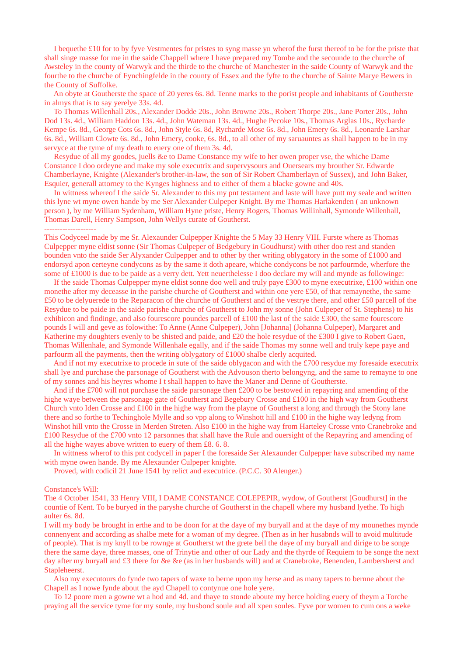I bequethe £10 for to by fyve Vestmentes for pristes to syng masse yn wherof the furst thereof to be for the priste that shall singe masse for me in the saide Chappell where I have prepared my Tombe and the secounde to the churche of Awsteley in the county of Warwyk and the thirde to the churche of Manchester in the saide County of Warwyk and the fourthe to the churche of Fynchingfelde in the county of Essex and the fyfte to the churche of Sainte Marye Bewers in the County of Suffolke.

 An obyte at Goutherste the space of 20 yeres 6s. 8d. Tenne marks to the porist people and inhabitants of Goutherste in almys that is to say yerelye 33s. 4d.

 To Thomas Willenhall 20s., Alexander Dodde 20s., John Browne 20s., Robert Thorpe 20s., Jane Porter 20s., John Dod 13s. 4d., William Haddon 13s. 4d., John Wateman 13s. 4d., Hughe Pecoke 10s., Thomas Arglas 10s., Rycharde Kempe 6s. 8d., George Cots 6s. 8d., John Style 6s. 8d, Rycharde Mose 6s. 8d., John Emery 6s. 8d., Leonarde Larshar 6s. 8d., William Clowte 6s. 8d., John Emery, cooke, 6s. 8d., to all other of my saruauntes as shall happen to be in my servyce at the tyme of my death to euery one of them 3s. 4d.

 Resydue of all my goodes, juells &e to Dame Constance my wife to her owen proper vse, the whiche Dame Constance I doo ordeyne and make my sole executrix and supervysours and Ouersears my brouther Sr. Edwarde Chamberlayne, Knighte (Alexander's brother-in-law, the son of Sir Robert Chamberlayn of Sussex), and John Baker, Esquier, generall attorney to the Kynges highness and to either of them a blacke gowne and 40s.

 In wittness whereof I the saide Sr. Alexander to this my pnt testament and laste will have putt my seale and written this lyne wt myne owen hande by me Ser Alexander Culpeper Knight. By me Thomas Harlakenden ( an unknown person ), by me William Sydenham, William Hyne priste, Henry Rogers, Thomas Willinhall, Symonde Willenhall, Thomas Darell, Henry Sampson, John Wellys curate of Goutherst.

--------------------

This Codyceel made by me Sr. Alexaunder Culpepper Knighte the 5 May 33 Henry VIII. Furste where as Thomas Culpepper myne eldist sonne (Sir Thomas Culpeper of Bedgebury in Goudhurst) with other doo rest and standen bounden vnto the saide Ser Alyxander Culpepper and to other by ther writing oblygatory in the some of £1000 and endorsyd apon certeyne condycons as by the same it doth apeare, whiche condycons be not parfourmde, wherfore the some of £1000 is due to be paide as a verry dett. Yett neuerthelesse I doo declare my will and mynde as followinge:

 If the saide Thomas Culpepper myne eldist sonne doo well and truly paye £300 to myne executrixe, £100 within one monethe after my deceasse in the parishe churche of Goutherst and within one yere £50, of that remaynethe, the same £50 to be delyuerede to the Reparacon of the churche of Goutherst and of the vestrye there, and other £50 parcell of the Resydue to be paide in the saide parishe churche of Goutherst to John my sonne (John Culpeper of St. Stephens) to his exhibicon and findinge, and also fourescore poundes parcell of £100 the last of the saide £300, the same fourescore pounds I will and geve as folowithe: To Anne (Anne Culpeper), John [Johanna] (Johanna Culpeper), Margaret and Katherine my doughters evenly to be shisted and paide, and £20 the hole resydue of the £300 I give to Robert Gaen, Thomas Willenhale, and Symonde Willenhale egally, and if the saide Thomas my sonne well and truly kepe paye and parfourm all the payments, then the writing oblygatory of £1000 shalbe clerly acquited.

 And if not my executrixe to procede in sute of the saide oblygacon and with the £700 resydue my foresaide executrix shall lye and purchase the parsonage of Goutherst with the Advouson therto belongyng, and the same to remayne to one of my sonnes and his heyres whome I t shall happen to have the Maner and Denne of Goutherste.

 And if the £700 will not purchase the saide parsonage then £200 to be bestowed in repayring and amending of the highe waye between the parsonage gate of Goutherst and Begebury Crosse and £100 in the high way from Goutherst Church vnto Iden Crosse and £100 in the highe way from the playne of Goutherst a long and through the Stony lane there and so forthe to Techinghole Mylle and so vpp along to Winshott hill and £100 in the highe way ledyng from Winshot hill vnto the Crosse in Merden Streten. Also £100 in the highe way from Harteley Crosse vnto Cranebroke and £100 Resydue of the £700 vnto 12 parsonnes that shall have the Rule and ouersight of the Repayring and amending of all the highe wayes above written to euery of them £8. 6. 8.

 In wittness wherof to this pnt codycell in paper I the foresaide Ser Alexaunder Culpepper have subscribed my name with myne owen hande. By me Alexaunder Culpeper knighte.

Proved, with codicil 21 June 1541 by relict and executrice. (P.C.C. 30 Alenger.)

#### Constance's Will:

The 4 October 1541, 33 Henry VIII, I DAME CONSTANCE COLEPEPIR, wydow, of Goutherst [Goudhurst] in the countie of Kent. To be buryed in the paryshe churche of Goutherst in the chapell where my husband lyethe. To high aulter 6s. 8d.

I will my body be brought in erthe and to be doon for at the daye of my buryall and at the daye of my mounethes mynde connenyent and according as shalbe mete for a woman of my degree. (Then as in her husabnds will to avoid multitude of people). That is my knyll to be rownge at Goutherst wt the grete bell the daye of my buryall and dirige to be songe there the same daye, three masses, one of Trinytie and other of our Lady and the thyrde of Requiem to be songe the next day after my buryall and £3 there for &e &e (as in her husbands will) and at Cranebroke, Benenden, Lambersherst and Stapleheerst.

 Also my executours do fynde two tapers of waxe to berne upon my herse and as many tapers to bernne about the Chapell as I nowe fynde about the ayd Chapell to contynue one hole yere.

 To 12 poore men a gowne wt a hod and 4d. and thaye to stonde aboute my herce holding euery of theym a Torche praying all the service tyme for my soule, my husbond soule and all xpen soules. Fyve por women to cum ons a weke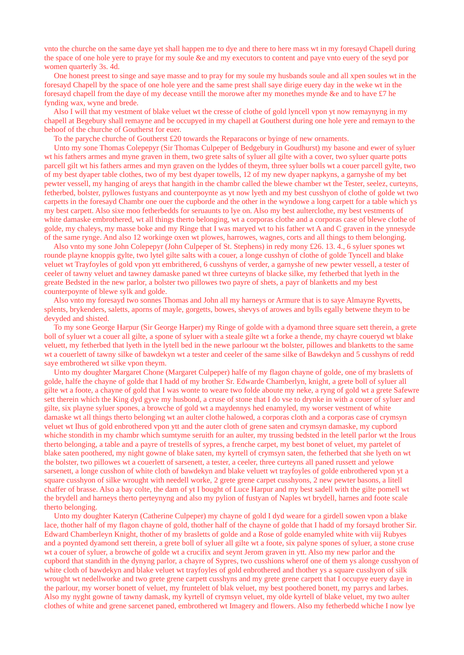vnto the churche on the same daye yet shall happen me to dye and there to here mass wt in my foresayd Chapell during the space of one hole yere to praye for my soule &e and my executors to content and paye vnto euery of the seyd por women quarterly 3s. 4d.

 One honest preest to singe and saye masse and to pray for my soule my husbands soule and all xpen soules wt in the foresayd Chapell by the space of one hole yere and the same prest shall saye dirige euery day in the weke wt in the foresayd chapell from the daye of my decease vntill the morowe after my monethes mynde &e and to have £7 he fynding wax, wyne and brede.

 Also I will that my vestment of blake veluet wt the cresse of clothe of gold lyncell vpon yt now remaynyng in my chapell at Begebury shall remayne and be occupyed in my chapell at Goutherst during one hole yere and remayn to the behoof of the churche of Goutherst for euer.

To the paryche churche of Goutherst £20 towards the Reparacons or byinge of new ornaments.

 Unto my sone Thomas Colepepyr (Sir Thomas Culpeper of Bedgebury in Goudhurst) my basone and ewer of syluer wt his fathers armes and myne graven in them, two grete salts of syluer all gilte with a cover, two syluer quarte potts parcell gilt wt his fathers armes and myn graven on the lyddes of theym, three syluer bolls wt a couer parcell gylte, two of my best dyaper table clothes, two of my best dyaper towells, 12 of my new dyaper napkyns, a garnyshe of my bet pewter vessell, my hanging of areys that hangith in the chambr called the blewe chamber wt the Tester, seelez, curteyns, fetherbed, bolster, pyllowes fustyans and counterpoynte as yt now lyeth and my best cusshyon of clothe of golde wt two carpetts in the foresayd Chambr one ouer the cupborde and the other in the wyndowe a long carpett for a table which ys my best carpett. Also sixe moo fetherbedds for seruaunts to lye on. Also my best aulterclothe, my best vestments of white damaske embrothered, wt all things therto belonging, wt a corporas clothe and a corporas case of blewe clothe of golde, my chaleys, my masse boke and my Ringe that I was maryed wt to his father wt A and C graven in the ynnesyde of the same rynge. And also 12 workinge oxen wt plowes, harrowes, wagnes, corts and all things to them belonging.

 Also vnto my sone John Colepepyr (John Culpeper of St. Stephens) in redy mony £26. 13. 4., 6 syluer spones wt rounde playne knoppis gylte, two lytel gilte salts with a couer, a longe cusshyn of clothe of golde Tyncell and blake veluet wt Trayfoyles of gold vpon ytt embrithered, 6 cusshyns of verder, a garnyshe of new pewter vessell, a tester of ceeler of tawny veluet and tawney damaske paned wt three curteyns of blacke silke, my fetherbed that lyeth in the greate Bedsted in the new parlor, a bolster two pillowes two payre of shets, a payr of blanketts and my best counterpoynte of blewe sylk and golde.

 Also vnto my foresayd two sonnes Thomas and John all my harneys or Armure that is to saye Almayne Ryvetts, splents, brykenders, saletts, aporns of mayle, gorgetts, bowes, shevys of arowes and bylls egally betwene theym to be devyded and shisted.

 To my sone George Harpur (Sir George Harper) my Ringe of golde with a dyamond three square sett therein, a grete boll of syluer wt a couer all gilte, a spone of syluer with a steale gilte wt a forke a thende, my chayre coueryd wt blake veluett, my fetherbed that lyeth in the lytell bed in the newe parloour wt the bolster, pillowes and blanketts to the same wt a couerlett of tawny silke of bawdekyn wt a tester and ceeler of the same silke of Bawdekyn and 5 cusshyns of redd saye embrothered wt silke vpon theym.

 Unto my doughter Margaret Chone (Margaret Culpeper) halfe of my flagon chayne of golde, one of my brasletts of golde, halfe the chayne of golde that I hadd of my brother Sr. Edwarde Chamberlyn, knight, a grete boll of syluer all gilte wt a foote, a chayne of gold that I was wonte to weare two folde aboute my neke, a ryng of gold wt a grete Safewre sett therein which the King dyd gyve my husbond, a cruse of stone that I do vse to drynke in with a couer of syluer and gilte, six playne syluer spones, a browche of gold wt a maydennys hed enamyled, my worser vestment of white damaske wt all things therto belonging wt an aulter clothe halowed, a corporas cloth and a corporas case of crymsyn veluet wt Ihus of gold enbrothered vpon ytt and the auter cloth of grene saten and crymsyn damaske, my cupbord whiche stondith in my chambr which sumtyme seruith for an aulter, my trussing bedsted in the letell parlor wt the Irous therto belonging, a table and a payre of trestells of sypres, a frenche carpet, my best bonet of veluet, my partelet of blake saten poothered, my night gowne of blake saten, my kyrtell of crymsyn saten, the fetherbed that she lyeth on wt the bolster, two pillowes wt a couerlett of sarsenett, a tester, a ceeler, three curteyns all paned russett and yelowe sarsenett, a longe cusshon of white cloth of bawdekyn and blake veluett wt trayfoyles of golde enbrothered vpon yt a square cusshyon of silke wrought with needell worke, 2 grete grene carpet cusshyons, 2 new pewter basons, a litell chaffer of brasse. Also a bay colte, the dam of yt I bought of Luce Harpur and my best sadell with the gilte pomell wt the brydell and harneys therto perteynyng and also my pylion of fustyan of Naples wt brydell, harnes and foote scale therto belonging.

 Unto my doughter Kateryn (Catherine Culpeper) my chayne of gold I dyd weare for a girdell sowen vpon a blake lace, thother half of my flagon chayne of gold, thother half of the chayne of golde that I hadd of my forsayd brother Sir. Edward Chamberleyn Knight, thother of my brasletts of golde and a Rose of golde enamyled white with viij Rubyes and a poynted dyamond sett therein, a grete boll of syluer all gilte wt a foote, six palyne spones of syluer, a stone cruse wt a couer of syluer, a browche of golde wt a crucifix and seynt Jerom graven in ytt. Also my new parlor and the cupbord that standith in the dynyng parlor, a chayre of Sypres, two cusshions wherof one of them ys alonge cusshyon of white cloth of bawdekyn and blake veluet wt trayfoyles of gold enbrothered and thother ys a square cusshyon of silk wrought wt nedellworke and two grete grene carpett cusshyns and my grete grene carpett that I occupye euery daye in the parlour, my worser bonett of veluet, my fruntelett of blak veluet, my best poothered bonett, my parrys and larbes. Also my nyght gowne of tawny damask, my kyrtell of crymsyn veluet, my olde kyrtell of blake veluet, my two aulter clothes of white and grene sarcenet paned, embrothered wt Imagery and flowers. Also my fetherbedd whiche I now lye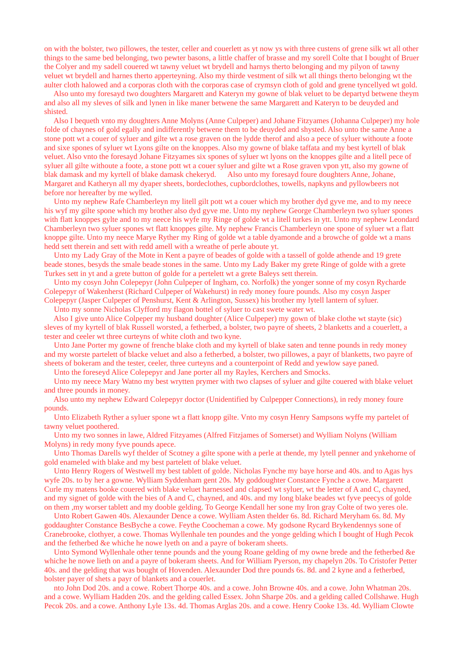on with the bolster, two pillowes, the tester, celler and couerlett as yt now ys with three custens of grene silk wt all other things to the same bed belonging, two pewter basons, a little chaffer of brasse and my sorell Colte that I bought of Bruer the Colyer and my sadell couered wt tawny veluet wt brydell and harnys therto belonging and my pilyon of tawny veluet wt brydell and harnes therto apperteyning. Also my thirde vestment of silk wt all things therto belonging wt the aulter cloth halowed and a corporas cloth with the corporas case of crymsyn cloth of gold and grene tyncellyed wt gold.

 Also unto my foresayd two doughters Margarett and Kateryn my gowne of blak veluet to be departyd betwene theym and also all my sleves of silk and lynen in like maner betwene the same Margarett and Kateryn to be deuyded and shisted.

 Also I bequeth vnto my doughters Anne Molyns (Anne Culpeper) and Johane Fitzyames (Johanna Culpeper) my hole folde of chaynes of gold egally and indifferently betwene them to be deuyded and shysted. Also unto the same Anne a stone pott wt a couer of syluer and gilte wt a rose graven on the lydde therof and also a pece of syluer withoute a foote and sixe spones of syluer wt Lyons gilte on the knoppes. Also my gowne of blake taffata and my best kyrtell of blak veluet. Also vnto the foresayd Johane Fitzyames six spones of syluer wt lyons on the knoppes gilte and a litell pece of syluer all gilte withoute a foote, a stone pott wt a couer syluer and gilte wt a Rose graven vpon ytt, also my gowne of blak damask and my kyrtell of blake damask chekeryd. Also unto my foresayd foure doughters Anne, Johane, Margaret and Katheryn all my dyaper sheets, bordeclothes, cupbordclothes, towells, napkyns and pyllowbeers not before nor hereafter by me wylled.

 Unto my nephew Rafe Chamberleyn my litell gilt pott wt a couer which my brother dyd gyve me, and to my neece his wyf my gilte spone which my brother also dyd gyve me. Unto my nephew George Chamberleyn two syluer spones with flatt knoppes gylte and to my neece his wyfe my Ringe of golde wt a litell turkes in ytt. Unto my nephew Leondard Chamberleyn two syluer spones wt flatt knoppes gilte. My nephew Francis Chamberleyn one spone of syluer wt a flatt knoppe gilte. Unto my neece Marye Ryther my Ring of golde wt a table dyamonde and a browche of golde wt a mans hedd sett therein and sett with redd amell with a wreathe of perle aboute yt.

 Unto my Lady Gray of the Mote in Kent a payre of beades of golde with a tassell of golde athende and 19 grete beade stones, besyds the smale beade stones in the same. Unto my Lady Baker my grete Ringe of golde with a grete Turkes sett in yt and a grete button of golde for a pertelett wt a grete Baleys sett therein.

 Unto my cosyn John Colepepyr (John Culpeper of Ingham, co. Norfolk) the yonger sonne of my cosyn Rycharde Colepepyr of Wakenherst (Richard Culpeper of Wakehurst) in redy money foure pounds. Also my cosyn Jasper Colepepyr (Jasper Culpeper of Penshurst, Kent & Arlington, Sussex) his brother my lytell lantern of syluer.

Unto my sonne Nicholas Clyfford my flagon bottel of syluer to cast swete water wt.

 Also I give unto Alice Colpeper my husband doughter (Alice Culpeper) my gown of blake clothe wt stayte (sic) sleves of my kyrtell of blak Russell worsted, a fetherbed, a bolster, two payre of sheets, 2 blanketts and a couerlett, a tester and ceeler wt three curteyns of white cloth and two kyne.

 Unto Jane Porter my gowne of frenche blake cloth and my kyrtell of blake saten and tenne pounds in redy money and my worste partelett of blacke veluet and also a fetherbed, a bolster, two pillowes, a payr of blanketts, two payre of sheets of bokeram and the tester, ceeler, three curteyns and a counterpoint of Redd and yewlow saye paned.

Unto the foreseyd Alice Colepepyr and Jane porter all my Rayles, Kerchers and Smocks.

 Unto my neece Mary Watno my best wrytten prymer with two clapses of syluer and gilte couered with blake veluet and three pounds in money.

 Also unto my nephew Edward Colepepyr doctor (Unidentified by Culpepper Connections), in redy money foure pounds.

 Unto Elizabeth Ryther a syluer spone wt a flatt knopp gilte. Vnto my cosyn Henry Sampsons wyffe my partelet of tawny veluet poothered.

 Unto my two sonnes in lawe, Aldred Fitzyames (Alfred Fitzjames of Somerset) and Wylliam Nolyns (William Molyns) in redy mony fyve pounds apece.

 Unto Thomas Darells wyf thelder of Scotney a gilte spone with a perle at thende, my lytell penner and ynkehorne of gold enameled with blake and my best partelett of blake veluet.

 Unto Henry Rogers of Westwell my best tablett of golde. Nicholas Fynche my baye horse and 40s. and to Agas hys wyfe 20s. to by her a gowne. Wylliam Syddenham gent 20s. My goddoughter Constance Fynche a cowe. Margarett Curle my matens booke couered with blake veluet harnessed and clapsed wt syluer, wt the letter of A and C, chayned, and my signet of golde with the bies of A and C, chayned, and 40s. and my long blake beades wt fyve peecys of golde on them ,my worser tablett and my dooble gelding. To George Kendall her sone my Iron gray Colte of two yeres ole.

 Unto Robert Gawen 40s. Alexaunder Dence a cowe. Wylliam Asten thelder 6s. 8d. Richard Meryham 6s. 8d. My goddaughter Constance BesByche a cowe. Feythe Coocheman a cowe. My godsone Rycard Brykendennys sone of Cranebrooke, clothyer, a cowe. Thomas Wyllenhale ten poundes and the yonge gelding which I bought of Hugh Pecok and the fetherbed &e whiche he nowe lyeth on and a payre of bokeram sheets.

 Unto Symond Wyllenhale other tenne pounds and the young Roane gelding of my owne brede and the fetherbed &e whiche he nowe lieth on and a payre of bokeram sheets. And for William Pyerson, my chapelyn 20s. To Cristofer Petter 40s. and the gelding that was bought of Hovenden. Alexaunder Dod thre pounds 6s. 8d. and 2 kyne and a fetherbed, bolster payer of shets a payr of blankets and a couerlet.

 nto John Dod 20s. and a cowe. Robert Thorpe 40s. and a cowe. John Browne 40s. and a cowe. John Whatman 20s. and a cowe. Wylliam Hadden 20s. and the gelding called Essex. John Sharpe 20s. and a gelding called Collshawe. Hugh Pecok 20s. and a cowe. Anthony Lyle 13s. 4d. Thomas Arglas 20s. and a cowe. Henry Cooke 13s. 4d. Wylliam Clowte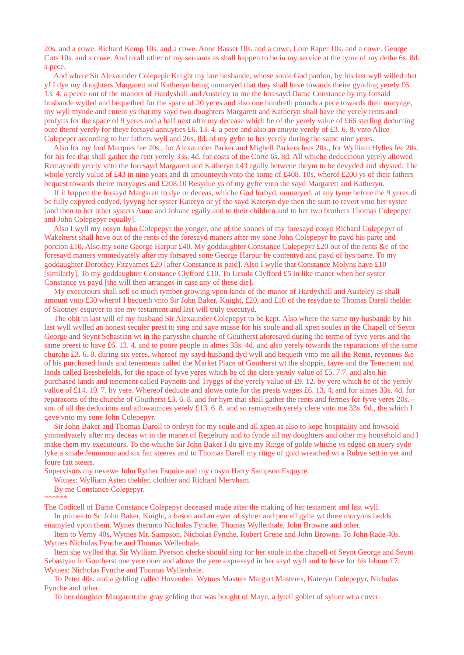20s. and a cowe. Richard Kemp 10s. and a cowe. Anne Basset 10s. and a cowe. Lore Raper 10s. and a cowe. George Cots 10s. and a cowe. And to all other of my seruants as shall happen to be in my service at the tyme of my dethe 6s. 8d. a pece.

 And where Sir Alexaunder Colepepir Knight my late husbande, whose soule God pardon, by his last wyll willed that yf I dye my doughters Margarett and Katheryn being unmaryed that they shall have towards theire gynding yerely £6. 13. 4. a peece out of the manors of Hardyshall and Austeley to me the foresayd Dame Constance by my forsaid husbande wylled and bequethed for the space of 20 yeres and also one hundreth pounds a pece towards their maryage, my wyll mynde and entent ys that my sayd two doughters Margarett and Katheryn shall have the yerely rents and profytts for the space of 9 yeres and a half next aftir my decease which be of the yerely value of £66 sterling deducting oute therof yerely for theyr forsayd annuyties £6. 13. 4. a pece and also an anuyte yerely of £3. 6. 8. vnto Alice Colepeper according to her fathers wyll and 26s. 8d. of my gyfte to her yerely during the same nine yeres.

 Also for my lord Marques fee 20s., for Alexaunder Parker and Mighell Parkers fees 20s., for Wylliam Hylles fee 20s. for his fee that shall gather the rent yerely 33s. 4d. for costs of the Corte 6s. 8d. All whiche deduccioun yerely allowed Remayneth yerely vnto the foresayd Margarett and Katheryn £43 egally betwene theym to be devyded and shysted. The whole yerely value of £43 in nine years and di amounteyth vnto the some of £408. 10s. wherof £200 ys of their fathers bequest towards theire maryages and £208.10 Resydue ys of my gyfte vnto the sayd Margarett and Katheryn.

 If it happen the forsayd Margarett to dye or deceas, whiche God forbyd, unmaryed, at any tyme before the 9 yeres di be fully expyred endyed, lyvyng her syster Kateryn or yf the sayd Kateryn dye then the sum to revert vnto her syster [and then to her other systers Anne and Johane egally and to their children and to her two brothers Thomas Colepepyr and John Colepepyr equally].

 Also I wyll my cosyn John Colepepyr the yonger, one of the sonnes of my foresayd cosyn Richard Colepepyr of Wakeherst shall have out of the rents of the foresayd maners after my sone John Colepepyr be payd his parte and porcion £10. Also my sone George Harpur £40. My goddaughter Constance Colepepyr £20 out of the rents &e of the foresayd maners ymmedyately after my forsayed sone George Harpur be contentyd and payd of hys parte. To my goddaughter Dorothey Fitzyames £20 [after Constance is paid]. Also I wylle that Constance Molyns have £10 [similarly]. To my goddaughter Constance Clyfford £10. To Ursula Clyfford £5 in like maner when her syster Constance ys payd [the will then arranges in case any of these die].

 My executours shall sell so much tymber growing vpon lands of the manor of Hardyshall and Austeley as shall amount vnto £30 wherof I bequeth vnto Sir John Baker, Knight, £20, and £10 of the resydue to Thomas Darell thelder of Skotney esquyer to see my testament and last will truly executyd.

 The obit in last will of my husband Sir Alexaunder Colepepyr to be kept. Also where the same my husbande by his last wyll wylled an honest seculer prest to sing and saye masse for his soule and all xpen soules in the Chapell of Seynt George and Seynt Sebastian wt in the parysshe churche of Goutherst aforesayd during the terme of fyve yeres and the same preest to have £6. 13. 4. and to poore people in almes 33s. 4d. and also yerely towards the reparacions of the same churche £3. 6. 8. during six yeres, whereof my sayd husband dyd wyll and bequeth vnto me all the Rents, revenues &e of his purchased lands and tenements called the Market Place of Goutherst wt the shoppis, fayre and the Tenement and lands called Besshefelds, for the space of fyve yeres which be of the clere yerely value of £5. 7.7. and also his purchased lands and tenement called Paynetts and Tryggs of the yerely value of £9. 12. by yere which be of the yerely vallue of £14. 19. 7. by yere. Whereof deducte and alowe oute for the prests wages £6. 13. 4. and for almes 33s. 4d. for reparacons of the churche of Goutherst £3. 6. 8. and for hym that shall gather the rents and fermes for fyve yeres 20s. – sm. of all the deducions and allowaunces yerely £13. 6. 8. and so remayneth yerely clere vnto me 33s. 9d., the which I geve vnto my sone John Colepepyr.

 Sir John Baker and Thomas Daroll to ordeyn for my soule and all xpen as also to kepe hospitality and howsold ymmedyately after my deceas wt in the maner of Regebury and to fynde all my doughters and other my household and I make them my executours. To the whiche Sir John Baker I do give my Ringe of golde whiche ys edged on euery syde lyke a smale Jenumour and six fatt steeres and to Thomas Darell my ringe of gold wreathed wt a Rubye sett in yet and foure fatt steers.

Supervisors my nevewe John Ryther Esquire and my cosyn Harry Sampson Esquyre.

Witnes: Wylliam Asten thelder, clothier and Richard Meryham.

By me Constance Colepepyr.

\*\*\*\*\*\*

The Codicell of Dame Constance Colepepyr deceased made after the making of her testament and last wyll. In primes to Sr. John Baker, Knight, a bason and an ewer of syluer and percell gylte wt three moryons hedds

enamyled vpon them. Wynes therunto Nicholas Fynche, Thomas Wyllenhale, John Browne and other.

 Item to Verny 40s. Wytnes Mr. Sampson, Nicholas Fynche, Robert Grene and John Browne. To John Rade 40s. Wytnes Nicholas Fynche and Thomas Wellenhale.

 Item she wylled that Sir Wylliam Pyerson clerke should sing for her soule in the chapell of Seynt George and Seynt Sebastyan in Goutherst one yere ouer and above the yere expressyd in her sayd wyll and to have for his labour £7. Wytnes: Nicholas Fynche and Thomas Wyllenhale.

 To Peter 40s. and a gelding called Hovenden. Wytnes Mastres Margart Masteres, Kateryn Colepepyr, Nicholas Fynche and other.

To her doughter Margarett the gray gelding that was bought of Maye, a lytell goblet of syluer wt a cover.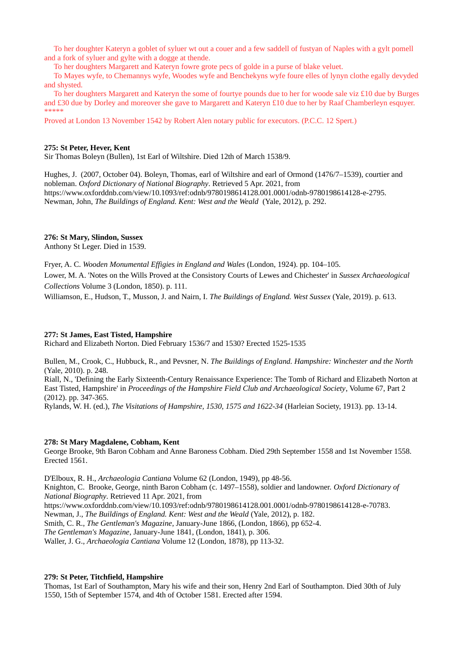To her doughter Kateryn a goblet of syluer wt out a couer and a few saddell of fustyan of Naples with a gylt pomell and a fork of syluer and gylte with a dogge at thende.

To her doughters Margarett and Kateryn fowre grote pecs of golde in a purse of blake veluet.

 To Mayes wyfe, to Chemannys wyfe, Woodes wyfe and Benchekyns wyfe foure elles of lynyn clothe egally devyded and shysted.

 To her doughters Margarett and Kateryn the some of fourtye pounds due to her for woode sale viz £10 due by Burges and £30 due by Dorley and moreover she gave to Margarett and Kateryn £10 due to her by Raaf Chamberleyn esquyer. \*\*\*\*\*\*\*

Proved at London 13 November 1542 by Robert Alen notary public for executors. (P.C.C. 12 Spert.)

## **275: St Peter, Hever, Kent**

Sir Thomas Boleyn (Bullen), 1st Earl of Wiltshire. Died 12th of March 1538/9.

Hughes, J. (2007, October 04). Boleyn, Thomas, earl of Wiltshire and earl of Ormond (1476/7–1539), courtier and nobleman. *Oxford Dictionary of National Biography*. Retrieved 5 Apr. 2021, from https://www.oxforddnb.com/view/10.1093/ref:odnb/9780198614128.001.0001/odnb-9780198614128-e-2795. Newman, John, *The Buildings of England. Kent: West and the Weald* (Yale, 2012), p. 292.

#### **276: St Mary, Slindon, Sussex**

Anthony St Leger. Died in 1539.

Fryer, A. C. *Wooden Monumental Effigies in England and Wales* (London, 1924). pp. 104–105.

Lower, M. A. 'Notes on the Wills Proved at the Consistory Courts of Lewes and Chichester' in *Sussex Archaeological Collections* Volume 3 (London, 1850). p. 111.

Williamson, E., Hudson, T., Musson, J. and Nairn, I. *The Buildings of England. West Sussex* (Yale, 2019). p. 613.

#### **277: St James, East Tisted, Hampshire**

Richard and Elizabeth Norton. Died February 1536/7 and 1530? Erected 1525-1535

Bullen, M., Crook, C., Hubbuck, R., and Pevsner, N. *The Buildings of England. Hampshire: Winchester and the North*  (Yale, 2010). p. 248.

Riall, N., 'Defining the Early Sixteenth-Century Renaissance Experience: The Tomb of Richard and Elizabeth Norton at East Tisted, Hampshire' in *Proceedings of the Hampshire Field Club and Archaeological Society*, Volume 67, Part 2 (2012). pp. 347-365.

Rylands, W. H. (ed.), *The Visitations of Hampshire, 1530, 1575 and 1622-34* (Harleian Society, 1913). pp. 13-14.

#### **278: St Mary Magdalene, Cobham, Kent**

George Brooke, 9th Baron Cobham and Anne Baroness Cobham. Died 29th September 1558 and 1st November 1558. Erected 1561.

D'Elboux, R. H., *Archaeologia Cantiana* Volume 62 (London, 1949), pp 48-56.

Knighton, C. Brooke, George, ninth Baron Cobham (c. 1497–1558), soldier and landowner. *Oxford Dictionary of National Biography*. Retrieved 11 Apr. 2021, from

https://www.oxforddnb.com/view/10.1093/ref:odnb/9780198614128.001.0001/odnb-9780198614128-e-70783.

Newman, J., *The Buildings of England. Kent: West and the Weald* (Yale, 2012), p. 182.

Smith, C. R., *The Gentleman's Magazine*, January-June 1866, (London, 1866), pp 652-4.

*The Gentleman's Magazine*, January-June 1841, (London, 1841), p. 306.

Waller, J. G., *Archaeologia Cantiana* Volume 12 (London, 1878), pp 113-32.

#### **279: St Peter, Titchfield, Hampshire**

Thomas, 1st Earl of Southampton, Mary his wife and their son, Henry 2nd Earl of Southampton. Died 30th of July 1550, 15th of September 1574, and 4th of October 1581. Erected after 1594.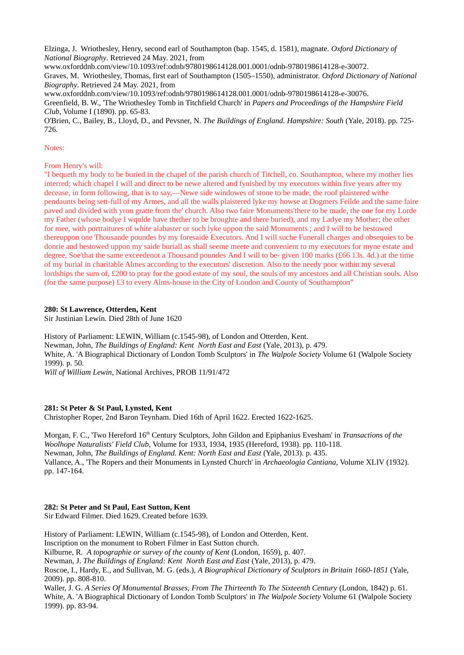Elzinga, J. Wriothesley, Henry, second earl of Southampton (bap. 1545, d. 1581), magnate. *Oxford Dictionary of National Biography*. Retrieved 24 May. 2021, from

www.oxforddnb.com/view/10.1093/ref:odnb/9780198614128.001.0001/odnb-9780198614128-e-30072. Graves, M. Wriothesley, Thomas, first earl of Southampton (1505–1550), administrator. *Oxford Dictionary of National Biography*. Retrieved 24 May. 2021, from

www.oxforddnb.com/view/10.1093/ref:odnb/9780198614128.001.0001/odnb-9780198614128-e-30076. Greenfield, B. W., 'The Wriothesley Tomb in Titchfield Church' in *Papers and Proceedings of the Hampshire Field Club*, Volume I (1890). pp. 65-83.

O'Brien, C., Bailey, B., Lloyd, D., and Pevsner, N. *The Buildings of England. Hampshire: South* (Yale, 2018). pp. 725- 726.

## Notes:

From Henry's will:

"I bequeth my body to be buried in the chapel of the parish church of Titchell, co. Southampton, where my mother lies interred; which chapel I will and direct to be newe altered and fynished by my executors within five years after my decease, in form following, that is to say,—Newe side windowes of stone to be made, the roof plaistered withe pendaunts being sett-full of my Armes, and all the walls plaistered lyke my howse at Dogmers Feilde and the same faire paved and divided with yron gratte from the' church. Also two faire Monuments'there to be made, the one for my Lorde my Father (whose bodye I wqulde have thether to be broughte and there buried), and my Ladye my Mother; the other for mee, with portraitures of white alabaster or such lyke uppon the said Monuments ; and I will to be bestowed thereuppon one Thousande poundes by my foresaide Executors. And I will suche Funerall charges and obsequies to be donrie and bestowed uppon my saide buriall as shall seeme meete and convenient to my executors for myne estate and degree, Soe'that the same exceedenot a Thousand poundes And I will to be- given 100 marks (£66 13s. 4d.) at the time of my burial in charitable Almes according to the executors' discretion. Also to the needy poor within my several lordships the sum of, £200 to pray for the good estate of my soul, the souls of my ancestors and all Christian souls. Also (for the same purpose) £3 to every Alms-house in the City of London and County of Southampton"

# **280: St Lawrence, Otterden, Kent**

Sir Justinian Lewin. Died 28th of June 1620

History of Parliament: LEWIN, William (c.1545-98), of London and Otterden, Kent. Newman, John, *The Buildings of England: Kent North East and East* (Yale, 2013), p. 479. White, A. 'A Biographical Dictionary of London Tomb Sculptors' in *The Walpole Society* Volume 61 (Walpole Society 1999). p. 50. *Will of William Lewin*, National Archives, PROB 11/91/472

# **281: St Peter & St Paul, Lynsted, Kent**

Christopher Roper, 2nd Baron Teynham. Died 16th of April 1622. Erected 1622-1625.

Morgan, F. C., 'Two Hereford 16<sup>th</sup> Century Sculptors, John Gildon and Epiphanius Evesham' in *Transactions of the Woolhope Naturalists' Field Club*, Volume for 1933, 1934, 1935 (Hereford, 1938). pp. 110-118. Newman, John, *The Buildings of England. Kent: North East and East* (Yale, 2013). p. 435. Vallance, A., 'The Ropers and their Monuments in Lynsted Church' in *Archaeologia Cantiana*, Volume XLIV (1932). pp. 147-164.

# **282: St Peter and St Paul, East Sutton, Kent**

Sir Edward Filmer. Died 1629. Created before 1639.

History of Parliament: LEWIN, William (c.1545-98), of London and Otterden, Kent.

Inscription on the monument to Robert Filmer in East Sutton church.

Kilburne, R. *A topographie or survey of the county of Kent* (London, 1659), p. 407.

Newman, J. *The Buildings of England: Kent North East and East* (Yale, 2013), p. 479.

Roscoe, I., Hardy, E., and Sullivan, M. G. (eds.), *A Biographical Dictionary of Sculptors in Britain 1660-1851* (Yale, 2009). pp. 808-810.

Waller, J. G. *A Series Of Monumental Brasses, From The Thirteenth To The Sixteenth Century* (London, 1842) p. 61. White, A. 'A Biographical Dictionary of London Tomb Sculptors' in *The Walpole Society* Volume 61 (Walpole Society 1999). pp. 83-94.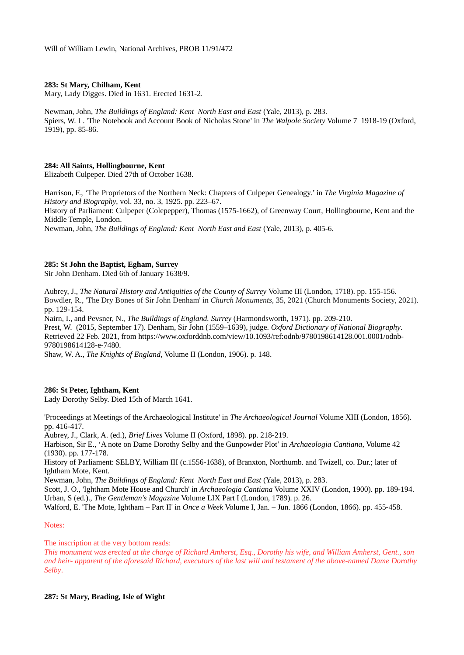# **283: St Mary, Chilham, Kent**

Mary, Lady Digges. Died in 1631. Erected 1631-2.

Newman, John, *The Buildings of England: Kent North East and East (Yale, 2013), p. 283.* Spiers, W. L. 'The Notebook and Account Book of Nicholas Stone' in *The Walpole Society* Volume 7 1918-19 (Oxford, 1919), pp. 85-86.

## **284: All Saints, Hollingbourne, Kent**

Elizabeth Culpeper. Died 27th of October 1638.

Harrison, F., 'The Proprietors of the Northern Neck: Chapters of Culpeper Genealogy.' in *The Virginia Magazine of History and Biography*, vol. 33, no. 3, 1925. pp. 223–67. History of Parliament: Culpeper (Colepepper), Thomas (1575-1662), of Greenway Court, Hollingbourne, Kent and the Middle Temple, London. Newman, John, *The Buildings of England: Kent North East and East* (Yale, 2013), p. 405-6.

## **285: St John the Baptist, Egham, Surrey**

Sir John Denham. Died 6th of January 1638/9.

Aubrey, J., *The Natural History and Antiquities of the County of Surrey* Volume III (London, 1718). pp. 155-156. Bowdler, R., 'The Dry Bones of Sir John Denham' in *Church Monuments,* 35, 2021 (Church Monuments Society, 2021). pp. 129-154.

Nairn, I., and Pevsner, N., *The Buildings of England. Surrey* (Harmondsworth, 1971). pp. 209-210.

Prest, W. (2015, September 17). Denham, Sir John (1559–1639), judge. *Oxford Dictionary of National Biography*. Retrieved 22 Feb. 2021, from https://www.oxforddnb.com/view/10.1093/ref:odnb/9780198614128.001.0001/odnb-9780198614128-e-7480.

Shaw, W. A., *The Knights of England*, Volume II (London, 1906). p. 148.

#### **286: St Peter, Ightham, Kent**

Lady Dorothy Selby. Died 15th of March 1641.

'Proceedings at Meetings of the Archaeological Institute' in *The Archaeological Journal* Volume XIII (London, 1856). pp. 416-417.

Aubrey, J., Clark, A. (ed.), *Brief Lives* Volume II (Oxford, 1898). pp. 218-219.

Harbison, Sir E., 'A note on Dame Dorothy Selby and the Gunpowder Plot' in *Archaeologia Cantiana*, Volume 42 (1930). pp. 177-178.

History of Parliament: SELBY, William III (c.1556-1638), of Branxton, Northumb. and Twizell, co. Dur.; later of Ightham Mote, Kent.

Newman, John, *The Buildings of England: Kent North East and East* (Yale, 2013), p. 283.

Scott, J. O., 'Ightham Mote House and Church' in *Archaeologia Cantiana* Volume XXIV (London, 1900). pp. 189-194. Urban, S (ed.)., *The Gentleman's Magazine* Volume LIX Part I (London, 1789). p. 26.

Walford, E. 'The Mote, Ightham – Part II' in *Once a Week* Volume I, Jan. – Jun. 1866 (London, 1866). pp. 455-458.

#### Notes:

The inscription at the very bottom reads:

*This monument was erected at the charge of Richard Amherst, Esq., Dorothy his wife, and William Amherst, Gent., son and heir- apparent of the aforesaid Richard, executors of the last will and testament of the above-named Dame Dorothy Selby*.

#### **287: St Mary, Brading, Isle of Wight**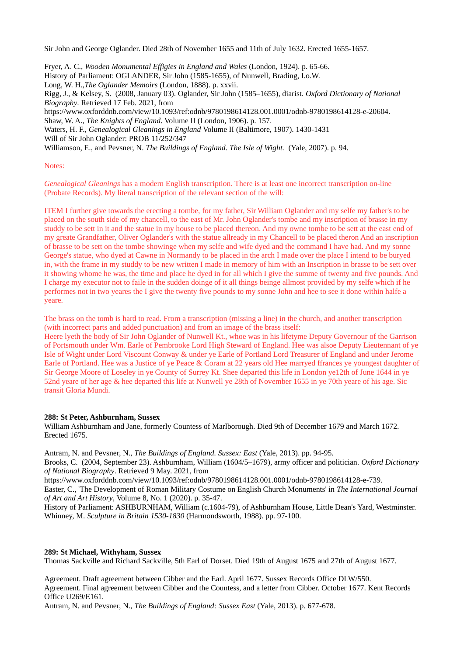Sir John and George Oglander. Died 28th of November 1655 and 11th of July 1632. Erected 1655-1657.

Fryer, A. C., *Wooden Monumental Effigies in England and Wales* (London, 1924). p. 65-66. History of Parliament: OGLANDER, Sir John (1585-1655), of Nunwell, Brading, I.o.W. Long, W. H.,*The Oglander Memoirs* (London, 1888). p. xxvii. Rigg, J., & Kelsey, S. (2008, January 03). Oglander, Sir John (1585–1655), diarist. *Oxford Dictionary of National Biography*. Retrieved 17 Feb. 2021, from https://www.oxforddnb.com/view/10.1093/ref:odnb/9780198614128.001.0001/odnb-9780198614128-e-20604. Shaw, W. A., *The Knights of England*. Volume II (London, 1906). p. 157. Waters, H. F., *Genealogical Gleanings in England* Volume II (Baltimore, 1907). 1430-1431 Will of Sir John Oglander: PROB 11/252/347

Williamson, E., and Pevsner, N. *The Buildings of England. The Isle of Wight.* (Yale, 2007). p. 94.

## Notes:

*Genealogical Gleanings* has a modern English transcription. There is at least one incorrect transcription on-line (Probate Records). My literal transcription of the relevant section of the will:

ITEM I further give towards the erecting a tombe, for my father, Sir William Oglander and my selfe my father's to be placed on the south side of my chancell, to the east of Mr. John Oglander's tombe and my inscription of brasse in my studdy to be sett in it and the statue in my house to be placed thereon. And my owne tombe to be sett at the east end of my greate Grandfather, Oliver Oglander's with the statue allready in my Chancell to be placed theron And an inscription of brasse to be sett on the tombe showinge when my selfe and wife dyed and the command I have had. And my sonne George's statue, who dyed at Cawne in Normandy to be placed in the arch I made over the place I intend to be buryed in, with the frame in my studdy to be new written I made in memory of him with an Inscription in brasse to be sett over it showing whome he was, the time and place he dyed in for all which I give the summe of twenty and five pounds. And I charge my executor not to faile in the sudden doinge of it all things beinge allmost provided by my selfe which if he performes not in two yeares the I give the twenty five pounds to my sonne John and hee to see it done within halfe a yeare.

The brass on the tomb is hard to read. From a transcription (missing a line) in the church, and another transcription (with incorrect parts and added punctuation) and from an image of the brass itself:

Heere lyeth the body of Sir John Oglander of Nunwell Kt., whoe was in his lifetyme Deputy Governour of the Garrison of Portsmouth under Wm. Earle of Pembrooke Lord High Steward of England. Hee was alsoe Deputy Lieutennant of ye Isle of Wight under Lord Viscount Conway & under ye Earle of Portland Lord Treasurer of England and under Jerome Earle of Portland. Hee was a Justice of ye Peace & Coram at 22 years old Hee marryed ffrances ye youngest daughter of Sir George Moore of Loseley in ye County of Surrey Kt. Shee departed this life in London ye12th of June 1644 in ye 52nd yeare of her age & hee departed this life at Nunwell ye 28th of November 1655 in ye 70th yeare of his age. Sic transit Gloria Mundi.

## **288: St Peter, Ashburnham, Sussex**

William Ashburnham and Jane, formerly Countess of Marlborough. Died 9th of December 1679 and March 1672. Erected 1675.

Antram, N. and Pevsner, N., *The Buildings of England. Sussex: East* (Yale, 2013). pp. 94-95.

Brooks, C. (2004, September 23). Ashburnham, William (1604/5–1679), army officer and politician. *Oxford Dictionary of National Biography*. Retrieved 9 May. 2021, from

[https://www.oxforddnb.com/view/10.1093/ref:odnb/9780198614128.001.0001/odnb-9780198614128-e-739.](https://www.oxforddnb.com/view/10.1093/ref:odnb/9780198614128.001.0001/odnb-9780198614128-e-739)

Easter, C., 'The Development of Roman Military Costume on English Church Monuments' in *The International Journal of Art and Art History*, Volume 8, No. 1 (2020). p. 35-47.

History of Parliament: ASHBURNHAM, William (c.1604-79), of Ashburnham House, Little Dean's Yard, Westminster. Whinney, M. *Sculpture in Britain 1530-1830* (Harmondsworth, 1988). pp. 97-100.

#### **289: St Michael, Withyham, Sussex**

Thomas Sackville and Richard Sackville, 5th Earl of Dorset. Died 19th of August 1675 and 27th of August 1677.

Agreement. Draft agreement between Cibber and the Earl. April 1677. Sussex Records Office DLW/550. Agreement. Final agreement between Cibber and the Countess, and a letter from Cibber. October 1677. Kent Records Office U269/E161.

Antram, N. and Pevsner, N., *The Buildings of England: Sussex East* (Yale, 2013). p. 677-678.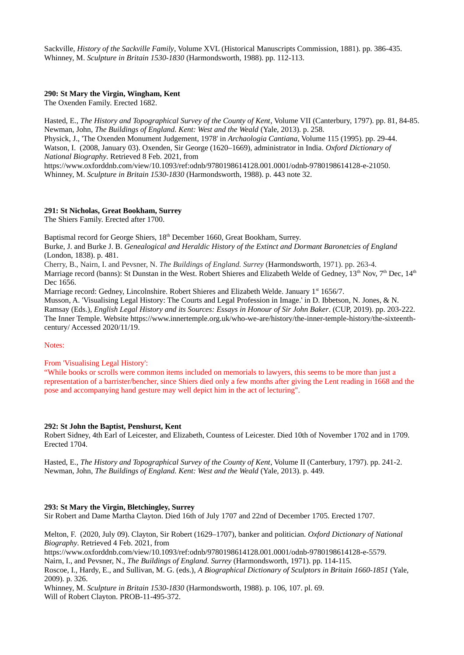Sackville, *History of the Sackville Family*, Volume XVL (Historical Manuscripts Commission, 1881). pp. 386-435. Whinney, M. *Sculpture in Britain 1530-1830* (Harmondsworth, 1988). pp. 112-113.

## **290: St Mary the Virgin, Wingham, Kent**

The Oxenden Family. Erected 1682.

Hasted, E., *The History and Topographical Survey of the County of Kent*, Volume VII (Canterbury, 1797). pp. 81, 84-85. Newman, John, *The Buildings of England. Kent: West and the Weald* (Yale, 2013). p. 258. Physick, J., 'The Oxenden Monument Judgement, 1978' in *Archaologia Cantiana*, Volume 115 (1995). pp. 29-44. Watson, I. (2008, January 03). Oxenden, Sir George (1620–1669), administrator in India. *Oxford Dictionary of National Biography*. Retrieved 8 Feb. 2021, from https://www.oxforddnb.com/view/10.1093/ref:odnb/9780198614128.001.0001/odnb-9780198614128-e-21050. Whinney, M. *Sculpture in Britain 1530-1830* (Harmondsworth, 1988). p. 443 note 32.

# **291: St Nicholas, Great Bookham, Surrey**

The Shiers Family. Erected after 1700.

Baptismal record for George Shiers, 18<sup>th</sup> December 1660, Great Bookham, Surrey.

Burke, J. and Burke J. B. *Genealogical and Heraldic History of the Extinct and Dormant Baronetcies of England* (London, 1838). p. 481.

Cherry, B., Nairn, I. and Pevsner, N. *The Buildings of England. Surrey* (Harmondsworth, 1971). pp. 263-4. Marriage record (banns): St Dunstan in the West. Robert Shieres and Elizabeth Welde of Gedney,  $13^{th}$  Nov,  $7^{th}$  Dec,  $14^{th}$ Dec 1656.

Marriage record: Gedney, Lincolnshire. Robert Shieres and Elizabeth Welde. January 1<sup>st</sup> 1656/7.

Musson, A. 'Visualising Legal History: The Courts and Legal Profession in Image.' in D. Ibbetson, N. Jones, & N. Ramsay (Eds.), *English Legal History and its Sources: Essays in Honour of Sir John Baker*. (CUP, 2019). pp. 203-222. The Inner Temple. Website [https://www.innertemple.org.uk/who-we-are/history/the-inner-temple-history/the-sixteenth](https://www.innertemple.org.uk/who-we-are/history/the-inner-temple-history/the-sixteenth-century/)[century/](https://www.innertemple.org.uk/who-we-are/history/the-inner-temple-history/the-sixteenth-century/) Accessed 2020/11/19.

#### Notes:

From 'Visualising Legal History':

"While books or scrolls were common items included on memorials to lawyers, this seems to be more than just a representation of a barrister/bencher, since Shiers died only a few months after giving the Lent reading in 1668 and the pose and accompanying hand gesture may well depict him in the act of lecturing".

#### **292: St John the Baptist, Penshurst, Kent**

Robert Sidney, 4th Earl of Leicester, and Elizabeth, Countess of Leicester. Died 10th of November 1702 and in 1709. Erected 1704.

Hasted, E., *The History and Topographical Survey of the County of Kent*, Volume II (Canterbury, 1797). pp. 241-2. Newman, John, *The Buildings of England. Kent: West and the Weald* (Yale, 2013). p. 449.

# **293: St Mary the Virgin, Bletchingley, Surrey**

Sir Robert and Dame Martha Clayton. Died 16th of July 1707 and 22nd of December 1705. Erected 1707.

Melton, F. (2020, July 09). Clayton, Sir Robert (1629–1707), banker and politician. *Oxford Dictionary of National Biography*. Retrieved 4 Feb. 2021, from

https://www.oxforddnb.com/view/10.1093/ref:odnb/9780198614128.001.0001/odnb-9780198614128-e-5579.

Nairn, I., and Pevsner, N., *The Buildings of England. Surrey* (Harmondsworth, 1971). pp. 114-115.

Roscoe, I., Hardy, E., and Sullivan, M. G. (eds.), *A Biographical Dictionary of Sculptors in Britain 1660-1851* (Yale, 2009). p. 326.

Whinney, M. *Sculpture in Britain 1530-1830* (Harmondsworth, 1988). p. 106, 107. pl. 69. Will of Robert Clayton. PROB-11-495-372.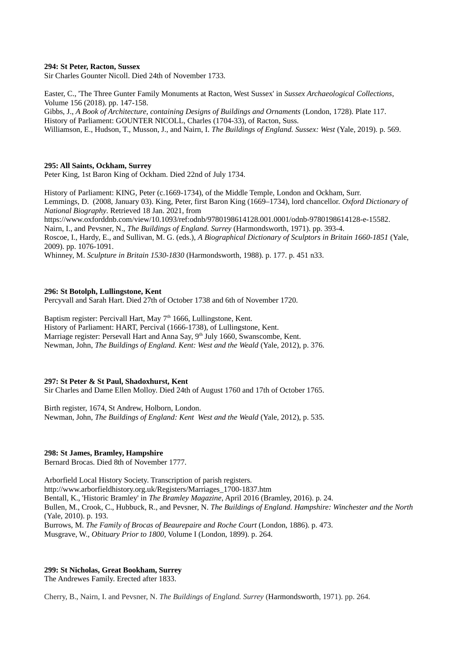## **294: St Peter, Racton, Sussex**

Sir Charles Gounter Nicoll. Died 24th of November 1733.

Easter, C., 'The Three Gunter Family Monuments at Racton, West Sussex' in *Sussex Archaeological Collections*, Volume 156 (2018). pp. 147-158.

Gibbs, J., *A Book of Architecture, containing Designs of Buildings and Ornaments* (London, 1728). Plate 117. History of Parliament: GOUNTER NICOLL, Charles (1704-33), of Racton, Suss. Williamson, E., Hudson, T., Musson, J., and Nairn, I. *The Buildings of England. Sussex: West* (Yale, 2019). p. 569.

#### **295: All Saints, Ockham, Surrey**

Peter King, 1st Baron King of Ockham. Died 22nd of July 1734.

History of Parliament: KING, Peter (c.1669-1734), of the Middle Temple, London and Ockham, Surr. Lemmings, D. (2008, January 03). King, Peter, first Baron King (1669–1734), lord chancellor. *Oxford Dictionary of National Biography*. Retrieved 18 Jan. 2021, from

https://www.oxforddnb.com/view/10.1093/ref:odnb/9780198614128.001.0001/odnb-9780198614128-e-15582. Nairn, I., and Pevsner, N., *The Buildings of England. Surrey* (Harmondsworth, 1971). pp. 393-4. Roscoe, I., Hardy, E., and Sullivan, M. G. (eds.), *A Biographical Dictionary of Sculptors in Britain 1660-1851* (Yale,

2009). pp. 1076-1091.

Whinney, M. *Sculpture in Britain 1530-1830* (Harmondsworth, 1988). p. 177. p. 451 n33.

## **296: St Botolph, Lullingstone, Kent**

Percyvall and Sarah Hart. Died 27th of October 1738 and 6th of November 1720.

Baptism register: Percivall Hart, May  $7<sup>th</sup>$  1666, Lullingstone, Kent. History of Parliament: HART, Percival (1666-1738), of Lullingstone, Kent. Marriage register: Persevall Hart and Anna Say, 9<sup>th</sup> July 1660, Swanscombe, Kent. Newman, John, *The Buildings of England. Kent: West and the Weald* (Yale, 2012), p. 376.

#### **297: St Peter & St Paul, Shadoxhurst, Kent**

Sir Charles and Dame Ellen Molloy. Died 24th of August 1760 and 17th of October 1765.

Birth register, 1674, St Andrew, Holborn, London. Newman, John, *The Buildings of England: Kent West and the Weald* (Yale, 2012), p. 535.

#### **298: St James, Bramley, Hampshire**

Bernard Brocas. Died 8th of November 1777.

Arborfield Local History Society. Transcription of parish registers. http://www.arborfieldhistory.org.uk/Registers/Marriages\_1700-1837.htm Bentall, K., 'Historic Bramley' in *The Bramley Magazine*, April 2016 (Bramley, 2016). p. 24. Bullen, M., Crook, C., Hubbuck, R., and Pevsner, N. *The Buildings of England. Hampshire: Winchester and the North*  (Yale, 2010). p. 193. Burrows, M. *The Family of Brocas of Beaurepaire and Roche Court* (London, 1886). p. 473. Musgrave, W., *Obituary Prior to 1800*, Volume I (London, 1899). p. 264.

## **299: St Nicholas, Great Bookham, Surrey**

The Andrewes Family. Erected after 1833.

Cherry, B., Nairn, I. and Pevsner, N. *The Buildings of England. Surrey* (Harmondsworth, 1971). pp. 264.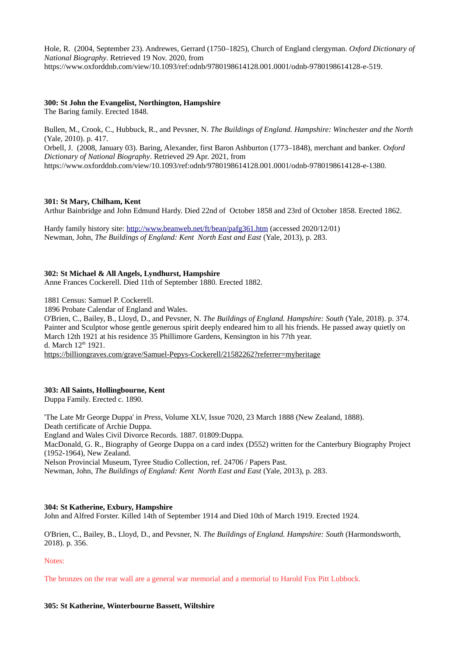Hole, R. (2004, September 23). Andrewes, Gerrard (1750–1825), Church of England clergyman. *Oxford Dictionary of National Biography*. Retrieved 19 Nov. 2020, from https://www.oxforddnb.com/view/10.1093/ref:odnb/9780198614128.001.0001/odnb-9780198614128-e-519.

# **300: St John the Evangelist, Northington, Hampshire**

The Baring family. Erected 1848.

Bullen, M., Crook, C., Hubbuck, R., and Pevsner, N. *The Buildings of England. Hampshire: Winchester and the North*  (Yale, 2010). p. 417.

Orbell, J. (2008, January 03). Baring, Alexander, first Baron Ashburton (1773–1848), merchant and banker. *Oxford Dictionary of National Biography*. Retrieved 29 Apr. 2021, from https://www.oxforddnb.com/view/10.1093/ref:odnb/9780198614128.001.0001/odnb-9780198614128-e-1380.

# **301: St Mary, Chilham, Kent**

Arthur Bainbridge and John Edmund Hardy. Died 22nd of October 1858 and 23rd of October 1858. Erected 1862.

Hardy family history site:<http://www.beanweb.net/ft/bean/pafg361.htm> (accessed 2020/12/01) Newman, John, *The Buildings of England: Kent North East and East* (Yale, 2013), p. 283.

# **302: St Michael & All Angels, Lyndhurst, Hampshire**

Anne Frances Cockerell. Died 11th of September 1880. Erected 1882.

1881 Census: Samuel P. Cockerell.

1896 Probate Calendar of England and Wales.

O'Brien, C., Bailey, B., Lloyd, D., and Pevsner, N. *The Buildings of England. Hampshire: South* (Yale, 2018). p. 374. Painter and Sculptor whose gentle generous spirit deeply endeared him to all his friends. He passed away quietly on March 12th 1921 at his residence 35 Phillimore Gardens, Kensington in his 77th year. d. March 12<sup>th</sup> 1921.

<https://billiongraves.com/grave/Samuel-Pepys-Cockerell/21582262?referrer=myheritage>

# **303: All Saints, Hollingbourne, Kent**

Duppa Family. Erected c. 1890.

'The Late Mr George Duppa' in *Press*, Volume XLV, Issue 7020, 23 March 1888 (New Zealand, 1888). Death certificate of Archie Duppa. England and Wales Civil Divorce Records. 1887. 01809:Duppa. MacDonald, G. R., Biography of George Duppa on a card index (D552) written for the Canterbury Biography Project (1952-1964), New Zealand. Nelson Provincial Museum, Tyree Studio Collection, ref. 24706 / Papers Past. Newman, John, *The Buildings of England: Kent North East and East* (Yale, 2013), p. 283.

# **304: St Katherine, Exbury, Hampshire**

John and Alfred Forster. Killed 14th of September 1914 and Died 10th of March 1919. Erected 1924.

O'Brien, C., Bailey, B., Lloyd, D., and Pevsner, N. *The Buildings of England. Hampshire: South* (Harmondsworth, 2018). p. 356.

## Notes:

The bronzes on the rear wall are a general war memorial and a memorial to Harold Fox Pitt Lubbock.

# **305: St Katherine, Winterbourne Bassett, Wiltshire**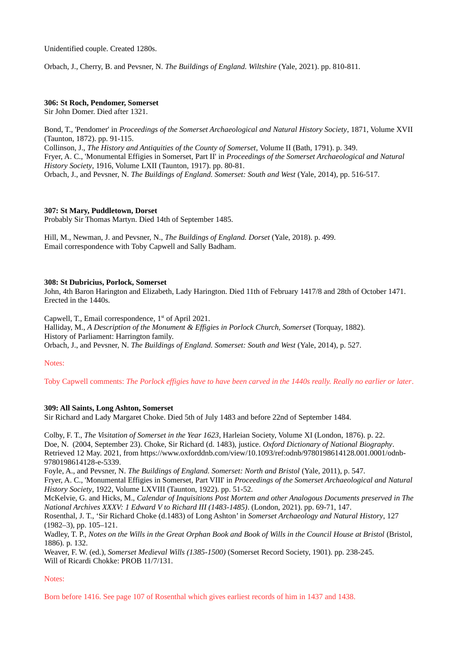Unidentified couple. Created 1280s.

Orbach, J., Cherry, B. and Pevsner, N. *The Buildings of England. Wiltshire* (Yale, 2021). pp. 810-811.

## **306: St Roch, Pendomer, Somerset**

Sir John Domer. Died after 1321.

Bond, T., 'Pendomer' in *Proceedings of the Somerset Archaeological and Natural History Society*, 1871, Volume XVII (Taunton, 1872). pp. 91-115. Collinson, J., *The History and Antiquities of the County of Somerset*, Volume II (Bath, 1791). p. 349. Fryer, A. C., 'Monumental Effigies in Somerset, Part II' in *Proceedings of the Somerset Archaeological and Natural History Society*, 1916, Volume LXII (Taunton, 1917). pp. 80-81. Orbach, J., and Pevsner, N. *The Buildings of England. Somerset: South and West* (Yale, 2014), pp. 516-517.

# **307: St Mary, Puddletown, Dorset**

Probably Sir Thomas Martyn. Died 14th of September 1485.

Hill, M., Newman, J. and Pevsner, N., *The Buildings of England. Dorset* (Yale, 2018). p. 499. Email correspondence with Toby Capwell and Sally Badham.

## **308: St Dubricius, Porlock, Somerset**

John, 4th Baron Harington and Elizabeth, Lady Harington. Died 11th of February 1417/8 and 28th of October 1471. Erected in the 1440s.

Capwell, T., Email correspondence, 1<sup>st</sup> of April 2021.

Halliday, M., *A Description of the Monument & Effigies in Porlock Church, Somerset* (Torquay, 1882). History of Parliament: Harrington family.

Orbach, J., and Pevsner, N. *The Buildings of England. Somerset: South and West* (Yale, 2014), p. 527.

Notes:

Toby Capwell comments: *The Porlock effigies have to have been carved in the 1440s really. Really no earlier or later*.

# **309: All Saints, Long Ashton, Somerset**

Sir Richard and Lady Margaret Choke. Died 5th of July 1483 and before 22nd of September 1484.

Colby, F. T., *The Visitation of Somerset in the Year 1623*, Harleian Society, Volume XI (London, 1876). p. 22. Doe, N. (2004, September 23). Choke, Sir Richard (d. 1483), justice. *Oxford Dictionary of National Biography*. Retrieved 12 May. 2021, from https://www.oxforddnb.com/view/10.1093/ref:odnb/9780198614128.001.0001/odnb-9780198614128-e-5339.

Foyle, A., and Pevsner, N. *The Buildings of England. Somerset: North and Bristol* (Yale, 2011), p. 547. Fryer, A. C., 'Monumental Effigies in Somerset, Part VIII' in *Proceedings of the Somerset Archaeological and Natural History Society*, 1922, Volume LXVIII (Taunton, 1922). pp. 51-52.

McKelvie, G. and Hicks, M., *Calendar of Inquisitions Post Mortem and other Analogous Documents preserved in The National Archives XXXV: 1 Edward V to Richard III (1483-1485)*. (London, 2021). pp. 69-71, 147.

Rosenthal, J. T., 'Sir Richard Choke (d.1483) of Long Ashton' in *Somerset Archaeology and Natural History*, 127 (1982–3), pp. 105–121.

Wadley, T. P., *Notes on the Wills in the Great Orphan Book and Book of Wills in the Council House at Bristol* (Bristol, 1886). p. 132.

Weaver, F. W. (ed.), *Somerset Medieval Wills (1385-1500)* (Somerset Record Society, 1901). pp. 238-245. Will of Ricardi Chokke: PROB 11/7/131.

Notes:

Born before 1416. See page 107 of Rosenthal which gives earliest records of him in 1437 and 1438.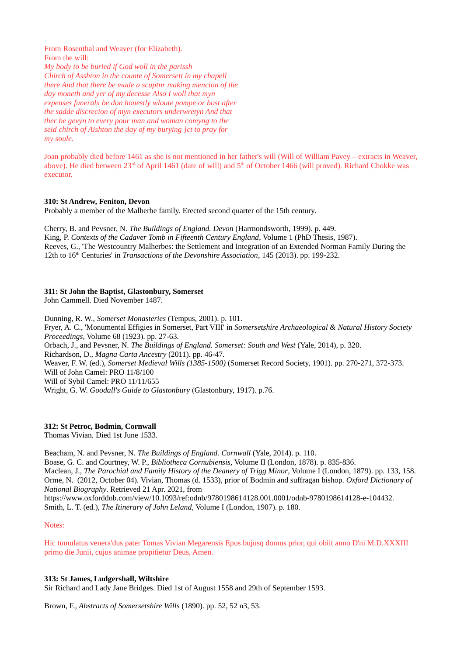From Rosenthal and Weaver (for Elizabeth). From the will: *My body to be buried if God woll in the parissh Chirch of Asshton in the counte of Somersett in my chapell there And that there be made a scuptnr making mencion of the day moneth and yer of my decesse Also I woll that myn expenses funeralx be don honestly wloute pompe or bost after the sadde discrecion of myn executors underwretyn And that ther be gevyn to every pour man and woman comyng to the seid chirch of Aishton the day of my burying ]ct to pray for my soule.*

Joan probably died before 1461 as she is not mentioned in her father's will (Will of William Pavey – extracts in Weaver, above). He died between 23<sup>rd</sup> of April 1461 (date of will) and 5<sup>th</sup> of October 1466 (will proved). Richard Chokke was executor.

# **310: St Andrew, Feniton, Devon**

Probably a member of the Malherbe family. Erected second quarter of the 15th century.

Cherry, B. and Pevsner, N. *The Buildings of England. Devon* (Harmondsworth, 1999). p. 449. King, P. *Contexts of the Cadaver Tomb in Fifteenth Century England*, Volume 1 (PhD Thesis, 1987). Reeves, G., 'The Westcountry Malherbes: the Settlement and Integration of an Extended Norman Family During the 12th to 16th Centuries' in *Transactions of the Devonshire Association*, 145 (2013). pp. 199-232.

# **311: St John the Baptist, Glastonbury, Somerset**

John Cammell. Died November 1487.

Dunning, R. W., *Somerset Monasteries* (Tempus, 2001). p. 101.

Fryer, A. C., 'Monumental Effigies in Somerset, Part VIII' in *Somersetshire Archaeological & Natural History Society Proceedings*, Volume 68 (1923). pp. 27-63.

Orbach, J., and Pevsner, N. *The Buildings of England. Somerset: South and West* (Yale, 2014), p. 320.

Richardson, D., *Magna Carta Ancestry* (2011). pp. 46-47.

Weaver, F. W. (ed.), *Somerset Medieval Wills (1385-1500)* (Somerset Record Society, 1901). pp. 270-271, 372-373.

Will of John Camel: PRO 11/8/100

Will of Sybil Camel: PRO 11/11/655

Wright, G. W. *Goodall's Guide to Glastonbury* (Glastonbury, 1917). p.76.

# **312: St Petroc, Bodmin, Cornwall**

Thomas Vivian. Died 1st June 1533.

Beacham, N. and Pevsner, N. *The Buildings of England. Cornwall* (Yale, 2014). p. 110. Boase, G. C. and Courtney, W. P., *Bibliotheca Cornubiensis*, Volume II (London, 1878). p. 835-836. Maclean, J., *The Parochial and Family History of the Deanery of Trigg Minor*, Volume I (London, 1879). pp. 133, 158. Orme, N. (2012, October 04). Vivian, Thomas (d. 1533), prior of Bodmin and suffragan bishop. *Oxford Dictionary of National Biography*. Retrieved 21 Apr. 2021, from https://www.oxforddnb.com/view/10.1093/ref:odnb/9780198614128.001.0001/odnb-9780198614128-e-104432.

Smith, L. T. (ed.), *The Itinerary of John Leland*, Volume I (London, 1907). p. 180.

# Notes:

Hic tumulatus venera'dus pater Tomas Vivian Megarensis Epus bujusq domus prior, qui obiit anno D'ni M.D.XXXIII primo die Junii, cujus animae propitietur Deus, Amen.

# **313: St James, Ludgershall, Wiltshire**

Sir Richard and Lady Jane Bridges. Died 1st of August 1558 and 29th of September 1593.

Brown, F., *Abstracts of Somersetshire Wills* (1890). pp. 52, 52 n3, 53.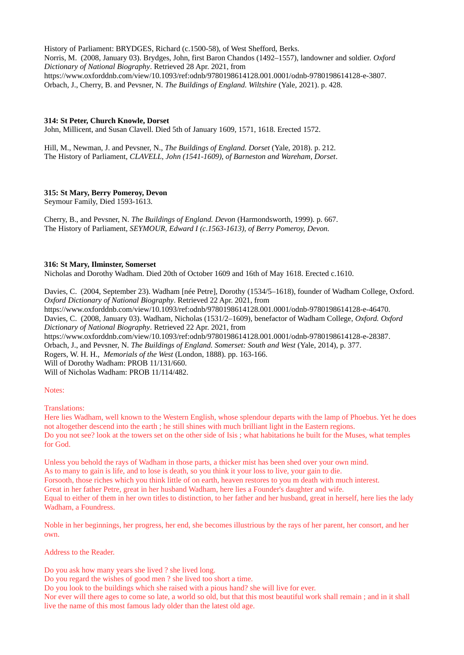History of Parliament: BRYDGES, Richard (c.1500-58), of West Shefford, Berks. Norris, M. (2008, January 03). Brydges, John, first Baron Chandos (1492–1557), landowner and soldier. *Oxford Dictionary of National Biography*. Retrieved 28 Apr. 2021, from https://www.oxforddnb.com/view/10.1093/ref:odnb/9780198614128.001.0001/odnb-9780198614128-e-3807. Orbach, J., Cherry, B. and Pevsner, N. *The Buildings of England. Wiltshire* (Yale, 2021). p. 428.

# **314: St Peter, Church Knowle, Dorset**

John, Millicent, and Susan Clavell. Died 5th of January 1609, 1571, 1618. Erected 1572.

Hill, M., Newman, J. and Pevsner, N., *The Buildings of England. Dorset* (Yale, 2018). p. 212. The History of Parliament, *CLAVELL, John (1541-1609), of Barneston and Wareham, Dorset*.

# **315: St Mary, Berry Pomeroy, Devon**

Seymour Family, Died 1593-1613.

Cherry, B., and Pevsner, N. *The Buildings of England. Devon* (Harmondsworth, 1999). p. 667. The History of Parliament, *SEYMOUR, Edward I (c.1563-1613), of Berry Pomeroy, Devon.*

# **316: St Mary, Ilminster, Somerset**

Nicholas and Dorothy Wadham. Died 20th of October 1609 and 16th of May 1618. Erected c.1610.

Davies, C. (2004, September 23). Wadham [née Petre], Dorothy (1534/5–1618), founder of Wadham College, Oxford. *Oxford Dictionary of National Biography*. Retrieved 22 Apr. 2021, from https://www.oxforddnb.com/view/10.1093/ref:odnb/9780198614128.001.0001/odnb-9780198614128-e-46470. Davies, C. (2008, January 03). Wadham, Nicholas (1531/2–1609), benefactor of Wadham College, *Oxford. Oxford Dictionary of National Biography*. Retrieved 22 Apr. 2021, from [https://www.oxforddnb.com/view/10.1093/ref:odnb/9780198614128.001.0001/odnb-9780198614128-e-28387.](https://www.oxforddnb.com/view/10.1093/ref:odnb/9780198614128.001.0001/odnb-9780198614128-e-28387) Orbach, J., and Pevsner, N. *The Buildings of England. Somerset: South and West* (Yale, 2014), p. 377. Rogers, W. H. H., *Memorials of the West* (London, 1888). pp. 163-166. Will of Dorothy Wadham: PROB 11/131/660. Will of Nicholas Wadham: PROB 11/114/482.

# Notes:

Translations:

Here lies Wadham, well known to the Western English, whose splendour departs with the lamp of Phoebus. Yet he does not altogether descend into the earth ; he still shines with much brilliant light in the Eastern regions. Do you not see? look at the towers set on the other side of Isis ; what habitations he built for the Muses, what temples for God.

Unless you behold the rays of Wadham in those parts, a thicker mist has been shed over your own mind. As to many to gain is life, and to lose is death, so you think it your loss to live, your gain to die. Forsooth, those riches which you think little of on earth, heaven restores to you m death with much interest. Great in her father Petre, great in her husband Wadham, here lies a Founder's daughter and wife. Equal to either of them in her own titles to distinction, to her father and her husband, great in herself, here lies the lady Wadham, a Foundress.

Noble in her beginnings, her progress, her end, she becomes illustrious by the rays of her parent, her consort, and her own.

Address to the Reader.

Do you ask how many years she lived ? she lived long.

Do you regard the wishes of good men ? she lived too short a time.

Do you look to the buildings which she raised with a pious hand? she will live for ever.

Nor ever will there ages to come so late, a world so old, but that this most beautiful work shall remain ; and in it shall live the name of this most famous lady older than the latest old age.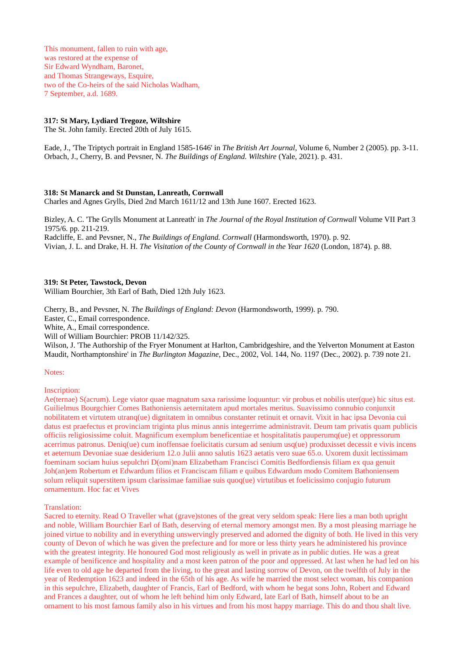This monument, fallen to ruin with age, was restored at the expense of Sir Edward Wyndham, Baronet, and Thomas Strangeways, Esquire, two of the Co-heirs of the said Nicholas Wadham, 7 September, a.d. 1689.

## **317: St Mary, Lydiard Tregoze, Wiltshire**

The St. John family. Erected 20th of July 1615.

Eade, J., 'The Triptych portrait in England 1585-1646' in *The British Art Journal*, Volume 6, Number 2 (2005). pp. 3-11. Orbach, J., Cherry, B. and Pevsner, N. *The Buildings of England. Wiltshire* (Yale, 2021). p. 431.

## **318: St Manarck and St Dunstan, Lanreath, Cornwall**

Charles and Agnes Grylls, Died 2nd March 1611/12 and 13th June 1607. Erected 1623.

Bizley, A. C. 'The Grylls Monument at Lanreath' in *The Journal of the Royal Institution of Cornwall* Volume VII Part 3 1975/6. pp. 211-219.

Radcliffe, E. and Pevsner, N., *The Buildings of England. Cornwall* (Harmondsworth, 1970). p. 92. Vivian, J. L. and Drake, H. H. *The Visitation of the County of Cornwall in the Year 1620* (London, 1874). p. 88.

#### **319: St Peter, Tawstock, Devon**

William Bourchier, 3th Earl of Bath, Died 12th July 1623.

Cherry, B., and Pevsner, N. *The Buildings of England: Devon* (Harmondsworth, 1999). p. 790. Easter, C., Email correspondence. White, A., Email correspondence. Will of William Bourchier: PROB 11/142/325. Wilson, J. 'The Authorship of the Fryer Monument at Harlton, Cambridgeshire, and the Yelverton Monument at Easton

Maudit, Northamptonshire' in *The Burlington Magazine*, Dec., 2002, Vol. 144, No. 1197 (Dec., 2002). p. 739 note 21.

#### Notes:

#### Inscription:

Ae(ternae) S(acrum). Lege viator quae magnatum saxa rarissime loquuntur: vir probus et nobilis uter(que) hic situs est. Guilielmus Bourgchier Comes Bathoniensis aeternitatem apud mortales meritus. Suavissimo connubio conjunxit nobilitatem et virtutem utranq(ue) dignitatem in omnibus constanter retinuit et ornavit. Vixit in hac ipsa Devonia cui datus est praefectus et provinciam triginta plus minus annis integerrime administravit. Deum tam privatis quam publicis officiis religiosissime coluit. Magnificum exemplum beneficentiae et hospitalitatis pauperumq(ue) et oppressorum acerrimus patronus. Deniq(ue) cum inoffensae foelicitatis cursum ad senium usq(ue) produxisset decessit e vivis incens et aeternum Devoniae suae desiderium 12.o Julii anno salutis 1623 aetatis vero suae 65.o. Uxorem duxit lectissimam foeminam sociam huius sepulchri D(omi)nam Elizabetham Francisci Comitis Bedfordiensis filiam ex qua genuit Joh(an)em Robertum et Edwardum filios et Franciscam filiam e quibus Edwardum modo Comitem Bathoniensem solum reliquit superstitem ipsum clarissimae familiae suis quoq(ue) virtutibus et foelicissimo conjugio futurum ornamentum. Hoc fac et Vives

#### Translation:

Sacred to eternity. Read O Traveller what (grave)stones of the great very seldom speak: Here lies a man both upright and noble, William Bourchier Earl of Bath, deserving of eternal memory amongst men. By a most pleasing marriage he joined virtue to nobility and in everything unswervingly preserved and adorned the dignity of both. He lived in this very county of Devon of which he was given the prefecture and for more or less thirty years he administered his province with the greatest integrity. He honoured God most religiously as well in private as in public duties. He was a great example of benificence and hospitality and a most keen patron of the poor and oppressed. At last when he had led on his life even to old age he departed from the living, to the great and lasting sorrow of Devon, on the twelfth of July in the year of Redemption 1623 and indeed in the 65th of his age. As wife he married the most select woman, his companion in this sepulchre, Elizabeth, daughter of Francis, Earl of Bedford, with whom he begat sons John, Robert and Edward and Frances a daughter, out of whom he left behind him only Edward, late Earl of Bath, himself about to be an ornament to his most famous family also in his virtues and from his most happy marriage. This do and thou shalt live.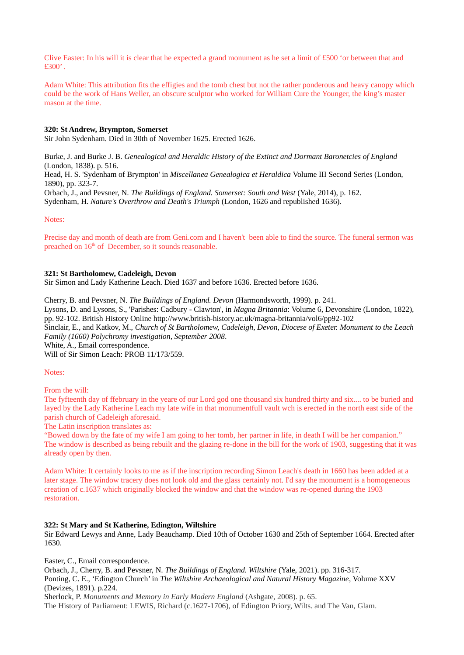Clive Easter: In his will it is clear that he expected a grand monument as he set a limit of £500 'or between that and  $£300'$ .

Adam White: This attribution fits the effigies and the tomb chest but not the rather ponderous and heavy canopy which could be the work of Hans Weller, an obscure sculptor who worked for William Cure the Younger, the king's master mason at the time.

## **320: St Andrew, Brympton, Somerset**

Sir John Sydenham. Died in 30th of November 1625. Erected 1626.

Burke, J. and Burke J. B. *Genealogical and Heraldic History of the Extinct and Dormant Baronetcies of England* (London, 1838). p. 516.

Head, H. S. 'Sydenham of Brympton' in *Miscellanea Genealogica et Heraldica* Volume III Second Series (London, 1890), pp. 323-7.

Orbach, J., and Pevsner, N. *The Buildings of England. Somerset: South and West* (Yale, 2014), p. 162. Sydenham, H. *Nature's Overthrow and Death's Triumph* (London, 1626 and republished 1636).

Notes:

Precise day and month of death are from Geni.com and I haven't been able to find the source. The funeral sermon was preached on  $16<sup>th</sup>$  of December, so it sounds reasonable.

## **321: St Bartholomew, Cadeleigh, Devon**

Sir Simon and Lady Katherine Leach. Died 1637 and before 1636. Erected before 1636.

Cherry, B. and Pevsner, N. *The Buildings of England. Devon* (Harmondsworth, 1999). p. 241. Lysons, D. and Lysons, S., 'Parishes: Cadbury - Clawton', in *Magna Britannia*: Volume 6, Devonshire (London, 1822), pp. 92-102. British History Online http://www.british-history.ac.uk/magna-britannia/vol6/pp92-102 Sinclair, E., and Katkov, M., *Church of St Bartholomew, Cadeleigh, Devon, Diocese of Exeter. Monument to the Leach Family (1660) Polychromy investigation, September 2008*. White, A., Email correspondence.

Will of Sir Simon Leach: PROB 11/173/559.

#### Notes:

From the will:

The fyfteenth day of ffebruary in the yeare of our Lord god one thousand six hundred thirty and six.... to be buried and layed by the Lady Katherine Leach my late wife in that monumentfull vault wch is erected in the north east side of the parish church of Cadeleigh aforesaid.

The Latin inscription translates as:

"Bowed down by the fate of my wife I am going to her tomb, her partner in life, in death I will be her companion." The window is described as being rebuilt and the glazing re-done in the bill for the work of 1903, suggesting that it was already open by then.

Adam White: It certainly looks to me as if the inscription recording Simon Leach's death in 1660 has been added at a later stage. The window tracery does not look old and the glass certainly not. I'd say the monument is a homogeneous creation of c.1637 which originally blocked the window and that the window was re-opened during the 1903 restoration.

## **322: St Mary and St Katherine, Edington, Wiltshire**

Sir Edward Lewys and Anne, Lady Beauchamp. Died 10th of October 1630 and 25th of September 1664. Erected after 1630.

Easter, C., Email correspondence.

Orbach, J., Cherry, B. and Pevsner, N. *The Buildings of England. Wiltshire* (Yale, 2021). pp. 316-317.

Ponting, C. E., 'Edington Church' in *The Wiltshire Archaeological and Natural History Magazine*, Volume XXV (Devizes, 1891). p.224.

Sherlock, P. *Monuments and Memory in Early Modern England* (Ashgate, 2008). p. 65.

The History of Parliament: LEWIS, Richard (c.1627-1706), of Edington Priory, Wilts. and The Van, Glam.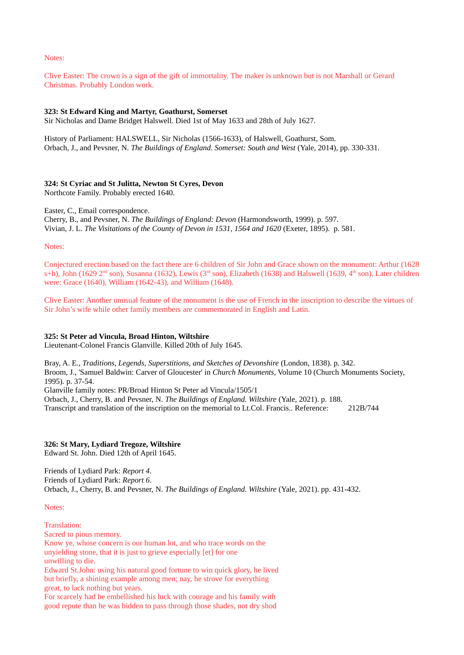Notes:

Clive Easter: The crown is a sign of the gift of immortality. The maker is unknown but is not Marshall or Gerard Christmas. Probably London work.

## **323: St Edward King and Martyr, Goathurst, Somerset**

Sir Nicholas and Dame Bridget Halswell. Died 1st of May 1633 and 28th of July 1627.

History of Parliament: HALSWELL, Sir Nicholas (1566-1633), of Halswell, Goathurst, Som. Orbach, J., and Pevsner, N. *The Buildings of England. Somerset: South and West* (Yale, 2014), pp. 330-331.

## **324: St Cyriac and St Julitta, Newton St Cyres, Devon**

Northcote Family. Probably erected 1640.

Easter, C., Email correspondence.

Cherry, B., and Pevsner, N. *The Buildings of England: Devon* (Harmondsworth, 1999). p. 597. Vivian, J. L. *The Visitations of the County of Devon in 1531, 1564 and 1620* (Exeter, 1895). p. 581.

Notes:

Conjectured erection based on the fact there are 6 children of Sir John and Grace shown on the monument: Arthur (1628 s+h), John (1629 2<sup>nd</sup> son), Susanna (1632), Lewis (3<sup>rd</sup> son), Elizabeth (1638) and Halswell (1639, 4<sup>th</sup> son). Later children were: Grace (1640), William (1642-43), and William (1648).

Clive Easter: Another unusual feature of the monument is the use of French in the inscription to describe the virtues of Sir John's wife while other family members are commemorated in English and Latin.

# **325: St Peter ad Vincula, Broad Hinton, Wiltshire**

Lieutenant-Colonel Francis Glanville. Killed 20th of July 1645.

Bray, A. E., *Traditions, Legends, Superstitions, and Sketches of Devonshire* (London, 1838). p. 342. Broom, J., 'Samuel Baldwin: Carver of Gloucester' in *Church Monuments*, Volume 10 (Church Monuments Society, 1995). p. 37-54.

Glanville family notes: PR/Broad Hinton St Peter ad Vincula/1505/1

Orbach, J., Cherry, B. and Pevsner, N. *The Buildings of England. Wiltshire* (Yale, 2021). p. 188. Transcript and translation of the inscription on the memorial to Lt.Col. Francis.. Reference: 212B/744

# **326: St Mary, Lydiard Tregoze, Wiltshire**

Edward St. John. Died 12th of April 1645.

Friends of Lydiard Park: *Report 4*. Friends of Lydiard Park: *Report 6*. Orbach, J., Cherry, B. and Pevsner, N. *The Buildings of England. Wiltshire* (Yale, 2021). pp. 431-432.

Notes:

Translation:

Sacred to pious memory.

Know ye, whose concern is our human lot, and who trace words on the

unyielding stone, that it is just to grieve especially [et] for one

unwilling to die.

Edward St.John: using his natural good fortune to win quick glory, he lived but briefly, a shining example among men; nay, he strove for everything great, to lack nothing but years.

For scarcely had he embellished his luck with courage and his family with good repute than he was bidden to pass through those shades, not dry shod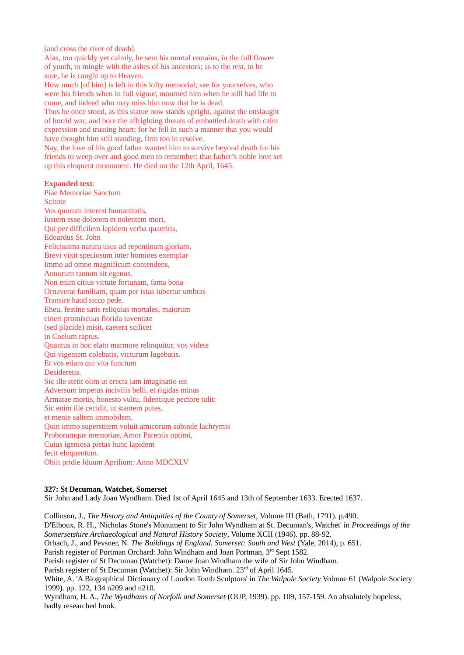[and cross the river of death].

Alas, too quickly yet calmly, he sent his mortal remains, in the full flower of youth, to mingle with the ashes of his ancestors; as to the rest, to be sure, he is caught up to Heaven.

How much [of him] is left in this lofty memorial; see for yourselves, who were his friends when in full vigour, mourned him when he still had life to come, and indeed who may miss him now that he is dead.

Thus he once stood, as this statue now stands upright, against the onslaught of horrid war, and bore the affrighting threats of embattled death with calm expression and trusting heart; for he fell in such a manner that you would have thought him still standing, firm too in resolve.

Nay, the love of his good father wanted him to survive beyond death for his friends to weep over and good men to remember: that father's noble love set up this eloquent monument. He died on the 12th April, 1645.

# **Expanded text**:

Piae Memoriae Sanctum Scitote Vos quorum interest humanitatis, Iustem esse dolorem et nolentem mori, Qui per difficilem lapidem verba quaeritis, Edoardus St. John Felicissima natura usus ad repentinam gloriam, Brevi vixit speciosum inter homines exemplar Immo ad omne magnificum contendens, Annorum tantum sit egenus. Non enim citius virtute fortunam, fama bona Ornaverat familiam, quam per istas iubertur umbras Transire haud sicco pede. Eheu, festine satis reliquias mortales, maiorum cineri promiscuas florida iuventate (sed placide) misit, caetera scilicet in Coelum raptus. Quantus in hoc elato marmore relinquitur, vos videte Qui vigentem colebatis, victurum lugebatis. Et vos etiam qui vita functum Desideretis. Sic ille stetit olim ut erecta iam imaginatio est Adversum impetus incivilis belli, et rigidas minas Armatae mortis, honesto vultu, fidentique pectore tulit: Sic enim ille cecidit, ut stantem putes, et mente saltem immobilem. Quin immo superstitem voluit amicorum subinde lachrymis Proborumque memoriae, Amor Parentis optimi, Cuius igeniosa pietas hunc lapidem fecit eloquentum. Obiit pridie Iduum Aprilium: Anno MDCXLV

# **327: St Decuman, Watchet, Somerset**

Sir John and Lady Joan Wyndham. Died 1st of April 1645 and 13th of September 1633. Erected 1637.

Collinson, J., *The History and Antiquities of the County of Somerset*, Volume III (Bath, 1791). p.490. D'Elboux, R. H., 'Nicholas Stone's Monument to Sir John Wyndham at St. Decuman's, Watchet' in *Proceedings of the Somersetshire Archaeological and Natural History Society*, Volume XCII (1946). pp. 88-92. Orbach, J., and Pevsner, N. *The Buildings of England. Somerset: South and West* (Yale, 2014), p. 651. Parish register of Portman Orchard: John Windham and Joan Portman, 3<sup>rd</sup> Sept 1582. Parish register of St Decuman (Watchet): Dame Joan Windham the wife of Sir John Windham. Parish register of St Decuman (Watchet): Sir John Windham. 23<sup>rd</sup> of April 1645. White, A. 'A Biographical Dictionary of London Tomb Sculptors' in *The Walpole Society* Volume 61 (Walpole Society 1999). pp. 122, 134 n209 and n210. Wyndham, H. A., *The Wyndhams of Norfolk and Somerset* (OUP, 1939). pp. 109, 157-159. An absolutely hopeless, badly researched book.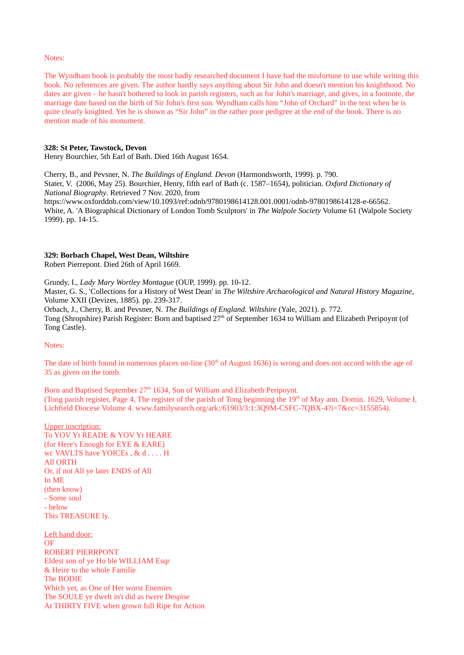#### Notes:

The Wyndham book is probably the most badly researched document I have had the misfortune to use while writing this book. No references are given. The author hardly says anything about Sir John and doesn't mention his knighthood. No dates are given – he hasn't bothered to look in parish registers, such as for John's marriage, and gives, in a footnote, the marriage date based on the birth of Sir John's first son. Wyndham calls him "John of Orchard" in the text when he is quite clearly knighted. Yet he is shown as "Sir John" in the rather poor pedigree at the end of the book. There is no mention made of his monument.

## **328: St Peter, Tawstock, Devon**

Henry Bourchier, 5th Earl of Bath. Died 16th August 1654.

Cherry, B., and Pevsner, N. *The Buildings of England. Devon* (Harmondsworth, 1999). p. 790. Stater, V. (2006, May 25). Bourchier, Henry, fifth earl of Bath (c. 1587–1654), politician. *Oxford Dictionary of National Biography*. Retrieved 7 Nov. 2020, from https://www.oxforddnb.com/view/10.1093/ref:odnb/9780198614128.001.0001/odnb-9780198614128-e-66562. White, A. 'A Biographical Dictionary of London Tomb Sculptors' in *The Walpole Society* Volume 61 (Walpole Society 1999). pp. 14-15.

## **329: Borbach Chapel, West Dean, Wiltshire**

Robert Pierrepont. Died 26th of April 1669.

Grundy, I., *Lady Mary Wortley Montague* (OUP, 1999). pp. 10-12. Master, G. S., 'Collections for a History of West Dean' in *The Wiltshire Archaeological and Natural History Magazine*, Volume XXII (Devizes, 1885). pp. 239-317.

Orbach, J., Cherry, B. and Pevsner, N. *The Buildings of England. Wiltshire* (Yale, 2021). p. 772. Tong (Shropshire) Parish Register: Born and baptised  $27<sup>th</sup>$  of September 1634 to William and Elizabeth Peripoynt (of Tong Castle).

#### Notes:

The date of birth found in numerous places on-line  $(30<sup>th</sup>$  of August 1636) is wrong and does not accord with the age of 35 as given on the tomb.

Born and Baptised September 27<sup>th</sup> 1634, Son of William and Elizabeth Peripoynt. (Tong parish register, Page 4, The register of the parish of Tong beginning the 19<sup>th</sup> of May ann. Domin. 1629, Volume I, Lichfield Diocese Volume 4. www.familysearch.org/ark:/61903/3:1:3Q9M-CSFC-7QBX-4?i=7&cc=3155854).

Upper inscription: To YOV Yt READE & YOV Yt HEARE (for Here's Enough for EYE & EARE) wc VAVLTS have YOICEs , & d . . . . H All ORTH Or, if not All ye later ENDS of All In ME (then know) - Some soul - below This TREASURE ly.

Left hand door: **OF** ROBERT PIERRPONT Eldest son of ye Ho ble WILLIAM Esqr & Heire to the whole Familie The BODIE Which yet, as One of Her worst Enemies The SOULE ye dwelt in't did as twere Despise At THIRTY FIVE when grown full Ripe for Action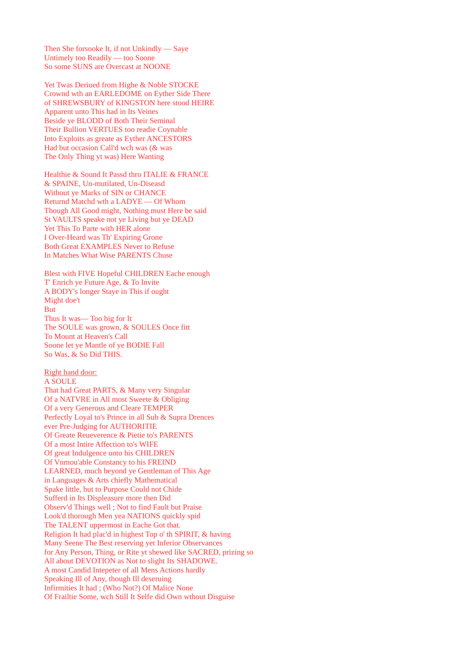Then She forsooke It, if not Unkindly — Saye Untimely too Readily — too Soone So some SUNS are Overcast at NOONE

Yet Twas Deriued from Highe & Noble STOCKE Crownd wth an EARLEDOME on Eyther Side There of SHREWSBURY of KINGSTON here stood HEIRE Apparent unto This had in Its Veines Beside ye BLODD of Both Their Seminal Their Bullion VERTUES too readie Coynable Into Exploits as greate as Eyther ANCESTORS Had but occasion Call'd wch was (& was The Only Thing yt was) Here Wanting

Healthie & Sound It Passd thro ITALIE & FRANCE & SPAINE, Un-mutilated, Un-Diseasd Without ye Marks of SIN or CHANCE Returnd Matchd wth a LADYE — Of Whom Though All Good might, Nothing must Here be said St VAULTS speake not ye Living but ye DEAD Yet This To Parte with HER alone I Over-Heard was Th' Expiring Grone Both Great EXAMPLES Never to Refuse In Matches What Wise PARENTS Chuse

Blest with FIVE Hopeful CHILDREN Eache enough T' Enrich ye Future Age, & To Invite A BODY's longer Staye in This if ought Might doe't But Thus It was— Too big for It The SOULE was grown, & SOULES Once fitt To Mount at Heaven's Call Soone let ye Mantle of ye BODIE Fall So Was, & So Did THIS.

Right hand door:

## A SOULE

That had Great PARTS, & Many very Singular Of a NATVRE in All most Sweete & Obliging Of a very Generous and Cleare TEMPER Perfectly Loyal to's Prince in all Sub & Supra Drences ever Pre-Judging for AUTHORITIE Of Greate Reueverence & Pietie to's PARENTS Of a most Intire Affection to's WIFE Of great Indulgence unto his CHILDREN Of Vnmou'able Constancy to his FREIND LEARNED, much beyond ye Gentleman of This Age in Languages & Arts chiefly Mathematical Spake little, but to Purpose Could not Chide Sufferd in Its Displeasure more then Did Observ'd Things well ; Not to find Fault but Praise Look'd thorough Men yea NATIONS quickly spid The TALENT uppermost in Eache Got that. Religion It had plac'd in highest Top o' th SPIRIT, & having Many Seene The Best reserving yet Inferior Observances for Any Person, Thing, or Rite yt shewed like SACRED, prizing so All about DEVOTION as Not to slight Its SHADOWE. A most Candid Intepeter of all Mens Actions hardly Speaking Ill of Any, though Ill deseruing Infirmities It had ; (Who Not?) Of Malice None Of Frailtie Some, wch Still It Selfe did Own wthout Disguise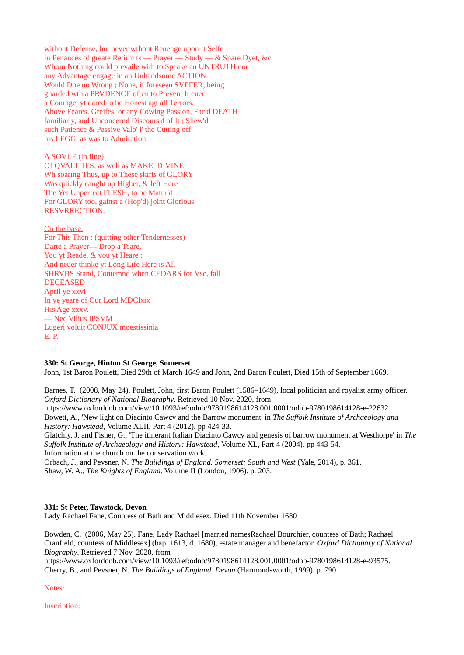without Defense, but never wthout Reuenge upon It Selfe in Penances of greate Retirm ts — Prayer — Study — & Spare Dyet, &c. Whom Nothing could prevaile with to Speake an UNTRUTH nor any Advantage engage in an Unhandsome ACTION Would Doe no Wrong ; None, if foreseen SVFFER, being guarded wth a PRVDENCE often to Prevent It euer a Courage, yt dared to be Honest agt all Terrors. Above Feares, Greifes, or any Cowing Passion, Fac'd DEATH familiarly, and Unconcernd Discours'd of It ; Shew'd such Patience & Passive Valo' i' the Cutting off his LEGG, as was to Admiration.

A SOVLE (in fine) Of QVALITIES, as well as MAKE, DIVINE Wh soaring Thus, up to These skirts of GLORY Was quickly caught up Higher, & left Here The Yet Unperfect FLESH, to be Matur'd For GLORY too, gainst a (Hop'd) joint Glorious RESVRRECTION.

On the base: For This Then : (quitting other Tendernesses) Darte a Prayer— Drop a Teare, You yt Reade, & you yt Heare : And neuer thinke yt Long Life Here is All SHRVBS Stand, Contemnd when CEDARS for Vse, fall DECEASED April ye xxvi In ye yeare of Our Lord MDClxix His Age xxxv. — Nec Vilius IPSVM Lugeri voluit CONJUX moestissinia E. P.

## **330: St George, Hinton St George, Somerset**

John, 1st Baron Poulett, Died 29th of March 1649 and John, 2nd Baron Poulett, Died 15th of September 1669.

Barnes, T. (2008, May 24). Poulett, John, first Baron Poulett (1586–1649), local politician and royalist army officer. *Oxford Dictionary of National Biography*. Retrieved 10 Nov. 2020, from

https://www.oxforddnb.com/view/10.1093/ref:odnb/9780198614128.001.0001/odnb-9780198614128-e-22632 Bowett, A., 'New light on Diacinto Cawcy and the Barrow monument' in *The Suffolk Institute of Archaeology and History: Hawstead,* Volume XLII, Part 4 (2012). pp 424-33.

Glatchiy, J. and Fisher, G., 'The itinerant Italian Diacinto Cawcy and genesis of barrow monument at Westhorpe' in *The Suffolk Institute of Archaeology and History: Hawstead,* Volume XL, Part 4 (2004). pp 443-54. Information at the church on the conservation work.

Orbach, J., and Pevsner, N. *The Buildings of England. Somerset: South and West* (Yale, 2014), p. 361.

Shaw, W. A., *The Knights of England*. Volume II (London, 1906). p. 203.

## **331: St Peter, Tawstock, Devon**

Lady Rachael Fane, Countess of Bath and Middlesex. Died 11th November 1680

Bowden, C. (2006, May 25). Fane, Lady Rachael [married namesRachael Bourchier, countess of Bath; Rachael Cranfield, countess of Middlesex] (bap. 1613, d. 1680), estate manager and benefactor. *Oxford Dictionary of National Biography*. Retrieved 7 Nov. 2020, from

https://www.oxforddnb.com/view/10.1093/ref:odnb/9780198614128.001.0001/odnb-9780198614128-e-93575. Cherry, B., and Pevsner, N. *The Buildings of England. Devon* (Harmondsworth, 1999). p. 790.

Notes:

Inscription: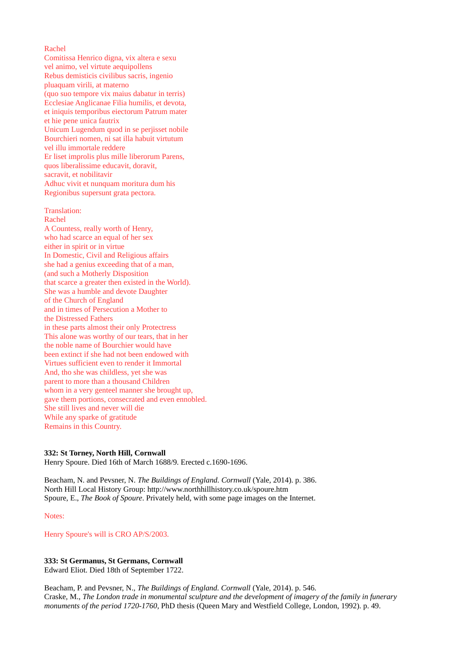## Rachel

Comitissa Henrico digna, vix altera e sexu vel animo, vel virtute aequipollens Rebus demisticis civilibus sacris, ingenio pluaquam virili, at materno (quo suo tempore vix maius dabatur in terris) Ecclesiae Anglicanae Filia humilis, et devota, et iniquis temporibus eiectorum Patrum mater et hie pene unica fautrix Unicum Lugendum quod in se perjisset nobile Bourchieri nomen, ni sat illa habuit virtutum vel illu immortale reddere Er liset improlis plus mille liberorum Parens, quos liberalissime educavit, doravit, sacravit, et nobilitavir Adhuc vivit et nunquam moritura dum his Regionibus supersunt grata pectora.

Translation:

Rachel A Countess, really worth of Henry, who had scarce an equal of her sex either in spirit or in virtue In Domestic, Civil and Religious affairs she had a genius exceeding that of a man, (and such a Motherly Disposition that scarce a greater then existed in the World). She was a humble and devote Daughter of the Church of England and in times of Persecution a Mother to the Distressed Fathers in these parts almost their only Protectress This alone was worthy of our tears, that in her the noble name of Bourchier would have been extinct if she had not been endowed with Virtues sufficient even to render it Immortal And, tho she was childless, yet she was parent to more than a thousand Children whom in a very genteel manner she brought up, gave them portions, consecrated and even ennobled. She still lives and never will die While any sparke of gratitude Remains in this Country.

#### **332: St Torney, North Hill, Cornwall**

Henry Spoure. Died 16th of March 1688/9. Erected c.1690-1696.

Beacham, N. and Pevsner, N. *The Buildings of England. Cornwall* (Yale, 2014). p. 386. North Hill Local History Group: http://www.northhillhistory.co.uk/spoure.htm Spoure, E., *The Book of Spoure*. Privately held, with some page images on the Internet.

Notes:

Henry Spoure's will is CRO AP/S/2003.

# **333: St Germanus, St Germans, Cornwall**

Edward Eliot. Died 18th of September 1722.

Beacham, P. and Pevsner, N., *The Buildings of England. Cornwall* (Yale, 2014). p. 546. Craske, M., *The London trade in monumental sculpture and the development of imagery of the family in funerary monuments of the period 1720-1760*, PhD thesis (Queen Mary and Westfield College, London, 1992). p. 49.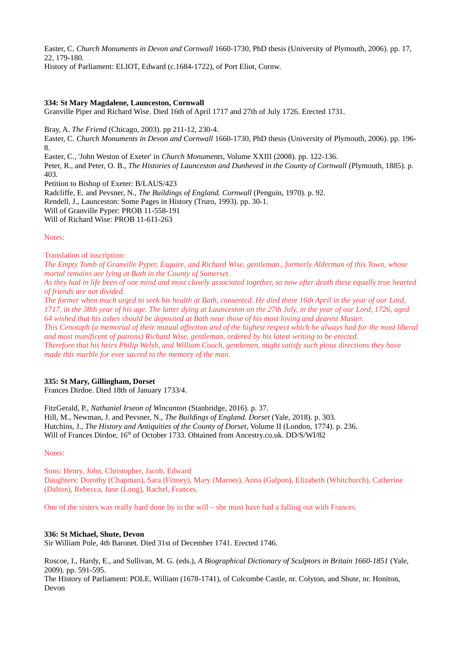Easter, C. *Church Monuments in Devon and Cornwall* 1660-1730, PhD thesis (University of Plymouth, 2006). pp. 17, 22, 179-180.

History of Parliament: ELIOT, Edward (c.1684-1722), of Port Eliot, Cornw.

# **334: St Mary Magdalene, Launceston, Cornwall**

Granville Piper and Richard Wise. Died 16th of April 1717 and 27th of July 1726. Erected 1731.

Bray, A. *The Friend* (Chicago, 2003). pp 211-12, 230-4.

Easter, C. *Church Monuments in Devon and Cornwall* 1660-1730, PhD thesis (University of Plymouth, 2006). pp. 196- 8.

Easter, C., 'John Weston of Exeter' in *Church Monuments*, Volume XXIII (2008). pp. 122-136.

Peter, R., and Peter, O. B., *The Histories of Launceston and Dunheved in the County of Cornwall* (Plymouth, 1885). p. 403.

Petition to Bishop of Exeter: B/LAUS/423

Radcliffe, E. and Pevsner, N., *The Buildings of England. Cornwall* (Penguin, 1970). p. 92. Rendell, J., Launceston: Some Pages in History (Truro, 1993). pp. 30-1. Will of Granville Pyper: PROB 11-558-191 Will of Richard Wise: PROB 11-611-263

## Notes:

Translation of inscription:

*The Empty Tomb of Granville Pyper, Esquire, and Richard Wise, gentleman., formerly Alderman of this Town, whose mortal remains are lying at Bath in the County of Somerset.*

*As they had in life been of one mind and most closely associated together, so now after death these equally true hearted of friends are not divided.*

*The former when much urged to seek his health at Bath, consented. He died there 16th April in the year of our Lord, 1717, in the 38th year of his age. The latter dying at Launceston on the 27th July, in the year of our Lord, 1726, aged 64 wished that his ashes should be deposited at Bath near those of his most loving and dearest Master.*

*This Cenotaph (a memorial of their mutual affection and of the highest respect which he always had for the most liberal and most munificent of patrons) Richard Wise, gentleman, ordered by his latest writing to be erected.*

*Therefore that his heirs Philip Welsh, and William Couch, gentlemen, might satisfy such pious directions they have made this marble for ever sacred to the memory of the man.*

# **335: St Mary, Gillingham, Dorset**

Frances Dirdoe. Died 18th of January 1733/4.

FitzGerald, P., *Nathaniel Irseon of Wincanton* (Stanbridge, 2016). p. 37. Hill, M., Newman, J. and Pevsner, N., *The Buildings of England. Dorset* (Yale, 2018). p. 303. Hutchins, J., *The History and Antiquities of the County of Dorset*, Volume II (London, 1774). p. 236. Will of Frances Dirdoe, 16<sup>th</sup> of October 1733. Obtained from Ancestry.co.uk. DD/S/WI/82

Notes:

Sons: Henry, John, Christopher, Jacob, Edward Daughters: Dorothy (Chapman), Sara (Finney), Mary (Marnes), Anna (Galpon), Elizabeth (Whitchurch), Catherine (Dalton), Rebecca, Jane (Long), Rachel, Frances.

One of the sisters was really hard done by in the will – she must have had a falling out with Frances.

# **336: St Michael, Shute, Devon**

Sir William Pole, 4th Baronet. Died 31st of December 1741. Erected 1746.

Roscoe, I., Hardy, E., and Sullivan, M. G. (eds.), *A Biographical Dictionary of Sculptors in Britain 1660-1851* (Yale, 2009). pp. 591-595.

The History of Parliament: POLE, William (1678-1741), of Colcombe Castle, nr. Colyton, and Shute, nr. Honiton, Devon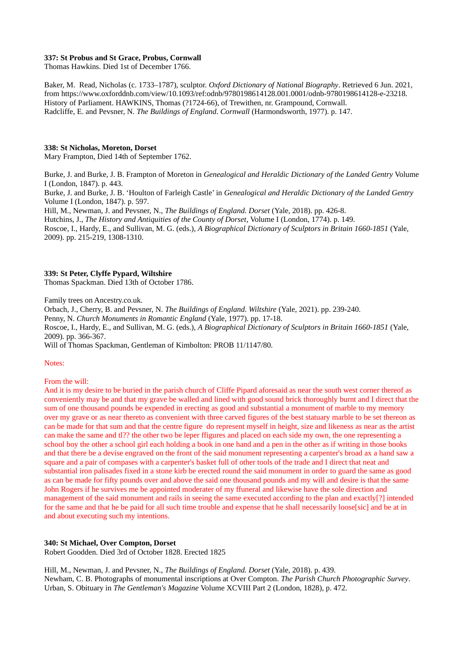## **337: St Probus and St Grace, Probus, Cornwall**

Thomas Hawkins. Died 1st of December 1766.

Baker, M. Read, Nicholas (c. 1733–1787), sculptor. *Oxford Dictionary of National Biography*. Retrieved 6 Jun. 2021, from https://www.oxforddnb.com/view/10.1093/ref:odnb/9780198614128.001.0001/odnb-9780198614128-e-23218. History of Parliament. HAWKINS, Thomas (?1724-66), of Trewithen, nr. Grampound, Cornwall. Radcliffe, E. and Pevsner, N. *The Buildings of England. Cornwall* (Harmondsworth, 1977). p. 147.

## **338: St Nicholas, Moreton, Dorset**

Mary Frampton, Died 14th of September 1762.

Burke, J. and Burke, J. B. Frampton of Moreton in *Genealogical and Heraldic Dictionary of the Landed Gentry* Volume I (London, 1847). p. 443. Burke, J. and Burke, J. B. 'Houlton of Farleigh Castle' in *Genealogical and Heraldic Dictionary of the Landed Gentry*

Volume I (London, 1847). p. 597. Hill, M., Newman, J. and Pevsner, N., *The Buildings of England. Dorset* (Yale, 2018). pp. 426-8. Hutchins, J., *The History and Antiquities of the County of Dorset*, Volume I (London, 1774). p. 149. Roscoe, I., Hardy, E., and Sullivan, M. G. (eds.), *A Biographical Dictionary of Sculptors in Britain 1660-1851* (Yale,

2009). pp. 215-219, 1308-1310.

## **339: St Peter, Clyffe Pypard, Wiltshire**

Thomas Spackman. Died 13th of October 1786.

Family trees on Ancestry.co.uk.

Orbach, J., Cherry, B. and Pevsner, N. *The Buildings of England. Wiltshire* (Yale, 2021). pp. 239-240.

Penny, N. *Church Monuments in Romantic England* (Yale, 1977). pp. 17-18.

Roscoe, I., Hardy, E., and Sullivan, M. G. (eds.), *A Biographical Dictionary of Sculptors in Britain 1660-1851* (Yale, 2009). pp. 366-367.

Will of Thomas Spackman, Gentleman of Kimbolton: PROB 11/1147/80.

#### Notes:

From the will:

And it is my desire to be buried in the parish church of Cliffe Pipard aforesaid as near the south west corner thereof as conveniently may be and that my grave be walled and lined with good sound brick thoroughly burnt and I direct that the sum of one thousand pounds be expended in erecting as good and substantial a monument of marble to my memory over my grave or as near thereto as convenient with three carved figures of the best statuary marble to be set thereon as can be made for that sum and that the centre figure do represent myself in height, size and likeness as near as the artist can make the same and tl?? the other two be leper ffigures and placed on each side my own, the one representing a school boy the other a school girl each holding a book in one hand and a pen in the other as if writing in those books and that there be a devise engraved on the front of the said monument representing a carpenter's broad ax a hand saw a square and a pair of compases with a carpenter's basket full of other tools of the trade and I direct that neat and substantial iron palisades fixed in a stone kirb be erected round the said monument in order to guard the same as good as can be made for fifty pounds over and above the said one thousand pounds and my will and desire is that the same John Rogers if he survives me be appointed moderater of my ffuneral and likewise have the sole direction and management of the said monument and rails in seeing the same executed according to the plan and exactly[?] intended for the same and that he be paid for all such time trouble and expense that he shall necessarily loose[sic] and be at in and about executing such my intentions.

#### **340: St Michael, Over Compton, Dorset**

Robert Goodden. Died 3rd of October 1828. Erected 1825

Hill, M., Newman, J. and Pevsner, N., *The Buildings of England. Dorset* (Yale, 2018). p. 439. Newham, C. B. Photographs of monumental inscriptions at Over Compton. *The Parish Church Photographic Survey*. Urban, S. Obituary in *The Gentleman's Magazine* Volume XCVIII Part 2 (London, 1828), p. 472.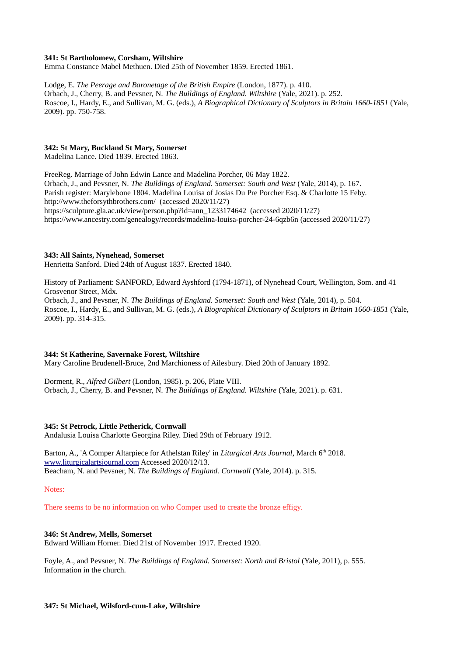## **341: St Bartholomew, Corsham, Wiltshire**

Emma Constance Mabel Methuen. Died 25th of November 1859. Erected 1861.

Lodge, E. *The Peerage and Baronetage of the British Empire* (London, 1877). p. 410. Orbach, J., Cherry, B. and Pevsner, N. *The Buildings of England. Wiltshire* (Yale, 2021). p. 252. Roscoe, I., Hardy, E., and Sullivan, M. G. (eds.), *A Biographical Dictionary of Sculptors in Britain 1660-1851* (Yale, 2009). pp. 750-758.

## **342: St Mary, Buckland St Mary, Somerset**

Madelina Lance. Died 1839. Erected 1863.

FreeReg. Marriage of John Edwin Lance and Madelina Porcher, 06 May 1822. Orbach, J., and Pevsner, N. *The Buildings of England. Somerset: South and West* (Yale, 2014), p. 167. Parish register: Marylebone 1804. Madelina Louisa of Josias Du Pre Porcher Esq. & Charlotte 15 Feby. http://www.theforsythbrothers.com/ (accessed 2020/11/27) https://sculpture.gla.ac.uk/view/person.php?id=ann\_1233174642 (accessed 2020/11/27) https://www.ancestry.com/genealogy/records/madelina-louisa-porcher-24-6qzb6n (accessed 2020/11/27)

## **343: All Saints, Nynehead, Somerset**

Henrietta Sanford. Died 24th of August 1837. Erected 1840.

History of Parliament: SANFORD, Edward Ayshford (1794-1871), of Nynehead Court, Wellington, Som. and 41 Grosvenor Street, Mdx.

Orbach, J., and Pevsner, N. *The Buildings of England. Somerset: South and West* (Yale, 2014), p. 504. Roscoe, I., Hardy, E., and Sullivan, M. G. (eds.), *A Biographical Dictionary of Sculptors in Britain 1660-1851* (Yale, 2009). pp. 314-315.

# **344: St Katherine, Savernake Forest, Wiltshire**

Mary Caroline Brudenell-Bruce, 2nd Marchioness of Ailesbury. Died 20th of January 1892.

Dorment, R., *Alfred Gilbert* (London, 1985). p. 206, Plate VIII. Orbach, J., Cherry, B. and Pevsner, N. *The Buildings of England. Wiltshire* (Yale, 2021). p. 631.

#### **345: St Petrock, Little Petherick, Cornwall**

Andalusia Louisa Charlotte Georgina Riley. Died 29th of February 1912.

Barton, A., 'A Comper Altarpiece for Athelstan Riley' in *Liturgical Arts Journal*, March 6<sup>th</sup> 2018. [www.liturgicalartsjournal.com](http://www.liturgicalartsjournal.com/) Accessed 2020/12/13. Beacham, N. and Pevsner, N. *The Buildings of England. Cornwall* (Yale, 2014). p. 315.

Notes:

There seems to be no information on who Comper used to create the bronze effigy.

# **346: St Andrew, Mells, Somerset**

Edward William Horner. Died 21st of November 1917. Erected 1920.

Foyle, A., and Pevsner, N. *The Buildings of England. Somerset: North and Bristol* (Yale, 2011), p. 555. Information in the church.

# **347: St Michael, Wilsford-cum-Lake, Wiltshire**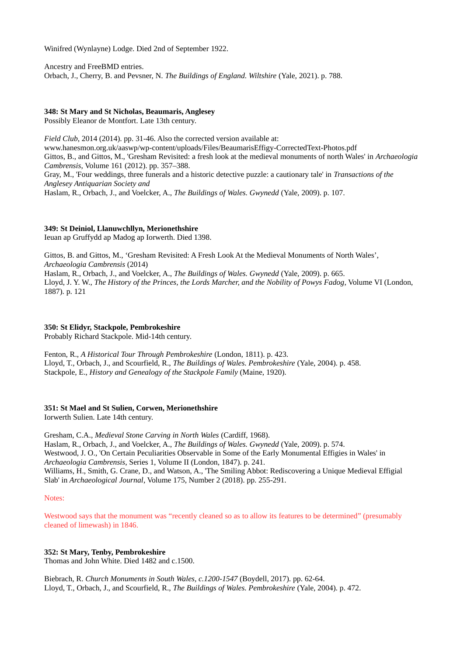Winifred (Wynlayne) Lodge. Died 2nd of September 1922.

Ancestry and FreeBMD entries. Orbach, J., Cherry, B. and Pevsner, N. *The Buildings of England. Wiltshire* (Yale, 2021). p. 788.

## **348: St Mary and St Nicholas, Beaumaris, Anglesey**

Possibly Eleanor de Montfort. Late 13th century.

*Field Club*, 2014 (2014). pp. 31-46. Also the corrected version available at: www.hanesmon.org.uk/aaswp/wp-content/uploads/Files/BeaumarisEffigy-CorrectedText-Photos.pdf Gittos, B., and Gittos, M., 'Gresham Revisited: a fresh look at the medieval monuments of north Wales' in *Archaeologia Cambrensis*, Volume 161 (2012). pp. 357–388. Gray, M., 'Four weddings, three funerals and a historic detective puzzle: a cautionary tale' in *Transactions of the Anglesey Antiquarian Society and* Haslam, R., Orbach, J., and Voelcker, A., *The Buildings of Wales. Gwynedd* (Yale, 2009). p. 107.

# **349: St Deiniol, Llanuwchllyn, Merionethshire**

Ieuan ap Gruffydd ap Madog ap Iorwerth. Died 1398.

Gittos, B. and Gittos, M., 'Gresham Revisited: A Fresh Look At the Medieval Monuments of North Wales', *Archaeologia Cambrensis* (2014) Haslam, R., Orbach, J., and Voelcker, A., *The Buildings of Wales. Gwynedd* (Yale, 2009). p. 665. Lloyd, J. Y. W., *The History of the Princes, the Lords Marcher, and the Nobility of Powys Fadog*, Volume VI (London, 1887). p. 121

## **350: St Elidyr, Stackpole, Pembrokeshire**

Probably Richard Stackpole. Mid-14th century.

Fenton, R., *A Historical Tour Through Pembrokeshire* (London, 1811). p. 423. Lloyd, T., Orbach, J., and Scourfield, R., *The Buildings of Wales. Pembrokeshire* (Yale, 2004). p. 458. Stackpole, E., *History and Genealogy of the Stackpole Family* (Maine, 1920).

# **351: St Mael and St Sulien, Corwen, Merionethshire**

Iorwerth Sulien. Late 14th century.

Gresham, C.A., *Medieval Stone Carving in North Wales* (Cardiff, 1968). Haslam, R., Orbach, J., and Voelcker, A., *The Buildings of Wales. Gwynedd* (Yale, 2009). p. 574. Westwood, J. O., 'On Certain Peculiarities Observable in Some of the Early Monumental Effigies in Wales' in *Archaeologia Cambrensis*, Series 1, Volume II (London, 1847). p. 241. Williams, H., Smith, G. Crane, D., and Watson, A., 'The Smiling Abbot: Rediscovering a Unique Medieval Effigial Slab' in *Archaeological Journal*, Volume 175, Number 2 (2018). pp. 255-291.

## Notes:

Westwood says that the monument was "recently cleaned so as to allow its features to be determined" (presumably cleaned of limewash) in 1846.

# **352: St Mary, Tenby, Pembrokeshire**

Thomas and John White. Died 1482 and c.1500.

Biebrach, R. *Church Monuments in South Wales, c.1200-1547* (Boydell, 2017). pp. 62-64. Lloyd, T., Orbach, J., and Scourfield, R., *The Buildings of Wales. Pembrokeshire* (Yale, 2004). p. 472.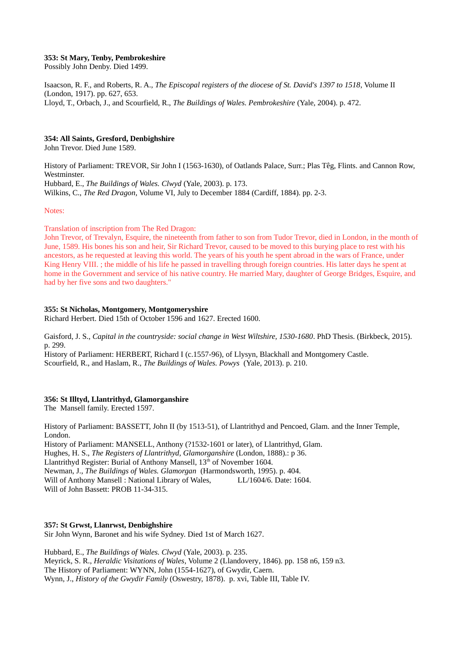## **353: St Mary, Tenby, Pembrokeshire**

Possibly John Denby. Died 1499.

Isaacson, R. F., and Roberts, R. A., *The Episcopal registers of the diocese of St. David's 1397 to 1518*, Volume II (London, 1917). pp. 627, 653. Lloyd, T., Orbach, J., and Scourfield, R., *The Buildings of Wales. Pembrokeshire* (Yale, 2004). p. 472.

# **354: All Saints, Gresford, Denbighshire**

John Trevor. Died June 1589.

History of Parliament: TREVOR, Sir John I (1563-1630), of Oatlands Palace, Surr.; Plas Têg, Flints. and Cannon Row, Westminster. Hubbard, E., *The Buildings of Wales. Clwyd* (Yale, 2003). p. 173. Wilkins, C., *The Red Dragon*, Volume VI, July to December 1884 (Cardiff, 1884). pp. 2-3.

#### Notes:

Translation of inscription from The Red Dragon:

John Trevor, of Trevalyn, Esquire, the nineteenth from father to son from Tudor Trevor, died in London, in the month of June, 1589. His bones his son and heir, Sir Richard Trevor, caused to be moved to this burying place to rest with his ancestors, as he requested at leaving this world. The years of his youth he spent abroad in the wars of France, under King Henry VIII. ; the middle of his life he passed in travelling through foreign countries. His latter days he spent at home in the Government and service of his native country. He married Mary, daughter of George Bridges, Esquire, and had by her five sons and two daughters."

## **355: St Nicholas, Montgomery, Montgomeryshire**

Richard Herbert. Died 15th of October 1596 and 1627. Erected 1600.

Gaisford, J. S., *Capital in the countryside: social change in West Wiltshire, 1530-1680*. PhD Thesis. (Birkbeck, 2015). p. 299.

History of Parliament: HERBERT, Richard I (c.1557-96), of Llysyn, Blackhall and Montgomery Castle. Scourfield, R., and Haslam, R., *The Buildings of Wales. Powys* (Yale, 2013). p. 210.

# **356: St Illtyd, Llantrithyd, Glamorganshire**

The Mansell family. Erected 1597.

History of Parliament: BASSETT, John II (by 1513-51), of Llantrithyd and Pencoed, Glam. and the Inner Temple, London.

History of Parliament: MANSELL, Anthony (?1532-1601 or later), of Llantrithyd, Glam. Hughes, H. S., *The Registers of Llantrithyd, Glamorganshire* (London, 1888).: p 36. Llantrithyd Register: Burial of Anthony Mansell, 13<sup>th</sup> of November 1604. Newman, J., *The Buildings of Wales. Glamorgan* (Harmondsworth, 1995). p. 404. Will of Anthony Mansell : National Library of Wales, LL/1604/6. Date: 1604. Will of John Bassett: PROB 11-34-315.

# **357: St Grwst, Llanrwst, Denbighshire**

Sir John Wynn, Baronet and his wife Sydney. Died 1st of March 1627.

Hubbard, E., *The Buildings of Wales. Clwyd* (Yale, 2003). p. 235. Meyrick, S. R., *Heraldic Visitations of Wales*, Volume 2 (Llandovery, 1846). pp. 158 n6, 159 n3. The History of Parliament: WYNN, John (1554-1627), of Gwydir, Caern. Wynn, J., *History of the Gwydir Family* (Oswestry, 1878). p. xvi, Table III, Table IV.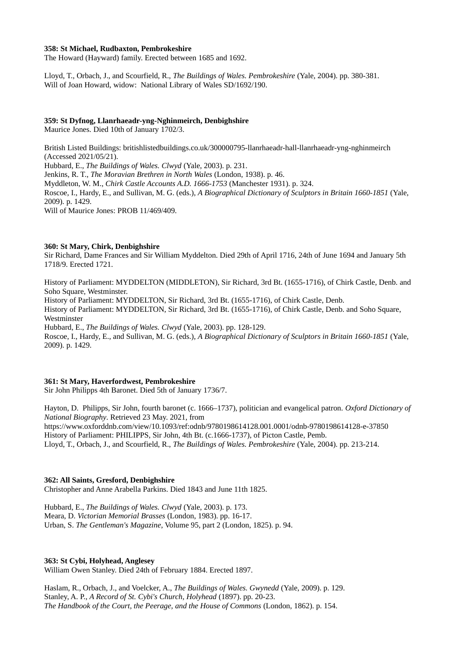## **358: St Michael, Rudbaxton, Pembrokeshire**

The Howard (Hayward) family. Erected between 1685 and 1692.

Lloyd, T., Orbach, J., and Scourfield, R., *The Buildings of Wales. Pembrokeshire* (Yale, 2004). pp. 380-381. Will of Joan Howard, widow: National Library of Wales SD/1692/190.

## **359: St Dyfnog, Llanrhaeadr-yng-Nghinmeirch, Denbighshire**

Maurice Jones. Died 10th of January 1702/3.

British Listed Buildings: britishlistedbuildings.co.uk/300000795-llanrhaeadr-hall-llanrhaeadr-yng-nghinmeirch (Accessed 2021/05/21). Hubbard, E., *The Buildings of Wales. Clwyd* (Yale, 2003). p. 231. Jenkins, R. T., *The Moravian Brethren in North Wales* (London, 1938). p. 46. Myddleton, W. M., *Chirk Castle Accounts A.D. 1666-1753* (Manchester 1931). p. 324. Roscoe, I., Hardy, E., and Sullivan, M. G. (eds.), *A Biographical Dictionary of Sculptors in Britain 1660-1851* (Yale, 2009). p. 1429. Will of Maurice Jones: PROB 11/469/409.

## **360: St Mary, Chirk, Denbighshire**

Sir Richard, Dame Frances and Sir William Myddelton. Died 29th of April 1716, 24th of June 1694 and January 5th 1718/9. Erected 1721.

History of Parliament: MYDDELTON (MIDDLETON), Sir Richard, 3rd Bt. (1655-1716), of Chirk Castle, Denb. and Soho Square, Westminster.

History of Parliament: MYDDELTON, Sir Richard, 3rd Bt. (1655-1716), of Chirk Castle, Denb.

History of Parliament: MYDDELTON, Sir Richard, 3rd Bt. (1655-1716), of Chirk Castle, Denb. and Soho Square, Westminster

Hubbard, E., *The Buildings of Wales. Clwyd* (Yale, 2003). pp. 128-129.

Roscoe, I., Hardy, E., and Sullivan, M. G. (eds.), *A Biographical Dictionary of Sculptors in Britain 1660-1851* (Yale, 2009). p. 1429.

# **361: St Mary, Haverfordwest, Pembrokeshire**

Sir John Philipps 4th Baronet. Died 5th of January 1736/7.

Hayton, D. Philipps, Sir John, fourth baronet (c. 1666–1737), politician and evangelical patron. *Oxford Dictionary of National Biography*. Retrieved 23 May. 2021, from <https://www.oxforddnb.com/view/10.1093/ref:odnb/9780198614128.001.0001/odnb-9780198614128-e-37850> History of Parliament: PHILIPPS, Sir John, 4th Bt. (c.1666-1737), of Picton Castle, Pemb. Lloyd, T., Orbach, J., and Scourfield, R., *The Buildings of Wales. Pembrokeshire* (Yale, 2004). pp. 213-214.

# **362: All Saints, Gresford, Denbighshire**

Christopher and Anne Arabella Parkins. Died 1843 and June 11th 1825.

Hubbard, E., *The Buildings of Wales. Clwyd* (Yale, 2003). p. 173. Meara, D. *Victorian Memorial Brasses* (London, 1983). pp. 16-17. Urban, S. *The Gentleman's Magazine*, Volume 95, part 2 (London, 1825). p. 94.

# **363: St Cybi, Holyhead, Anglesey**

William Owen Stanley. Died 24th of February 1884. Erected 1897.

Haslam, R., Orbach, J., and Voelcker, A., *The Buildings of Wales. Gwynedd* (Yale, 2009). p. 129. Stanley, A. P., *A Record of St. Cybi's Church, Holyhead* (1897). pp. 20-23. *The Handbook of the Court, the Peerage, and the House of Commons* (London, 1862). p. 154.